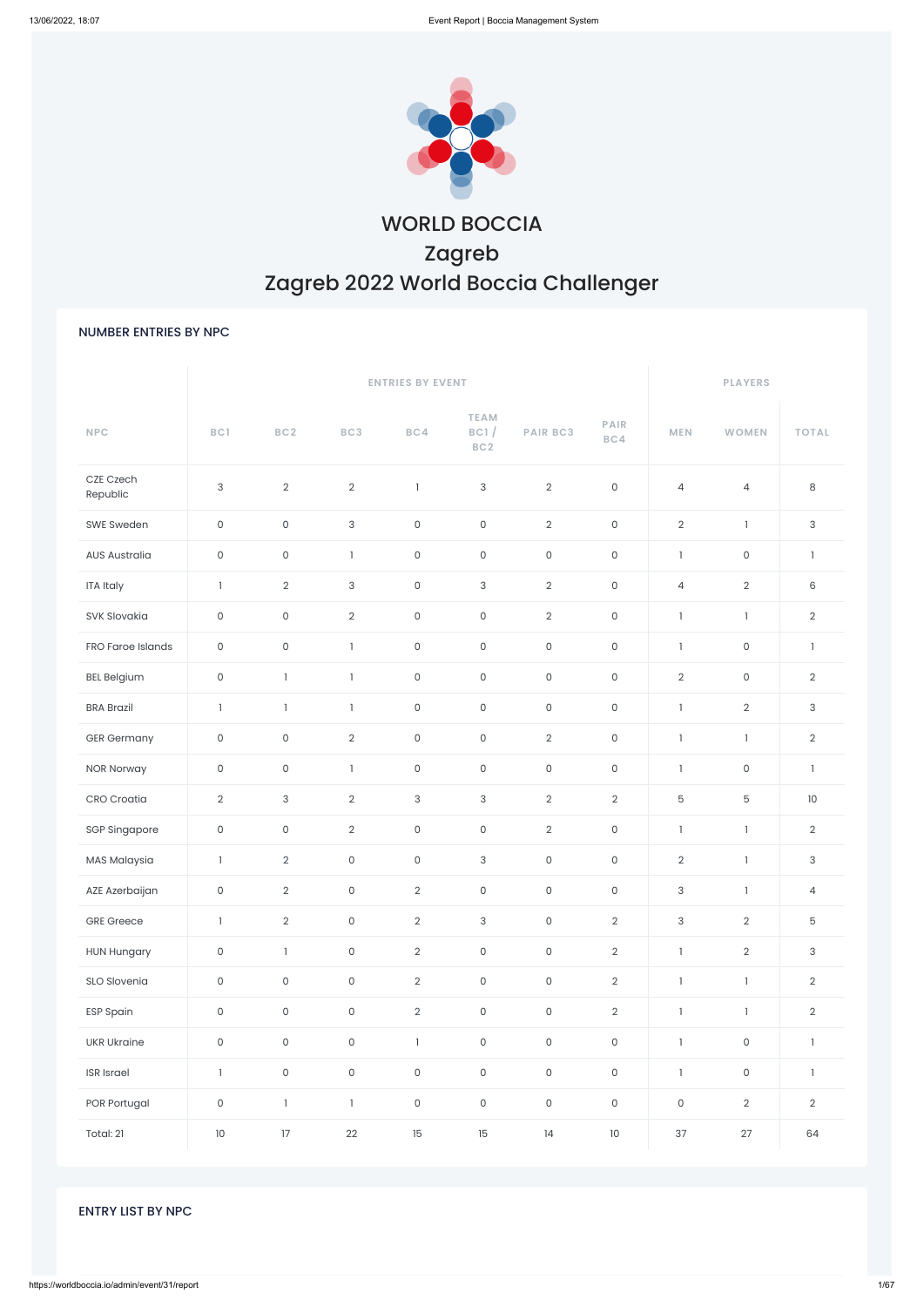

# WORLD BOCCIA Zagreb Zagreb 2022 World Boccia Challenger

### NUMBER ENTRIES BY NPC

|                       |                     |                     |                           | <b>ENTRIES BY EVENT</b> |                                        |                            |                     | <b>PLAYERS</b>            |                     |                |
|-----------------------|---------------------|---------------------|---------------------------|-------------------------|----------------------------------------|----------------------------|---------------------|---------------------------|---------------------|----------------|
| <b>NPC</b>            | BC1                 | BC2                 | BC3                       | BC4                     | <b>TEAM</b><br>BC1/<br>BC <sub>2</sub> | <b>PAIR BC3</b>            | PAIR<br>BC4         | <b>MEN</b>                | <b>WOMEN</b>        | <b>TOTAL</b>   |
| CZE Czech<br>Republic | $\sqrt{3}$          | $\overline{2}$      | $\sqrt{2}$                | $\mathbf{1}$            | 3                                      | $\overline{2}$             | $\mathsf{O}\xspace$ | $\sqrt{4}$                | $\overline{4}$      | 8              |
| SWE Sweden            | $\mathsf{O}\xspace$ | 0                   | $\ensuremath{\mathsf{3}}$ | $\mathsf{O}\xspace$     | $\mathsf O$                            | $\overline{2}$             | $\mathsf{O}\xspace$ | $\overline{2}$            | $\mathbf{1}$        | 3              |
| <b>AUS Australia</b>  | $\mathsf{O}\xspace$ | 0                   | $\mathbf{1}$              | $\mathsf{O}\xspace$     | $\mathsf O$                            | $\mathsf{O}\xspace$        | $\mathsf{O}\xspace$ | $\,$ $\,$                 | $\mathsf O$         | $\mathbf{I}$   |
| <b>ITA Italy</b>      | $\mathbf{1}$        | $\overline{2}$      | $\sqrt{3}$                | $\mathsf{O}\xspace$     | 3                                      | $\overline{2}$             | $\mathsf{O}\xspace$ | $\sqrt{4}$                | $\overline{2}$      | 6              |
| SVK Slovakia          | $\mathsf{O}\xspace$ | 0                   | $\sqrt{2}$                | $\mathsf{O}\xspace$     | $\mathsf{O}\xspace$                    | $\overline{2}$             | $\mathsf{O}\xspace$ | $\mathbf{I}$              | $\mathbf{I}$        | $\overline{2}$ |
| FRO Faroe Islands     | $\mathsf{O}\xspace$ | $\mathsf{O}\xspace$ | $\mathbf{I}$              | $\mathsf{O}\xspace$     | $\mathsf O$                            | $\mathsf{O}\xspace$        | $\mathsf{O}\xspace$ | $\mathbf{I}$              | $\mathsf O$         | $\mathbf{I}$   |
| <b>BEL Belgium</b>    | $\mathsf{O}\xspace$ | $\mathbf{1}$        | $\overline{1}$            | $\mathsf{O}\xspace$     | $\mathsf{O}\xspace$                    | $\mathsf{O}$               | $\mathsf{O}\xspace$ | $\overline{2}$            | $\mathsf{O}\xspace$ | $\overline{2}$ |
| <b>BRA Brazil</b>     | $\mathbf{1}$        | $\mathbf{1}$        | $\mathbf{1}$              | $\mathsf{O}\xspace$     | $\mathsf O$                            | $\mathsf O$                | $\mathsf{O}\xspace$ | $\mathbf{I}$              | $\overline{2}$      | 3              |
| <b>GER Germany</b>    | $\mathsf{O}\xspace$ | 0                   | $\sqrt{2}$                | $\mathsf{O}\xspace$     | $\mathsf{O}\xspace$                    | $\overline{2}$             | $\mathsf{O}\xspace$ | $\mathbf{I}$              | $\mathbf{1}$        | $\overline{2}$ |
| <b>NOR Norway</b>     | $\mathsf{O}\xspace$ | 0                   | $\mathbf{1}$              | $\mathsf{O}\xspace$     | $\mathsf O$                            | $\mathsf{O}$               | $\mathsf{O}\xspace$ | $\mathbf{1}$              | $\mathsf{O}\xspace$ | $\mathbf{I}$   |
| CRO Croatia           | $\overline{2}$      | 3                   | $\sqrt{2}$                | 3                       | 3                                      | $\overline{2}$             | $\overline{2}$      | $\mathbf 5$               | 5                   | $10$           |
| <b>SGP Singapore</b>  | $\mathsf{O}\xspace$ | $\mathsf{O}\xspace$ | $\overline{2}$            | $\mathsf{O}\xspace$     | $\mathsf{O}\xspace$                    | $\overline{2}$             | $\mathsf{O}\xspace$ | $\mathbf{I}$              | $\mathbf{1}$        | $\overline{2}$ |
| MAS Malaysia          | $\mathbf{1}$        | $\overline{2}$      | $\Omega$                  | $\overline{0}$          | $\mathbf{3}$                           | $\circ$                    | $\overline{0}$      | $\overline{2}$            | $\mathbf{1}$        | $\mathbf{3}$   |
| AZE Azerbaijan        | $\mathsf{O}\xspace$ | $\overline{2}$      | $\mathsf{O}\xspace$       | $\overline{2}$          | $\mathsf O$                            | $\mathsf{O}\xspace$        | $\mathsf{O}\xspace$ | $\ensuremath{\mathsf{3}}$ | $\mathbf{I}$        | $\overline{4}$ |
| <b>GRE</b> Greece     | $\mathbf{I}$        | $\overline{2}$      | $\mathsf{O}\xspace$       | $\overline{2}$          | $\mathsf{3}$                           | $\mathsf{O}$               | $\overline{2}$      | $\ensuremath{\mathsf{3}}$ | $\overline{2}$      | 5              |
| <b>HUN Hungary</b>    | $\mathsf{O}\xspace$ | $\mathbf{I}$        | $\mathsf{O}\xspace$       | $\overline{2}$          | $\mathsf O$                            | $\mathsf{O}\xspace$        | $\overline{2}$      | $\mathbf{I}$              | $\overline{2}$      | 3              |
| SLO Slovenia          | $\mathsf O$         | $\mathsf{O}\xspace$ | $\mathsf{O}\xspace$       | $\overline{2}$          | $\mathsf{O}$                           | $\mathsf O$                | $\overline{2}$      | $\mathbb{I}$              | $\mathbb{I}$        | $\overline{2}$ |
| <b>ESP Spain</b>      | $\mathsf{O}\xspace$ | $\mathsf{O}\xspace$ | $\mathsf{O}\xspace$       | $\overline{2}$          | $\mathsf O$                            | $\mathsf{O}$               | $\overline{2}$      | $\mathbf{I}$              | $\mathbf{I}$        | $\overline{2}$ |
| <b>UKR Ukraine</b>    | $\mathsf{O}\xspace$ | $\mathsf{O}\xspace$ | $\mathsf O$               | $\mathbf{I}$            | $\mathsf{O}\xspace$                    | $\mathsf{O}$               | $\mathsf{O}\xspace$ | $\mathbf{I}$              | $\mathsf{O}\xspace$ | $\mathbf{I}$   |
| <b>ISR</b> Israel     | $\mathbf{I}$        | $\mathsf{O}\xspace$ | $\mathsf{O}\xspace$       | $\mathsf{O}\xspace$     | $\mathsf O$                            | $\mathsf{O}\xspace$        | $\mathsf{O}\xspace$ | $\mathbf{I}$              | $\mathsf O$         | $\mathbf{I}$   |
| POR Portugal          | $\mathsf{O}\xspace$ | $\mathbb{I}$        | $\mathbf{I}$              | $\mathsf{O}\xspace$     | $\mathsf{O}$                           | $\mathsf{O}$               | $\mathsf{O}\xspace$ | $\mathsf{O}\xspace$       | $\overline{2}$      | $\overline{2}$ |
| Total: 21             | $10\,$              | $17\,$              | $22\,$                    | 15                      | 15                                     | $\ensuremath{\mathsf{I4}}$ | $10\,$              | 37                        | $27\,$              | 64             |

### ENTRY LIST BY NPC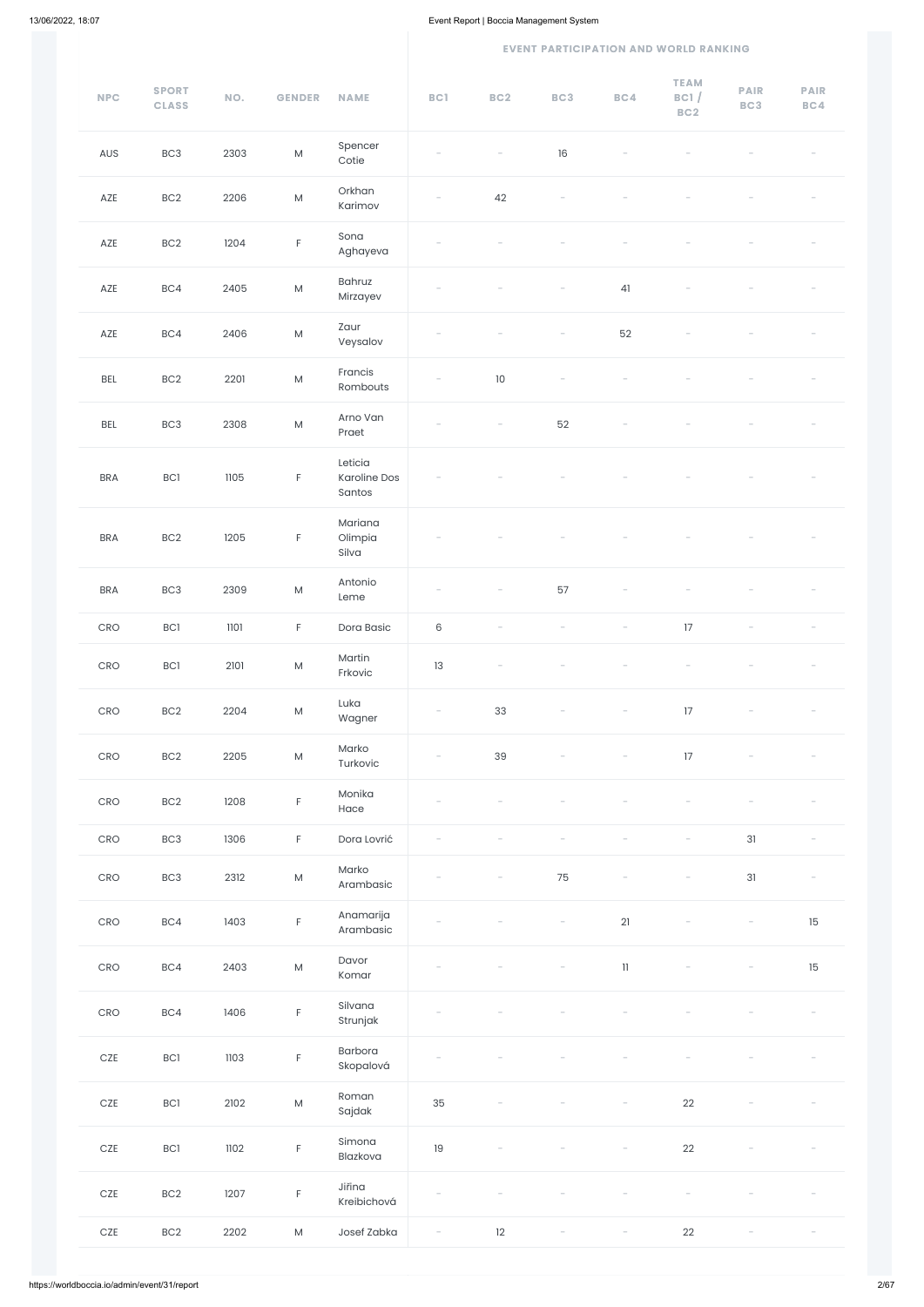#### **EVENT PARTICIPATION AND WORLD RANKING**

| <b>NPC</b>            | <b>SPORT</b><br><b>CLASS</b> | NO.  | <b>GENDER</b>                                                                                              | <b>NAME</b>                              | BC1                      | BC2                      | BC3                      | BC4                      | <b>TEAM</b><br>BC1/<br>BC2 | <b>PAIR</b><br>BC3                    | <b>PAIR</b><br>BC4       |
|-----------------------|------------------------------|------|------------------------------------------------------------------------------------------------------------|------------------------------------------|--------------------------|--------------------------|--------------------------|--------------------------|----------------------------|---------------------------------------|--------------------------|
| AUS                   | BC <sub>3</sub>              | 2303 | ${\sf M}$                                                                                                  | Spencer<br>Cotie                         |                          |                          | 16                       |                          |                            |                                       |                          |
| AZE                   | BC <sub>2</sub>              | 2206 | ${\sf M}$                                                                                                  | Orkhan<br>Karimov                        |                          | 42                       |                          |                          |                            |                                       |                          |
| AZE                   | BC <sub>2</sub>              | 1204 | $\mathsf F$                                                                                                | Sona<br>Aghayeva                         |                          |                          |                          |                          |                            |                                       |                          |
| AZE                   | BC4                          | 2405 | ${\sf M}$                                                                                                  | <b>Bahruz</b><br>Mirzayev                |                          |                          |                          | 41                       |                            |                                       |                          |
| AZE                   | BC4                          | 2406 | ${\sf M}$                                                                                                  | Zaur<br>Veysalov                         |                          |                          |                          | 52                       |                            |                                       |                          |
| <b>BEL</b>            | BC <sub>2</sub>              | 2201 | ${\sf M}$                                                                                                  | Francis<br>Rombouts                      |                          | $10$                     |                          |                          |                            |                                       |                          |
| BEL                   | BC <sub>3</sub>              | 2308 | ${\sf M}$                                                                                                  | Arno Van<br>Praet                        |                          | $\overline{\phantom{a}}$ | 52                       |                          |                            |                                       |                          |
| <b>BRA</b>            | <b>BC1</b>                   | 1105 | $\mathsf F$                                                                                                | Leticia<br><b>Karoline Dos</b><br>Santos |                          |                          |                          |                          |                            |                                       |                          |
| <b>BRA</b>            | BC <sub>2</sub>              | 1205 | F                                                                                                          | Mariana<br>Olimpia<br>Silva              |                          |                          |                          |                          |                            |                                       |                          |
| <b>BRA</b>            | BC <sub>3</sub>              | 2309 | $\mathsf{M}% _{T}=\mathsf{M}_{T}\!\left( a,b\right) ,\ \mathsf{M}_{T}=\mathsf{M}_{T}\!\left( a,b\right) ,$ | Antonio<br>Leme                          |                          |                          | 57                       |                          |                            |                                       |                          |
| CRO                   | BC1                          | 1101 | $\mathsf F$                                                                                                | Dora Basic                               | $\,6$                    |                          |                          |                          | 17                         |                                       |                          |
| CRO                   | BC1                          | 2101 | ${\sf M}$                                                                                                  | Martin<br>Frkovic                        | 13                       |                          |                          |                          |                            |                                       |                          |
| CRO                   | BC <sub>2</sub>              | 2204 | ${\sf M}$                                                                                                  | Luka<br>Wagner                           |                          | 33                       |                          |                          | 17                         |                                       |                          |
| CRO                   | BC2                          | 2205 | ${\sf M}$                                                                                                  | Marko<br>Turkovic                        |                          | 39                       |                          |                          | 17                         | $\hspace{1.5cm} \rule{1.5cm}{0.15cm}$ |                          |
| CRO                   | BC <sub>2</sub>              | 1208 | $\mathsf F$                                                                                                | Monika<br>Hace                           |                          |                          |                          |                          |                            |                                       |                          |
| CRO                   | BC <sub>3</sub>              | 1306 | $\mathsf F$                                                                                                | Dora Lovrić                              |                          |                          |                          |                          |                            | 31                                    |                          |
| CRO                   | BC <sub>3</sub>              | 2312 | ${\sf M}$                                                                                                  | Marko<br>Arambasic                       |                          |                          | 75                       |                          |                            | 31                                    | $\overline{\phantom{a}}$ |
| CRO                   | BC4                          | 1403 | $\mathsf F$                                                                                                | Anamarija<br>Arambasic                   |                          |                          |                          | 21                       |                            | $\overline{\phantom{a}}$              | 15                       |
| CRO                   | BC4                          | 2403 | ${\sf M}$                                                                                                  | Davor<br>Komar                           |                          |                          |                          | $11\,$                   |                            |                                       | 15                       |
| CRO                   | BC4                          | 1406 | $\mathsf F$                                                                                                | Silvana<br>Strunjak                      |                          |                          |                          |                          |                            |                                       |                          |
| CZE                   | <b>BCI</b>                   | 1103 | F                                                                                                          | Barbora<br>Skopalová                     | $\overline{\phantom{a}}$ | $\overline{\phantom{a}}$ | $\overline{\phantom{a}}$ | $\overline{\phantom{a}}$ | $\overline{\phantom{a}}$   | $\overline{\phantom{a}}$              | $\overline{\phantom{a}}$ |
| $\mathsf{CZE}\xspace$ | $\mathsf{BCI}$               | 2102 | ${\sf M}$                                                                                                  | Roman<br>Sajdak                          | 35                       |                          |                          |                          | 22                         |                                       |                          |
| $\mathsf{CZE}\xspace$ | <b>BCI</b>                   | 1102 | $\mathsf F$                                                                                                | Simona<br>Blazkova                       | $19$                     |                          |                          |                          | $22\,$                     |                                       |                          |
| $\mathsf{CZE}\xspace$ | BC2                          | 1207 | $\mathsf F$                                                                                                | Jiřina<br>Kreibichová                    |                          |                          |                          |                          |                            |                                       |                          |
| $\mathsf{CZE}\xspace$ | BC <sub>2</sub>              | 2202 | ${\sf M}$                                                                                                  | Josef Zabka                              | $\overline{\phantom{a}}$ | 12                       | $\overline{\phantom{0}}$ | $\overline{\phantom{a}}$ | $22\,$                     |                                       |                          |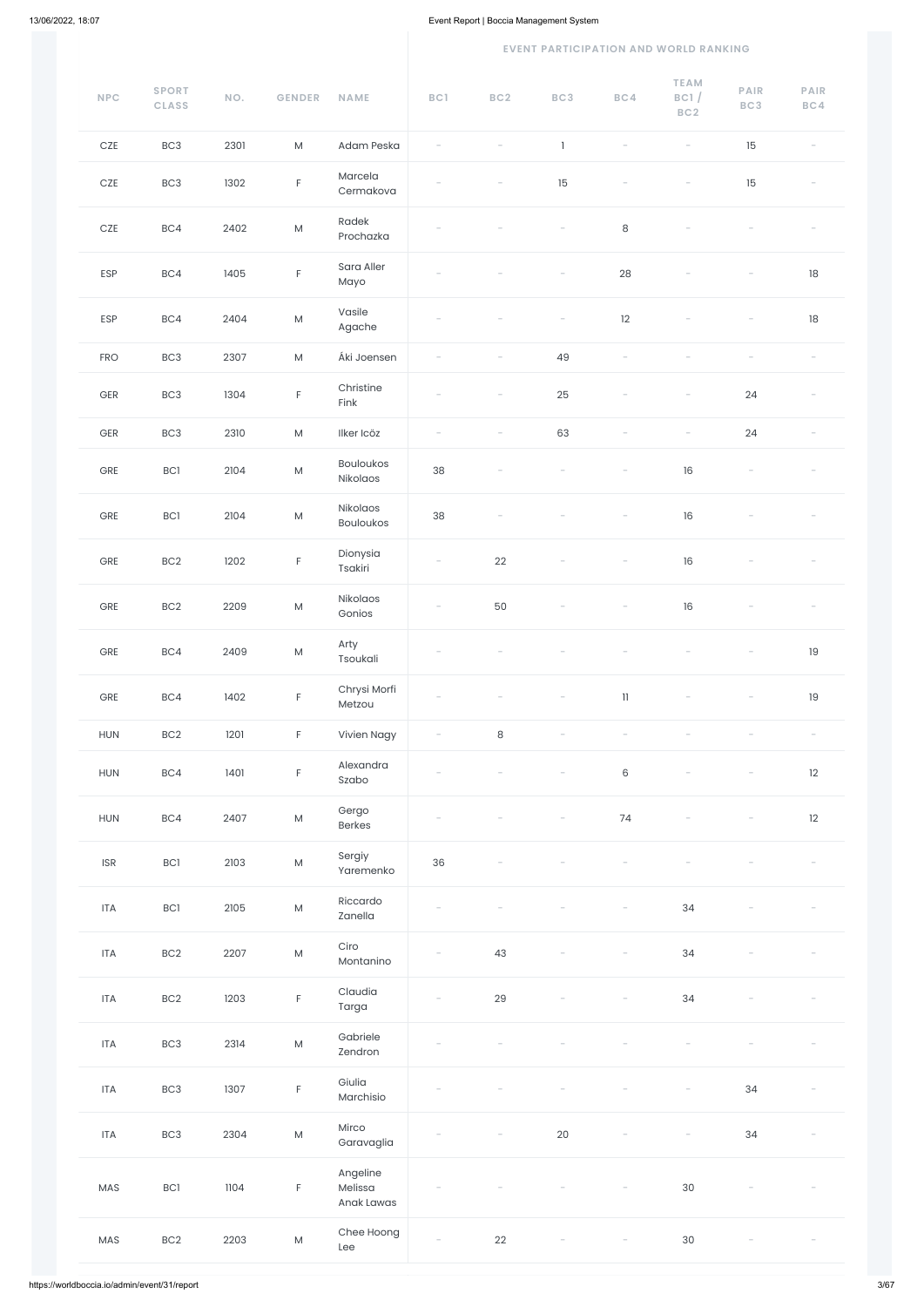#### **EVENT PARTICIPATION AND WORLD RANKING**

| NPC                         | <b>SPORT</b><br><b>CLASS</b> | NO.  | <b>GENDER</b>                                                                                              | <b>NAME</b>                  | BC1    | BC <sub>2</sub> | BC3                      | BC4                      | <b>TEAM</b><br>BC1/<br>BC <sub>2</sub>                                    | <b>PAIR</b><br>BC3              | PAIR<br>BC4              |
|-----------------------------|------------------------------|------|------------------------------------------------------------------------------------------------------------|------------------------------|--------|-----------------|--------------------------|--------------------------|---------------------------------------------------------------------------|---------------------------------|--------------------------|
| $CZE$                       | BC <sub>3</sub>              | 2301 | M                                                                                                          | Adam Peska                   |        |                 | $\mathbf{1}$             |                          |                                                                           | 15                              |                          |
| $CZE$                       | BC <sub>3</sub>              | 1302 | F                                                                                                          | Marcela<br>Cermakova         |        |                 | 15                       |                          |                                                                           | 15                              |                          |
| $CZE$                       | BC4                          | 2402 | $\mathsf{M}% _{T}=\mathsf{M}_{T}\!\left( a,b\right) ,\ \mathsf{M}_{T}=\mathsf{M}_{T}\!\left( a,b\right) ,$ | Radek<br>Prochazka           |        |                 |                          | $\,8\,$                  |                                                                           |                                 |                          |
| ESP                         | BC4                          | 1405 | F.                                                                                                         | Sara Aller<br>Mayo           |        |                 |                          | 28                       |                                                                           |                                 | 18                       |
| ESP                         | BC4                          | 2404 | ${\sf M}$                                                                                                  | Vasile<br>Agache             |        |                 | $\overline{\phantom{0}}$ | 12                       | $\hspace{1.0cm} \rule{1.5cm}{0.15cm} \hspace{1.0cm} \rule{1.5cm}{0.15cm}$ | $\overline{\phantom{a}}$        | $18\,$                   |
| <b>FRO</b>                  | BC <sub>3</sub>              | 2307 | M                                                                                                          | Áki Joensen                  |        |                 | 49                       |                          |                                                                           |                                 |                          |
| GER                         | BC <sub>3</sub>              | 1304 | F.                                                                                                         | Christine<br>Fink            |        |                 | 25                       |                          |                                                                           | 24                              |                          |
| $\mathsf{GER}$              | BC <sub>3</sub>              | 2310 | $\mathsf{M}% _{T}=\mathsf{M}_{T}\!\left( a,b\right) ,\ \mathsf{M}_{T}=\mathsf{M}_{T}\!\left( a,b\right) ,$ | Ilker Icöz                   |        |                 | 63                       |                          |                                                                           | 24                              |                          |
| ${\small\textsf{GRE}}$      | BC1                          | 2104 | $\mathsf{M}% _{T}=\mathsf{M}_{T}\!\left( a,b\right) ,\ \mathsf{M}_{T}=\mathsf{M}_{T}\!\left( a,b\right) ,$ | <b>Bouloukos</b><br>Nikolaos | 38     |                 |                          |                          | 16                                                                        | $\overline{\phantom{0}}$        |                          |
| GRE                         | BC1                          | 2104 | ${\sf M}$                                                                                                  | Nikolaos<br><b>Bouloukos</b> | 38     |                 |                          |                          | 16                                                                        |                                 |                          |
| GRE                         | BC2                          | 1202 | $\mathsf F$                                                                                                | Dionysia<br>Tsakiri          | $\sim$ | 22              | $-$                      | $-$                      | 16                                                                        | $\hspace{0.1mm}-\hspace{0.1mm}$ |                          |
| ${\small\textsf{GRE}}$      | BC <sub>2</sub>              | 2209 | ${\sf M}$                                                                                                  | Nikolaos<br>Gonios           |        | 50              |                          | $\overline{\phantom{a}}$ | 16                                                                        |                                 |                          |
| GRE                         | BC4                          | 2409 | ${\sf M}$                                                                                                  | Arty<br>Tsoukali             |        |                 |                          |                          |                                                                           |                                 | $19$                     |
| GRE                         | BC4                          | 1402 | F.                                                                                                         | Chrysi Morfi<br>Metzou       |        |                 |                          | $11\,$                   |                                                                           |                                 | $19$                     |
| HUN                         | BC <sub>2</sub>              | 1201 | F.                                                                                                         | Vivien Nagy                  |        | $\,8\,$         |                          |                          |                                                                           |                                 | $\overline{\phantom{a}}$ |
| HUN                         | BC4                          | 1401 | F                                                                                                          | Alexandra<br>Szabo           |        |                 |                          | $6\,$                    |                                                                           |                                 | 12                       |
| <b>HUN</b>                  | BC4                          | 2407 | ${\sf M}$                                                                                                  | Gergo<br>Berkes              |        |                 |                          | $74$                     |                                                                           |                                 | 12                       |
| $\ensuremath{\mathsf{ISR}}$ | $\mathsf{BCI}$               | 2103 | ${\sf M}$                                                                                                  | Sergiy<br>Yaremenko          | 36     |                 |                          |                          |                                                                           |                                 |                          |
| <b>ITA</b>                  | <b>BC1</b>                   | 2105 | ${\sf M}$                                                                                                  | Riccardo<br>Zanella          |        |                 |                          |                          | 34                                                                        |                                 |                          |
| <b>ITA</b>                  | BC2                          | 2207 | ${\sf M}$                                                                                                  | Ciro<br>Montanino            |        | 43              |                          |                          | 34                                                                        |                                 |                          |

| <b>ITA</b> | BC <sub>2</sub> | 1203 | F           | Claudia<br>Targa                  | $\overline{\phantom{a}}$ | 29                       | $\overline{\phantom{a}}$ | $\overline{\phantom{a}}$ | 34                       |                          |  |
|------------|-----------------|------|-------------|-----------------------------------|--------------------------|--------------------------|--------------------------|--------------------------|--------------------------|--------------------------|--|
| <b>ITA</b> | BC <sub>3</sub> | 2314 | ${\sf M}$   | Gabriele<br>Zendron               |                          |                          |                          |                          |                          |                          |  |
| <b>ITA</b> | BC <sub>3</sub> | 1307 | $\mathsf F$ | Giulia<br>Marchisio               | $\sim$                   |                          |                          |                          | $\overline{\phantom{0}}$ | 34                       |  |
| <b>ITA</b> | BC <sub>3</sub> | 2304 | ${\sf M}$   | Mirco<br>Garavaglia               | $\overline{\phantom{a}}$ | $\overline{\phantom{a}}$ | 20                       | $\overline{\phantom{m}}$ | $\overline{\phantom{a}}$ | 34                       |  |
| MAS        | BC1             | 1104 | $\mathsf F$ | Angeline<br>Melissa<br>Anak Lawas | $\overline{\phantom{a}}$ |                          |                          | $\overline{\phantom{a}}$ | 30                       |                          |  |
| MAS        | BC <sub>2</sub> | 2203 | ${\sf M}$   | Chee Hoong<br>Lee                 | $\overline{\phantom{a}}$ | 22                       | $\overline{\phantom{a}}$ | $\overline{\phantom{a}}$ | 30                       | $\overline{\phantom{m}}$ |  |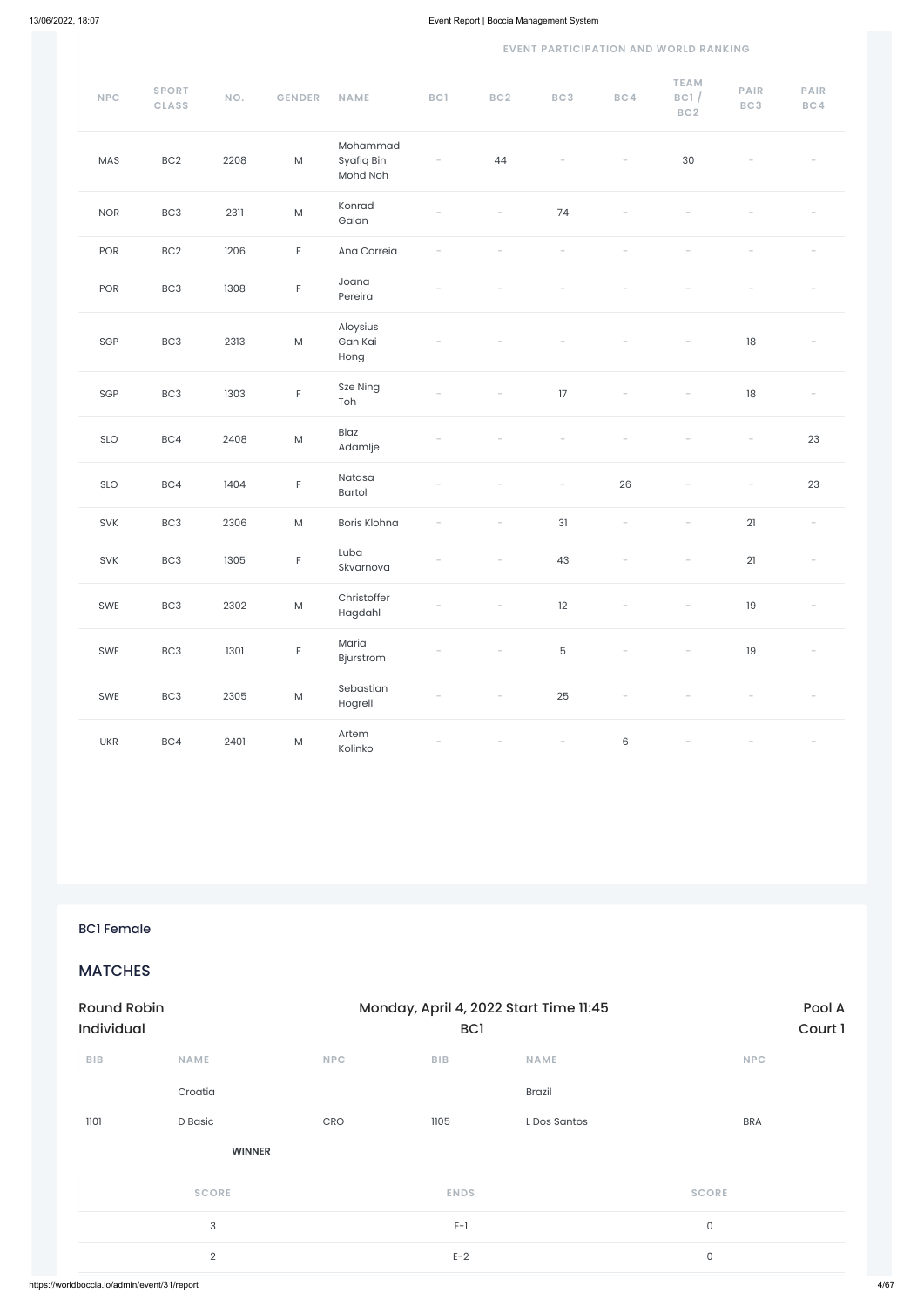#### **EVENT PARTICIPATION AND WORLD RANKING**

| NPC        | <b>SPORT</b><br><b>CLASS</b> | NO.  | <b>GENDER</b>                                                                                              | <b>NAME</b>                        | BC1 | BC2                      | BC3                      | BC4                      | <b>TEAM</b><br>BC1/<br>BC2 | <b>PAIR</b><br>BC3 | PAIR<br>BC4              |
|------------|------------------------------|------|------------------------------------------------------------------------------------------------------------|------------------------------------|-----|--------------------------|--------------------------|--------------------------|----------------------------|--------------------|--------------------------|
| MAS        | BC <sub>2</sub>              | 2208 | ${\sf M}$                                                                                                  | Mohammad<br>Syafiq Bin<br>Mohd Noh |     | 44                       |                          |                          | $30\,$                     |                    |                          |
| <b>NOR</b> | BC <sub>3</sub>              | 2311 | ${\sf M}$                                                                                                  | Konrad<br>Galan                    |     |                          | 74                       |                          |                            |                    |                          |
| POR        | BC <sub>2</sub>              | 1206 | $\mathsf F$                                                                                                | Ana Correia                        |     |                          |                          |                          |                            |                    |                          |
| POR        | BC <sub>3</sub>              | 1308 | F                                                                                                          | Joana<br>Pereira                   |     |                          |                          |                          |                            |                    |                          |
| SGP        | BC <sub>3</sub>              | 2313 | $\mathsf{M}% _{T}=\mathsf{M}_{T}\!\left( a,b\right) ,\ \mathsf{M}_{T}=\mathsf{M}_{T}\!\left( a,b\right) ,$ | Aloysius<br>Gan Kai<br>Hong        |     |                          |                          |                          |                            | $18\,$             |                          |
| SGP        | BC <sub>3</sub>              | 1303 | F                                                                                                          | Sze Ning<br>Toh                    |     |                          | 17                       |                          |                            | 18                 |                          |
| SLO        | BC4                          | 2408 | ${\sf M}$                                                                                                  | Blaz<br>Adamlje                    |     |                          |                          |                          |                            |                    | 23                       |
| SLO        | BC4                          | 1404 | F                                                                                                          | Natasa<br>Bartol                   |     |                          | $\overline{\phantom{0}}$ | 26                       |                            |                    | 23                       |
| SVK        | BC <sub>3</sub>              | 2306 | $\mathsf{M}% _{T}=\mathsf{M}_{T}\!\left( a,b\right) ,\ \mathsf{M}_{T}=\mathsf{M}_{T}\!\left( a,b\right) ,$ | <b>Boris Klohna</b>                |     |                          | 31                       | $\overline{\phantom{a}}$ |                            | 21                 | $\overline{\phantom{a}}$ |
| SVK        | BC <sub>3</sub>              | 1305 | F                                                                                                          | Luba<br>Skvarnova                  |     | $\overline{\phantom{a}}$ | 43                       | $\overline{\phantom{0}}$ | $\qquad \qquad -$          | 21                 | $\overline{\phantom{a}}$ |
| SWE        | BC3                          | 2302 | ${\sf M}$                                                                                                  | Christoffer<br>Hagdahl             |     |                          | 12                       | $\overline{\phantom{a}}$ | $\overline{\phantom{a}}$   | $19\,$             |                          |
| SWE        | BC3                          | 1301 | F                                                                                                          | Maria<br>Bjurstrom                 |     |                          | $\mathbf 5$              |                          |                            | 19                 |                          |
| SWE        | BC3                          | 2305 | ${\sf M}$                                                                                                  | Sebastian<br>Hogrell               |     |                          | 25                       |                          |                            |                    |                          |
| <b>UKR</b> | BC4                          | 2401 | ${\sf M}$                                                                                                  | Artem<br>Kolinko                   |     |                          |                          | $\,6\,$                  |                            |                    |                          |

| <b>Round Robin</b><br>Individual             |               |            | Monday, April 4, 2022 Start Time 11:45<br>BC <sub>1</sub> | Pool A<br>Court 1 |              |
|----------------------------------------------|---------------|------------|-----------------------------------------------------------|-------------------|--------------|
| <b>BIB</b>                                   | <b>NAME</b>   | <b>NPC</b> | <b>BIB</b>                                                | <b>NAME</b>       | <b>NPC</b>   |
|                                              | Croatia       |            |                                                           | <b>Brazil</b>     |              |
| 1101                                         | D Basic       | CRO        | 1105                                                      | L Dos Santos      | <b>BRA</b>   |
|                                              | <b>WINNER</b> |            |                                                           |                   |              |
|                                              | <b>SCORE</b>  |            | <b>ENDS</b>                                               |                   | <b>SCORE</b> |
|                                              | 3             |            | $E-1$                                                     |                   | $\mathsf{O}$ |
|                                              | $\sqrt{2}$    |            | $E-2$                                                     |                   | $\mathsf{O}$ |
| https://worldboccia.io/admin/event/31/report |               |            |                                                           |                   |              |

BC1 Female

MATCHES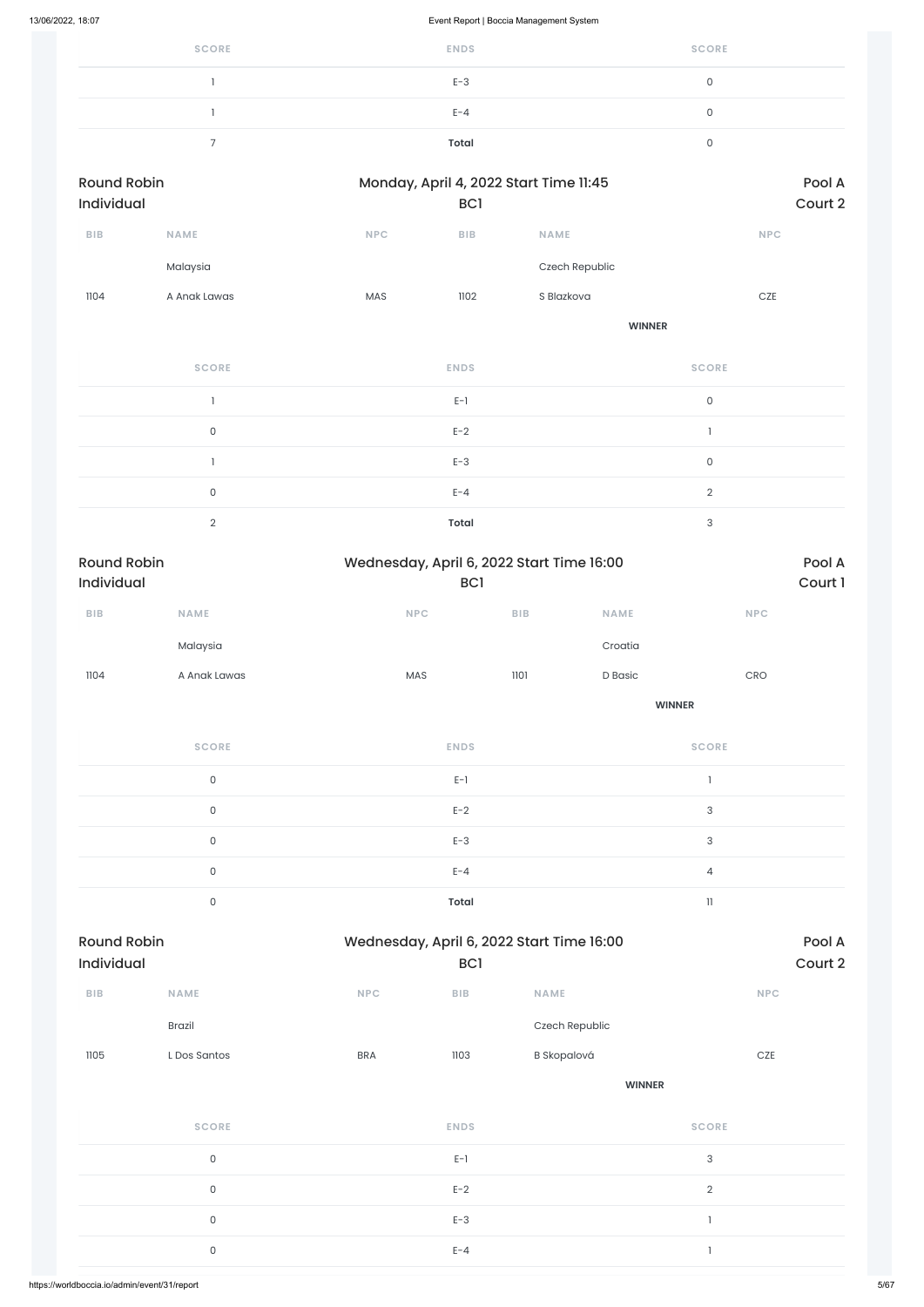| <b>SCORE</b> | <b>ENDS</b>  | <b>SCORE</b> |
|--------------|--------------|--------------|
|              | $E-3$        |              |
|              | $E - 4$      | ◡            |
|              | <b>Total</b> |              |

| <b>Round Robin</b><br>Individual |              |            | Monday, April 4, 2022 Start Time 11:45<br>BC <sub>1</sub> |                |            |  |  |
|----------------------------------|--------------|------------|-----------------------------------------------------------|----------------|------------|--|--|
| <b>BIB</b>                       | <b>NAME</b>  | <b>NPC</b> | <b>BIB</b>                                                | <b>NAME</b>    | <b>NPC</b> |  |  |
|                                  | Malaysia     |            |                                                           | Czech Republic |            |  |  |
| 1104                             | A Anak Lawas | <b>MAS</b> | 1102                                                      | S Blazkova     | <b>CZE</b> |  |  |
|                                  |              |            |                                                           | <b>WINNER</b>  |            |  |  |

| <b>SCORE</b> | <b>ENDS</b>  | <b>SCORE</b> |
|--------------|--------------|--------------|
|              | $E-1$        | 0            |
| $\Omega$     | $E-2$        |              |
|              | $E-3$        | $\cap$       |
| $\Omega$     | $E - 4$      | $\Omega$     |
| $\cap$       | <b>Total</b> | ◠            |

| <b>Round Robin</b><br><b>Individual</b> |              | Wednesday, April 6, 2022 Start Time 16:00<br><b>BC1</b> |            | Pool A<br>Court 1 |            |  |
|-----------------------------------------|--------------|---------------------------------------------------------|------------|-------------------|------------|--|
| <b>BIB</b>                              | <b>NAME</b>  | <b>NPC</b>                                              | <b>BIB</b> | <b>NAME</b>       | <b>NPC</b> |  |
|                                         | Malaysia     |                                                         |            | Croatia           |            |  |
| 1104                                    | A Anak Lawas | <b>MAS</b>                                              | 1101       | D Basic           | CRO        |  |
|                                         |              |                                                         |            | <b>WINNER</b>     |            |  |
|                                         | SCOPE        | <b>ENDS</b>                                             |            |                   | SCOPE      |  |

| <b>SCORE</b> | <b>ENDS</b>  | <b>SCORE</b> |
|--------------|--------------|--------------|
| $\cap$       | $E-1$        |              |
| $\cap$       | $E-2$        | $\Omega$     |
|              | $E-3$        | ₽            |
|              | $E - 4$      | 4            |
| ◠            | <b>Total</b> | 11           |

| BIB  | <b>NAME</b>         | <b>NPC</b> | ${\sf B}{\sf I}{\sf B}$ | <b>NAME</b>        | <b>NPC</b>                |
|------|---------------------|------------|-------------------------|--------------------|---------------------------|
|      | Brazil              |            |                         | Czech Republic     |                           |
| 1105 | L Dos Santos        | <b>BRA</b> | 1103                    | <b>B</b> Skopalová | $CZE$                     |
|      |                     |            |                         | <b>WINNER</b>      |                           |
|      | <b>SCORE</b>        |            | <b>ENDS</b>             |                    | <b>SCORE</b>              |
|      | $\mathsf{O}\xspace$ |            | $E-1$                   |                    | $\ensuremath{\mathsf{3}}$ |
|      | $\mathsf{O}\xspace$ |            | $E-2$                   |                    | $\overline{2}$            |
|      | $\mathsf{O}\xspace$ |            | $E-3$                   |                    | п                         |
|      | $\mathsf{O}\xspace$ |            | $E - 4$                 |                    |                           |
|      |                     |            |                         |                    |                           |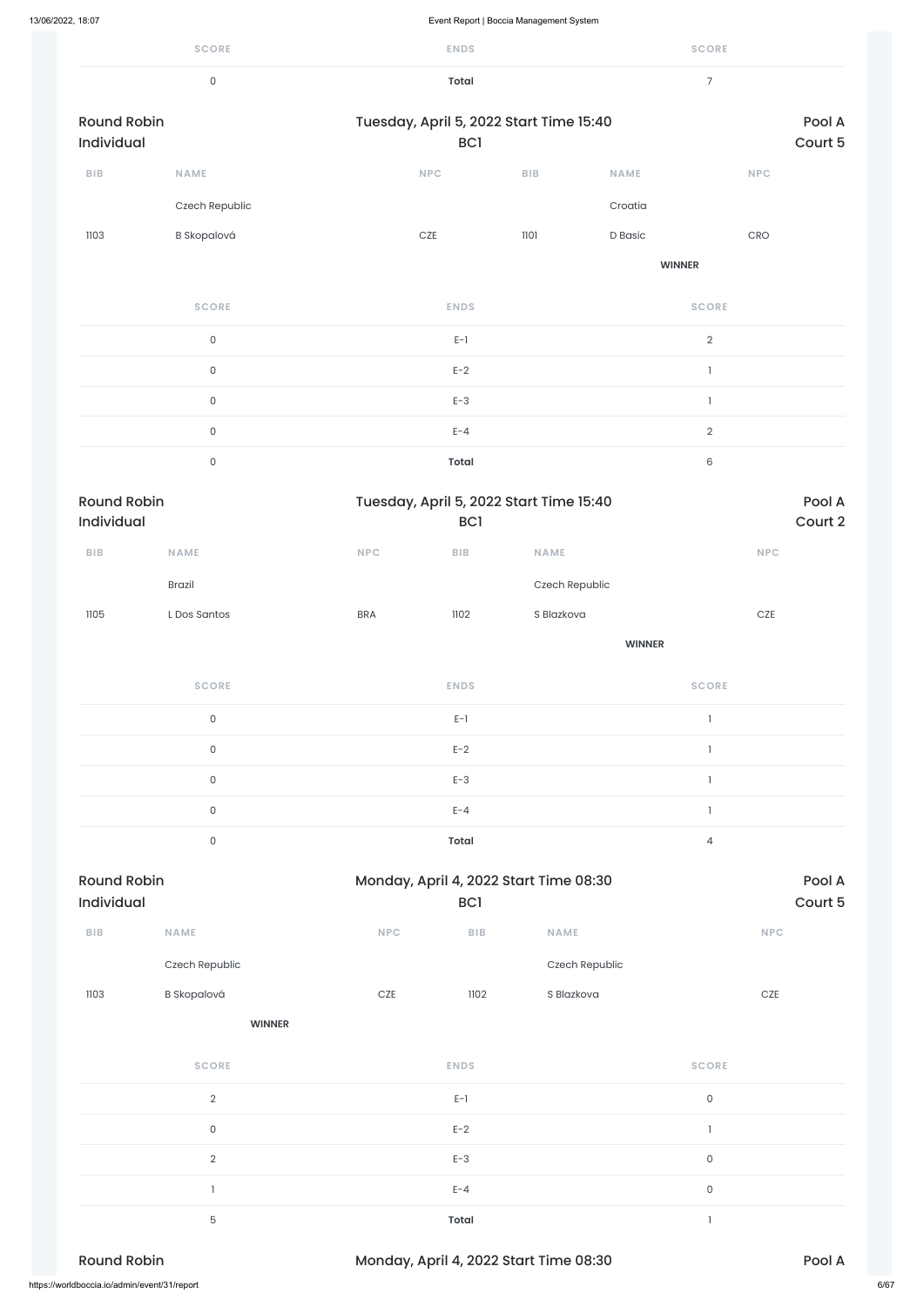|                                  | <b>SCORE</b>        |            | <b>ENDS</b>                 |                                         |               | <b>SCORE</b>                          |                   |
|----------------------------------|---------------------|------------|-----------------------------|-----------------------------------------|---------------|---------------------------------------|-------------------|
|                                  | $\mathsf{O}\xspace$ |            | <b>Total</b>                |                                         |               | $\overline{7}$                        |                   |
| <b>Round Robin</b><br>Individual |                     |            | BC <sub>1</sub>             | Tuesday, April 5, 2022 Start Time 15:40 |               |                                       | Pool A<br>Court 5 |
| ${\sf B}{\sf I}{\sf B}$          | <b>NAME</b>         |            | $\ensuremath{\mathsf{NPC}}$ | <b>BIB</b>                              | <b>NAME</b>   | <b>NPC</b>                            |                   |
|                                  | Czech Republic      |            |                             |                                         | Croatia       |                                       |                   |
| 1103                             | <b>B</b> Skopalová  |            | CZE                         | 1101                                    | D Basic       | CRO                                   |                   |
|                                  |                     |            |                             |                                         | <b>WINNER</b> |                                       |                   |
|                                  | <b>SCORE</b>        |            | <b>ENDS</b>                 |                                         |               | <b>SCORE</b>                          |                   |
|                                  | $\mathsf{O}\xspace$ |            | $E-1$                       |                                         |               | $\overline{2}$                        |                   |
|                                  | $\mathsf{O}$        |            | $E-2$                       |                                         |               | $\mathbf{1}$                          |                   |
|                                  | $\mathsf{O}$        |            | $E-3$                       |                                         |               | $\mathbf{1}$                          |                   |
|                                  | $\mathsf{O}$        |            | $E - 4$                     |                                         |               | $\overline{2}$                        |                   |
|                                  | $\mathsf{O}$        |            | <b>Total</b>                |                                         |               | $\,6\,$                               |                   |
| <b>Round Robin</b><br>Individual |                     |            | <b>BCI</b>                  | Tuesday, April 5, 2022 Start Time 15:40 |               |                                       | Pool A<br>Court 2 |
| ${\bf B} {\sf I} {\bf B}$        | NAME                | NPC        | ${\sf B}{\sf I}{\sf B}$     | NAME                                    |               | NPC                                   |                   |
|                                  | <b>Brazil</b>       |            |                             | Czech Republic                          |               |                                       |                   |
| 1105                             | L Dos Santos        | <b>BRA</b> | 1102                        | S Blazkova                              |               | $CZE$                                 |                   |
|                                  |                     |            |                             |                                         | <b>WINNER</b> |                                       |                   |
|                                  | <b>SCORE</b>        |            | <b>ENDS</b>                 |                                         |               | <b>SCORE</b>                          |                   |
|                                  | $\mathsf{O}$        |            | $E-1$                       |                                         |               | $\mathbf{I}$                          |                   |
|                                  | $\mathsf{O}$        |            | $E-2$                       |                                         |               | $\mathbf{I}$                          |                   |
|                                  | $\mathsf{O}$        |            | $E-3$                       |                                         |               | $\begin{array}{c} \hline \end{array}$ |                   |
|                                  | $\mathsf{O}$        |            | $E - 4$                     |                                         |               | $\mathbf{1}$                          |                   |
|                                  | $\mathsf{O}$        |            | <b>Total</b>                |                                         |               | $\overline{4}$                        |                   |
| <b>Round Robin</b>               |                     |            |                             | Monday, April 4, 2022 Start Time 08:30  |               |                                       | Pool A            |
| Individual                       |                     |            | BC <sub>1</sub>             |                                         |               |                                       | Court 5           |
| ${\bf B} {\sf I} {\bf B}$        | NAME                | NPC        | ${\sf B}{\sf I}{\sf B}$     | NAME                                    |               | NPC                                   |                   |

| 1103 | <b>B</b> Skopalová                           | 1102<br>$CZE$                          | S Blazkova | $CZE$        |        |
|------|----------------------------------------------|----------------------------------------|------------|--------------|--------|
|      | <b>WINNER</b>                                |                                        |            |              |        |
|      | <b>SCORE</b>                                 | <b>ENDS</b>                            |            | <b>SCORE</b> |        |
|      | $\overline{2}$                               | $E-1$                                  |            | $\mathsf O$  |        |
|      | 0                                            | $E-2$                                  |            |              |        |
|      | $\overline{2}$                               | $E-3$                                  |            | $\mathsf O$  |        |
|      |                                              | $E - 4$                                |            | $\mathsf O$  |        |
|      | $\overline{5}$                               | <b>Total</b>                           |            |              |        |
|      | <b>Round Robin</b>                           | Monday, April 4, 2022 Start Time 08:30 |            |              | Pool A |
|      | https://worldboccia.io/admin/event/31/report |                                        |            |              | 6/67   |

Czech Republic Czech Republic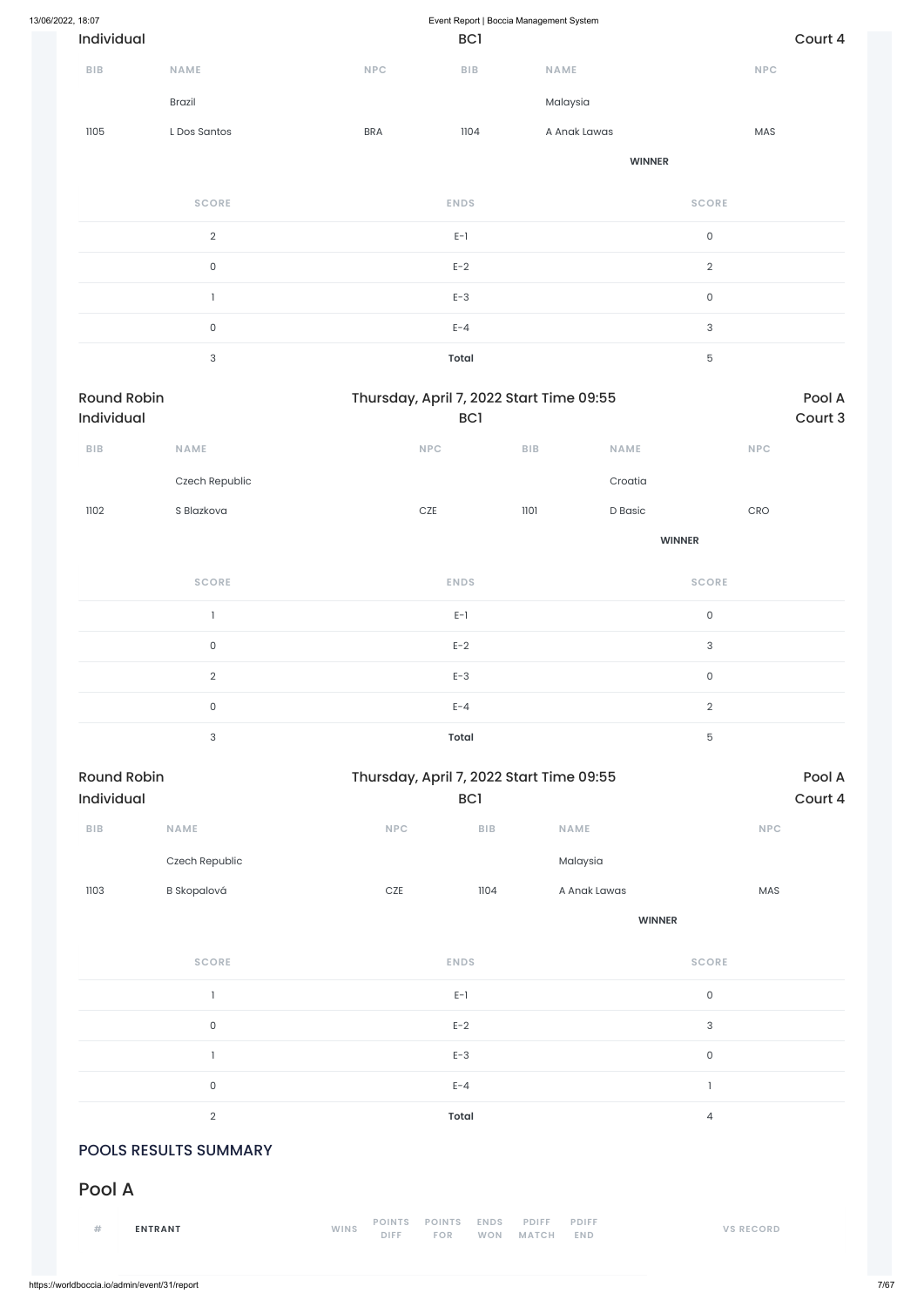| 13/06/2022, 18:07 |                                  |                           |            | Event Report   Boccia Management System                |              |               |                     |            |                   |
|-------------------|----------------------------------|---------------------------|------------|--------------------------------------------------------|--------------|---------------|---------------------|------------|-------------------|
|                   | Individual                       |                           |            | BC <sub>1</sub>                                        |              |               |                     |            | Court 4           |
|                   | BIB                              | NAME                      | NPC        | ${\sf B}{\sf I}{\sf B}$                                | NAME         |               |                     | NPC        |                   |
|                   |                                  | Brazil                    |            |                                                        | Malaysia     |               |                     |            |                   |
|                   | 1105                             | L Dos Santos              | <b>BRA</b> | 1104                                                   | A Anak Lawas |               |                     | MAS        |                   |
|                   |                                  |                           |            |                                                        |              | <b>WINNER</b> |                     |            |                   |
|                   |                                  | <b>SCORE</b>              |            | <b>ENDS</b>                                            |              |               | <b>SCORE</b>        |            |                   |
|                   |                                  | $\overline{2}$            |            | $E-1$                                                  |              |               | $\mathsf{O}\xspace$ |            |                   |
|                   |                                  | $\mathsf{O}\xspace$       |            | $E-2$                                                  |              |               | $\overline{2}$      |            |                   |
|                   |                                  | 1                         |            | $E-3$                                                  |              |               | $\mathsf{O}\xspace$ |            |                   |
|                   |                                  | $\mathsf{O}$              |            | $E - 4$                                                |              |               | $\sqrt{3}$          |            |                   |
|                   |                                  | $\ensuremath{\mathsf{3}}$ |            | <b>Total</b>                                           |              |               | $\mathbf 5$         |            |                   |
|                   | <b>Round Robin</b><br>Individual |                           |            | Thursday, April 7, 2022 Start Time 09:55<br><b>BC1</b> |              |               |                     |            | Pool A<br>Court 3 |
|                   | <b>BIB</b>                       | NAME                      |            | <b>NPC</b>                                             | ${\sf BIB}$  | <b>NAME</b>   |                     | <b>NPC</b> |                   |
|                   |                                  | Czech Republic            |            |                                                        |              | Croatia       |                     |            |                   |
|                   | 1102                             | S Blazkova                |            | $CZE$                                                  | 1101         | D Basic       |                     | CRO        |                   |
|                   |                                  |                           |            |                                                        |              |               | <b>WINNER</b>       |            |                   |
|                   |                                  | <b>SCORE</b>              |            | <b>ENDS</b>                                            |              |               | <b>SCORE</b>        |            |                   |
|                   |                                  | $\mathbf{1}$              |            | $E-1$                                                  |              |               | $\mathsf{O}\xspace$ |            |                   |
|                   |                                  | $\mathsf{O}\xspace$       |            | $E-2$                                                  |              |               | $\sqrt{3}$          |            |                   |
|                   |                                  | $\sqrt{2}$                |            | $E-3$                                                  |              |               | $\mathsf{O}\xspace$ |            |                   |
|                   |                                  | $\mathsf{O}\xspace$       |            | $E - 4$                                                |              |               | $\overline{2}$      |            |                   |
|                   |                                  | $\ensuremath{\mathsf{3}}$ |            | <b>Total</b>                                           |              |               | $\mathbf 5$         |            |                   |
|                   | <b>Round Robin</b><br>Individual |                           |            | Thursday, April 7, 2022 Start Time 09:55<br>BC1        |              |               |                     |            | Pool A<br>Court 4 |
|                   | ${\sf B}{\sf I}{\sf B}$          | NAME                      | NPC        | BIB                                                    | NAME         |               |                     | NPC        |                   |
|                   |                                  | Czech Republic            |            |                                                        |              | Malaysia      |                     |            |                   |
|                   | 1103                             | <b>B</b> Skopalová        | $CZE$      | 1104                                                   |              | A Anak Lawas  |                     | MAS        |                   |

**WINNER**

**SCORE ENDS SCORE**

|                              | $E-1$                                                                                                                                                          | $\mathsf{O}$     |
|------------------------------|----------------------------------------------------------------------------------------------------------------------------------------------------------------|------------------|
| $\mathsf O$                  | $E-2$                                                                                                                                                          | $\sqrt{3}$       |
|                              | $E-3$                                                                                                                                                          | $\mathsf O$      |
| $\mathsf O$                  | $E - 4$                                                                                                                                                        |                  |
| $\overline{2}$               | Total                                                                                                                                                          | 4                |
| <b>POOLS RESULTS SUMMARY</b> |                                                                                                                                                                |                  |
| Pool A                       |                                                                                                                                                                |                  |
| #<br><b>ENTRANT</b>          | <b>POINTS</b><br><b>POINTS</b><br><b>ENDS</b><br><b>PDIFF</b><br><b>PDIFF</b><br><b>WINS</b><br><b>DIFF</b><br>FOR<br><b>WON</b><br><b>MATCH</b><br><b>END</b> | <b>VS RECORD</b> |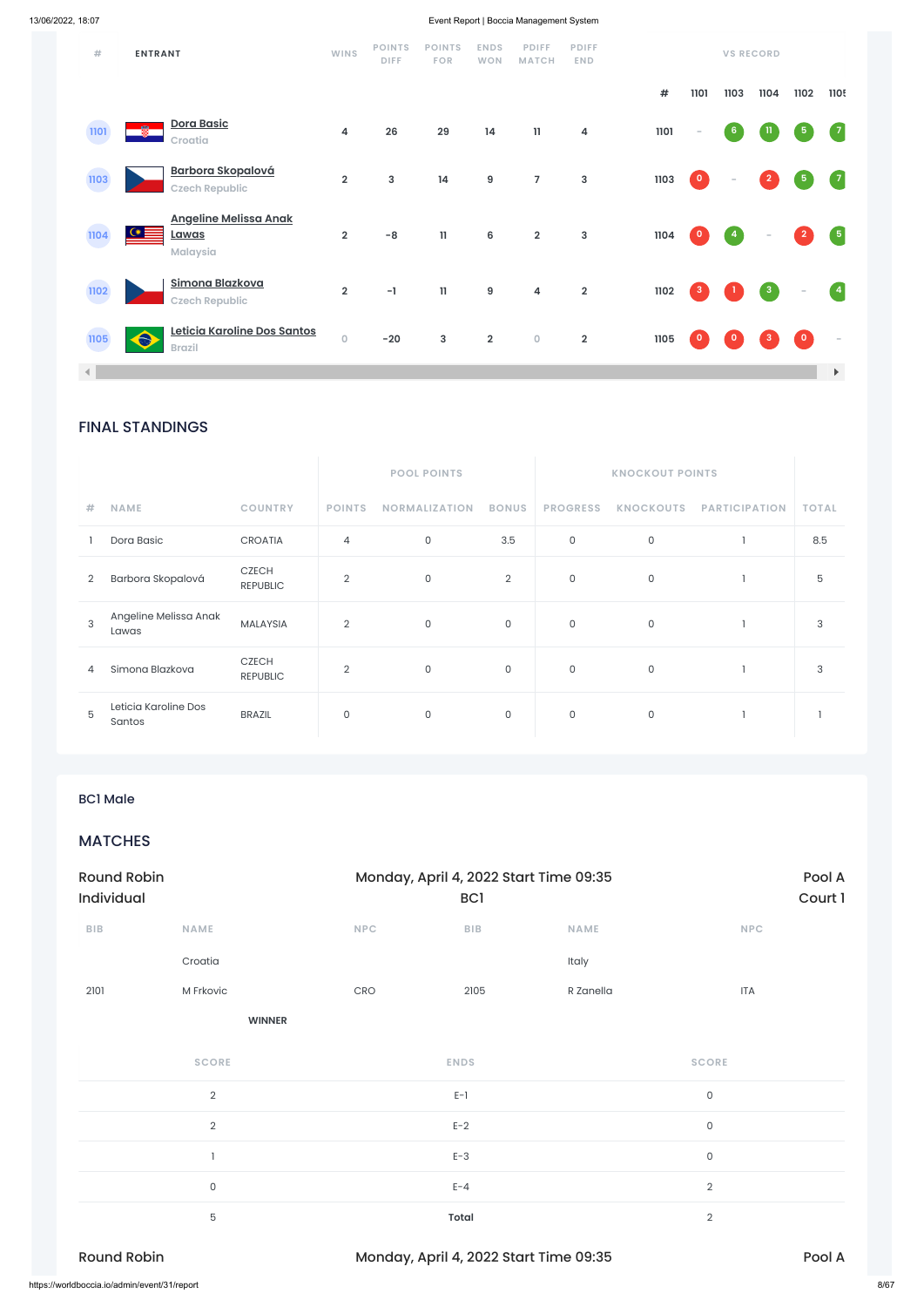### FINAL STANDINGS

|                |                                |                                 |                | <b>POOL POINTS</b>   |                |                     | <b>KNOCKOUT POINTS</b> |                      |              |
|----------------|--------------------------------|---------------------------------|----------------|----------------------|----------------|---------------------|------------------------|----------------------|--------------|
| #              | <b>NAME</b>                    | <b>COUNTRY</b>                  | <b>POINTS</b>  | <b>NORMALIZATION</b> | <b>BONUS</b>   | <b>PROGRESS</b>     | <b>KNOCKOUTS</b>       | <b>PARTICIPATION</b> | <b>TOTAL</b> |
|                | Dora Basic                     | <b>CROATIA</b>                  | 4              | $\mathsf{O}$         | 3.5            | $\mathsf{O}\xspace$ | $\mathsf{O}$           |                      | 8.5          |
| $\overline{2}$ | Barbora Skopalová              | <b>CZECH</b><br><b>REPUBLIC</b> | $\overline{2}$ | 0                    | $\overline{2}$ | 0                   | 0                      |                      | 5            |
| 3              | Angeline Melissa Anak<br>Lawas | <b>MALAYSIA</b>                 | $\overline{2}$ | 0                    | $\mathbf 0$    | 0                   | 0                      |                      | 3            |
| 4              | Simona Blazkova                | <b>CZECH</b><br><b>REPUBLIC</b> | $\overline{2}$ | 0                    | $\mathbf 0$    | 0                   | 0                      |                      | 3            |
| 5              | Leticia Karoline Dos<br>Santos | <b>BRAZIL</b>                   | 0              | 0                    | $\mathsf{O}$   | 0                   | $\mathsf{O}$           |                      |              |

| M Frkovic<br>2101                            | CRO           | 2105                                   | R Zanella | <b>ITA</b>     |        |
|----------------------------------------------|---------------|----------------------------------------|-----------|----------------|--------|
|                                              | <b>WINNER</b> |                                        |           |                |        |
| <b>SCORE</b>                                 |               | <b>ENDS</b>                            |           | <b>SCORE</b>   |        |
| $\overline{2}$                               |               | $E-1$                                  |           | $\mathsf{O}$   |        |
| $\overline{2}$                               |               | $E-2$                                  |           | $\mathsf 0$    |        |
|                                              |               | $E-3$                                  |           | $\mathsf{O}$   |        |
| $\mathsf{O}$                                 |               | $E - 4$                                |           | $\sqrt{2}$     |        |
| 5                                            |               | <b>Total</b>                           |           | $\overline{2}$ |        |
| <b>Round Robin</b>                           |               | Monday, April 4, 2022 Start Time 09:35 |           |                | Pool A |
| https://worldboccia.io/admin/event/31/report |               |                                        |           |                | 8/67   |

| $\#$                 | <b>ENTRANT</b>                                                        | <b>WINS</b>             | <b>POINTS</b><br><b>DIFF</b> | <b>POINTS</b><br><b>FOR</b>           | <b>ENDS</b><br>WON      | <b>PDIFF</b><br><b>MATCH</b> | <b>PDIFF</b><br><b>END</b> |            |                         | <b>VS RECORD</b>     |                          |                |                                    |
|----------------------|-----------------------------------------------------------------------|-------------------------|------------------------------|---------------------------------------|-------------------------|------------------------------|----------------------------|------------|-------------------------|----------------------|--------------------------|----------------|------------------------------------|
|                      |                                                                       |                         |                              |                                       |                         |                              |                            | $\pmb{\#}$ | 1101                    | 1103                 | 1104                     | 1102           | 1105                               |
| 1101                 | Dora Basic<br>罍<br>Croatia                                            | $\overline{4}$          | 26                           | 29                                    | 14                      | $\mathbf{1}$                 | 4                          | 1101       | $\sim$                  | $6\phantom{a}$       | -11                      | $\sqrt{5}$     | $\sqrt{7}$                         |
| 1103                 | <b>Barbora Skopalová</b><br><b>Czech Republic</b>                     | $\overline{\mathbf{2}}$ | $\mathbf{3}$                 | 14                                    | $\boldsymbol{9}$        | $\overline{7}$               | 3                          | 1103       | $\overline{\mathbf{0}}$ | $\sim$               | $\overline{2}$           | $\overline{5}$ | $\sqrt{7}$                         |
| 1104                 | <b>Angeline Melissa Anak</b><br>$\bullet$<br><u>Lawas</u><br>Malaysia | $\mathbf 2$             | $-8$                         | $\mathbf{1}$                          | $\bf 6$                 | $\mathbf 2$                  | 3                          | 1104       | $\bullet$               | $\blacktriangleleft$ | $\overline{\phantom{a}}$ | $\vert$ 2      | $\begin{array}{ c } 5 \end{array}$ |
| 1102                 | Simona Blazkova<br><b>Czech Republic</b>                              | $\overline{2}$          | $-1$                         | $\begin{array}{c} \hline \end{array}$ | $\boldsymbol{9}$        | $\overline{\mathbf{4}}$      | $\overline{\mathbf{2}}$    | 1102       | $\mathbf{3}$            |                      | $\mathbf{3}$             | -              | $\left( 4 \right)$                 |
| 1105                 | Leticia Karoline Dos Santos<br>$\bullet$<br><b>Brazil</b>             | $\mathbf 0$             | $-20$                        | $\mathbf{3}$                          | $\overline{\mathbf{2}}$ | $\mathbf 0$                  | $\mathbf 2$                | 1105       | $\mathbf{0}$            | $\mathbf{0}$         | $\mathbf{3}$             | $\bullet$      | $\sim$                             |
| $\blacktriangleleft$ |                                                                       |                         |                              |                                       |                         |                              |                            |            |                         |                      |                          |                | $\blacktriangleright$              |

### BC1 Male

### MATCHES

| <b>Round Robin</b><br>Individual |             |            | Monday, April 4, 2022 Start Time 09:35<br><b>BCI</b> | Pool A<br>Court 1 |            |
|----------------------------------|-------------|------------|------------------------------------------------------|-------------------|------------|
| <b>BIB</b>                       | <b>NAME</b> | <b>NPC</b> | <b>BIB</b>                                           | <b>NAME</b>       | <b>NPC</b> |
|                                  | Croatia     |            |                                                      | Italy             |            |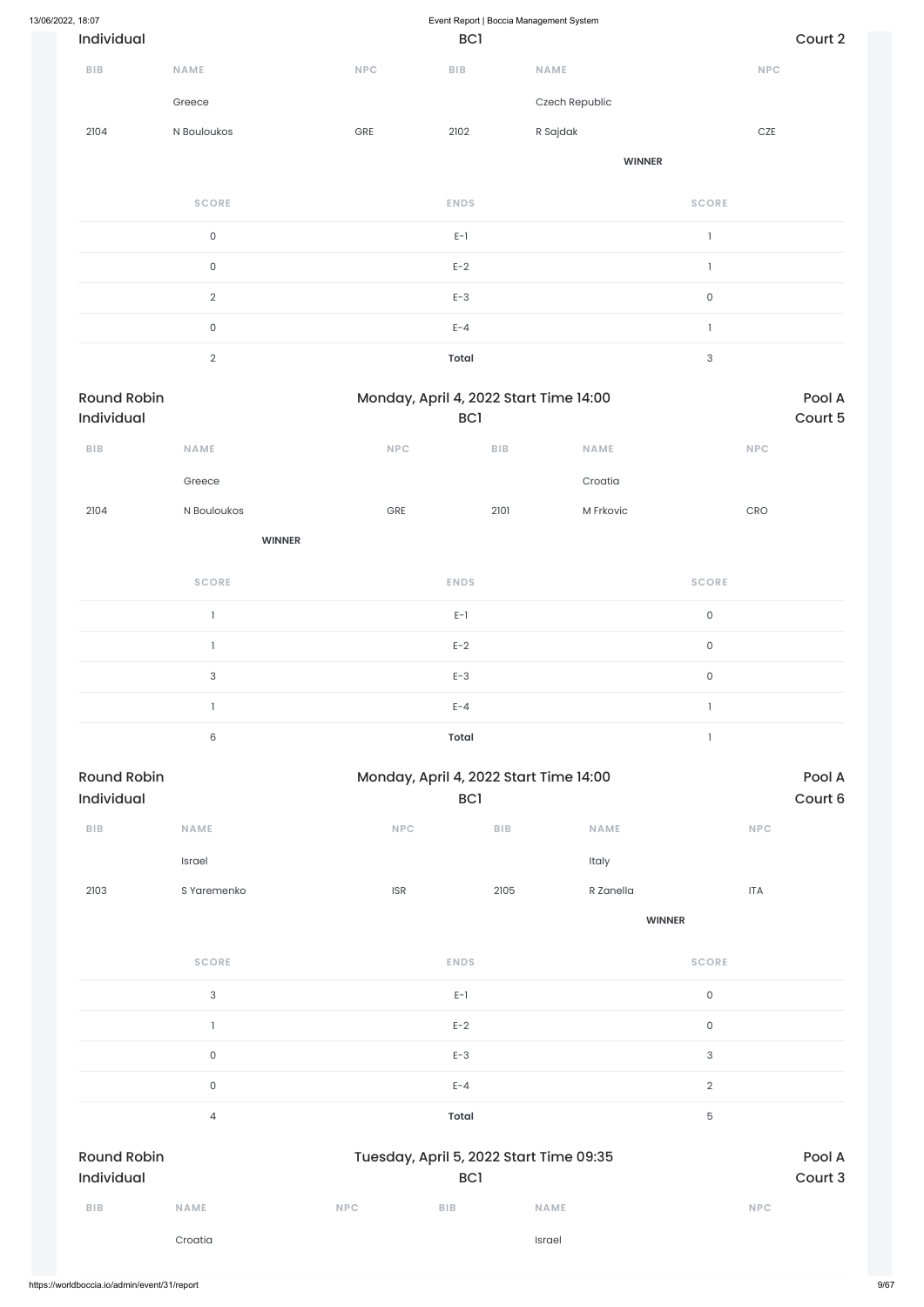| 13/06/2022, 18:07                |                           |                        | Event Report   Boccia Management System              |                |                           |                   |
|----------------------------------|---------------------------|------------------------|------------------------------------------------------|----------------|---------------------------|-------------------|
| Individual                       |                           |                        | BC1                                                  |                |                           | Court 2           |
| <b>BIB</b>                       | NAME                      | <b>NPC</b>             | BIB                                                  | NAME           | NPC                       |                   |
|                                  | Greece                    |                        |                                                      | Czech Republic |                           |                   |
| 2104                             | N Bouloukos               | GRE                    | 2102                                                 | R Sajdak       | $CZE$                     |                   |
|                                  |                           |                        |                                                      | <b>WINNER</b>  |                           |                   |
|                                  | <b>SCORE</b>              |                        | <b>ENDS</b>                                          |                | <b>SCORE</b>              |                   |
|                                  | $\mathsf{O}\xspace$       |                        | $E-1$                                                |                | $\mathbf{I}$              |                   |
|                                  | $\mathsf{O}\xspace$       |                        | $E-2$                                                |                | $\mathbf{I}$              |                   |
|                                  | $\sqrt{2}$                |                        | $E-3$                                                |                | $\mathsf{O}\xspace$       |                   |
|                                  | $\mathsf{O}\xspace$       |                        | $E - 4$                                              |                | $\mathbf{I}$              |                   |
|                                  | $\overline{2}$            |                        | <b>Total</b>                                         |                | $\ensuremath{\mathsf{3}}$ |                   |
| <b>Round Robin</b>               |                           |                        | Monday, April 4, 2022 Start Time 14:00               |                |                           | Pool A            |
| Individual                       |                           |                        | BC <sub>1</sub>                                      |                |                           | Court 5           |
| <b>BIB</b>                       | <b>NAME</b>               | <b>NPC</b>             | ${\sf B}{\sf I}{\sf B}$                              | <b>NAME</b>    | <b>NPC</b>                |                   |
|                                  | Greece                    |                        |                                                      | Croatia        |                           |                   |
| 2104                             | N Bouloukos               | ${\small\textsf{GRE}}$ | 2101                                                 | M Frkovic      | CRO                       |                   |
|                                  | <b>WINNER</b>             |                        |                                                      |                |                           |                   |
|                                  | <b>SCORE</b>              |                        | <b>ENDS</b>                                          |                | <b>SCORE</b>              |                   |
|                                  | $\mathbf{1}$              |                        | $\mathsf{E}\text{-}\mathsf{I}$                       |                | $\mathsf{O}\xspace$       |                   |
|                                  | $\mathbf{1}$              |                        | $E-2$                                                |                | $\mathsf O$               |                   |
|                                  | $\ensuremath{\mathsf{3}}$ |                        | $E-3$                                                |                | $\mathsf{O}\xspace$       |                   |
|                                  | $\mathbf{1}$              |                        | $E - 4$                                              |                | $\mathbbm{1}$             |                   |
|                                  | $\mathsf 6$               |                        | <b>Total</b>                                         |                | $\mathbb{I}$              |                   |
| <b>Round Robin</b><br>Individual |                           |                        | Monday, April 4, 2022 Start Time 14:00<br><b>BCI</b> |                |                           | Pool A<br>Court 6 |
| <b>BIB</b>                       | NAME                      | NPC                    | BIB                                                  | NAME           | <b>NPC</b>                |                   |
|                                  | Israel                    |                        |                                                      | Italy          |                           |                   |
| 2103                             | S Yaremenko               | ISR                    | 2105                                                 | R Zanella      | <b>ITA</b>                |                   |
|                                  |                           |                        |                                                      |                |                           |                   |

**SCORE ENDS SCORE**

|                                  | $\ensuremath{\mathsf{3}}$ |            | $E-1$        |                                         | $\mathsf{O}\xspace$ |                   |
|----------------------------------|---------------------------|------------|--------------|-----------------------------------------|---------------------|-------------------|
|                                  |                           |            | $E-2$        |                                         | $\mathsf{O}\xspace$ |                   |
|                                  | $\mathsf O$               |            | $E-3$        |                                         | $\mathsf 3$         |                   |
|                                  | $\mathsf O$               |            | $E - 4$      |                                         | $\sqrt{2}$          |                   |
|                                  | $\overline{4}$            |            | <b>Total</b> |                                         | 5                   |                   |
| <b>Round Robin</b><br>Individual |                           |            | <b>BC1</b>   | Tuesday, April 5, 2022 Start Time 09:35 |                     | Pool A<br>Court 3 |
|                                  |                           |            |              |                                         |                     |                   |
| <b>BIB</b>                       | <b>NAME</b>               | <b>NPC</b> | <b>BIB</b>   | <b>NAME</b>                             | <b>NPC</b>          |                   |
|                                  | Croatia                   |            |              | Israel                                  |                     |                   |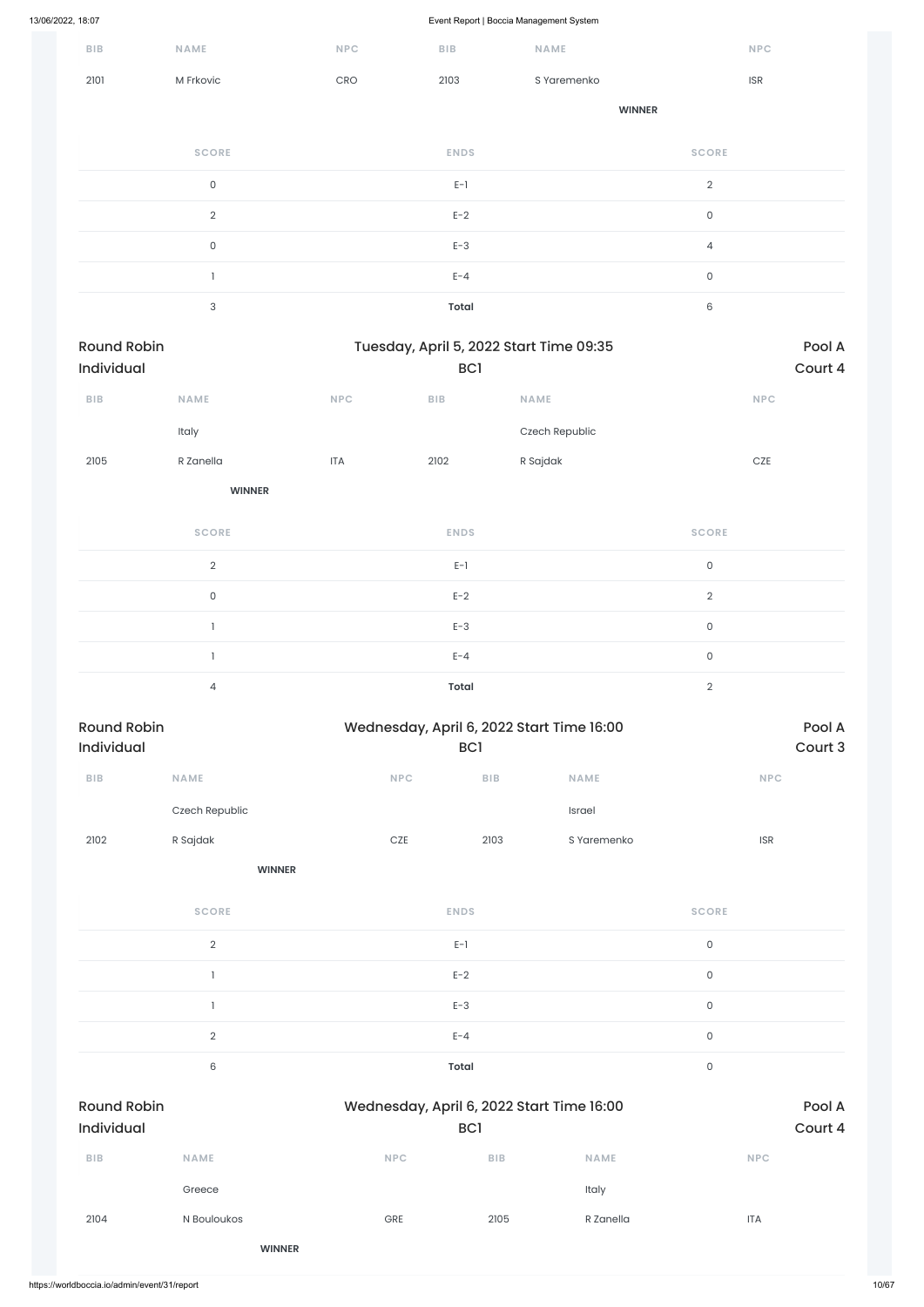| ${\sf B}{\sf I}{\sf B}$          | NAME                | <b>NPC</b> | ${\sf B}{\sf I}{\sf B}$        | $\overline{\phantom{a}}$<br>NAME          |                     | <b>NPC</b>                  |
|----------------------------------|---------------------|------------|--------------------------------|-------------------------------------------|---------------------|-----------------------------|
| 2101                             | M Frkovic           | CRO        | 2103                           | S Yaremenko                               |                     | $\ensuremath{\mathsf{ISR}}$ |
|                                  |                     |            |                                |                                           | <b>WINNER</b>       |                             |
|                                  | <b>SCORE</b>        |            | <b>ENDS</b>                    |                                           | <b>SCORE</b>        |                             |
|                                  | $\mathsf{O}\xspace$ |            | $E-1$                          |                                           | $\sqrt{2}$          |                             |
|                                  | $\overline{2}$      |            | $E-2$                          |                                           | $\mathsf{O}\xspace$ |                             |
|                                  | $\mathsf{O}\xspace$ |            | $E-3$                          |                                           | $\overline{4}$      |                             |
|                                  | $\mathbf{I}$        |            | $E - 4$                        |                                           | $\mathsf{O}\xspace$ |                             |
|                                  | $\sqrt{3}$          |            | <b>Total</b>                   |                                           | $\,6\,$             |                             |
| <b>Round Robin</b><br>Individual |                     |            | BC1                            | Tuesday, April 5, 2022 Start Time 09:35   |                     | Pool A<br>Court 4           |
| BIB                              | <b>NAME</b>         | NPC        | ${\sf B}{\sf I}{\sf B}$        | NAME                                      |                     | <b>NPC</b>                  |
|                                  | Italy               |            |                                | Czech Republic                            |                     |                             |
| 2105                             | R Zanella           | <b>ITA</b> | 2102                           | R Sajdak                                  |                     | CZE                         |
|                                  | <b>WINNER</b>       |            |                                |                                           |                     |                             |
|                                  | <b>SCORE</b>        |            | <b>ENDS</b>                    |                                           | <b>SCORE</b>        |                             |
|                                  | $\overline{2}$      |            | $E-1$                          |                                           | $\mathsf{O}\xspace$ |                             |
|                                  | $\mathsf{O}\xspace$ |            | $E-2$                          |                                           | $\sqrt{2}$          |                             |
|                                  | $\mathbf{1}$        |            | $E-3$                          |                                           | $\mathsf{O}\xspace$ |                             |
|                                  | $\mathbf{1}$        |            | $E - 4$                        |                                           | $\mathsf{O}\xspace$ |                             |
|                                  | $\overline{4}$      |            | <b>Total</b>                   |                                           | $\sqrt{2}$          |                             |
| <b>Round Robin</b><br>Individual |                     |            | <b>BC1</b>                     | Wednesday, April 6, 2022 Start Time 16:00 |                     | Pool A<br>Court 3           |
| ${\sf B}{\sf I}{\sf B}$          | NAME                |            | NPC                            | ${\sf B}{\sf I}{\sf B}$<br><b>NAME</b>    |                     | <b>NPC</b>                  |
|                                  | Czech Republic      |            |                                | Israel                                    |                     |                             |
| 2102                             | R Sajdak            |            | $CZE$                          | S Yaremenko<br>2103                       |                     | $\ensuremath{\mathsf{ISR}}$ |
|                                  | <b>WINNER</b>       |            |                                |                                           |                     |                             |
|                                  | <b>SCORE</b>        |            | <b>ENDS</b>                    |                                           | <b>SCORE</b>        |                             |
|                                  | $\overline{2}$      |            | $\mathsf{E}\text{-}\mathsf{1}$ |                                           | $\mathsf{O}\xspace$ |                             |
|                                  |                     |            |                                |                                           |                     |                             |

 $E-2$  0

|                                              |                |                                           | $E-3$           |             | $\mathsf O$ |         |
|----------------------------------------------|----------------|-------------------------------------------|-----------------|-------------|-------------|---------|
|                                              | $\overline{2}$ |                                           | $E - 4$         |             | $\mathsf O$ |         |
|                                              | 6              |                                           | Total           |             | $\mathsf O$ |         |
| <b>Round Robin</b>                           |                | Wednesday, April 6, 2022 Start Time 16:00 |                 |             |             | Pool A  |
| Individual                                   |                |                                           | BC <sub>1</sub> |             |             | Court 4 |
| $B$   $B$                                    | <b>NAME</b>    | <b>NPC</b>                                | <b>BIB</b>      | <b>NAME</b> | <b>NPC</b>  |         |
|                                              | Greece         |                                           |                 | Italy       |             |         |
| 2104                                         | N Bouloukos    | GRE                                       | 2105            | R Zanella   | <b>ITA</b>  |         |
|                                              | <b>WINNER</b>  |                                           |                 |             |             |         |
| https://worldboccia.io/admin/event/31/report |                |                                           |                 |             |             |         |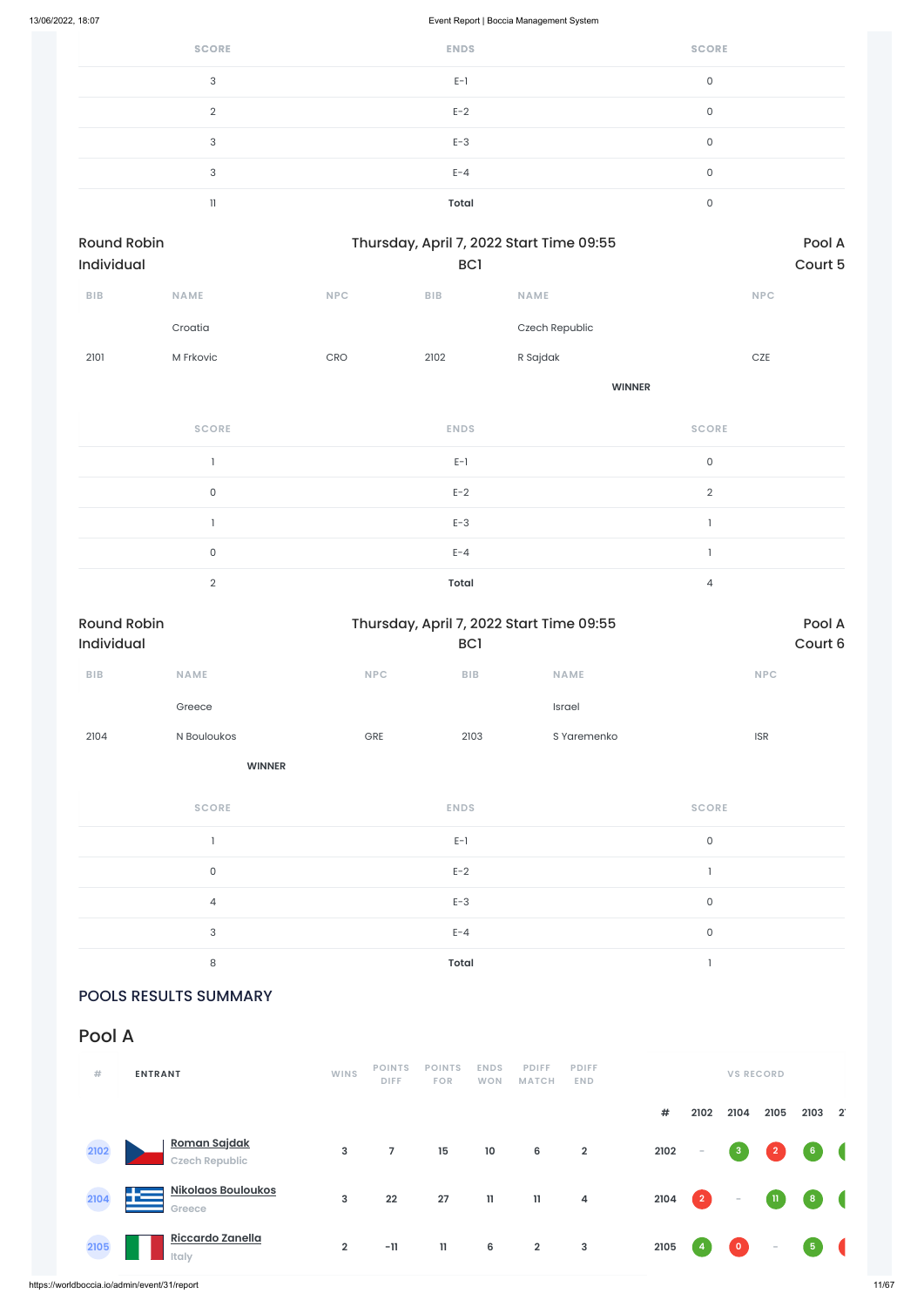| <b>SCORE</b> | <b>ENDS</b> | <b>SCORE</b> |
|--------------|-------------|--------------|
| 3            | $E-1$       | $\mathbf{0}$ |
| $\Omega$     | $E-2$       | $\Omega$     |
| 3            | $E-3$       | $\mathbf{0}$ |
| 3            | $E - 4$     | 0            |
| 11           | Total       | 0            |

| Round Robin<br>Individual |                     |            | BC1         | Thursday, April 7, 2022 Start Time 09:55 | Pool A<br>Court 5 |
|---------------------------|---------------------|------------|-------------|------------------------------------------|-------------------|
| ${\sf B}{\sf I}{\sf B}$   | NAME                | <b>NPC</b> | <b>BIB</b>  | <b>NAME</b>                              | NPC               |
|                           | Croatia             |            |             | Czech Republic                           |                   |
| 2101                      | M Frkovic           | CRO        | 2102        | R Sajdak                                 | $CZE$             |
|                           |                     |            |             |                                          | <b>WINNER</b>     |
|                           | <b>SCORE</b>        |            | <b>ENDS</b> |                                          | <b>SCORE</b>      |
|                           |                     |            | $E-1$       |                                          | $\mathsf O$       |
|                           | $\mathsf{O}\xspace$ |            | $E-2$       |                                          | $\overline{2}$    |
|                           |                     |            | $E-3$       |                                          | $\overline{1}$    |
|                           | $\mathsf{O}\xspace$ |            | $E - 4$     |                                          | $\mathbf{I}$      |
|                           | $\overline{2}$      |            | Total       |                                          | $\overline{4}$    |

| <b>Round Robin</b><br>Individual |                     |     | BC1          | Thursday, April 7, 2022 Start Time 09:55 |                     | Pool A<br>Court 6 |
|----------------------------------|---------------------|-----|--------------|------------------------------------------|---------------------|-------------------|
| ${\sf B}{\sf I}{\sf B}$          | NAME                | NPC | BIB          | <b>NAME</b>                              | <b>NPC</b>          |                   |
|                                  | Greece              |     |              | Israel                                   |                     |                   |
| 2104                             | N Bouloukos         | GRE | 2103         | S Yaremenko                              | <b>ISR</b>          |                   |
|                                  | <b>WINNER</b>       |     |              |                                          |                     |                   |
|                                  | <b>SCORE</b>        |     | <b>ENDS</b>  |                                          | <b>SCORE</b>        |                   |
|                                  | 1                   |     | $E-1$        |                                          | $\mathsf{O}\xspace$ |                   |
|                                  | $\mathsf{O}\xspace$ |     | $E-2$        |                                          | $\mathbf{I}$        |                   |
|                                  | $\overline{4}$      |     | $E-3$        |                                          | $\mathsf{O}\xspace$ |                   |
|                                  | 3                   |     | $E - 4$      |                                          | $\mathsf{O}\xspace$ |                   |
|                                  | 8                   |     | <b>Total</b> |                                          |                     |                   |

### POOLS RESULTS SUMMARY

Pool A

| #    | <b>ENTRANT</b>                            | <b>WINS</b>    | <b>POINTS</b><br><b>DIFF</b> | <b>POINTS</b><br><b>FOR</b> | <b>ENDS</b><br><b>WON</b> | <b>PDIFF</b><br><b>MATCH</b> | <b>PDIFF</b><br><b>END</b> |      |                                                      | <b>VS RECORD</b> |                          |                                   |                      |
|------|-------------------------------------------|----------------|------------------------------|-----------------------------|---------------------------|------------------------------|----------------------------|------|------------------------------------------------------|------------------|--------------------------|-----------------------------------|----------------------|
|      |                                           |                |                              |                             |                           |                              |                            | #    | 2102                                                 | 2104             | 2105                     | 2103                              | $\mathbf{2}^{\circ}$ |
| 2102 | Roman Sajdak<br><b>Czech Republic</b>     | $\mathbf{3}$   | 7                            | 15                          | 10                        | 6                            | $\overline{2}$             | 2102 | $\sim$                                               | $\mathbf{3}$     | $\overline{2}$           | 6 <sup>1</sup>                    |                      |
| 2104 | <b>Nikolaos Bouloukos</b><br>łΞ<br>Greece | $\mathbf{3}$   | 22                           | 27                          | $\mathbf{11}$             | $\mathbf{H}$                 | $\overline{4}$             | 2104 | $\begin{array}{ c c } \hline 2 \ \hline \end{array}$ | $\sim$           | $\rm H_{\odot}$          | $\begin{pmatrix} 8 \end{pmatrix}$ |                      |
| 2105 | Riccardo Zanella<br><b>Italy</b>          | $\overline{2}$ | $-11$                        | $\mathbf{11}$               | 6                         | $\overline{2}$               | $\overline{3}$             | 2105 | -4                                                   | $\bullet$        | $\overline{\phantom{a}}$ | 5 <sub>1</sub>                    |                      |

https://worldboccia.io/admin/event/31/report 11/67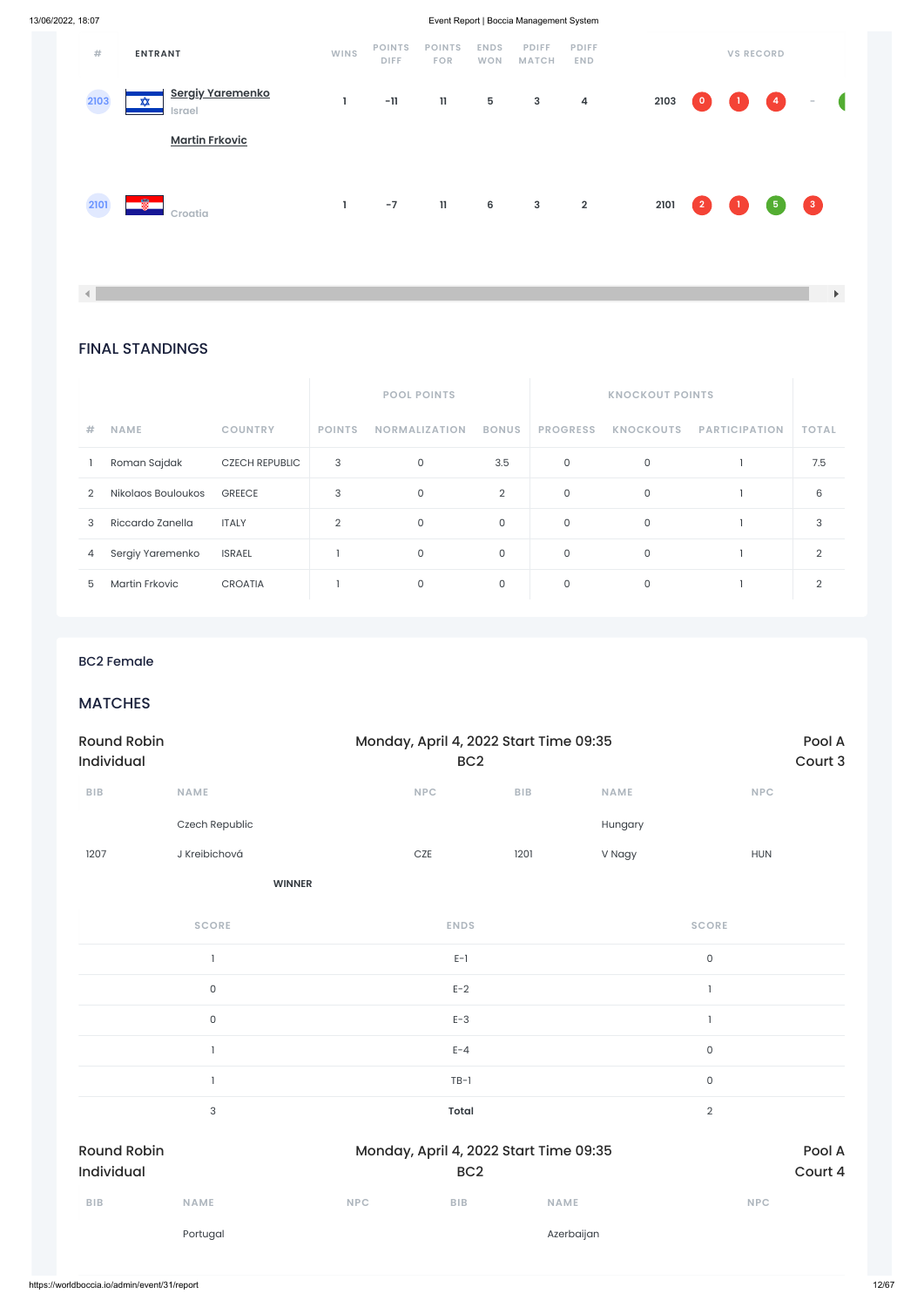FINAL STANDINGS

|               |                       |                       |                | <b>POOL POINTS</b>   |                | <b>KNOCKOUT POINTS</b> |                  |                      |                |
|---------------|-----------------------|-----------------------|----------------|----------------------|----------------|------------------------|------------------|----------------------|----------------|
| #             | <b>NAME</b>           | <b>COUNTRY</b>        | <b>POINTS</b>  | <b>NORMALIZATION</b> | <b>BONUS</b>   | <b>PROGRESS</b>        | <b>KNOCKOUTS</b> | <b>PARTICIPATION</b> | <b>TOTAL</b>   |
|               | Roman Sajdak          | <b>CZECH REPUBLIC</b> | 3              | $\mathbf 0$          | 3.5            | $\mathbf 0$            | $\mathsf{O}$     |                      | 7.5            |
| $\mathcal{D}$ | Nikolaos Bouloukos    | <b>GREECE</b>         | 3              | 0                    | $\overline{2}$ | $\mathbf 0$            | 0                |                      | 6              |
| 3             | Riccardo Zanella      | <b>ITALY</b>          | $\overline{2}$ | $\mathbf 0$          | $\mathsf{O}$   | $\mathbf 0$            | $\mathsf{O}$     |                      | 3              |
| 4             | Sergiy Yaremenko      | <b>ISRAEL</b>         |                | $\mathbf 0$          | $\mathsf{O}$   | $\mathbf 0$            | $\mathbf{0}$     |                      | $\overline{2}$ |
| 5             | <b>Martin Frkovic</b> | <b>CROATIA</b>        |                | $\mathbf 0$          | 0              | 0                      | 0                |                      | $\overline{2}$ |

| #           | <b>ENTRANT</b>                         | WINS | <b>POINTS</b><br><b>DIFF</b> | <b>POINTS</b><br><b>FOR</b> | <b>ENDS</b><br><b>WON</b> | <b>PDIFF</b><br><b>MATCH</b> | <b>PDIFF</b><br><b>END</b> |      |                          | <b>VS RECORD</b>                  |                                                 |                  |            |
|-------------|----------------------------------------|------|------------------------------|-----------------------------|---------------------------|------------------------------|----------------------------|------|--------------------------|-----------------------------------|-------------------------------------------------|------------------|------------|
| 2103<br>e a | <b>Sergiy Yaremenko</b><br>₩<br>Israel | L    | $-11$                        | $\mathbf{11}$               | $5\phantom{.0}$           | $\mathbf{3}$                 | 4                          | 2103 | $\overline{\phantom{0}}$ | $\begin{pmatrix} 1 \end{pmatrix}$ | $\left( \begin{array}{c} 4 \end{array} \right)$ | $\sim$           | $\sqrt{2}$ |
|             | <b>Martin Frkovic</b>                  |      |                              |                             |                           |                              |                            |      |                          |                                   |                                                 |                  |            |
| 2101        | 釁<br>Croatia                           | I.   | $-7$                         | $\mathbf{11}$               | 6                         | $\mathbf{3}$                 | $\overline{\mathbf{2}}$    | 2101 | $\vert 2 \vert$          | $\begin{pmatrix} 1 \end{pmatrix}$ | 6                                               | $\left(3\right)$ |            |

 $\vert \vert \vert$ 

### BC2 Female

### **MATCHES**

| <b>Round Robin</b><br><b>Individual</b> |                |             | Monday, April 4, 2022 Start Time 09:35<br>BC <sub>2</sub> |             |              |  |
|-----------------------------------------|----------------|-------------|-----------------------------------------------------------|-------------|--------------|--|
| <b>BIB</b>                              | <b>NAME</b>    | <b>NPC</b>  | <b>BIB</b>                                                | <b>NAME</b> | <b>NPC</b>   |  |
|                                         | Czech Republic |             |                                                           | Hungary     |              |  |
| 1207                                    | J Kreibichová  | CZE         | 1201                                                      | V Nagy      | <b>HUN</b>   |  |
|                                         | <b>WINNER</b>  |             |                                                           |             |              |  |
|                                         | <b>SCORE</b>   | <b>ENDS</b> |                                                           |             | <b>SCORE</b> |  |
|                                         |                | $E-1$       |                                                           |             | 0            |  |

|                                  | 0                   |            | $E-2$           |                                        |                     |                   |
|----------------------------------|---------------------|------------|-----------------|----------------------------------------|---------------------|-------------------|
|                                  | $\mathsf{O}\xspace$ |            | $E-3$           |                                        |                     |                   |
|                                  |                     |            | $E - 4$         |                                        | $\mathsf{O}\xspace$ |                   |
|                                  |                     |            | $TB-1$          |                                        | $\mathsf{O}\xspace$ |                   |
|                                  | 3                   |            | <b>Total</b>    |                                        | $\sqrt{2}$          |                   |
| <b>Round Robin</b><br>Individual |                     |            | BC <sub>2</sub> | Monday, April 4, 2022 Start Time 09:35 |                     | Pool A<br>Court 4 |
| BIB                              | <b>NAME</b>         | <b>NPC</b> | <b>BIB</b>      | <b>NAME</b>                            | <b>NPC</b>          |                   |
|                                  | Portugal            |            |                 | Azerbaijan                             |                     |                   |
|                                  |                     |            |                 |                                        |                     |                   |

 $\mathbf{F}^{\top}$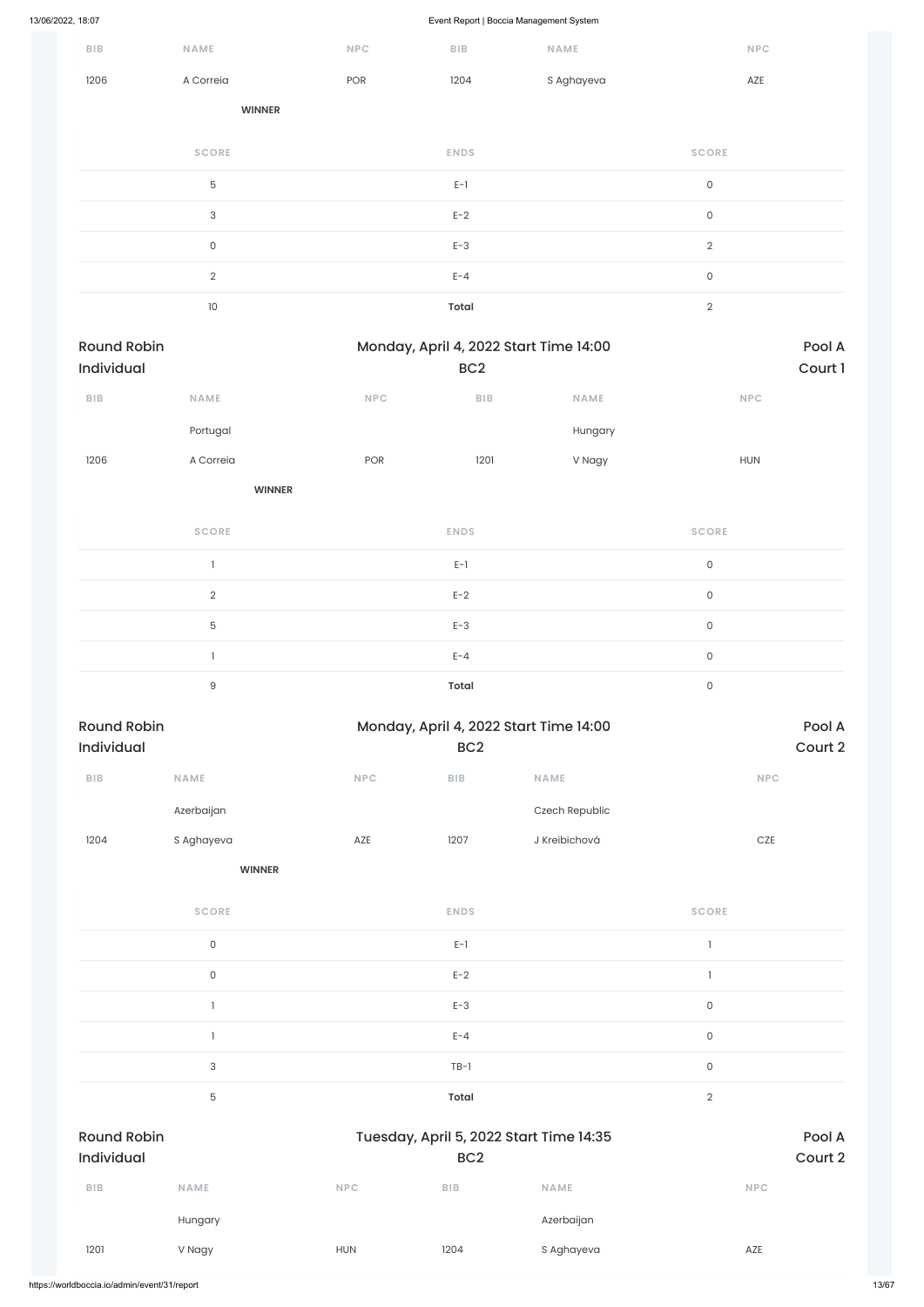|                                  |                |            | . .<br>$\sim$                  | $\overline{\phantom{a}}$               |                             |                   |
|----------------------------------|----------------|------------|--------------------------------|----------------------------------------|-----------------------------|-------------------|
| ${\sf B}{\sf I}{\sf B}$          | NAME           | NPC        | ${\sf B}{\sf I}{\sf B}$        | NAME                                   | <b>NPC</b>                  |                   |
| 1206                             | A Correia      | POR        | 1204                           | S Aghayeva                             | AZE                         |                   |
|                                  | <b>WINNER</b>  |            |                                |                                        |                             |                   |
|                                  | <b>SCORE</b>   |            | <b>ENDS</b>                    |                                        | <b>SCORE</b>                |                   |
|                                  | $\mathbf 5$    |            | $E-1$                          |                                        | $\mathsf{O}\xspace$         |                   |
|                                  | $\sqrt{3}$     |            | $E-2$                          |                                        | $\mathsf{O}\xspace$         |                   |
|                                  | $\mathsf O$    |            | $E-3$                          |                                        | $\sqrt{2}$                  |                   |
|                                  | $\overline{2}$ |            | $E - 4$                        |                                        | $\mathsf{O}\xspace$         |                   |
|                                  | $10\,$         |            | <b>Total</b>                   |                                        | $\sqrt{2}$                  |                   |
| <b>Round Robin</b><br>Individual |                |            | BC <sub>2</sub>                | Monday, April 4, 2022 Start Time 14:00 |                             | Pool A<br>Court 1 |
| ${\sf B}{\sf I}{\sf B}$          | NAME           | <b>NPC</b> | BIB                            | NAME                                   | $\ensuremath{\mathsf{NPC}}$ |                   |
|                                  | Portugal       |            |                                | Hungary                                |                             |                   |
| 1206                             | A Correia      | POR        | 1201                           | V Nagy                                 | HUN                         |                   |
|                                  | <b>WINNER</b>  |            |                                |                                        |                             |                   |
|                                  | <b>SCORE</b>   |            | <b>ENDS</b>                    |                                        | <b>SCORE</b>                |                   |
|                                  | $\mathbf{I}$   |            | $\mathsf{E}\text{-}\mathsf{1}$ |                                        | $\mathsf{O}\xspace$         |                   |
|                                  | $\overline{2}$ |            | $E-2$                          |                                        | $\mathsf{O}\xspace$         |                   |
|                                  | 5              |            | $E-3$                          |                                        | $\mathsf{O}\xspace$         |                   |
|                                  | $\mathbf{I}$   |            | $E - 4$                        |                                        | $\mathsf{O}\xspace$         |                   |
|                                  | $\hbox{9}$     |            | <b>Total</b>                   |                                        | $\mathsf{O}\xspace$         |                   |
| <b>Round Robin</b><br>Individual |                |            | BC <sub>2</sub>                | Monday, April 4, 2022 Start Time 14:00 |                             | Pool A<br>Court 2 |
| ${\sf B}{\sf I}{\sf B}$          | NAME           | NPC        | ${\sf B}{\sf I}{\sf B}$        | NAME                                   | <b>NPC</b>                  |                   |
|                                  | Azerbaijan     |            |                                | Czech Republic                         |                             |                   |
| 1204                             | S Aghayeva     | AZE        | 1207                           | J Kreibichová                          | $CZE$                       |                   |
|                                  | <b>WINNER</b>  |            |                                |                                        |                             |                   |
|                                  | <b>SCORE</b>   |            | <b>ENDS</b>                    |                                        | <b>SCORE</b>                |                   |
|                                  | $\mathsf{O}$   |            | $E-1$                          |                                        | $\mathbb{I}$                |                   |

0 between the contract  $E-2$  and  $E-2$  and  $E-2$  and  $E-2$  and  $E-2$  and  $E-2$  and  $E-2$  and  $E-2$  and  $E-2$  and  $E-2$  and  $E-2$  and  $E-2$  and  $E-2$  and  $E-2$  and  $E-2$  and  $E-2$  and  $E-2$  and  $E-2$  and  $E-2$  and  $E-2$  an

|                                  |                |            | $E-3$           |                                         | $\mathsf{O}\xspace$ |                   |
|----------------------------------|----------------|------------|-----------------|-----------------------------------------|---------------------|-------------------|
|                                  |                |            | $E - 4$         |                                         | $\mathsf{O}\xspace$ |                   |
|                                  | $\mathbf{3}$   |            | $TB-1$          |                                         | $\mathsf{O}\xspace$ |                   |
|                                  | $\overline{5}$ |            | Total           |                                         | $\sqrt{2}$          |                   |
| <b>Round Robin</b><br>Individual |                |            | BC <sub>2</sub> | Tuesday, April 5, 2022 Start Time 14:35 |                     | Pool A<br>Court 2 |
| <b>BIB</b>                       | <b>NAME</b>    | <b>NPC</b> | <b>BIB</b>      | <b>NAME</b>                             | <b>NPC</b>          |                   |
|                                  | Hungary        |            |                 | Azerbaijan                              |                     |                   |
| 1201                             | V Nagy         | <b>HUN</b> | 1204            | S Aghayeva                              | AZE                 |                   |
|                                  |                |            |                 |                                         |                     |                   |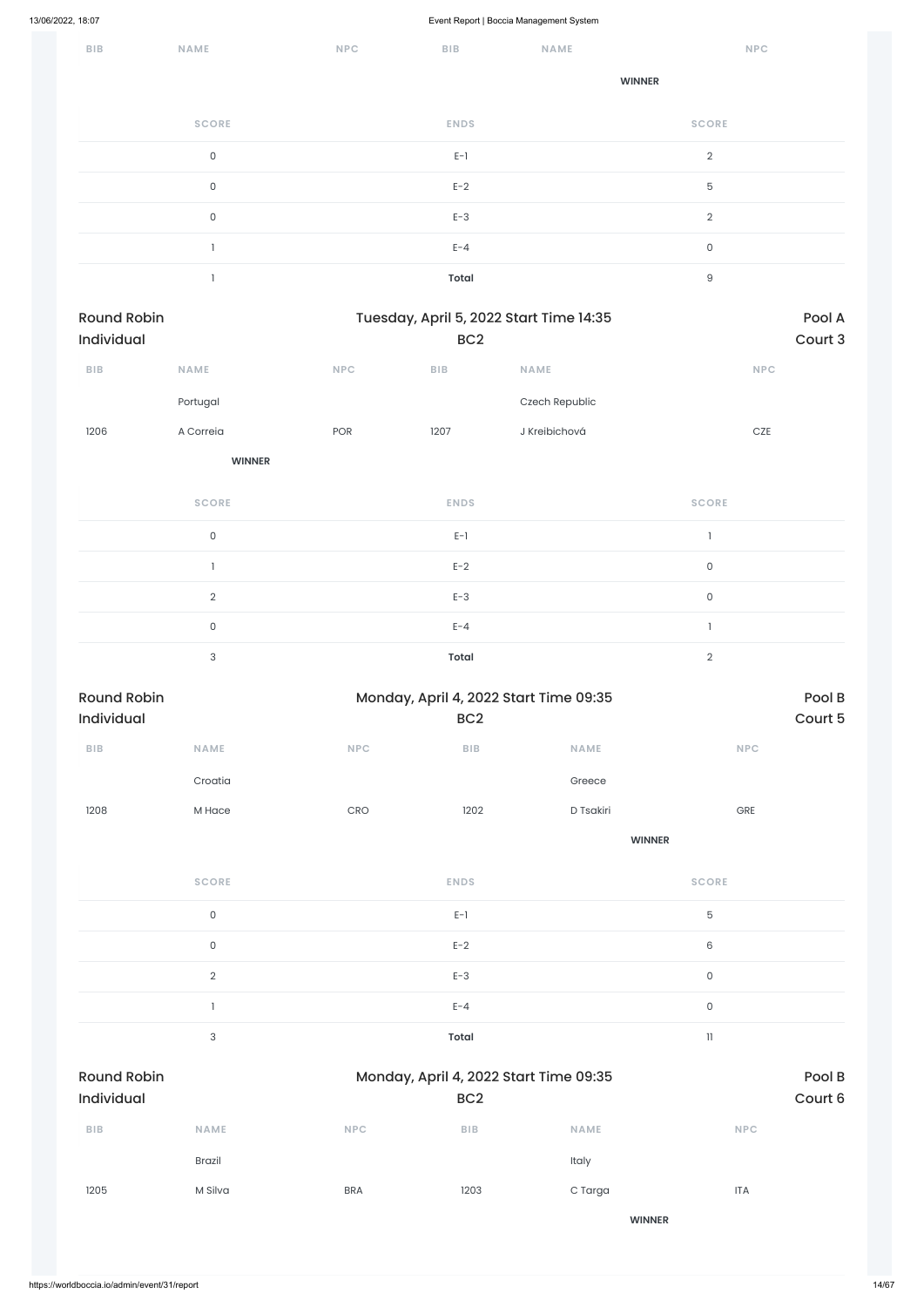| BIB | <b>NAME</b>         | <b>NPC</b> | ${\sf B}{\sf I}{\sf B}$ | <b>NAME</b> | <b>NPC</b>       |
|-----|---------------------|------------|-------------------------|-------------|------------------|
|     |                     |            |                         |             | <b>WINNER</b>    |
|     | <b>SCORE</b>        |            | <b>ENDS</b>             |             | <b>SCORE</b>     |
|     | $\mathsf{O}\xspace$ |            | $E-1$                   |             | $\overline{2}$   |
|     | $\mathsf O$         |            | $E-2$                   |             | 5                |
|     | $\mathsf{O}\xspace$ |            | $E-3$                   |             | $\overline{2}$   |
|     |                     |            | $E - 4$                 |             | $\mathsf{O}$     |
|     |                     |            | <b>Total</b>            |             | $\boldsymbol{9}$ |

| Round Robin             |                     | Tuesday, April 5, 2022 Start Time 14:35 |                         |                                        |                        |         |  |  |  |
|-------------------------|---------------------|-----------------------------------------|-------------------------|----------------------------------------|------------------------|---------|--|--|--|
| Individual              |                     |                                         | BC <sub>2</sub>         |                                        |                        | Court 3 |  |  |  |
| ${\sf B}{\sf I}{\sf B}$ | NAME                | <b>NPC</b>                              | ${\sf B}{\sf I}{\sf B}$ | NAME                                   | NPC                    |         |  |  |  |
|                         | Portugal            |                                         |                         | Czech Republic                         |                        |         |  |  |  |
| 1206                    | A Correia           | POR                                     | 1207                    | J Kreibichová                          | $CZE$                  |         |  |  |  |
|                         | <b>WINNER</b>       |                                         |                         |                                        |                        |         |  |  |  |
|                         | <b>SCORE</b>        |                                         | <b>ENDS</b>             |                                        | <b>SCORE</b>           |         |  |  |  |
|                         | $\mathsf{O}\xspace$ |                                         | $E-1$                   |                                        | $\mathbf{I}$           |         |  |  |  |
|                         | $\mathbf{1}$        |                                         | $E-2$                   |                                        | $\mathsf{O}\xspace$    |         |  |  |  |
|                         | $\overline{2}$      |                                         | $E-3$                   |                                        | $\mathsf{O}\xspace$    |         |  |  |  |
|                         | $\mathsf{O}\xspace$ |                                         | $E - 4$                 |                                        | $\mathbf{I}$           |         |  |  |  |
|                         | $\sqrt{3}$          |                                         | <b>Total</b>            |                                        | $\sqrt{2}$             |         |  |  |  |
| <b>Round Robin</b>      |                     |                                         |                         | Monday, April 4, 2022 Start Time 09:35 |                        | Pool B  |  |  |  |
| Individual              |                     |                                         | BC <sub>2</sub>         |                                        |                        | Court 5 |  |  |  |
| ${\sf B}{\sf I}{\sf B}$ | <b>NAME</b>         | $\ensuremath{\mathsf{NPC}}$             | ${\sf BIB}$             | NAME                                   | NPC                    |         |  |  |  |
|                         | Croatia             |                                         |                         | Greece                                 |                        |         |  |  |  |
| 1208                    | M Hace              | CRO                                     | 1202                    | D Tsakiri                              | ${\small\textsf{GRE}}$ |         |  |  |  |
|                         |                     |                                         |                         |                                        | <b>WINNER</b>          |         |  |  |  |
|                         | <b>SCORE</b>        |                                         | <b>ENDS</b>             |                                        | <b>SCORE</b>           |         |  |  |  |
|                         | $\mathsf O$         |                                         | $E-1$                   |                                        | 5                      |         |  |  |  |
|                         | $\mathsf O$         |                                         | $E-2$                   |                                        | $\,6$                  |         |  |  |  |
|                         | $\overline{2}$      |                                         | $E-3$                   |                                        | $\mathsf{O}\xspace$    |         |  |  |  |

|                                  |               |            | $E - 4$                                                   |               | $\mathsf{O}$ |                   |
|----------------------------------|---------------|------------|-----------------------------------------------------------|---------------|--------------|-------------------|
|                                  | 3             |            | Total                                                     |               | $\mathbf{1}$ |                   |
| <b>Round Robin</b><br>Individual |               |            | Monday, April 4, 2022 Start Time 09:35<br>BC <sub>2</sub> |               |              | Pool B<br>Court 6 |
| <b>BIB</b>                       | <b>NAME</b>   | <b>NPC</b> | $B$   $B$                                                 | <b>NAME</b>   | <b>NPC</b>   |                   |
|                                  | <b>Brazil</b> |            |                                                           | Italy         |              |                   |
| 1205                             | M Silva       | <b>BRA</b> | 1203                                                      | C Targa       | <b>ITA</b>   |                   |
|                                  |               |            |                                                           | <b>WINNER</b> |              |                   |
|                                  |               |            |                                                           |               |              |                   |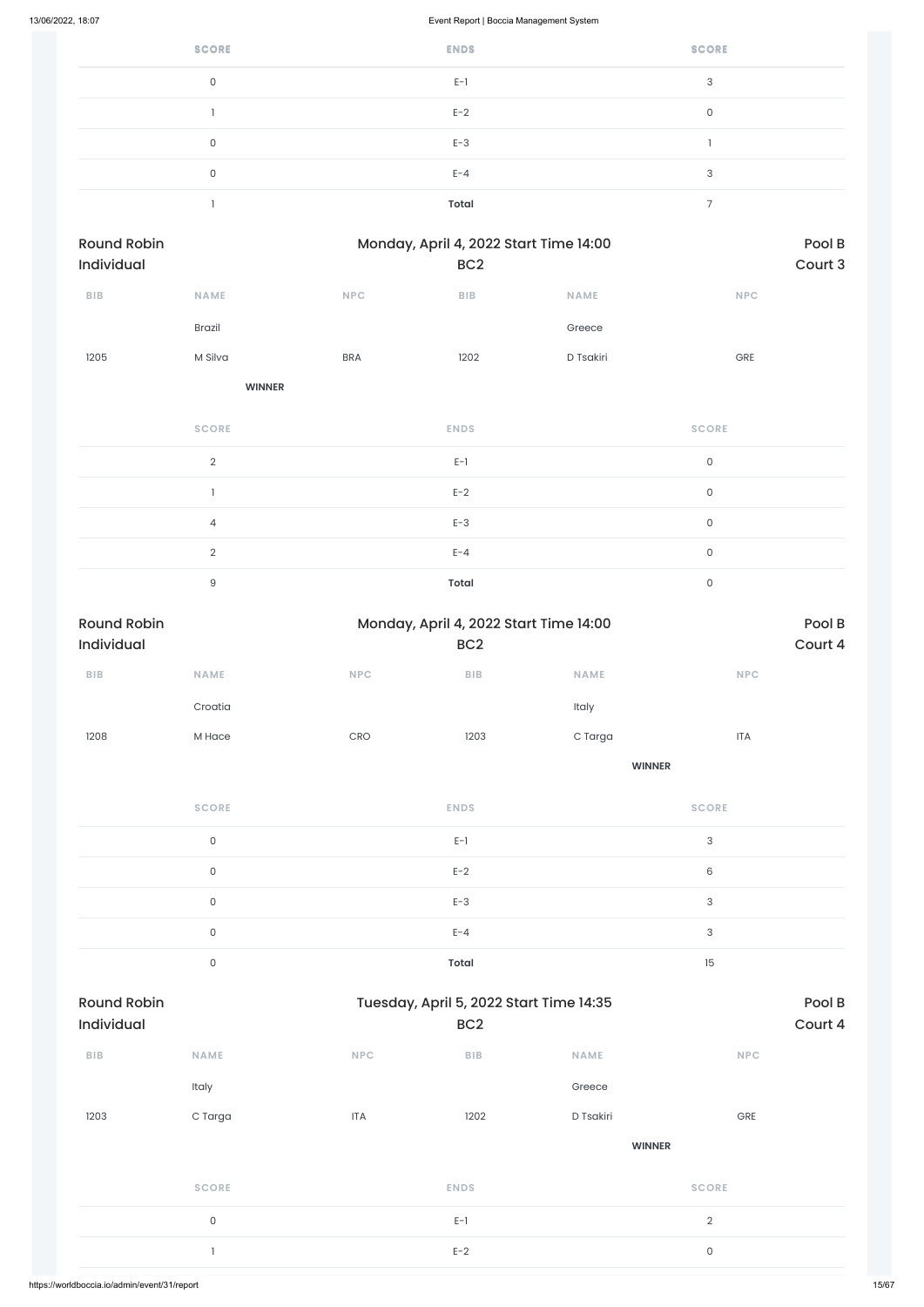| <b>SCORE</b> | <b>ENDS</b>  | <b>SCORE</b> |
|--------------|--------------|--------------|
| 0            | $E-1$        | 3            |
|              | $E-2$        | $\Omega$     |
| 0            | $E-3$        |              |
| 0            | $E - 4$      | 3            |
|              | <b>Total</b> | -            |

| Round Robin<br>Individual |               |            | Monday, April 4, 2022 Start Time 14:00<br>BC <sub>2</sub> |           |                     | Pool B<br>Court 3 |
|---------------------------|---------------|------------|-----------------------------------------------------------|-----------|---------------------|-------------------|
| BIB                       | NAME          | NPC        | BIB                                                       | NAME      | NPC                 |                   |
|                           | Brazil        |            |                                                           | Greece    |                     |                   |
| 1205                      | M Silva       | <b>BRA</b> | 1202                                                      | D Tsakiri | GRE                 |                   |
|                           | <b>WINNER</b> |            |                                                           |           |                     |                   |
|                           | <b>SCORE</b>  |            | <b>ENDS</b>                                               |           | <b>SCORE</b>        |                   |
|                           | $\sqrt{2}$    |            | $E-1$                                                     |           | $\mathsf{O}\xspace$ |                   |
|                           | $\mathbf{1}$  |            | $E-2$                                                     |           | $\mathsf{O}\xspace$ |                   |
|                           | $\sqrt{4}$    |            | $E-3$                                                     |           | $\mathsf{O}\xspace$ |                   |
|                           | $\sqrt{2}$    |            | $E - 4$                                                   |           | $\mathsf{O}\xspace$ |                   |
|                           | $\Theta$      |            | <b>Total</b>                                              |           | $\mathsf{O}$        |                   |

| Round Robin             |                     |                             | Monday, April 4, 2022 Start Time 14:00  |               |                             | Pool B  |
|-------------------------|---------------------|-----------------------------|-----------------------------------------|---------------|-----------------------------|---------|
| Individual              |                     |                             | BC <sub>2</sub>                         |               |                             | Court 4 |
| ${\sf B}{\sf I}{\sf B}$ | <b>NAME</b>         | $\ensuremath{\mathsf{NPC}}$ | ${\bf B} {\sf I} {\bf B}$               | NAME          | $\ensuremath{\mathsf{NPC}}$ |         |
|                         | Croatia             |                             |                                         | Italy         |                             |         |
| 1208                    | M Hace              | CRO                         | 1203                                    | C Targa       | <b>ITA</b>                  |         |
|                         |                     |                             |                                         | <b>WINNER</b> |                             |         |
|                         | <b>SCORE</b>        |                             | <b>ENDS</b>                             |               | <b>SCORE</b>                |         |
|                         | $\mathsf{O}\xspace$ |                             | $E-1$                                   |               | $\ensuremath{\mathsf{3}}$   |         |
|                         | $\mathsf{O}\xspace$ |                             | $E-2$                                   |               | $\,6$                       |         |
|                         | $\mathsf{O}\xspace$ |                             | $E-3$                                   |               | $\ensuremath{\mathsf{3}}$   |         |
|                         | $\mathsf{O}\xspace$ |                             | $E - 4$                                 |               | $\ensuremath{\mathsf{3}}$   |         |
|                         | $\mathsf{O}\xspace$ |                             | <b>Total</b>                            |               | 15                          |         |
| <b>Round Robin</b>      |                     |                             | Tuesday, April 5, 2022 Start Time 14:35 |               |                             | Pool B  |
| Individual              |                     |                             | BC <sub>2</sub>                         |               |                             | Court 4 |
| ${\sf B}{\sf I}{\sf B}$ | NAME                | NPC                         | ${\sf BIB}$                             | <b>NAME</b>   | $\ensuremath{\mathsf{NPC}}$ |         |
|                         | Italy               |                             |                                         | Greece        |                             |         |
| 1203                    | C Targa             | <b>ITA</b>                  | 1202                                    | D Tsakiri     | ${\small\textsf{GRE}}$      |         |
|                         |                     |                             |                                         | <b>WINNER</b> |                             |         |
|                         | <b>SCORE</b>        |                             | <b>ENDS</b>                             |               | <b>SCORE</b>                |         |
|                         | $\mathsf{O}\xspace$ |                             | $E-1$                                   |               | $\overline{2}$              |         |
|                         | $\mathbf{1}$        |                             | $E-2$                                   |               | $\mathsf{O}$                |         |
|                         |                     |                             |                                         |               |                             |         |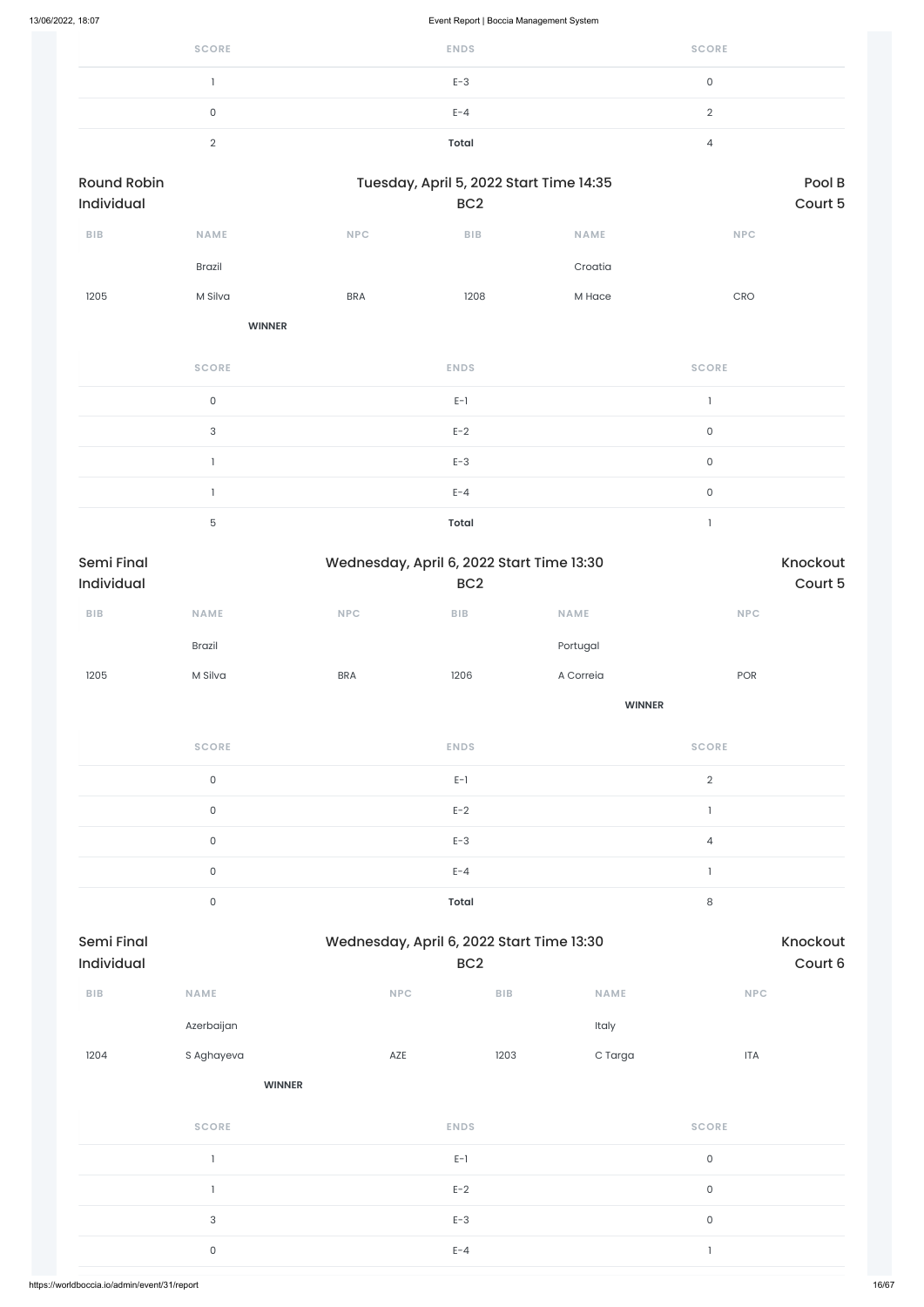| <b>SCORE</b> | <b>ENDS</b> | <b>SCORE</b> |
|--------------|-------------|--------------|
|              | $E-3$       |              |
| 0            | $E - 4$     |              |
|              | Total       |              |

| <b>Round Robin</b><br><b>Individual</b> |               |            | Tuesday, April 5, 2022 Start Time 14:35<br>BC <sub>2</sub> |             |              | Pool B<br>Court 5 |
|-----------------------------------------|---------------|------------|------------------------------------------------------------|-------------|--------------|-------------------|
| <b>BIB</b>                              | <b>NAME</b>   | <b>NPC</b> | <b>BIB</b>                                                 | <b>NAME</b> | <b>NPC</b>   |                   |
|                                         | <b>Brazil</b> |            |                                                            | Croatia     |              |                   |
| 1205                                    | M Silva       | <b>BRA</b> | 1208                                                       | M Hace      | CRO          |                   |
|                                         | <b>WINNER</b> |            |                                                            |             |              |                   |
|                                         | <b>SCORE</b>  |            | <b>ENDS</b>                                                |             | <b>SCORE</b> |                   |

|           | $E-1$        |   |
|-----------|--------------|---|
| $\bigcap$ | $E-2$        | r |
|           | $E-3$        |   |
|           | $E - 4$      |   |
| 一         | <b>Total</b> |   |

| <b>Semi Final</b>       |                     |            | Wednesday, April 6, 2022 Start Time 13:30 |               | Knockout                       |
|-------------------------|---------------------|------------|-------------------------------------------|---------------|--------------------------------|
| Individual              |                     |            | BC <sub>2</sub>                           |               | Court 5                        |
| ${\sf B}{\sf I}{\sf B}$ | <b>NAME</b>         | <b>NPC</b> | BIB                                       | <b>NAME</b>   | $\ensuremath{\mathsf{NPC}}$    |
|                         | Brazil              |            |                                           | Portugal      |                                |
| 1205                    | M Silva             | <b>BRA</b> | 1206                                      | A Correia     | POR                            |
|                         |                     |            |                                           | <b>WINNER</b> |                                |
|                         | <b>SCORE</b>        |            | <b>ENDS</b>                               |               | <b>SCORE</b>                   |
|                         | $\mathsf{O}\xspace$ |            | $E-1$                                     |               | $\sqrt{2}$                     |
|                         | $\mathsf{O}\xspace$ |            | $E-2$                                     |               | $\overline{1}$                 |
|                         | $\mathsf{O}\xspace$ |            | $E-3$                                     |               | $\sqrt{4}$                     |
|                         | $\mathsf{O}\xspace$ |            | $E - 4$                                   |               | $\begin{array}{c} \end{array}$ |
|                         | $\mathsf{O}\xspace$ |            | <b>Total</b>                              |               | $\,8\,$                        |

| ${\sf B}{\sf I}{\sf B}$ | NAME                      | NPC         | ${\sf B}{\sf I}{\sf B}$ | NAME    | NPC                 |
|-------------------------|---------------------------|-------------|-------------------------|---------|---------------------|
|                         | Azerbaijan                |             |                         | Italy   |                     |
| 1204                    | S Aghayeva                | AZE         | 1203                    | C Targa | <b>ITA</b>          |
|                         | <b>WINNER</b>             |             |                         |         |                     |
|                         | <b>SCORE</b>              | <b>ENDS</b> |                         |         | <b>SCORE</b>        |
|                         |                           | $E-1$       |                         |         | $\mathsf{O}\xspace$ |
|                         |                           | $E-2$       |                         |         | $\mathsf{O}$        |
|                         | $\ensuremath{\mathsf{3}}$ | $E-3$       |                         |         | $\mathsf{O}$        |
|                         | $\mathsf{O}\xspace$       | $E - 4$     |                         |         | $\mathbf{1}$        |
|                         |                           |             |                         |         |                     |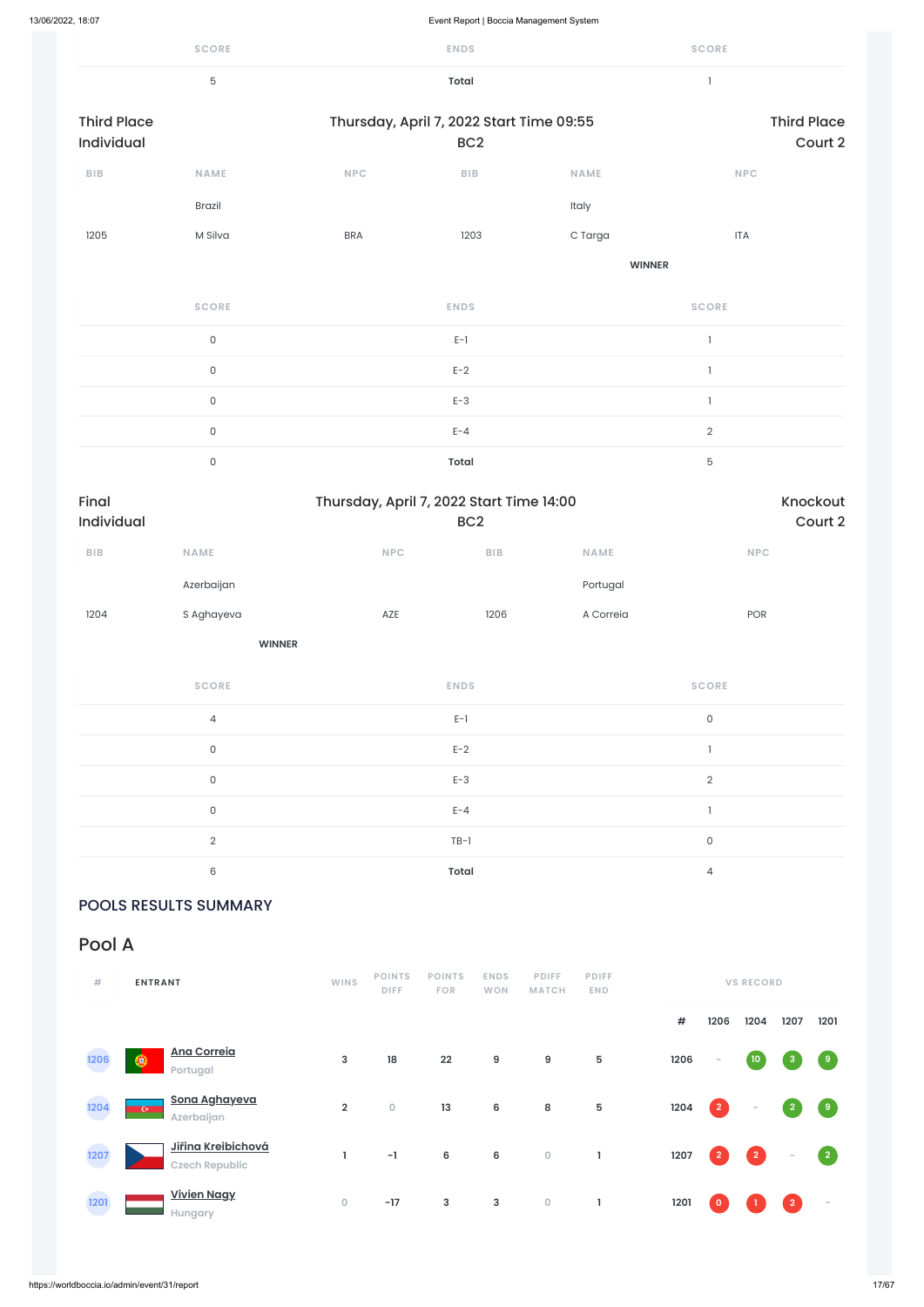|                                  | <b>SCORE</b>   |                                          | <b>ENDS</b>             |               | <b>SCORE</b>   |                               |
|----------------------------------|----------------|------------------------------------------|-------------------------|---------------|----------------|-------------------------------|
|                                  | $\overline{5}$ |                                          | Total                   |               | $\mathbf{I}$   |                               |
| <b>Third Place</b><br>Individual |                | Thursday, April 7, 2022 Start Time 09:55 | BC <sub>2</sub>         |               |                | <b>Third Place</b><br>Court 2 |
| BIB                              | NAME           | NPC                                      | ${\sf B}{\sf I}{\sf B}$ | NAME          | <b>NPC</b>     |                               |
|                                  | <b>Brazil</b>  |                                          |                         | Italy         |                |                               |
| 1205                             | M Silva        | <b>BRA</b>                               | 1203                    | C Targa       | <b>ITA</b>     |                               |
|                                  |                |                                          |                         | <b>WINNER</b> |                |                               |
|                                  | <b>SCORE</b>   |                                          | <b>ENDS</b>             |               | <b>SCORE</b>   |                               |
|                                  | $\mathsf{O}$   |                                          | $E-1$                   |               | $\mathbf{I}$   |                               |
|                                  | $\mathsf{O}$   |                                          | $E-2$                   |               | $\mathbf{I}$   |                               |
|                                  | $\mathsf{O}$   |                                          | $E-3$                   |               | $\mathbf{I}$   |                               |
|                                  | $\mathsf{O}$   |                                          | $E - 4$                 |               | $\overline{2}$ |                               |
|                                  | $\mathsf{O}$   |                                          | <b>Total</b>            |               | $\mathbf 5$    |                               |
| Final<br>Individual              |                | Thursday, April 7, 2022 Start Time 14:00 | BC <sub>2</sub>         |               |                | Knockout<br>Court 2           |
| <b>BIB</b>                       | <b>NAME</b>    | <b>NPC</b>                               | BIB                     | <b>NAME</b>   | <b>NPC</b>     |                               |

|      | Azerbaijan |     |      | Portugal  |            |
|------|------------|-----|------|-----------|------------|
| 1204 | S Aghayeva | AZE | 1206 | A Correia | <b>POR</b> |

**WINNER**

| <b>SCORE</b>   | <b>ENDS</b>  | <b>SCORE</b>   |
|----------------|--------------|----------------|
| $\overline{4}$ | $E-1$        | 0              |
| $\mathbf 0$    | $E-2$        |                |
| $\mathbf{0}$   | $E-3$        | $\overline{2}$ |
| 0              | $E - 4$      |                |
| $\mathcal{D}$  | $TB-1$       | $\mathbf 0$    |
| 6              | <b>Total</b> | 4              |

### POOLS RESULTS SUMMARY

### Pool A

| <b>ENTRANT</b> |  |
|----------------|--|

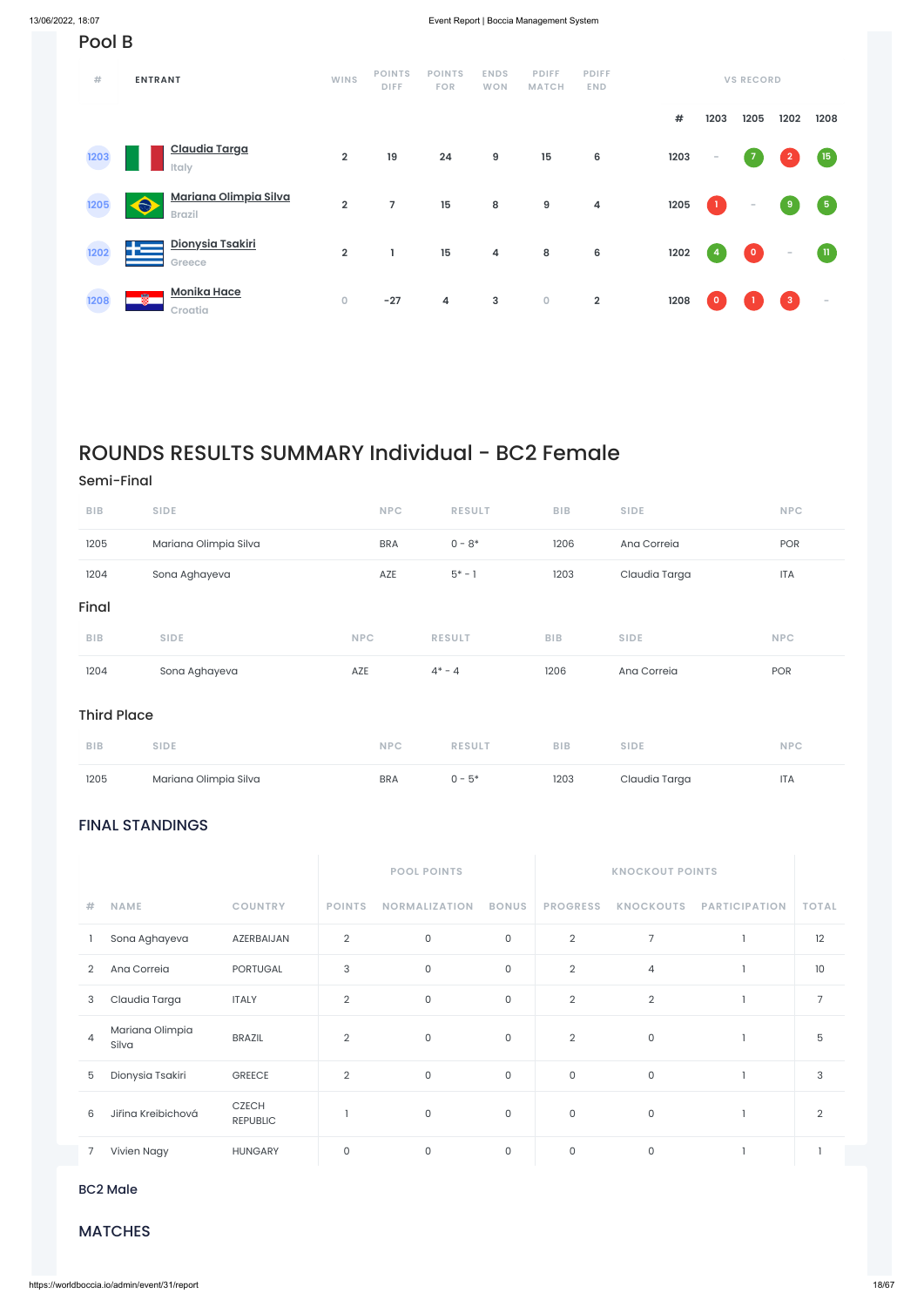### FINAL STANDINGS

|   |               |                 | <b>POOL POINTS</b> |                      |              |   |                |                                  |              |
|---|---------------|-----------------|--------------------|----------------------|--------------|---|----------------|----------------------------------|--------------|
| 井 | <b>NAME</b>   | <b>COUNTRY</b>  | <b>POINTS</b>      | <b>NORMALIZATION</b> | <b>BONUS</b> |   |                | PROGRESS KNOCKOUTS PARTICIPATION | <b>TOTAL</b> |
|   | Sona Aghayeva | AZERBAIJAN      | 2                  | 0                    | 0            | 2 |                |                                  | 12           |
|   | Ana Correia   | <b>PORTUGAL</b> | 3                  | 0                    | 0            | 2 | $\overline{4}$ |                                  | 10           |

| 3              | Claudia Targa            | <b>ITALY</b>                    | $\Omega$<br>∠  | 0        | 0       | $\overline{2}$ | 2 |  |
|----------------|--------------------------|---------------------------------|----------------|----------|---------|----------------|---|--|
| $\overline{4}$ | Mariana Olimpia<br>Silva | <b>BRAZIL</b>                   | $\overline{2}$ | $\Omega$ | $\circ$ | 2              | 0 |  |
| 5              | Dionysia Tsakiri         | <b>GREECE</b>                   | 2              | $\circ$  | $\circ$ | 0              | 0 |  |
| 6              | Jiřina Kreibichová       | <b>CZECH</b><br><b>REPUBLIC</b> |                | $\circ$  | 0       | $\circ$        | 0 |  |
|                | Vivien Nagy              | <b>HUNGARY</b>                  |                | $\Omega$ | $\circ$ | $\mathbf 0$    | 0 |  |

 $80M<sub>0</sub>$ BC2 Male

### **MATCHES**

| Pool B |                                                     |                         |                              |                             |                           |                              |                            |            |          |                          |                         |                  |
|--------|-----------------------------------------------------|-------------------------|------------------------------|-----------------------------|---------------------------|------------------------------|----------------------------|------------|----------|--------------------------|-------------------------|------------------|
| #      | <b>ENTRANT</b>                                      | <b>WINS</b>             | <b>POINTS</b><br><b>DIFF</b> | <b>POINTS</b><br><b>FOR</b> | <b>ENDS</b><br><b>WON</b> | <b>PDIFF</b><br><b>MATCH</b> | <b>PDIFF</b><br><b>END</b> |            |          | <b>VS RECORD</b>         |                         |                  |
|        |                                                     |                         |                              |                             |                           |                              |                            | $\pmb{\#}$ | 1203     | 1205                     | 1202                    | 1208             |
| 1203   | <b>Claudia Targa</b><br><b>Italy</b>                | $\overline{\mathbf{2}}$ | 19                           | 24                          | $\boldsymbol{9}$          | 15                           | 6                          | 1203       | $\sim$   | $\overline{7}$           | $\overline{2}$          | (15)             |
| 1205   | Mariana Olimpia Silva<br>$\bullet$<br><b>Brazil</b> | $\overline{2}$          | 7                            | 15                          | 8                         | $\boldsymbol{9}$             | $\overline{\mathbf{4}}$    | 1205       |          | $\overline{\phantom{a}}$ | 9                       | $\left(5\right)$ |
| 1202   | Dionysia Tsakiri<br>łΞ<br>Greece                    | $\overline{\mathbf{2}}$ | L                            | 15                          | 4                         | 8                            | 6                          | 1202       | 4        | $\overline{\mathbf{0}}$  | $\sim$                  | $\blacksquare$   |
| 1208   | <b>Monika Hace</b><br>鳖<br>Croatia                  | $\mathsf{O}\xspace$     | $-27$                        | $\overline{\mathbf{4}}$     | $\mathbf{3}$              | $\mathsf{O}\xspace$          | $\overline{\mathbf{2}}$    | 1208       | $\Omega$ |                          | $\overline{\mathbf{3}}$ | $\sim$           |

## ROUNDS RESULTS SUMMARY Individual - BC2 Female

### Semi-Final

| 1205               | Mariana Olimpia Silva | <b>BRA</b> | $0 - 5*$      | 1203       | Claudia Targa | <b>ITA</b> |
|--------------------|-----------------------|------------|---------------|------------|---------------|------------|
| <b>BIB</b>         | <b>SIDE</b>           | <b>NPC</b> | <b>RESULT</b> | <b>BIB</b> | <b>SIDE</b>   | <b>NPC</b> |
| <b>Third Place</b> |                       |            |               |            |               |            |
| 1204               | Sona Aghayeva         | AZE        | $4^* - 4$     | 1206       | Ana Correia   | POR        |
| <b>BIB</b>         | <b>SIDE</b>           | <b>NPC</b> | <b>RESULT</b> | <b>BIB</b> | <b>SIDE</b>   | <b>NPC</b> |
| Final              |                       |            |               |            |               |            |
| 1204               | Sona Aghayeva         | AZE        | $5* - 1$      | 1203       | Claudia Targa | <b>ITA</b> |
| 1205               | Mariana Olimpia Silva | <b>BRA</b> | $0 - 8*$      | 1206       | Ana Correia   | POR        |
| <b>BIB</b>         | <b>SIDE</b>           | <b>NPC</b> | <b>RESULT</b> | <b>BIB</b> | <b>SIDE</b>   | <b>NPC</b> |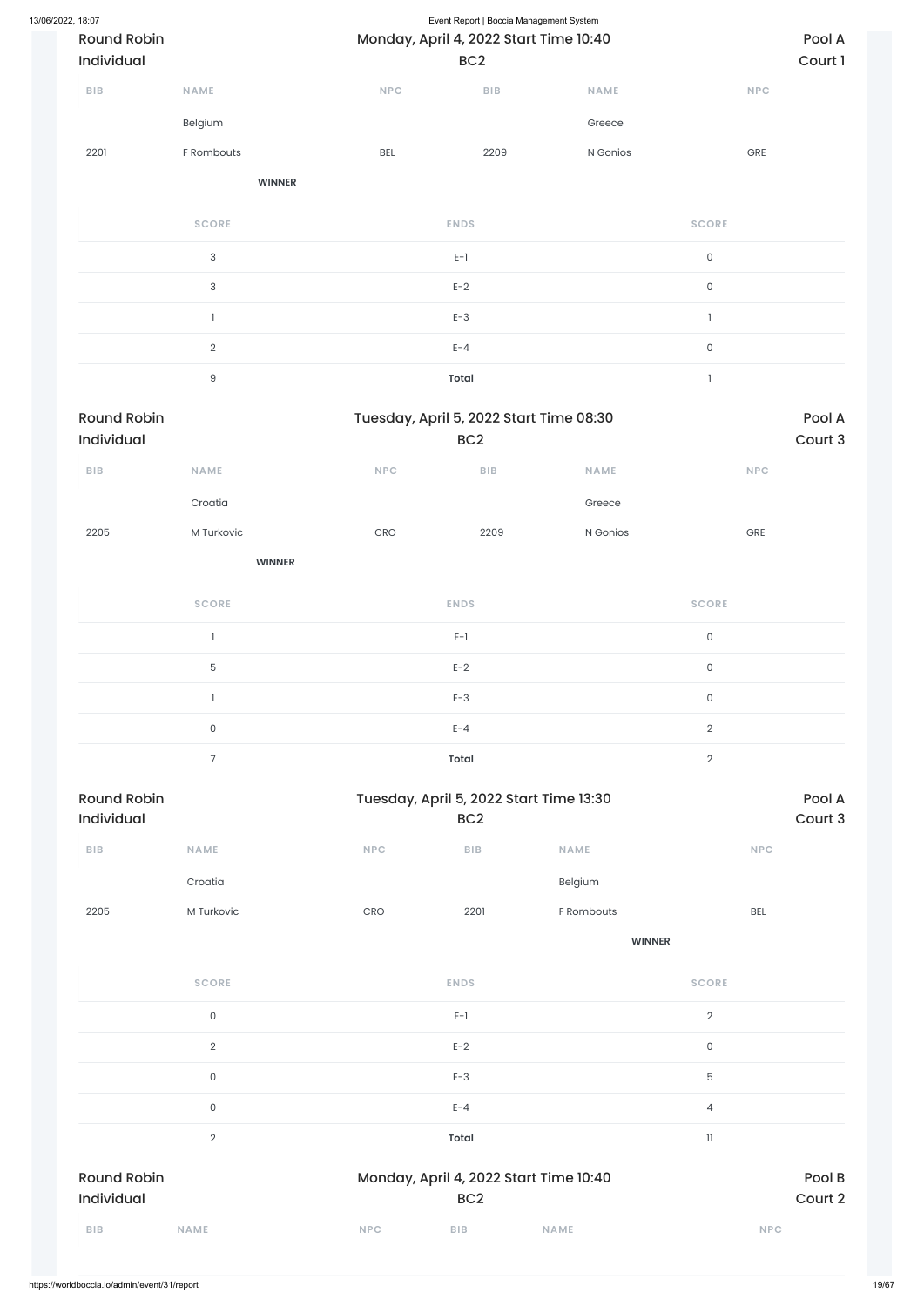| 13/06/2022, 18:07<br>Individual  | <b>Round Robin</b>        |            | Event Report   Boccia Management System<br>Monday, April 4, 2022 Start Time 10:40<br>BC <sub>2</sub> |             |                     | Pool A<br>Court 1 |
|----------------------------------|---------------------------|------------|------------------------------------------------------------------------------------------------------|-------------|---------------------|-------------------|
| <b>BIB</b>                       | NAME                      | NPC        | ${\sf BIB}$                                                                                          | NAME        | <b>NPC</b>          |                   |
|                                  | Belgium                   |            |                                                                                                      | Greece      |                     |                   |
| 2201                             | F Rombouts                | BEL        | 2209                                                                                                 | N Gonios    | GRE                 |                   |
|                                  | <b>WINNER</b>             |            |                                                                                                      |             |                     |                   |
|                                  | <b>SCORE</b>              |            | <b>ENDS</b>                                                                                          |             | <b>SCORE</b>        |                   |
|                                  | $\ensuremath{\mathsf{3}}$ |            | $E-1$                                                                                                |             | $\mathsf{O}$        |                   |
|                                  | $\ensuremath{\mathsf{3}}$ |            | $E-2$                                                                                                |             | $\mathsf O$         |                   |
|                                  | $\mathbf{l}$              |            | $E-3$                                                                                                |             | $\mathbf{1}$        |                   |
|                                  | $\overline{2}$            |            | $E - 4$                                                                                              |             | $\mathsf O$         |                   |
|                                  | $\hbox{9}$                |            | <b>Total</b>                                                                                         |             | $\mathbf{1}$        |                   |
| <b>Round Robin</b><br>Individual |                           |            | Tuesday, April 5, 2022 Start Time 08:30<br>BC <sub>2</sub>                                           |             |                     | Pool A<br>Court 3 |
| <b>BIB</b>                       | <b>NAME</b>               | <b>NPC</b> | <b>BIB</b>                                                                                           | <b>NAME</b> | <b>NPC</b>          |                   |
|                                  | Croatia                   |            |                                                                                                      | Greece      |                     |                   |
| 2205                             | M Turkovic                | CRO        | 2209                                                                                                 | N Gonios    | GRE                 |                   |
|                                  | <b>WINNER</b>             |            |                                                                                                      |             |                     |                   |
|                                  | <b>SCORE</b>              |            | <b>ENDS</b>                                                                                          |             | <b>SCORE</b>        |                   |
|                                  | $\mathbf{1}$              |            | $E-1$                                                                                                |             | $\mathsf O$         |                   |
|                                  | $\mathbf 5$               |            | $E-2$                                                                                                |             | $\mathsf{O}\xspace$ |                   |
|                                  | $\mathbf{I}$              |            | $E-3$                                                                                                |             | $\mathsf O$         |                   |
|                                  | $\mathsf{O}$              |            | $E - 4$                                                                                              |             | $\overline{2}$      |                   |
|                                  | $\overline{7}$            |            | <b>Total</b>                                                                                         |             | $\overline{2}$      |                   |
| <b>Round Robin</b><br>Individual |                           |            | Tuesday, April 5, 2022 Start Time 13:30<br>BC <sub>2</sub>                                           |             |                     | Pool A<br>Court 3 |
| BIB                              | NAME                      | NPC        | BIB                                                                                                  | <b>NAME</b> | <b>NPC</b>          |                   |

Croatia Belgium 2205 M Turkovic CRO 2201 F Rombouts BEL

**WINNER**

| <b>SCORE</b>                     | <b>ENDS</b>                                               | <b>SCORE</b>      |
|----------------------------------|-----------------------------------------------------------|-------------------|
| $\mathsf O$                      | $E-1$                                                     | $\overline{2}$    |
| $\overline{2}$                   | $E-2$                                                     | $\mathsf{O}$      |
| $\mathsf O$                      | $E-3$                                                     | 5                 |
| $\mathsf O$                      | $E - 4$                                                   | $\overline{4}$    |
| $\overline{2}$                   | <b>Total</b>                                              | 11                |
| <b>Round Robin</b><br>Individual | Monday, April 4, 2022 Start Time 10:40<br>BC <sub>2</sub> | Pool B<br>Court 2 |
| <b>BIB</b><br><b>NAME</b>        | <b>NPC</b><br><b>BIB</b><br><b>NAME</b>                   | <b>NPC</b>        |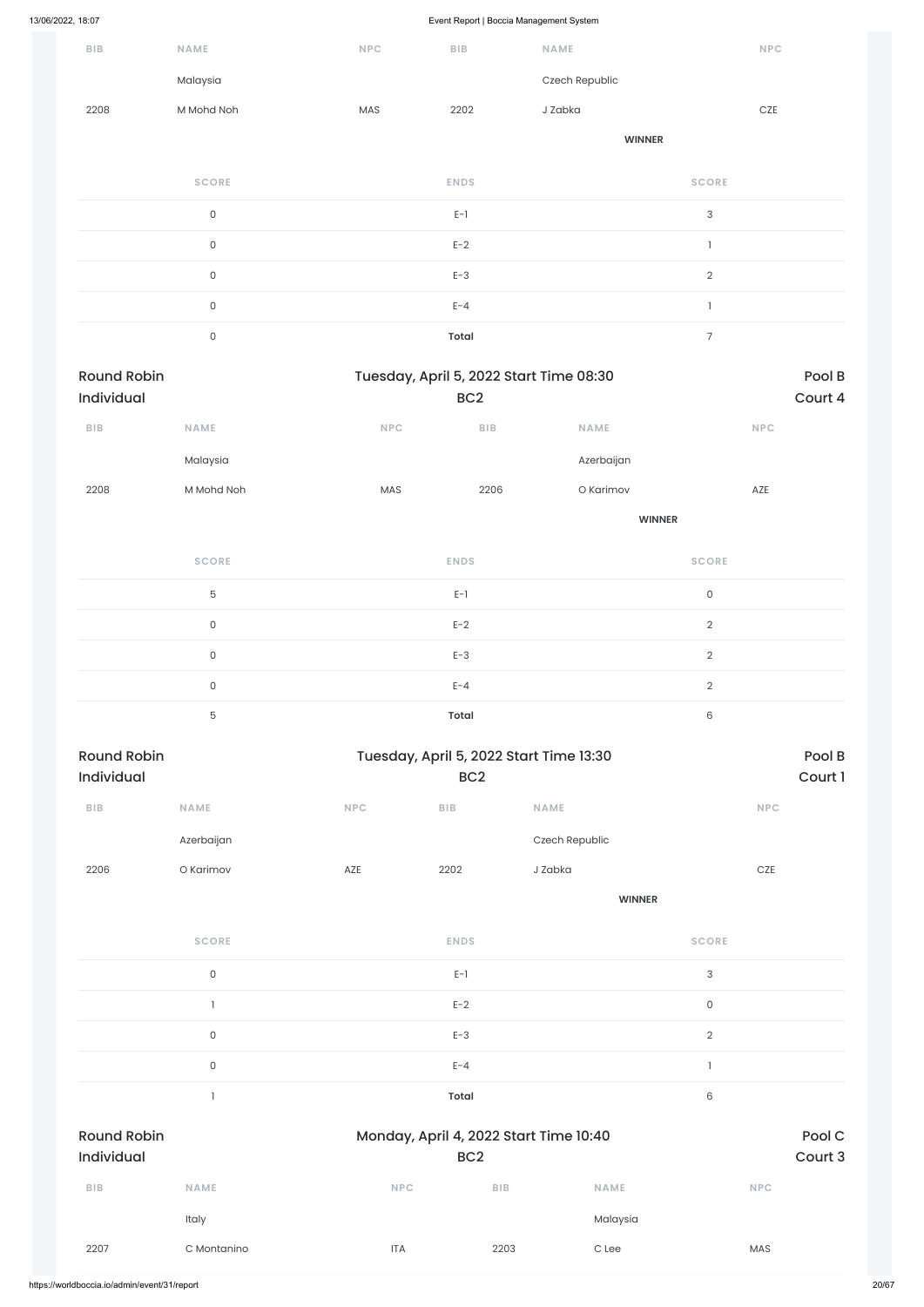|                                  |                     |            | $\sim$                  |                                         |                     |            |                   |
|----------------------------------|---------------------|------------|-------------------------|-----------------------------------------|---------------------|------------|-------------------|
| ${\sf B}{\sf I}{\sf B}$          | NAME                | <b>NPC</b> | ${\sf B}{\sf I}{\sf B}$ | NAME                                    |                     | NPC        |                   |
|                                  | Malaysia            |            |                         | Czech Republic                          |                     |            |                   |
| 2208                             | M Mohd Noh          | MAS        | 2202                    | J Zabka                                 |                     | $CZE$      |                   |
|                                  |                     |            |                         |                                         | <b>WINNER</b>       |            |                   |
|                                  | <b>SCORE</b>        |            | <b>ENDS</b>             |                                         | <b>SCORE</b>        |            |                   |
|                                  | $\mathsf{O}\xspace$ |            | $E-1$                   |                                         | 3                   |            |                   |
|                                  | $\mathsf{O}\xspace$ |            | $E-2$                   |                                         | $\mathbf{1}$        |            |                   |
|                                  | $\mathsf{O}\xspace$ |            | $E-3$                   |                                         | $\overline{2}$      |            |                   |
|                                  | $\mathsf{O}\xspace$ |            | $E - 4$                 |                                         | $\mathbf{1}$        |            |                   |
|                                  | $\mathsf{O}\xspace$ |            | <b>Total</b>            |                                         | $\overline{7}$      |            |                   |
| <b>Round Robin</b><br>Individual |                     |            | BC <sub>2</sub>         | Tuesday, April 5, 2022 Start Time 08:30 |                     |            | Pool B<br>Court 4 |
| ${\sf B}{\sf I}{\sf B}$          | NAME                | NPC        | ${\sf B}{\sf I}{\sf B}$ | NAME                                    |                     | <b>NPC</b> |                   |
|                                  | Malaysia            |            |                         | Azerbaijan                              |                     |            |                   |
| 2208                             | M Mohd Noh          | MAS        | 2206                    | O Karimov                               |                     | AZE        |                   |
|                                  |                     |            |                         |                                         | <b>WINNER</b>       |            |                   |
|                                  | <b>SCORE</b>        |            | <b>ENDS</b>             |                                         | <b>SCORE</b>        |            |                   |
|                                  | $\mathbf 5$         |            | $E-1$                   |                                         | $\mathsf{O}\xspace$ |            |                   |
|                                  | $\mathsf{O}\xspace$ |            | $E-2$                   |                                         | $\overline{2}$      |            |                   |
|                                  | $\mathsf{O}\xspace$ |            | $E-3$                   |                                         | $\overline{2}$      |            |                   |
|                                  | $\mathsf{O}\xspace$ |            | $E - 4$                 |                                         | $\overline{2}$      |            |                   |
|                                  | $\mathbf 5$         |            | <b>Total</b>            |                                         | $\,6$               |            |                   |
| <b>Round Robin</b><br>Individual |                     |            | BC <sub>2</sub>         | Tuesday, April 5, 2022 Start Time 13:30 |                     |            | Pool B<br>Court 1 |
| ${\sf B}{\sf I}{\sf B}$          | NAME                | NPC        | ${\sf B}{\sf I}{\sf B}$ | NAME                                    |                     | <b>NPC</b> |                   |
|                                  | Azerbaijan          |            |                         | Czech Republic                          |                     |            |                   |
| 2206                             | O Karimov           | AZE        | 2202                    | J Zabka                                 |                     | $CZE$      |                   |
|                                  |                     |            |                         |                                         | <b>WINNER</b>       |            |                   |
|                                  | <b>SCORE</b>        |            | <b>ENDS</b>             |                                         | <b>SCORE</b>        |            |                   |
|                                  |                     |            |                         |                                         |                     |            |                   |

 $E-1$  and  $E-1$  and  $E-1$  and  $E-1$  and  $E-1$  and  $E-1$  and  $E-1$  and  $E-1$  and  $E-1$  and  $E-1$  and  $E-1$  and  $E-1$  and  $E-1$  and  $E-1$  and  $E-1$  and  $E-1$  and  $E-1$  and  $E-1$  and  $E-1$  and  $E-1$  and  $E-1$  and  $E-1$  and

|                                              |                     |                                                           | $E-2$      |                   | $\mathsf O$    |  |
|----------------------------------------------|---------------------|-----------------------------------------------------------|------------|-------------------|----------------|--|
|                                              | $\mathsf 0$         |                                                           | $E-3$      |                   | $\overline{2}$ |  |
|                                              | $\mathsf{O}\xspace$ |                                                           | $E - 4$    |                   |                |  |
|                                              |                     |                                                           | Total      |                   | 6              |  |
| <b>Round Robin</b><br>Individual             |                     | Monday, April 4, 2022 Start Time 10:40<br>BC <sub>2</sub> |            | Pool C<br>Court 3 |                |  |
| $B$   $B$                                    | <b>NAME</b>         | <b>NPC</b>                                                | <b>BIB</b> | <b>NAME</b>       | <b>NPC</b>     |  |
|                                              | Italy               |                                                           |            | Malaysia          |                |  |
| 2207                                         | C Montanino         | <b>ITA</b>                                                | 2203       | $C$ Lee           | MAS            |  |
| https://worldboccia.io/admin/event/31/report |                     |                                                           |            |                   |                |  |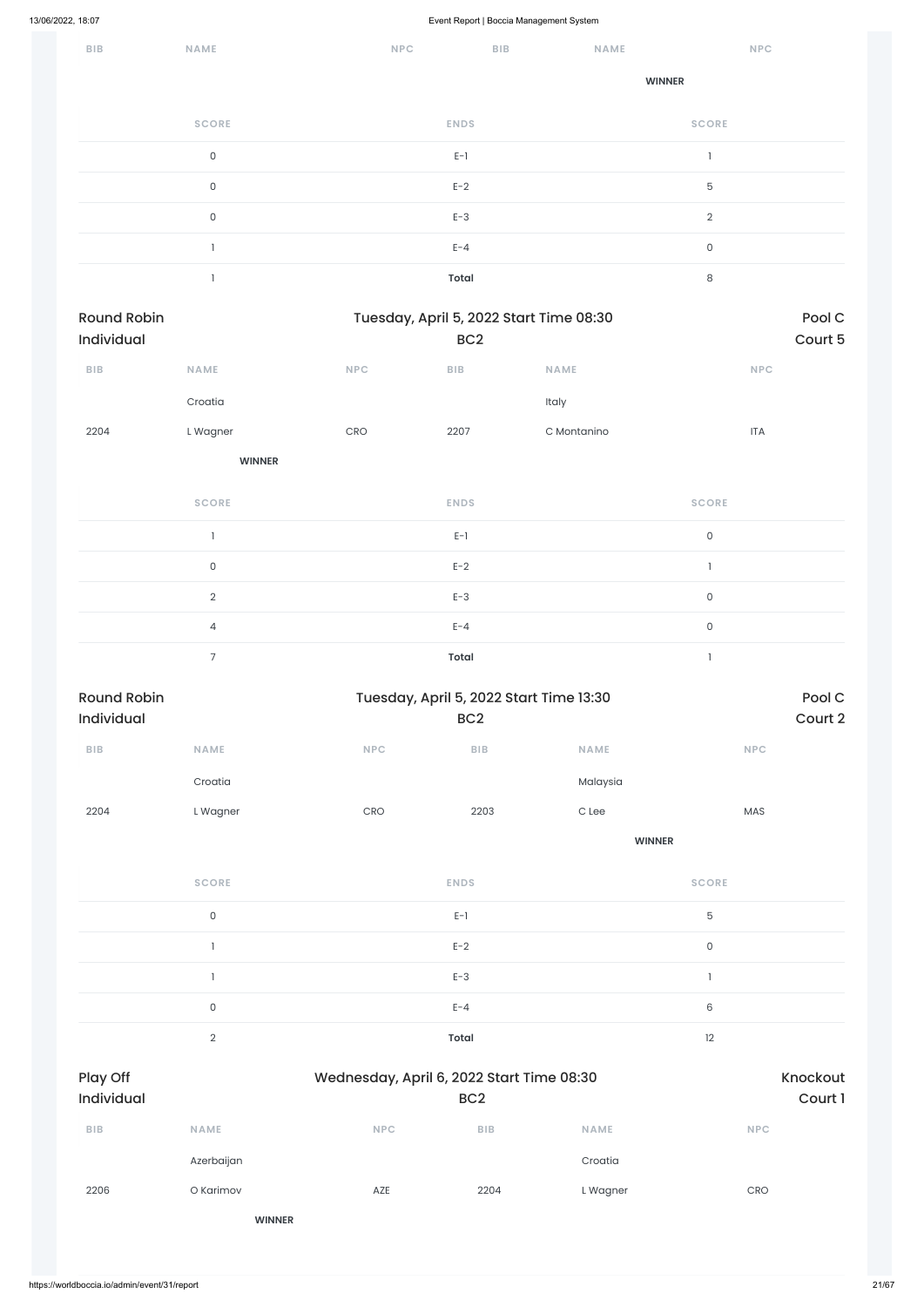| BIB | NAME         | <b>NPC</b>                     | ${\sf B}{\sf I}{\sf B}$ | <b>NAME</b>   | <b>NPC</b>   |
|-----|--------------|--------------------------------|-------------------------|---------------|--------------|
|     |              |                                |                         | <b>WINNER</b> |              |
|     | <b>SCORE</b> | <b>ENDS</b>                    |                         |               | <b>SCORE</b> |
|     | $\mathsf O$  | $\mathsf{E}\text{-}\mathsf{1}$ |                         |               |              |
|     | $\mathsf 0$  | $E-2$                          |                         |               | $\mathbf 5$  |
|     | $\mathsf{O}$ | $E-3$                          |                         |               | $\sqrt{2}$   |
|     |              | $E - 4$                        |                         |               | $\mathsf O$  |
|     |              | <b>Total</b>                   |                         |               | $\,8\,$      |

| Round Robin<br>Tuesday, April 5, 2022 Start Time 08:30<br>Individual<br>BC <sub>2</sub> |                |                                  |                                                            |                  |                             | Pool C<br>Court 5 |
|-----------------------------------------------------------------------------------------|----------------|----------------------------------|------------------------------------------------------------|------------------|-----------------------------|-------------------|
| ${\sf B}{\sf I}{\sf B}$                                                                 | NAME           | NPC                              | ${\sf BIB}$                                                | <b>NAME</b>      | <b>NPC</b>                  |                   |
|                                                                                         | Croatia        |                                  |                                                            | Italy            |                             |                   |
| 2204                                                                                    | L Wagner       | $\mathsf{C}\mathsf{R}\mathsf{O}$ | 2207                                                       | C Montanino      | $\ensuremath{\mathsf{ITA}}$ |                   |
|                                                                                         | <b>WINNER</b>  |                                  |                                                            |                  |                             |                   |
|                                                                                         | <b>SCORE</b>   |                                  | <b>ENDS</b>                                                |                  | <b>SCORE</b>                |                   |
|                                                                                         | $\mathbf{I}$   |                                  | $E-1$                                                      |                  | $\mathsf{O}$                |                   |
|                                                                                         | $\mathsf O$    |                                  | $E-2$                                                      |                  | $\mathbf{I}$                |                   |
|                                                                                         | $\sqrt{2}$     |                                  | $E-3$                                                      |                  | $\mathsf{O}$                |                   |
|                                                                                         | $\overline{4}$ |                                  | $E - 4$                                                    |                  | $\mathsf{O}\xspace$         |                   |
|                                                                                         | $\overline{7}$ |                                  | <b>Total</b>                                               |                  | $\mathbf{I}$                |                   |
| <b>Round Robin</b><br>Individual                                                        |                |                                  | Tuesday, April 5, 2022 Start Time 13:30<br>BC <sub>2</sub> |                  |                             | Pool C<br>Court 2 |
| ${\sf BIB}$                                                                             | NAME           | NPC                              | ${\sf B}{\sf I}{\sf B}$                                    | <b>NAME</b>      | NPC                         |                   |
|                                                                                         | Croatia        |                                  |                                                            | Malaysia         |                             |                   |
| 2204                                                                                    | L Wagner       | CRO                              | 2203                                                       | $\mathtt{C}$ Lee | MAS                         |                   |
|                                                                                         |                |                                  |                                                            | <b>WINNER</b>    |                             |                   |
|                                                                                         | <b>SCORE</b>   |                                  | <b>ENDS</b>                                                |                  | <b>SCORE</b>                |                   |
|                                                                                         | $\mathsf O$    |                                  | $E-1$                                                      |                  | $\mathbf 5$                 |                   |
|                                                                                         | $\mathbf{I}$   |                                  | $E-2$                                                      |                  | $\mathsf{O}$                |                   |
|                                                                                         |                |                                  |                                                            |                  |                             |                   |

1 decreases to the contract of  $E-3$  decreases to the contract of  $E-3$  decreases to  $E-3$ 

|                        | $\mathsf{O}$   |                                           | $E - 4$         |             | $\mathsf 6$ |                     |
|------------------------|----------------|-------------------------------------------|-----------------|-------------|-------------|---------------------|
|                        | $\overline{2}$ |                                           | Total           |             | 12          |                     |
| Play Off<br>Individual |                | Wednesday, April 6, 2022 Start Time 08:30 | BC <sub>2</sub> |             |             | Knockout<br>Court 1 |
| <b>BIB</b>             | <b>NAME</b>    | <b>NPC</b>                                | BIB             | <b>NAME</b> |             | <b>NPC</b>          |
|                        | Azerbaijan     |                                           |                 | Croatia     |             |                     |
| 2206                   | O Karimov      | AZE                                       | 2204            | L Wagner    |             | CRO                 |
|                        | <b>WINNER</b>  |                                           |                 |             |             |                     |
|                        |                |                                           |                 |             |             |                     |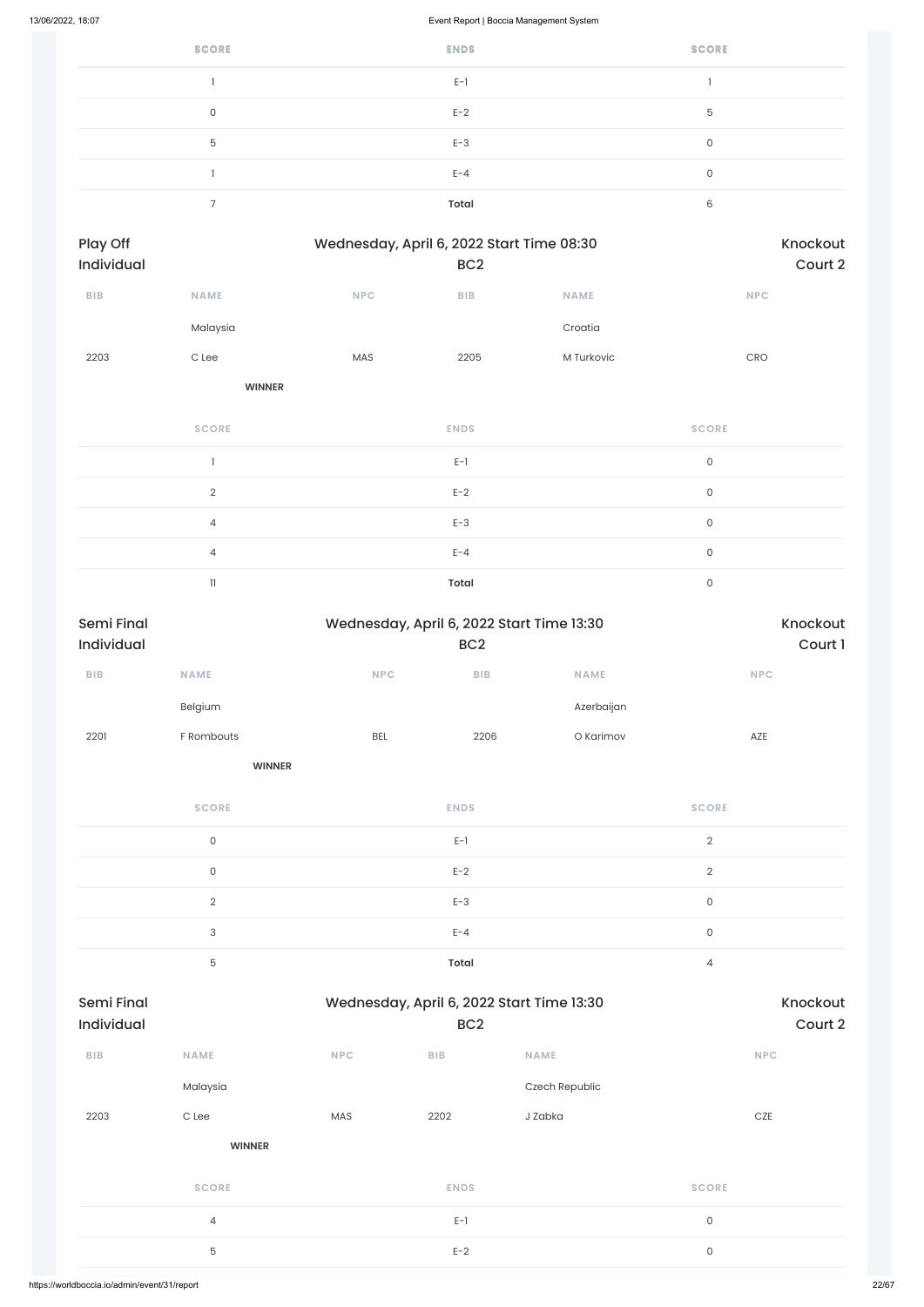| <b>SCORE</b> | <b>ENDS</b> | <b>SCORE</b> |
|--------------|-------------|--------------|
|              | $E-1$       |              |
| 0            | $E-2$       | 5            |
| 5            | $E-3$       | 0            |
|              | $E - 4$     | 0            |
|              | Total       | 6            |

| <b>Play Off</b><br>Individual |                  | Wednesday, April 6, 2022 Start Time 08:30 | BC <sub>2</sub>         | Knockout<br>Court 2 |                                  |  |
|-------------------------------|------------------|-------------------------------------------|-------------------------|---------------------|----------------------------------|--|
| ${\sf B}{\sf I}{\sf B}$       | <b>NAME</b>      | <b>NPC</b>                                | ${\sf B}{\sf I}{\sf B}$ | <b>NAME</b>         | <b>NPC</b>                       |  |
|                               | Malaysia         |                                           |                         | Croatia             |                                  |  |
| 2203                          | $\mathtt{C}$ Lee | MAS                                       | 2205                    | M Turkovic          | $\mathsf{C}\mathsf{R}\mathsf{O}$ |  |
|                               | <b>WINNER</b>    |                                           |                         |                     |                                  |  |
|                               | <b>SCORE</b>     |                                           | <b>ENDS</b>             |                     | <b>SCORE</b>                     |  |
|                               | $\mathbf{1}$     |                                           | $E-1$                   |                     | $\mathsf{O}\xspace$              |  |
|                               | $\sqrt{2}$       |                                           | $E-2$                   |                     | $\mathsf{O}$                     |  |
|                               | $\overline{4}$   |                                           | $E-3$                   |                     | $\mathsf{O}\xspace$              |  |
|                               | $\overline{4}$   |                                           | $E - 4$                 |                     | $\mathsf{O}$                     |  |
|                               |                  |                                           |                         |                     |                                  |  |

11 **Total** 0

| <b>Semi Final</b> |                           |            | Wednesday, April 6, 2022 Start Time 13:30 |             |                     |  |  |  |
|-------------------|---------------------------|------------|-------------------------------------------|-------------|---------------------|--|--|--|
| Individual        |                           |            | BC <sub>2</sub>                           |             | Court 1             |  |  |  |
| ${\sf BIB}$       | <b>NAME</b>               | NPC        | BIB                                       | <b>NAME</b> | <b>NPC</b>          |  |  |  |
|                   | Belgium                   |            |                                           | Azerbaijan  |                     |  |  |  |
| 2201              | F Rombouts                | <b>BEL</b> | 2206                                      | O Karimov   | AZE                 |  |  |  |
|                   | <b>WINNER</b>             |            |                                           |             |                     |  |  |  |
|                   | <b>SCORE</b>              |            | <b>ENDS</b>                               |             | <b>SCORE</b>        |  |  |  |
|                   | $\mathsf{O}\xspace$       |            | $\mathsf{E}\text{-}\mathsf{I}$            |             | $\sqrt{2}$          |  |  |  |
|                   | $\mathsf{O}$              |            | $E-2$                                     |             | $\sqrt{2}$          |  |  |  |
|                   | $\overline{2}$            |            | $E-3$                                     |             | $\mathsf{O}\xspace$ |  |  |  |
|                   | $\ensuremath{\mathsf{3}}$ |            | $E - 4$                                   |             | $\mathsf{O}\xspace$ |  |  |  |
|                   | $\mathbf 5$               |            | <b>Total</b>                              |             | $\overline{4}$      |  |  |  |

| <b>Semi Final</b><br><b>Individual</b> |               |            | Wednesday, April 6, 2022 Start Time 13:30<br>BC <sub>2</sub> | Knockout<br>Court 2 |              |  |
|----------------------------------------|---------------|------------|--------------------------------------------------------------|---------------------|--------------|--|
| <b>BIB</b>                             | <b>NAME</b>   | <b>NPC</b> | <b>BIB</b>                                                   | <b>NAME</b>         | <b>NPC</b>   |  |
|                                        | Malaysia      |            |                                                              | Czech Republic      |              |  |
| 2203                                   | C Lee         | MAS        | 2202                                                         | J Zabka             | CZE          |  |
|                                        | <b>WINNER</b> |            |                                                              |                     |              |  |
|                                        | <b>SCORE</b>  |            | <b>ENDS</b>                                                  |                     | <b>SCORE</b> |  |
|                                        | 4             |            | $E-1$                                                        |                     | $\mathsf{O}$ |  |
|                                        | $\mathbf 5$   |            | $E-2$                                                        |                     | $\mathsf{O}$ |  |
|                                        |               |            |                                                              |                     |              |  |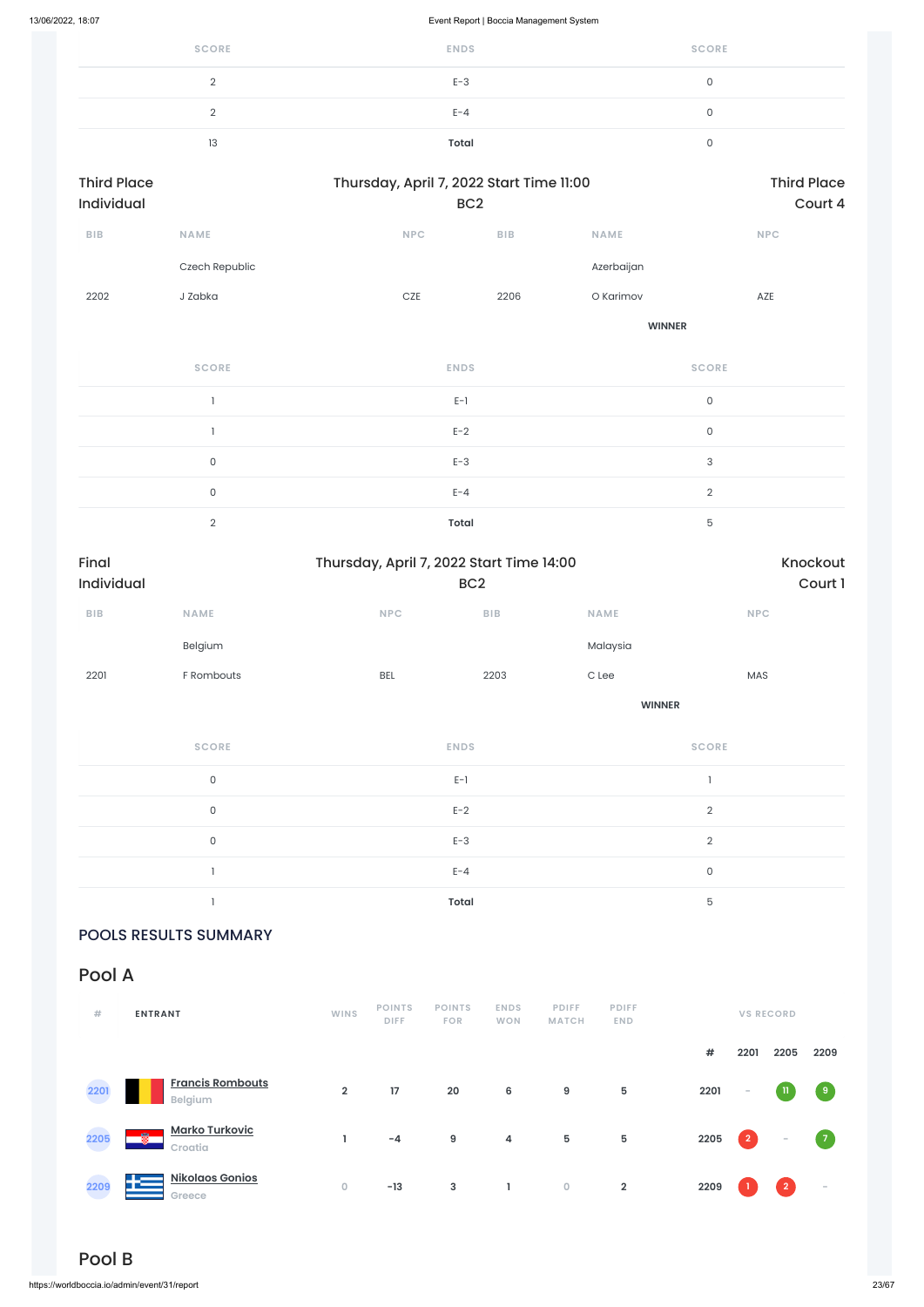| <b>SCORE</b> | <b>ENDS</b>  | <b>SCORE</b> |
|--------------|--------------|--------------|
|              | $E-3$        |              |
|              | $E - 4$      |              |
| 13           | <b>Total</b> |              |

| <b>Third Place</b><br><b>Individual</b> |                |            | Thursday, April 7, 2022 Start Time 11:00<br>BC <sub>2</sub> |               |            |  |  |
|-----------------------------------------|----------------|------------|-------------------------------------------------------------|---------------|------------|--|--|
| <b>BIB</b>                              | <b>NAME</b>    | <b>NPC</b> | <b>BIB</b>                                                  | <b>NAME</b>   | <b>NPC</b> |  |  |
|                                         | Czech Republic |            |                                                             | Azerbaijan    |            |  |  |
| 2202                                    | J Zabka        | <b>CZE</b> | 2206                                                        | O Karimov     | AZE        |  |  |
|                                         |                |            |                                                             | <b>WINNER</b> |            |  |  |

**SCORE ENDS SCORE**  $E-1$  0  $E-2$  0 0 and  $E-3$  and  $E-3$  and  $E-3$  and  $E-3$  and  $E-3$  and  $E-3$  and  $E-3$  and  $E-3$  and  $E-3$  and  $E-3$  and  $E-3$  and  $E-3$  and  $E-3$  and  $E-3$  and  $E-3$  and  $E-3$  and  $E-3$  and  $E-3$  and  $E-3$  and  $E-3$  and  $E-3$  and  $E-3$ 0 between the contract  $E-4$  and  $E-4$  and  $2$ 2 **Total** 5

| Final<br>Individual       |                     | Thursday, April 7, 2022 Start Time 14:00<br>BC <sub>2</sub> |                  | Knockout<br>Court 1                   |  |  |
|---------------------------|---------------------|-------------------------------------------------------------|------------------|---------------------------------------|--|--|
| ${\bf B} {\sf I} {\bf B}$ | <b>NAME</b>         | NPC<br>${\sf B}{\sf I}{\sf B}$                              | <b>NAME</b>      | NPC                                   |  |  |
|                           | Belgium             |                                                             | Malaysia         |                                       |  |  |
| 2201                      | F Rombouts          | 2203<br><b>BEL</b>                                          | $\mathtt{C}$ Lee | MAS                                   |  |  |
|                           |                     |                                                             | <b>WINNER</b>    |                                       |  |  |
|                           | <b>SCORE</b>        | <b>ENDS</b>                                                 |                  | <b>SCORE</b>                          |  |  |
|                           | $\mathsf{O}\xspace$ | $E-1$                                                       |                  | $\begin{array}{c} \hline \end{array}$ |  |  |
|                           | $\mathsf{O}\xspace$ | $E-2$                                                       |                  | $\sqrt{2}$                            |  |  |
|                           | $\mathsf{O}\xspace$ | $E-3$                                                       |                  | $\sqrt{2}$                            |  |  |
|                           |                     | $E - 4$                                                     |                  | $\mathsf{O}\xspace$                   |  |  |
|                           |                     | Total                                                       |                  | $\mathbf 5$                           |  |  |

POOLS RESULTS SUMMARY

Pool A

| #    | <b>ENTRANT</b>                            | <b>WINS</b>    | <b>POINTS</b><br><b>DIFF</b> | <b>POINTS</b><br><b>FOR</b> | <b>ENDS</b><br><b>WON</b> | <b>PDIFF</b><br><b>MATCH</b> | <b>PDIFF</b><br><b>END</b> |      |                | <b>VS RECORD</b>         |                          |
|------|-------------------------------------------|----------------|------------------------------|-----------------------------|---------------------------|------------------------------|----------------------------|------|----------------|--------------------------|--------------------------|
|      |                                           |                |                              |                             |                           |                              |                            | #    | 2201           | 2205                     | 2209                     |
| 2201 | <b>Francis Rombouts</b><br><b>Belgium</b> | $\overline{2}$ | 17                           | 20                          | 6                         | 9                            | 5                          | 2201 | $\sim$         |                          | $\overline{9}$           |
| 2205 | <b>Marko Turkovic</b><br>飍<br>Croatia     |                | $-4$                         | 9                           | 4                         | $5\phantom{.0}$              | 5                          | 2205 | $\overline{2}$ | $\overline{\phantom{a}}$ | $\sqrt{7}$               |
| 2209 | <b>Nikolaos Gonios</b><br>43<br>Greece    | $\mathbf 0$    | $-13$                        | 3                           | L.                        | $\bullet$                    | $\overline{2}$             | 2209 |                | $\overline{2}$           | $\overline{\phantom{a}}$ |

## Pool B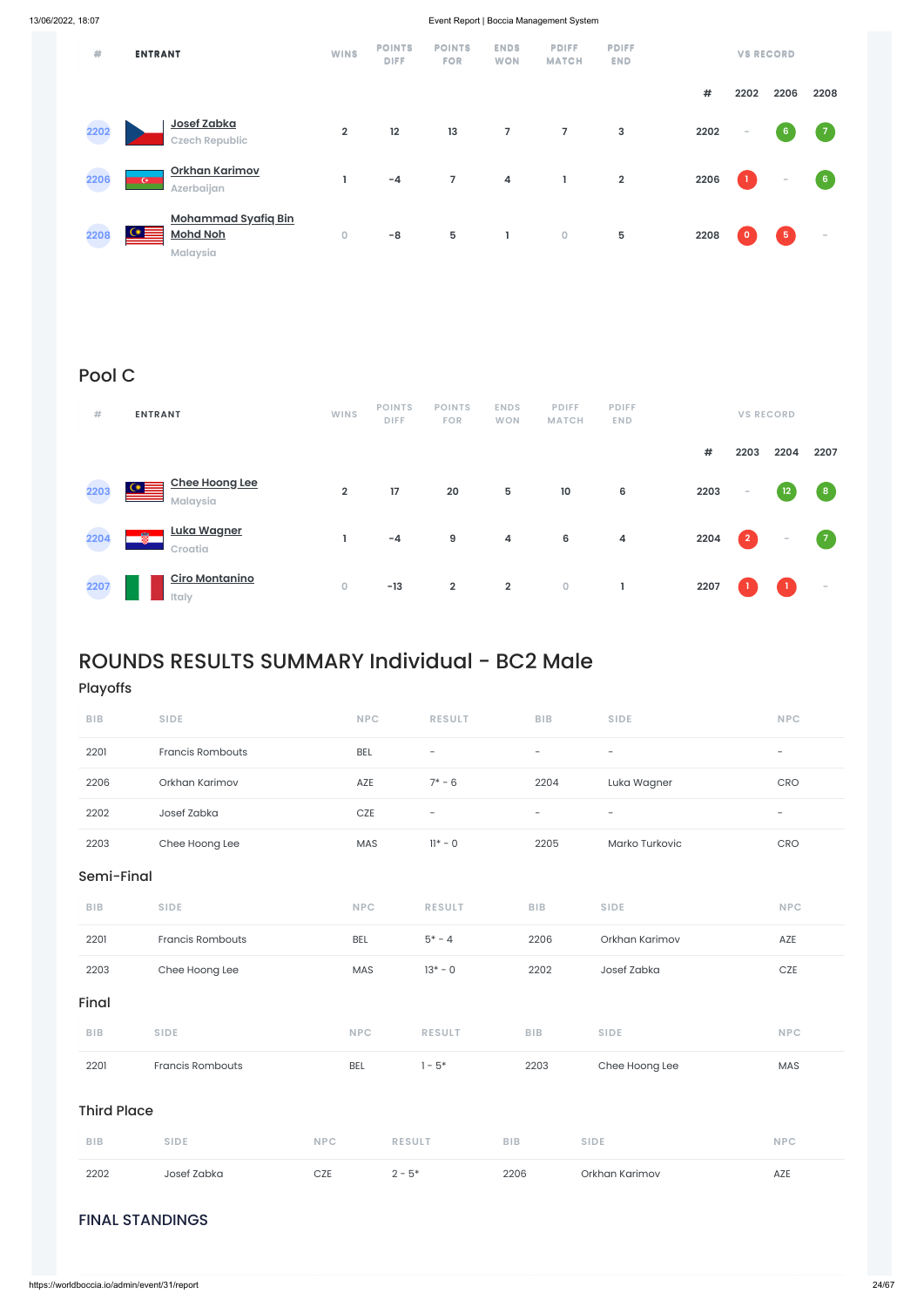### FINAL STANDINGS

| ₩    | <b>ENTRANT</b>                                                               | <b>WINS</b>    | <b>POINTS</b><br><b>DIFF</b> | <b>POINTS</b><br><b>FOR</b> | <b>ENDS</b><br><b>WON</b> | <b>PDIFF</b><br><b>MATCH</b> | <b>PDIFF</b><br><b>END</b> |      |              | <b>VS RECORD</b>         |                  |
|------|------------------------------------------------------------------------------|----------------|------------------------------|-----------------------------|---------------------------|------------------------------|----------------------------|------|--------------|--------------------------|------------------|
|      |                                                                              |                |                              |                             |                           |                              |                            | #    | 2202         | 2206                     | 2208             |
| 2202 | Josef Zabka<br><b>Czech Republic</b>                                         | $\overline{2}$ | 12                           | 13                          | 7                         | $\overline{7}$               | $\mathbf{3}$               | 2202 | $\sim$       | $6\phantom{a}$           | $\overline{7}$   |
| 2206 | Orkhan Karimov<br>$\mathbf{C}$<br>Azerbaijan                                 | ı              | $-4$                         | $\overline{7}$              | 4                         | Т.                           | $\overline{2}$             | 2206 | $\mathbf{1}$ | $\overline{\phantom{a}}$ | $6 \overline{6}$ |
| 2208 | <b>Mohammad Syafiq Bin</b><br>$\alpha \equiv$<br><b>Mohd Noh</b><br>Malaysia | $\circ$        | $-8$                         | 5                           | L                         | $\bullet$                    | 5                          | 2208 | $\circ$      | $\sqrt{5}$               | $\sim$           |

## Pool C

| #    | <b>ENTRANT</b>                                       | <b>WINS</b>    | <b>POINTS</b><br><b>DIFF</b> | <b>POINTS</b><br><b>FOR</b> | <b>ENDS</b><br><b>WON</b> | <b>PDIFF</b><br><b>MATCH</b> | <b>PDIFF</b><br><b>END</b> |      |                          | <b>VS RECORD</b>  |             |
|------|------------------------------------------------------|----------------|------------------------------|-----------------------------|---------------------------|------------------------------|----------------------------|------|--------------------------|-------------------|-------------|
|      |                                                      |                |                              |                             |                           |                              |                            | #    | 2203                     | 2204              | 2207        |
| 2203 | <b>Chee Hoong Lee</b><br>$\alpha \equiv$<br>Malaysia | $\overline{2}$ | 17                           | 20                          | 5                         | $10$                         | 6                          | 2203 | $\overline{\phantom{a}}$ | $12 \overline{ }$ | $\,$ 8 $\,$ |
| 2204 | <u>Luka Wagner</u><br>圈<br>Croatia                   |                | $-4$                         | 9                           | 4                         | $\bf 6$                      | 4                          | 2204 | $\overline{2}$           | $\sim$            | $\sqrt{7}$  |
| 2207 | <b>Ciro Montanino</b><br>Italy                       | 0              | $-13$                        | $\mathbf 2$                 | $\overline{2}$            | $\mathsf O$                  |                            | 2207 |                          |                   | $\sim$      |

## ROUNDS RESULTS SUMMARY Individual - BC2 Male

### Playoffs

| <b>BIB</b> | <b>SIDE</b>             | <b>NPC</b> | <b>RESULT</b>            | <b>BIB</b>        | <b>SIDE</b>              | <b>NPC</b>               |  |  |  |  |  |
|------------|-------------------------|------------|--------------------------|-------------------|--------------------------|--------------------------|--|--|--|--|--|
| 2201       | <b>Francis Rombouts</b> | <b>BEL</b> | $\overline{\phantom{m}}$ | $\qquad \qquad -$ | $\overline{\phantom{m}}$ | $\overline{\phantom{m}}$ |  |  |  |  |  |
| 2206       | Orkhan Karimov          | AZE        | $7* - 6$                 | 2204              | Luka Wagner              | <b>CRO</b>               |  |  |  |  |  |
| 2202       | Josef Zabka             | CZE        | $\qquad \qquad -$        | $\qquad \qquad -$ | $\qquad \qquad -$        | $\qquad \qquad -$        |  |  |  |  |  |
| 2203       | Chee Hoong Lee          | MAS        | $11* - 0$                | 2205              | Marko Turkovic           | <b>CRO</b>               |  |  |  |  |  |
|            | Semi-Final              |            |                          |                   |                          |                          |  |  |  |  |  |
| <b>BIB</b> | <b>SIDE</b>             | <b>NPC</b> | <b>RESULT</b>            | <b>BIB</b>        | <b>SIDE</b>              | <b>NPC</b>               |  |  |  |  |  |
| 2201       | <b>Francis Rombouts</b> | BEL        | $5* - 4$                 | 2206              | Orkhan Karimov           | AZE                      |  |  |  |  |  |
| 2203       | Chee Hoong Lee          | MAS        | $13* - 0$                | 2202              | Josef Zabka              | CZE                      |  |  |  |  |  |

Final

| 2202               | Josef Zabka             | <b>CZE</b> | $2 - 5^*$     | 2206       | Orkhan Karimov | AZE        |  |  |  |
|--------------------|-------------------------|------------|---------------|------------|----------------|------------|--|--|--|
| <b>BIB</b>         | <b>SIDE</b>             | <b>NPC</b> | <b>RESULT</b> | BIB.       | <b>SIDE</b>    | <b>NPC</b> |  |  |  |
| <b>Third Place</b> |                         |            |               |            |                |            |  |  |  |
| 2201               | <b>Francis Rombouts</b> | <b>BEL</b> | $-5*$         | 2203       | Chee Hoong Lee | MAS        |  |  |  |
| <b>BIB</b>         | <b>SIDE</b>             | <b>NPC</b> | <b>RESULT</b> | <b>BIB</b> | <b>SIDE</b>    | <b>NPC</b> |  |  |  |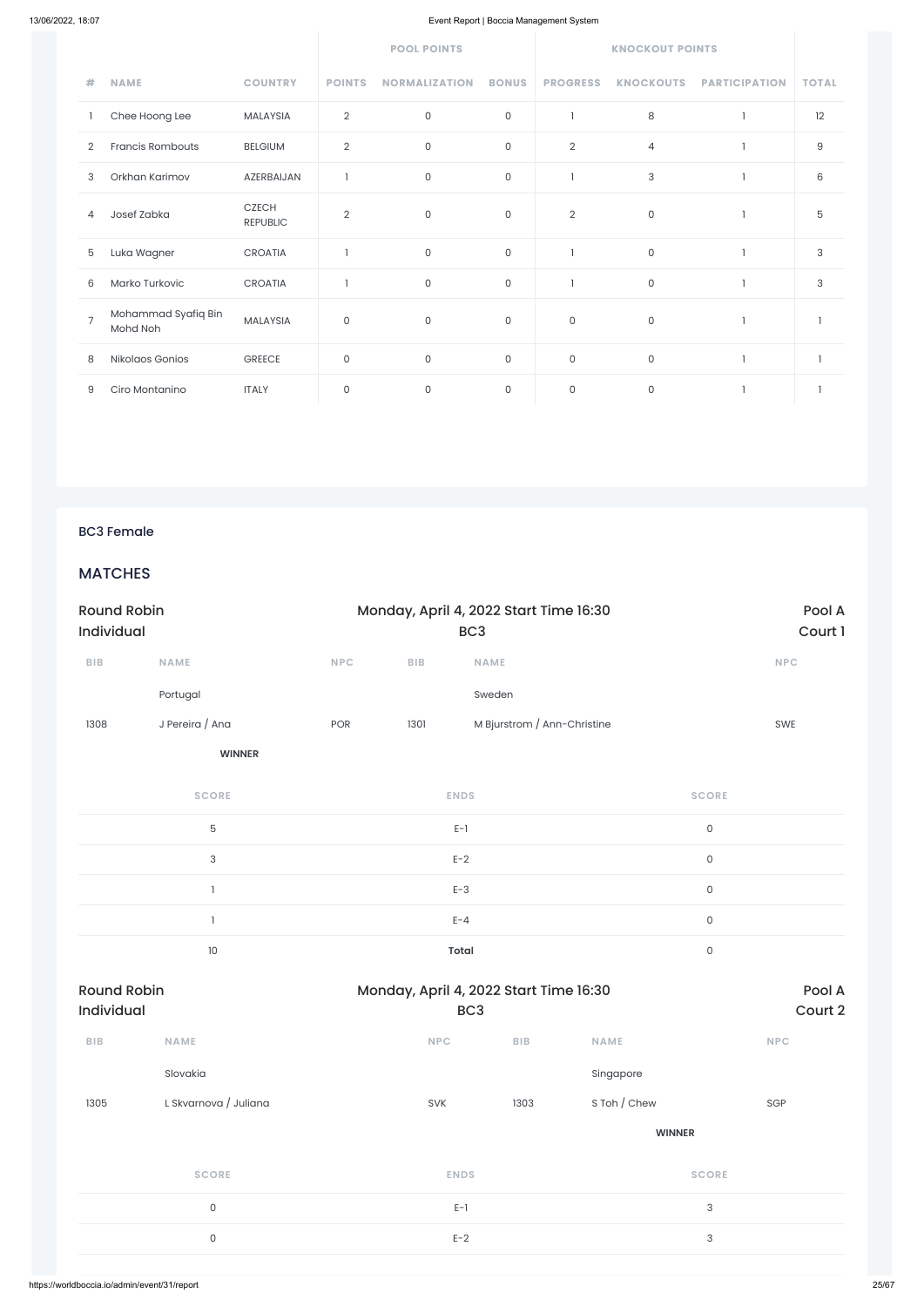|                |                                 |                                 | <b>POOL POINTS</b> |                      |              | <b>KNOCKOUT POINTS</b> |                     |                      |              |
|----------------|---------------------------------|---------------------------------|--------------------|----------------------|--------------|------------------------|---------------------|----------------------|--------------|
| #              | <b>NAME</b>                     | <b>COUNTRY</b>                  | <b>POINTS</b>      | <b>NORMALIZATION</b> | <b>BONUS</b> | <b>PROGRESS</b>        | <b>KNOCKOUTS</b>    | <b>PARTICIPATION</b> | <b>TOTAL</b> |
|                | Chee Hoong Lee                  | MALAYSIA                        | $\overline{2}$     | 0                    | 0            | ı                      | 8                   |                      | 12           |
| 2              | <b>Francis Rombouts</b>         | <b>BELGIUM</b>                  | $\overline{2}$     | $\mathsf O$          | $\mathsf{O}$ | $\overline{2}$         | $\overline{4}$      |                      | $\hbox{9}$   |
| 3              | Orkhan Karimov                  | AZERBAIJAN                      | 1                  | 0                    | $\mathsf{O}$ | L                      | 3                   |                      | 6            |
| 4              | Josef Zabka                     | <b>CZECH</b><br><b>REPUBLIC</b> | $\overline{2}$     | $\mathsf O$          | $\mathsf{O}$ | $\overline{2}$         | $\mathsf{O}\xspace$ |                      | 5            |
| 5              | Luka Wagner                     | CROATIA                         | $\mathbf{I}$       | $\mathsf{O}$         | 0            | ı                      | $\mathsf O$         |                      | 3            |
| 6              | Marko Turkovic                  | <b>CROATIA</b>                  |                    | $\mathsf{O}$         | $\mathbf 0$  | ı                      | $\mathsf O$         |                      | 3            |
| $\overline{7}$ | Mohammad Syafiq Bin<br>Mohd Noh | <b>MALAYSIA</b>                 | $\mathbf 0$        | $\mathbf 0$          | $\mathsf{O}$ | 0                      | 0                   |                      |              |
| 8              | Nikolaos Gonios                 | <b>GREECE</b>                   | $\mathsf O$        | $\mathsf O$          | 0            | $\mathsf{O}\xspace$    | $\mathsf{O}\xspace$ |                      |              |
| 9              | Ciro Montanino                  | <b>ITALY</b>                    | 0                  | $\mathsf O$          | 0            | $\mathsf{O}\xspace$    | $\mathsf O$         |                      |              |

### BC3 Female

### **MATCHES**

| <b>Round Robin</b><br>Individual |                           |     | Monday, April 4, 2022 Start Time 16:30 |                             | Pool A<br>Court 1   |            |
|----------------------------------|---------------------------|-----|----------------------------------------|-----------------------------|---------------------|------------|
| ${\sf B}{\sf I}{\sf B}$          | <b>NAME</b>               | NPC | ${\sf B}{\sf I}{\sf B}$                | <b>NAME</b>                 |                     | <b>NPC</b> |
|                                  | Portugal                  |     |                                        | Sweden                      |                     |            |
| 1308                             | J Pereira / Ana           | POR | 1301                                   | M Bjurstrom / Ann-Christine |                     | SWE        |
|                                  | <b>WINNER</b>             |     |                                        |                             |                     |            |
|                                  | <b>SCORE</b>              |     |                                        | <b>ENDS</b>                 | <b>SCORE</b>        |            |
|                                  | $\mathbf 5$               |     |                                        | $E-1$                       | $\mathsf{O}\xspace$ |            |
|                                  | $\ensuremath{\mathsf{3}}$ |     |                                        | $E-2$                       | $\mathsf{O}\xspace$ |            |
|                                  |                           |     |                                        | $E-3$                       | $\mathsf{O}$        |            |
|                                  |                           |     |                                        | $E - 4$                     | $\mathsf{O}\xspace$ |            |
|                                  | $10\,$                    |     |                                        | <b>Total</b>                | $\hbox{O}$          |            |

| <b>Round Robin</b><br>Individual |                       | Monday, April 4, 2022 Start Time 16:30<br>BC <sub>3</sub> | Pool A<br>Court 2 |               |                           |
|----------------------------------|-----------------------|-----------------------------------------------------------|-------------------|---------------|---------------------------|
| BIB                              | <b>NAME</b>           | <b>NPC</b>                                                | <b>BIB</b>        | <b>NAME</b>   | <b>NPC</b>                |
|                                  | Slovakia              |                                                           |                   | Singapore     |                           |
| 1305                             | L Skvarnova / Juliana | SVK                                                       | 1303              | S Toh / Chew  | SGP                       |
|                                  |                       |                                                           |                   | <b>WINNER</b> |                           |
|                                  | <b>SCORE</b>          | <b>ENDS</b>                                               |                   | <b>SCORE</b>  |                           |
| $\mathsf{O}$                     |                       | $E-1$                                                     |                   |               | $\sqrt{3}$                |
| $\mathsf{O}$                     |                       | $E-2$                                                     |                   |               | $\ensuremath{\mathsf{3}}$ |
|                                  |                       |                                                           |                   |               |                           |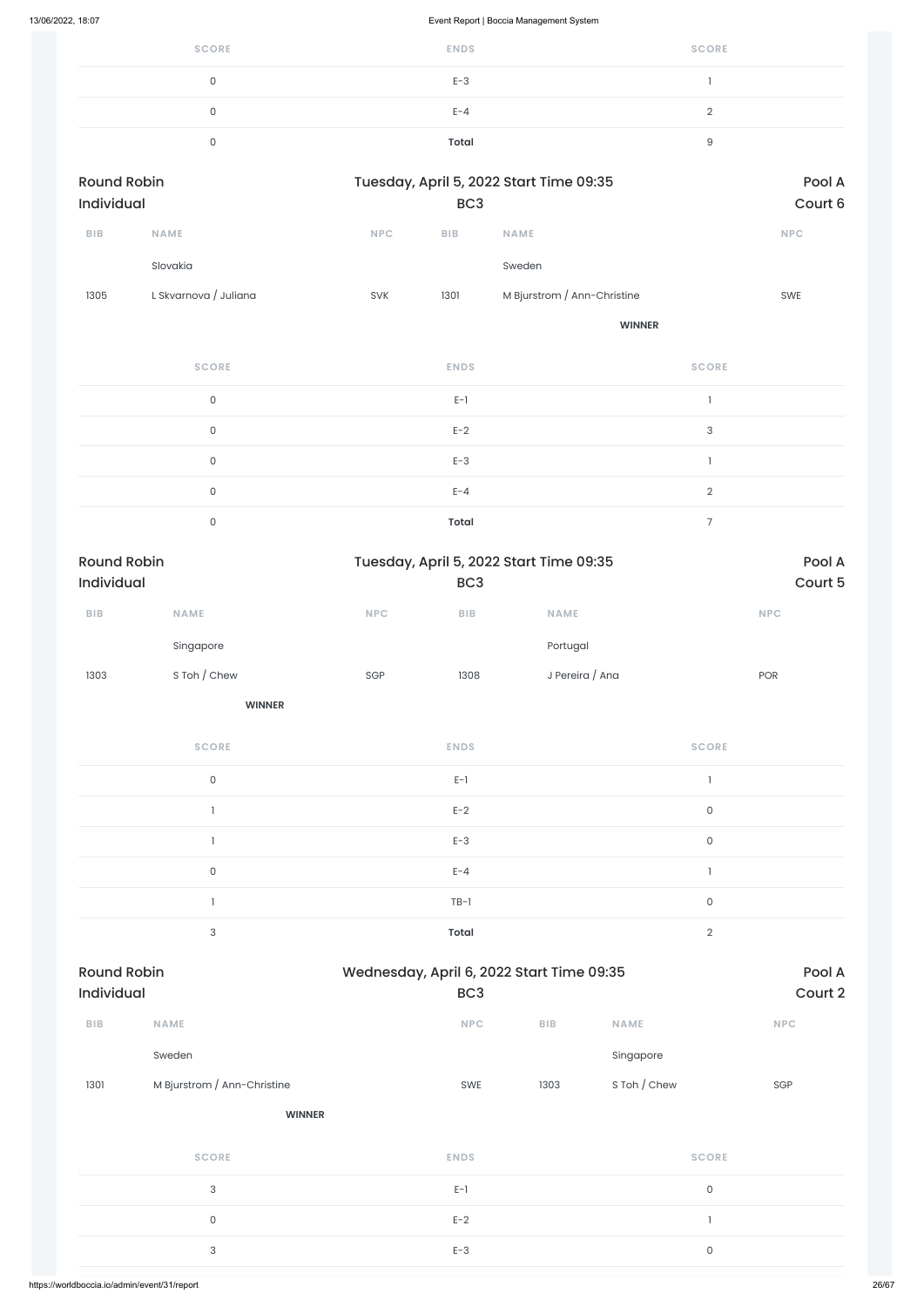| <b>SCORE</b> | <b>ENDS</b> | <b>SCORE</b> |
|--------------|-------------|--------------|
| 0            | $E-3$       |              |
| 0            | $E - 4$     |              |
|              | Total       |              |

| <b>Round Robin</b><br>Individual |                       |            | Tuesday, April 5, 2022 Start Time 09:35 |                             |            |  |  |
|----------------------------------|-----------------------|------------|-----------------------------------------|-----------------------------|------------|--|--|
|                                  |                       |            | BC <sub>3</sub>                         |                             |            |  |  |
| <b>BIB</b>                       | <b>NAME</b>           | <b>NPC</b> | <b>BIB</b>                              | <b>NAME</b>                 | <b>NPC</b> |  |  |
|                                  | Slovakia              |            |                                         | Sweden                      |            |  |  |
| 1305                             | L Skvarnova / Juliana | <b>SVK</b> | 1301                                    | M Bjurstrom / Ann-Christine | <b>SWE</b> |  |  |

**WINNER**

| <b>SCORE</b> | <b>ENDS</b>  | <b>SCORE</b>  |
|--------------|--------------|---------------|
| $\mathbf 0$  | $E-1$        |               |
| $\mathbf 0$  | $E-2$        | 3             |
| $\mathbf 0$  | $E-3$        |               |
| $\mathbf 0$  | $E - 4$      | $\mathcal{D}$ |
| $\Omega$     | <b>Total</b> |               |

| <b>Round Robin</b> |               |            | Tuesday, April 5, 2022 Start Time 09:35 |                 |            |  |
|--------------------|---------------|------------|-----------------------------------------|-----------------|------------|--|
| <b>Individual</b>  |               |            | BC <sub>3</sub>                         |                 | Court 5    |  |
| <b>BIB</b>         | <b>NAME</b>   | <b>NPC</b> | <b>BIB</b>                              | <b>NAME</b>     | <b>NPC</b> |  |
|                    | Singapore     |            |                                         | Portugal        |            |  |
| 1303               | S Toh / Chew  | SGP        | 1308                                    | J Pereira / Ana | <b>POR</b> |  |
|                    | <b>WINNER</b> |            |                                         |                 |            |  |
|                    |               |            |                                         |                 |            |  |

| <b>SCORE</b> | <b>ENDS</b>  | <b>SCORE</b> |
|--------------|--------------|--------------|
| 0            | $E-1$        |              |
|              | $E-2$        | 0            |
|              | $E-3$        | 0            |
| 0            | $E - 4$      |              |
|              | $TB-1$       | 0            |
| 3            | <b>Total</b> | $\Omega$     |

| Individual |                             | BC <sub>3</sub>   |                     | Court 2    |
|------------|-----------------------------|-------------------|---------------------|------------|
| <b>BIB</b> | <b>NAME</b>                 | <b>NPC</b><br>BIB | <b>NAME</b>         | <b>NPC</b> |
|            | Sweden                      |                   | Singapore           |            |
| 1301       | M Bjurstrom / Ann-Christine | 1303<br>SWE       | S Toh / Chew        | SGP        |
|            | <b>WINNER</b>               |                   |                     |            |
|            | <b>SCORE</b>                | <b>ENDS</b>       | <b>SCORE</b>        |            |
|            | $\mathsf{3}$                | $E-1$             | $\mathsf O$         |            |
|            | $\mathsf{O}$                | $E-2$             |                     |            |
|            | $\ensuremath{\mathsf{3}}$   | $E-3$             | $\mathsf{O}\xspace$ |            |
|            |                             |                   |                     |            |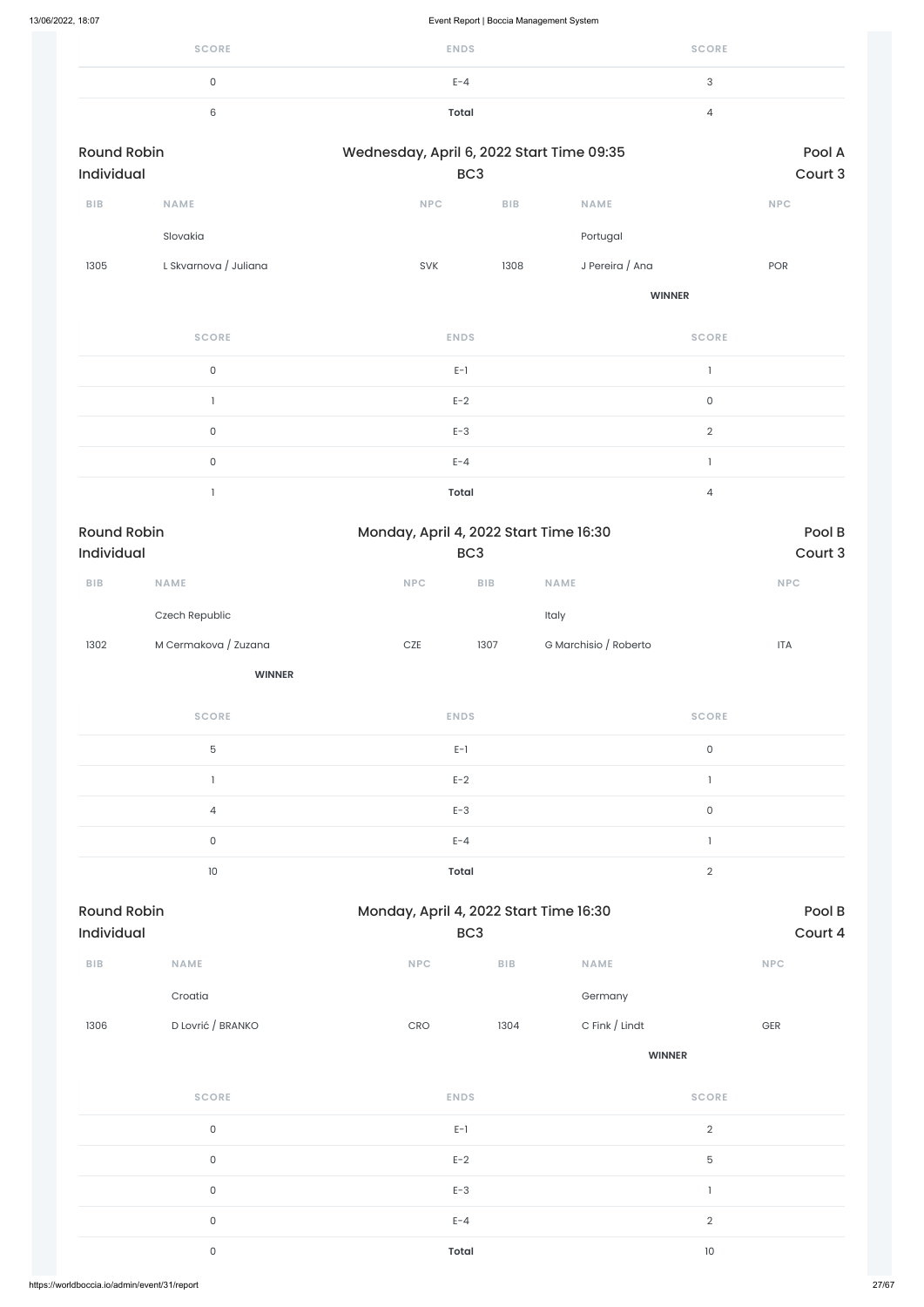| <b>SCORE</b> | <b>ENDS</b> | <b>SCORE</b> |
|--------------|-------------|--------------|
|              | $E - 4$     | ◠<br>◡       |
| $\sim$<br>6  | Total       |              |

| <b>Round Robin</b> |                       | Wednesday, April 6, 2022 Start Time 09:35 |                 |                       |                                       | Pool A                      |  |
|--------------------|-----------------------|-------------------------------------------|-----------------|-----------------------|---------------------------------------|-----------------------------|--|
| Individual         |                       |                                           | BC <sub>3</sub> |                       |                                       | Court 3                     |  |
| BIB                | NAME                  | $\ensuremath{\mathsf{NPC}}$               | BIB             | NAME                  |                                       | <b>NPC</b>                  |  |
|                    | Slovakia              |                                           |                 | Portugal              |                                       |                             |  |
| 1305               | L Skvarnova / Juliana | SVK                                       | 1308            | J Pereira / Ana       |                                       | POR                         |  |
|                    |                       |                                           |                 |                       | <b>WINNER</b>                         |                             |  |
|                    | <b>SCORE</b>          | <b>ENDS</b>                               |                 |                       | <b>SCORE</b>                          |                             |  |
|                    | $\mathsf{O}\xspace$   | $E-1$                                     |                 |                       | $\mathbf{I}$                          |                             |  |
|                    | $\mathbf{1}$          | $E-2$                                     |                 |                       | $\mathsf{O}\xspace$                   |                             |  |
|                    | $\mathsf{O}\xspace$   | $E-3$                                     |                 |                       | $\overline{2}$                        |                             |  |
|                    | $\mathsf{O}\xspace$   | $E - 4$                                   |                 |                       | $\begin{array}{c} \hline \end{array}$ |                             |  |
|                    | $\mathbf{1}$          | <b>Total</b>                              |                 |                       | $\overline{4}$                        |                             |  |
| <b>Round Robin</b> |                       | Monday, April 4, 2022 Start Time 16:30    |                 |                       |                                       | Pool B                      |  |
| Individual         |                       |                                           | BC <sub>3</sub> |                       |                                       | Court 3                     |  |
| BIB                | <b>NAME</b>           | <b>NPC</b>                                | BIB             | <b>NAME</b>           |                                       | $\ensuremath{\mathsf{NPC}}$ |  |
|                    | Czech Republic        |                                           |                 | Italy                 |                                       |                             |  |
| 1302               | M Cermakova / Zuzana  | $CZE$                                     | 1307            | G Marchisio / Roberto |                                       | <b>ITA</b>                  |  |
|                    | <b>WINNER</b>         |                                           |                 |                       |                                       |                             |  |
|                    | <b>SCORE</b>          | <b>ENDS</b>                               |                 |                       | <b>SCORE</b>                          |                             |  |
|                    | 5                     | $E-1$                                     |                 |                       | $\mathsf{O}\xspace$                   |                             |  |
|                    | $\mathbf{1}$          | $E-2$                                     |                 |                       | $\mathbb{I}$                          |                             |  |
|                    | $\overline{4}$        | $E-3$                                     |                 |                       | $\mathsf{O}\xspace$                   |                             |  |
|                    | $\mathsf{O}\xspace$   | $E - 4$                                   |                 |                       | $\mathbf{I}$                          |                             |  |
|                    | 10                    | <b>Total</b>                              |                 |                       | $\overline{2}$                        |                             |  |
| <b>Round Robin</b> |                       | Monday, April 4, 2022 Start Time 16:30    |                 |                       |                                       | Pool B                      |  |
| Individual         |                       |                                           | BC <sub>3</sub> |                       |                                       | Court 4                     |  |

|      | Croatia                      |                  |      | Germany        |              |  |
|------|------------------------------|------------------|------|----------------|--------------|--|
| 1306 | D Lovrić / BRANKO            | CRO              | 1304 | C Fink / Lindt | $\mbox{GER}$ |  |
|      |                              |                  |      | <b>WINNER</b>  |              |  |
|      | <b>SCORE</b>                 | <b>ENDS</b>      |      | <b>SCORE</b>   |              |  |
|      | $\mathsf{O}\xspace$          | $E-1$            |      | $\overline{2}$ |              |  |
|      | $\mathsf{O}\xspace$<br>$E-2$ |                  |      | 5              |              |  |
|      | $\mathsf{O}\xspace$          | $E-3$<br>$E - 4$ |      | $\mathbf{I}$   |              |  |
|      | $\mathsf{O}\xspace$          |                  |      | $\overline{2}$ |              |  |
|      | $\mathsf{O}\xspace$          | <b>Total</b>     |      |                | $10$         |  |
|      |                              |                  |      |                |              |  |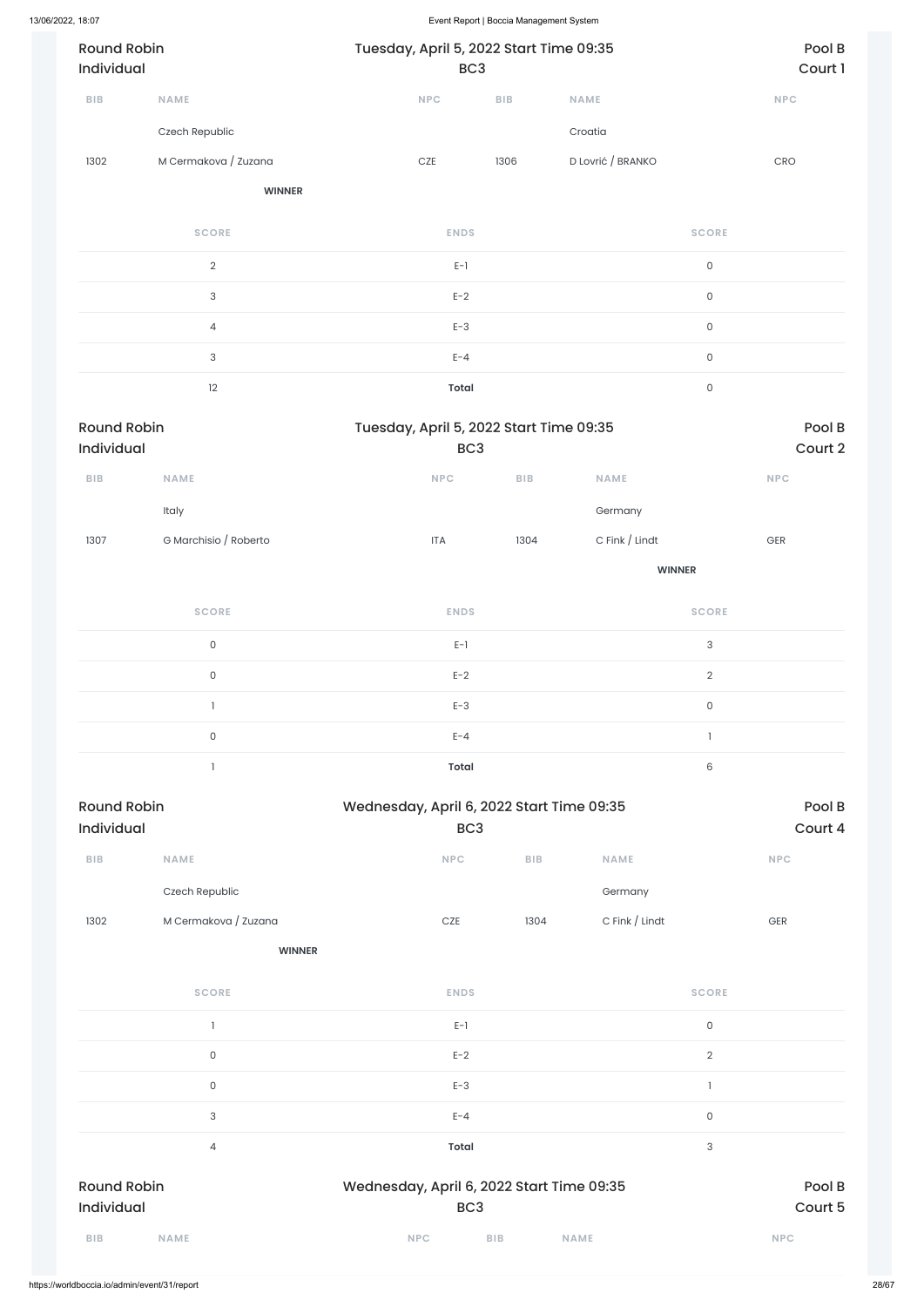| 13/06/2022, 18:07                |                       |                                           | Event Report   Boccia Management System |      |                           |                |                   |  |  |
|----------------------------------|-----------------------|-------------------------------------------|-----------------------------------------|------|---------------------------|----------------|-------------------|--|--|
| <b>Round Robin</b><br>Individual |                       | Tuesday, April 5, 2022 Start Time 09:35   | BC <sub>3</sub>                         |      |                           |                | Pool B<br>Court 1 |  |  |
| <b>BIB</b>                       | NAME                  | <b>NPC</b>                                |                                         | BIB  | <b>NAME</b>               | NPC            |                   |  |  |
|                                  | Czech Republic        |                                           |                                         |      | Croatia                   |                |                   |  |  |
| 1302                             | M Cermakova / Zuzana  | $CZE$                                     |                                         | 1306 | D Lovrić / BRANKO         | CRO            |                   |  |  |
|                                  | <b>WINNER</b>         |                                           |                                         |      |                           |                |                   |  |  |
|                                  | <b>SCORE</b>          |                                           | <b>ENDS</b>                             |      | <b>SCORE</b>              |                |                   |  |  |
|                                  | $\overline{2}$        |                                           | $E-1$                                   |      | $\mathsf{O}$              |                |                   |  |  |
|                                  | $\sqrt{3}$            |                                           | $E-2$                                   |      | $\mathsf{O}$              |                |                   |  |  |
|                                  | $\overline{4}$        |                                           | $E-3$                                   |      | $\mathsf{O}\xspace$       |                |                   |  |  |
| $\ensuremath{\mathsf{3}}$        |                       |                                           | $E - 4$                                 |      | $\mathsf{O}\xspace$       |                |                   |  |  |
|                                  | 12                    |                                           | <b>Total</b>                            |      | $\mathsf{O}\xspace$       |                |                   |  |  |
| <b>Round Robin</b><br>Individual |                       | Tuesday, April 5, 2022 Start Time 09:35   | BC <sub>3</sub>                         |      |                           |                | Pool B<br>Court 2 |  |  |
| <b>BIB</b>                       | <b>NAME</b>           | NPC                                       |                                         | BIB  | <b>NAME</b>               | <b>NPC</b>     |                   |  |  |
|                                  | Italy                 |                                           |                                         |      | Germany                   |                |                   |  |  |
| 1307                             | G Marchisio / Roberto | $\ensuremath{\mathsf{ITA}}$               |                                         | 1304 | C Fink / Lindt            | $\mathsf{GER}$ |                   |  |  |
|                                  |                       |                                           |                                         |      | <b>WINNER</b>             |                |                   |  |  |
|                                  | <b>SCORE</b>          |                                           | <b>ENDS</b>                             |      | <b>SCORE</b>              |                |                   |  |  |
|                                  | $\mathsf{O}\xspace$   |                                           | $E-1$                                   |      | $\ensuremath{\mathsf{3}}$ |                |                   |  |  |
|                                  | $\mathsf{O}\xspace$   |                                           | $E-2$                                   |      | $\overline{2}$            |                |                   |  |  |
|                                  | $\mathbf{1}$          |                                           | $E-3$                                   |      | $\mathsf{O}\xspace$       |                |                   |  |  |
|                                  | $\mathsf{O}\xspace$   |                                           | $E - 4$                                 |      | $\mathbf{1}$              |                |                   |  |  |
|                                  | $\mathbf{1}$          |                                           | <b>Total</b>                            |      | 6                         |                |                   |  |  |
| <b>Round Robin</b>               |                       | Wednesday, April 6, 2022 Start Time 09:35 |                                         |      |                           |                | Pool B            |  |  |
|                                  |                       |                                           |                                         |      |                           |                |                   |  |  |

| Individual |                      | BC <sub>3</sub> |            |                     | Court 4    |  |
|------------|----------------------|-----------------|------------|---------------------|------------|--|
| <b>BIB</b> | <b>NAME</b>          | <b>NPC</b>      | <b>BIB</b> | <b>NAME</b>         | <b>NPC</b> |  |
|            | Czech Republic       |                 |            | Germany             |            |  |
| 1302       | M Cermakova / Zuzana | <b>CZE</b>      | 1304       | C Fink $\int$ Lindt | <b>GER</b> |  |

**WINNER**

| <b>SCORE</b>                     | <b>ENDS</b>                                                  | <b>SCORE</b>      |
|----------------------------------|--------------------------------------------------------------|-------------------|
|                                  | $E-1$                                                        | $\mathsf O$       |
| 0                                | $E-2$                                                        | $\overline{2}$    |
| $\mathsf{O}$                     | $E-3$                                                        |                   |
| 3                                | $E - 4$                                                      | $\mathsf O$       |
| 4                                | <b>Total</b>                                                 | 3                 |
| <b>Round Robin</b><br>Individual | Wednesday, April 6, 2022 Start Time 09:35<br>BC <sub>3</sub> | Pool B<br>Court 5 |
| <b>BIB</b><br><b>NAME</b>        | <b>NPC</b><br><b>BIB</b><br><b>NAME</b>                      | <b>NPC</b>        |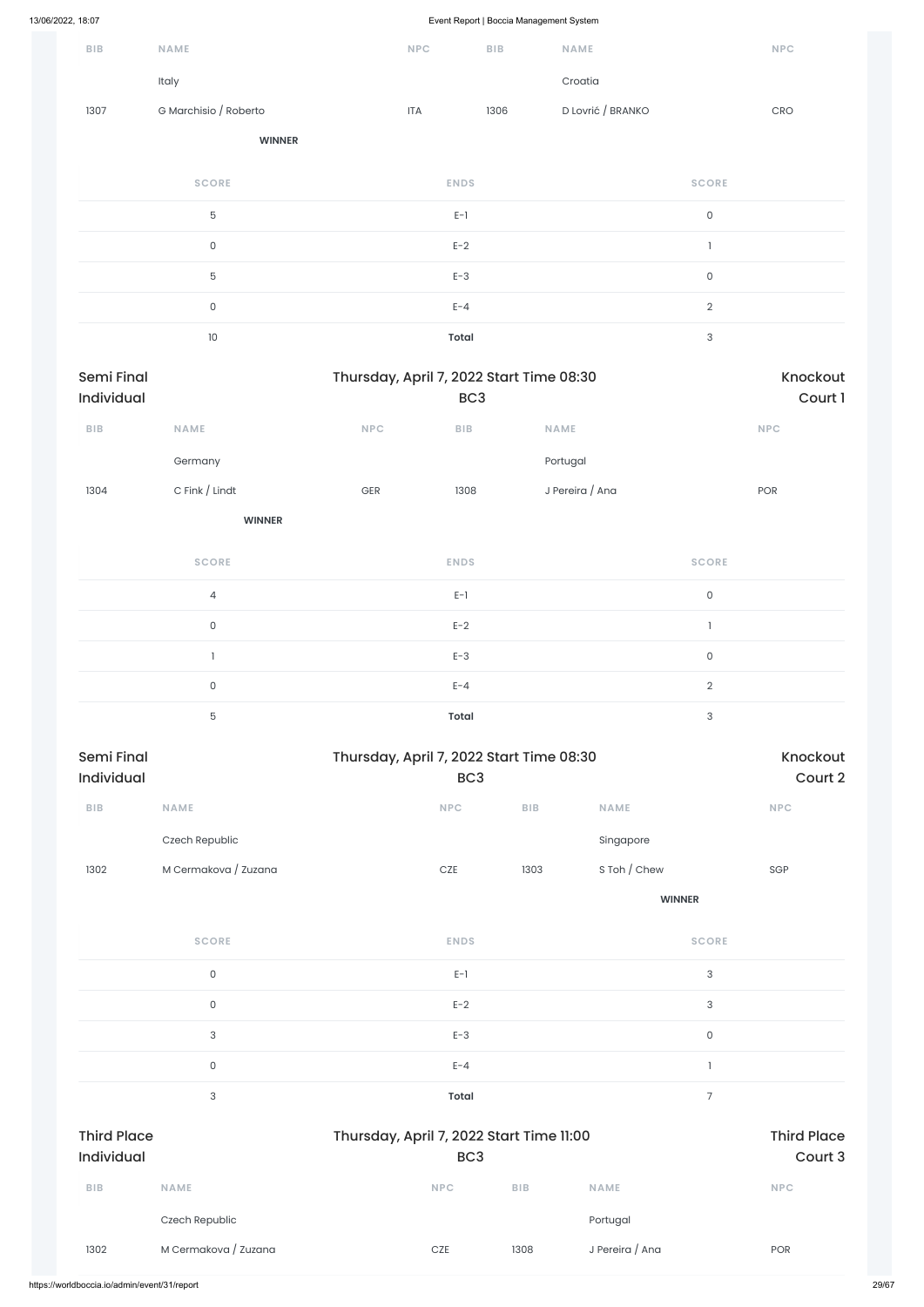| 13/06/2022, 18:07               |                       |              |                                                             |                         | Event Report   Boccia Management System |                           |                                  |
|---------------------------------|-----------------------|--------------|-------------------------------------------------------------|-------------------------|-----------------------------------------|---------------------------|----------------------------------|
| BIB                             | NAME                  |              | NPC                                                         | ${\sf B}{\sf I}{\sf B}$ | NAME                                    |                           | NPC                              |
|                                 | Italy                 |              |                                                             |                         | Croatia                                 |                           |                                  |
| 1307                            | G Marchisio / Roberto |              | <b>ITA</b>                                                  | 1306                    | D Lovrić / BRANKO                       |                           | $\mathsf{C}\mathsf{R}\mathsf{O}$ |
|                                 | <b>WINNER</b>         |              |                                                             |                         |                                         |                           |                                  |
|                                 | <b>SCORE</b>          |              | <b>ENDS</b>                                                 |                         |                                         | <b>SCORE</b>              |                                  |
|                                 | $\mathbf 5$           |              | $E-1$                                                       |                         |                                         | $\mathsf{O}\xspace$       |                                  |
|                                 | $\mathsf{O}\xspace$   |              | $E-2$                                                       |                         |                                         | $\mathbf{I}$              |                                  |
|                                 | $\mathbf 5$           |              | $E-3$                                                       |                         |                                         | $\mathsf{O}\xspace$       |                                  |
|                                 | $\mathsf{O}\xspace$   |              | $E - 4$                                                     |                         |                                         | $\overline{2}$            |                                  |
|                                 | $10$                  |              | Total                                                       |                         |                                         | $\ensuremath{\mathsf{3}}$ |                                  |
| <b>Semi Final</b><br>Individual |                       |              | Thursday, April 7, 2022 Start Time 08:30<br>BC <sub>3</sub> |                         |                                         |                           | Knockout<br>Court 1              |
| BIB                             | <b>NAME</b>           | NPC          | BIB                                                         |                         | NAME                                    |                           | NPC                              |
|                                 | Germany               |              |                                                             |                         | Portugal                                |                           |                                  |
| 1304                            | C Fink / Lindt        | $\mbox{GER}$ | 1308                                                        |                         | J Pereira / Ana                         |                           | POR                              |
|                                 | <b>WINNER</b>         |              |                                                             |                         |                                         |                           |                                  |
|                                 | <b>SCORE</b>          |              | <b>ENDS</b>                                                 |                         |                                         | <b>SCORE</b>              |                                  |
|                                 | $\overline{4}$        |              | $E-1$                                                       |                         |                                         | $\mathsf{O}\xspace$       |                                  |
|                                 | $\mathsf{O}\xspace$   |              | $E-2$                                                       |                         |                                         | $\mathbb{I}$              |                                  |
|                                 | $\mathbbm{1}$         |              | $E-3$                                                       |                         |                                         | $\mathsf{O}\xspace$       |                                  |
|                                 | $\mathsf O$           |              | $E - 4$                                                     |                         |                                         | $\overline{2}$            |                                  |
|                                 | $5\phantom{.0}$       |              | Total                                                       |                         |                                         | $\sqrt{3}$                |                                  |
| <b>Semi Final</b><br>Individual |                       |              | Thursday, April 7, 2022 Start Time 08:30<br>BC <sub>3</sub> |                         |                                         |                           | Knockout<br>Court 2              |
| ${\sf B}{\sf I}{\sf B}$         | NAME                  |              | <b>NPC</b>                                                  |                         | BIB                                     | <b>NAME</b>               | NPC                              |
|                                 | Czech Republic        |              |                                                             |                         |                                         | Singapore                 |                                  |
| 1302                            | M Cermakova / Zuzana  |              | $CZE$                                                       |                         | 1303                                    | S Toh / Chew              | SGP                              |
|                                 |                       |              |                                                             |                         |                                         | <b>WINNER</b>             |                                  |
|                                 | <b>SCORE</b>          |              | <b>ENDS</b>                                                 |                         |                                         | <b>SCORE</b>              |                                  |

 $E-1$  and  $E-1$  and  $E-1$  and  $E-1$  and  $E-1$  and  $E-1$  and  $E-1$  and  $E-1$  and  $E-1$  and  $E-1$  and  $E-1$  and  $E-1$  and  $E-1$  and  $E-1$  and  $E-1$  and  $E-1$  and  $E-1$  and  $E-1$  and  $E-1$  and  $E-1$  and  $E-1$  and  $E-1$  and

|                                         | $\mathsf{O}\xspace$ | $E-2$                                                       | 3                             |
|-----------------------------------------|---------------------|-------------------------------------------------------------|-------------------------------|
|                                         | 3                   | $E-3$                                                       | $\mathsf{O}\xspace$           |
|                                         | $\mathsf{O}\xspace$ | $E - 4$                                                     |                               |
|                                         | 3                   | Total                                                       | $\overline{7}$                |
|                                         |                     |                                                             |                               |
| <b>Third Place</b><br><b>Individual</b> |                     | Thursday, April 7, 2022 Start Time 11:00<br>BC <sub>3</sub> | <b>Third Place</b><br>Court 3 |
| <b>BIB</b>                              | <b>NAME</b>         | <b>NPC</b><br><b>BIB</b><br><b>NAME</b>                     | <b>NPC</b>                    |
|                                         | Czech Republic      |                                                             | Portugal                      |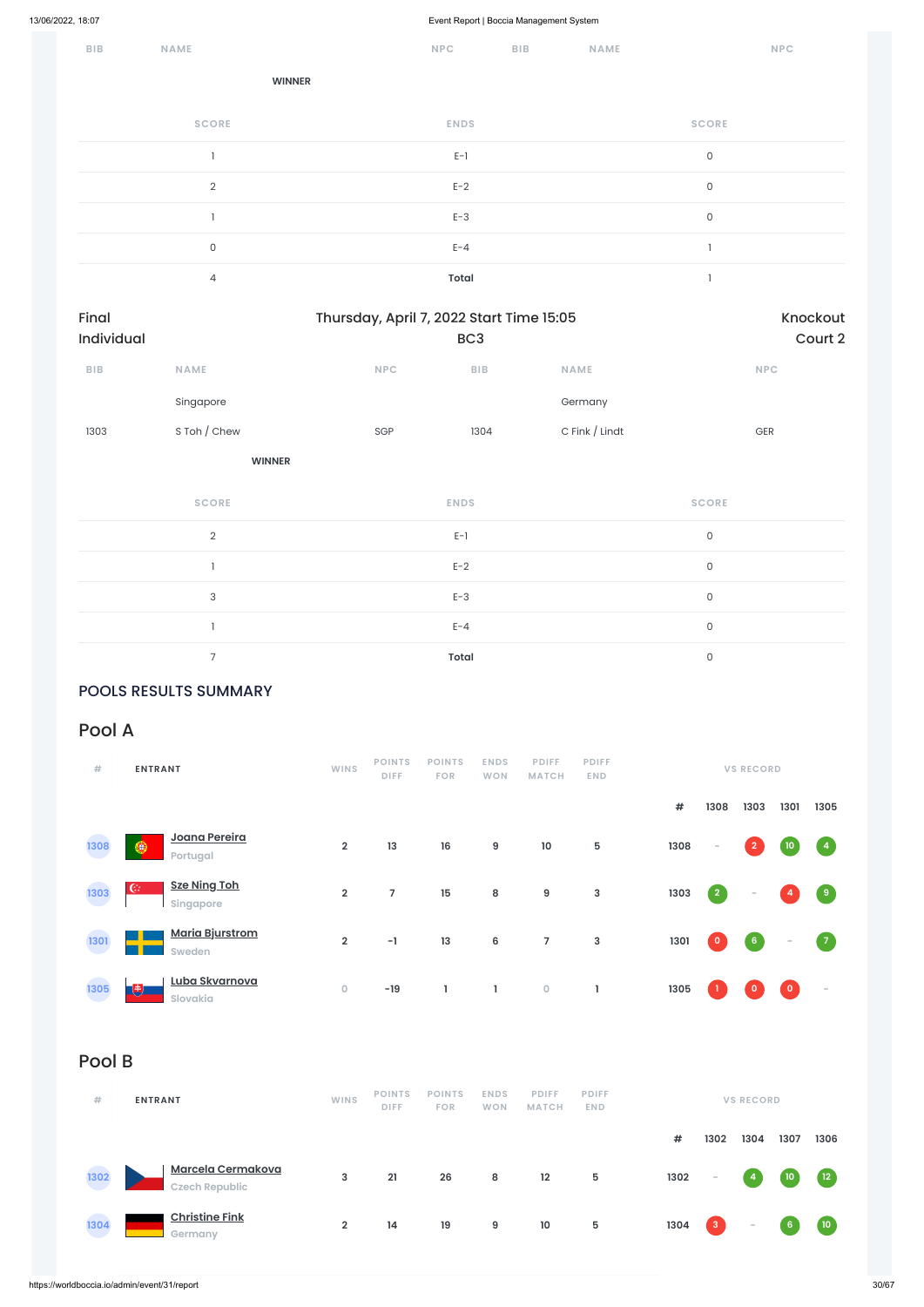| BIB | NAME           | <b>NPC</b>   | <b>BIB</b> | <b>NAME</b> | <b>NPC</b>   |
|-----|----------------|--------------|------------|-------------|--------------|
|     | <b>WINNER</b>  |              |            |             |              |
|     | <b>SCORE</b>   | <b>ENDS</b>  |            |             | <b>SCORE</b> |
|     |                | $E-1$        |            |             | $\mathsf 0$  |
|     | $\overline{2}$ | $E-2$        |            |             | $\mathsf{O}$ |
|     |                | $E-3$        |            |             | $\mathsf{O}$ |
|     | $\mathsf O$    | $E - 4$      |            |             |              |
|     | 4              | <b>Total</b> |            |             |              |

| Final<br>Individual     |                           |     | Thursday, April 7, 2022 Start Time 15:05<br>BC <sub>3</sub> |                |                     |  |  |  |  |
|-------------------------|---------------------------|-----|-------------------------------------------------------------|----------------|---------------------|--|--|--|--|
| ${\sf B}{\sf I}{\sf B}$ | NAME                      | NPC | BIB                                                         | <b>NAME</b>    | <b>NPC</b>          |  |  |  |  |
|                         | Singapore                 |     |                                                             | Germany        |                     |  |  |  |  |
| 1303                    | S Toh / Chew              | SGP | 1304                                                        | C Fink / Lindt | GER                 |  |  |  |  |
|                         | <b>WINNER</b>             |     |                                                             |                |                     |  |  |  |  |
|                         | <b>SCORE</b>              |     | <b>ENDS</b>                                                 |                | <b>SCORE</b>        |  |  |  |  |
|                         | $\mathbf{2}$              |     | $E-1$                                                       |                | $\mathsf O$         |  |  |  |  |
|                         |                           |     | $E-2$                                                       |                | $\mathsf O$         |  |  |  |  |
|                         | $\ensuremath{\mathsf{3}}$ |     | $E-3$                                                       |                | $\mathsf{O}\xspace$ |  |  |  |  |
|                         | $\mathbf{I}$              |     | $E - 4$                                                     |                | $\mathsf O$         |  |  |  |  |
|                         | $\overline{7}$            |     | <b>Total</b>                                                |                | $\mathsf{O}\xspace$ |  |  |  |  |

### POOLS RESULTS SUMMARY

### Pool A

| #             | <b>ENTRANT</b>                         | <b>WINS</b>                       | <b>POINTS</b><br><b>DIFF</b> | <b>POINTS</b><br><b>FOR</b> | <b>ENDS</b><br><b>WON</b> | <b>PDIFF</b><br><b>MATCH</b>      | <b>PDIFF</b><br><b>END</b> |                      |           | <b>VS RECORD</b> |        |                   |
|---------------|----------------------------------------|-----------------------------------|------------------------------|-----------------------------|---------------------------|-----------------------------------|----------------------------|----------------------|-----------|------------------|--------|-------------------|
|               |                                        |                                   |                              |                             |                           |                                   |                            | #                    | 1308      | 1303             | 1301   | 1305              |
| 1308          | Joana Pereira<br>$\bullet$<br>Portugal | $\overline{2}$                    | 13                           | 16                          | $\boldsymbol{9}$          | $10$                              | $\overline{5}$             | 1308                 | $\sim$    | $\mathbf{2}$     | 10     | $\overline{4}$    |
| 1303          | <b>Sze Ning Toh</b><br>C<br>Singapore  | $\overline{2}$                    | 7                            | 15                          | ${\bf 8}$                 | $\boldsymbol{9}$                  | 3                          | 1303                 | $\vert$ 2 | $\sim$           |        | $\left( 9\right)$ |
| 1301          | <b>Maria Bjurstrom</b><br>Sweden       | $\overline{2}$                    | $-1$                         | 13                          | 6                         | $\overline{7}$                    | 3                          | 1301                 | $\circ$   | 6 <sup>1</sup>   | $\sim$ | $\sqrt{7}$        |
| $\frac{1}{2}$ | Luba Skvarnova<br>-93                  | <b>Contract Contract Contract</b> | $\sim$                       |                             |                           | <b>Contract Contract Contract</b> |                            | $\sim$ $\sim$ $\sim$ | n an      | <b>TANK</b>      |        |                   |





**1302**

**1304**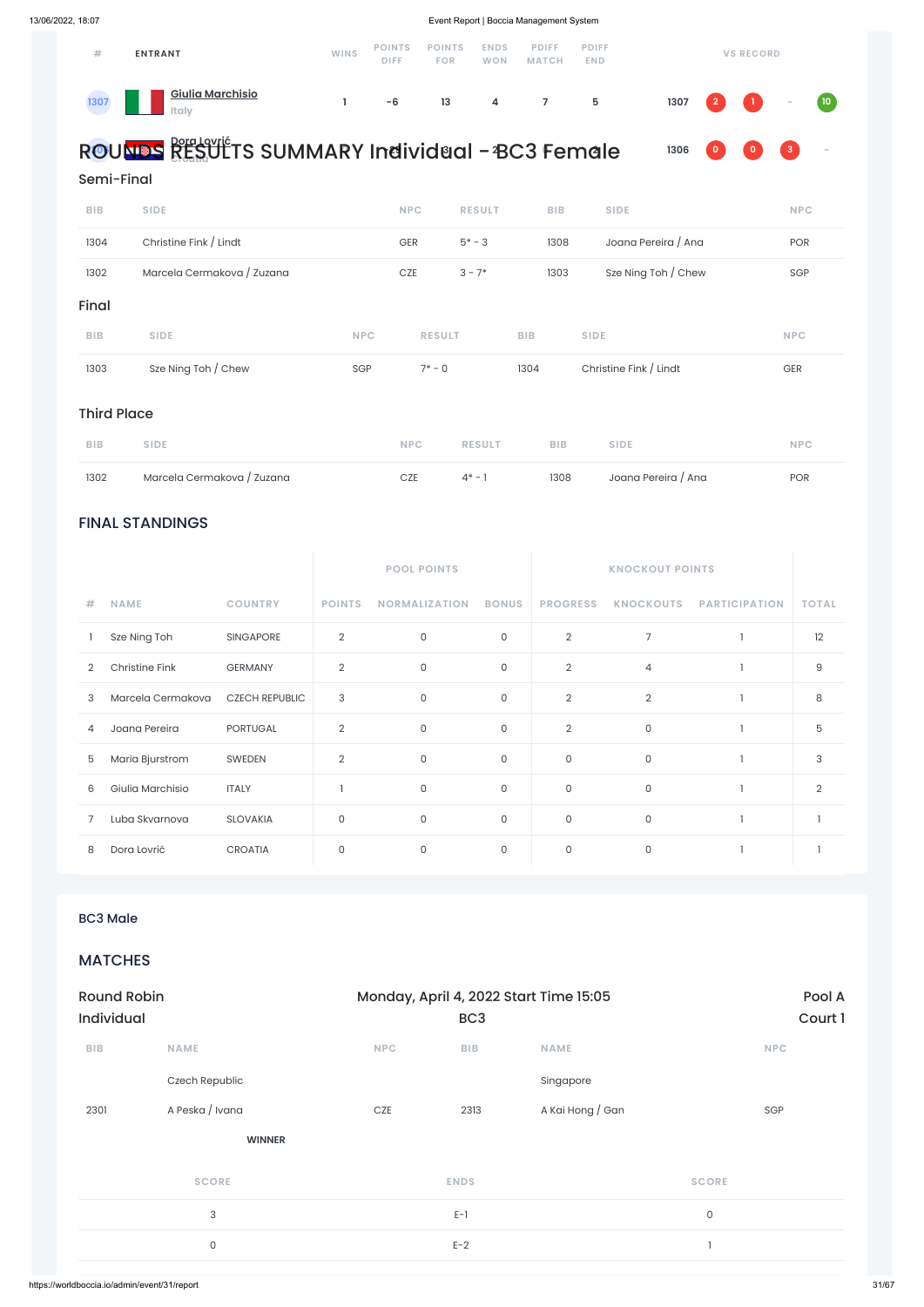### FINAL STANDINGS

|                |                       |                       | <b>POOL POINTS</b>  |                      |                     |                 |                  |                      |              |
|----------------|-----------------------|-----------------------|---------------------|----------------------|---------------------|-----------------|------------------|----------------------|--------------|
| #              | <b>NAME</b>           | <b>COUNTRY</b>        | <b>POINTS</b>       | <b>NORMALIZATION</b> | <b>BONUS</b>        | <b>PROGRESS</b> | <b>KNOCKOUTS</b> | <b>PARTICIPATION</b> | <b>TOTAL</b> |
|                | Sze Ning Toh          | <b>SINGAPORE</b>      | $\overline{2}$      | $\mathsf O$          | $\mathsf O$         | $\overline{2}$  | $\overline{7}$   |                      | 12           |
| $\overline{2}$ | <b>Christine Fink</b> | <b>GERMANY</b>        | $\overline{2}$      | $\circ$              | $\mathsf{O}\xspace$ | $\overline{2}$  | $\overline{4}$   |                      | $\hbox{9}$   |
| 3              | Marcela Cermakova     | <b>CZECH REPUBLIC</b> | 3                   | $\mathbf 0$          | $\mathsf O$         | $\overline{2}$  | $\overline{2}$   |                      | 8            |
| 4              | Joana Pereira         | <b>PORTUGAL</b>       | $\overline{2}$      | $\mathsf O$          | $\mathsf O$         | $\overline{2}$  | $\mathsf O$      |                      | 5            |
| 5              | Maria Bjurstrom       | SWEDEN                | $\overline{2}$      | $\mathsf{O}$         | $\mathsf O$         | $\circ$         | $\mathsf{O}$     |                      | 3            |
| 6              | Giulia Marchisio      | <b>ITALY</b>          |                     | $\mathbf 0$          | $\mathsf O$         | $\mathsf O$     | $\mathsf O$      |                      | 2            |
|                | Luba Skvarnova        | <b>SLOVAKIA</b>       | $\mathsf{O}\xspace$ | $\mathbf 0$          | $\mathsf O$         | $\mathsf O$     | $\mathsf O$      |                      |              |
| 8              | Dora Lovrić           | <b>CROATIA</b>        | $\mathsf{O}$        | $\mathsf O$          | $\mathsf{O}$        | $\mathsf O$     | $\mathsf O$      |                      |              |

| #    | <b>ENTRANT</b>                          | WINS | <b>POINTS</b><br><b>DIFF</b> | <b>POINTS</b><br><b>FOR</b> | <b>ENDS</b><br>WON | <b>PDIFF</b><br><b>MATCH</b> | <b>PDIFF</b><br><b>END</b> |  | <b>VS RECORD</b>  |  |
|------|-----------------------------------------|------|------------------------------|-----------------------------|--------------------|------------------------------|----------------------------|--|-------------------|--|
| 1307 | <u>Giulia Marchisio</u><br><b>Italy</b> |      | -6                           | 13                          | $\overline{4}$     | $\overline{7}$               | 5                          |  | $1307$ 2 1 $-$ 10 |  |

#### **Dora Lovrić Croatia 0 -29 3 2 0 2 1306 0 0 3 -** R**13**O**06**UNDS RESULTS SUMMARY Individual - BC3 Female



### Semi-Final

| 1302               | Marcela Cermakova / Zuzana |            | CZE           | $4^* - 1$     | 1308       | Joana Pereira / Ana    | POR        |
|--------------------|----------------------------|------------|---------------|---------------|------------|------------------------|------------|
| <b>BIB</b>         | <b>SIDE</b>                |            | <b>NPC</b>    | <b>RESULT</b> | <b>BIB</b> | <b>SIDE</b>            | <b>NPC</b> |
| <b>Third Place</b> |                            |            |               |               |            |                        |            |
| 1303               | Sze Ning Toh / Chew        | SGP        | $7* - 0$      |               | 1304       | Christine Fink / Lindt | GER        |
| <b>BIB</b>         | <b>SIDE</b>                | <b>NPC</b> | <b>RESULT</b> |               | <b>BIB</b> | <b>SIDE</b>            | <b>NPC</b> |
| Final              |                            |            |               |               |            |                        |            |
| 1302               | Marcela Cermakova / Zuzana |            | CZE           | $3 - 7*$      | 1303       | Sze Ning Toh / Chew    | SGP        |
| 1304               | Christine Fink / Lindt     |            | <b>GER</b>    | $5* - 3$      | 1308       | Joana Pereira / Ana    | <b>POR</b> |
| <b>BIB</b>         | <b>SIDE</b>                |            | <b>NPC</b>    | <b>RESULT</b> | <b>BIB</b> | <b>SIDE</b>            | <b>NPC</b> |

BC3 Male

MATCHES

| <b>Round Robin</b> |                     | Monday, April 4, 2022 Start Time 15:05 |                 | Pool A           |              |
|--------------------|---------------------|----------------------------------------|-----------------|------------------|--------------|
| <b>Individual</b>  |                     |                                        | BC <sub>3</sub> | Court 1          |              |
| <b>BIB</b>         | <b>NAME</b>         | <b>NPC</b>                             | <b>BIB</b>      | <b>NAME</b>      | <b>NPC</b>   |
|                    | Czech Republic      |                                        |                 | Singapore        |              |
| 2301               | A Peska / Ivana     | CZE                                    | 2313            | A Kai Hong / Gan | SGP          |
|                    | <b>WINNER</b>       |                                        |                 |                  |              |
|                    | <b>SCORE</b>        |                                        | <b>ENDS</b>     |                  | <b>SCORE</b> |
|                    | 3                   |                                        | $E-1$           |                  | $\mathsf O$  |
|                    | $\mathsf{O}\xspace$ |                                        | $E-2$           |                  |              |
|                    |                     |                                        |                 |                  |              |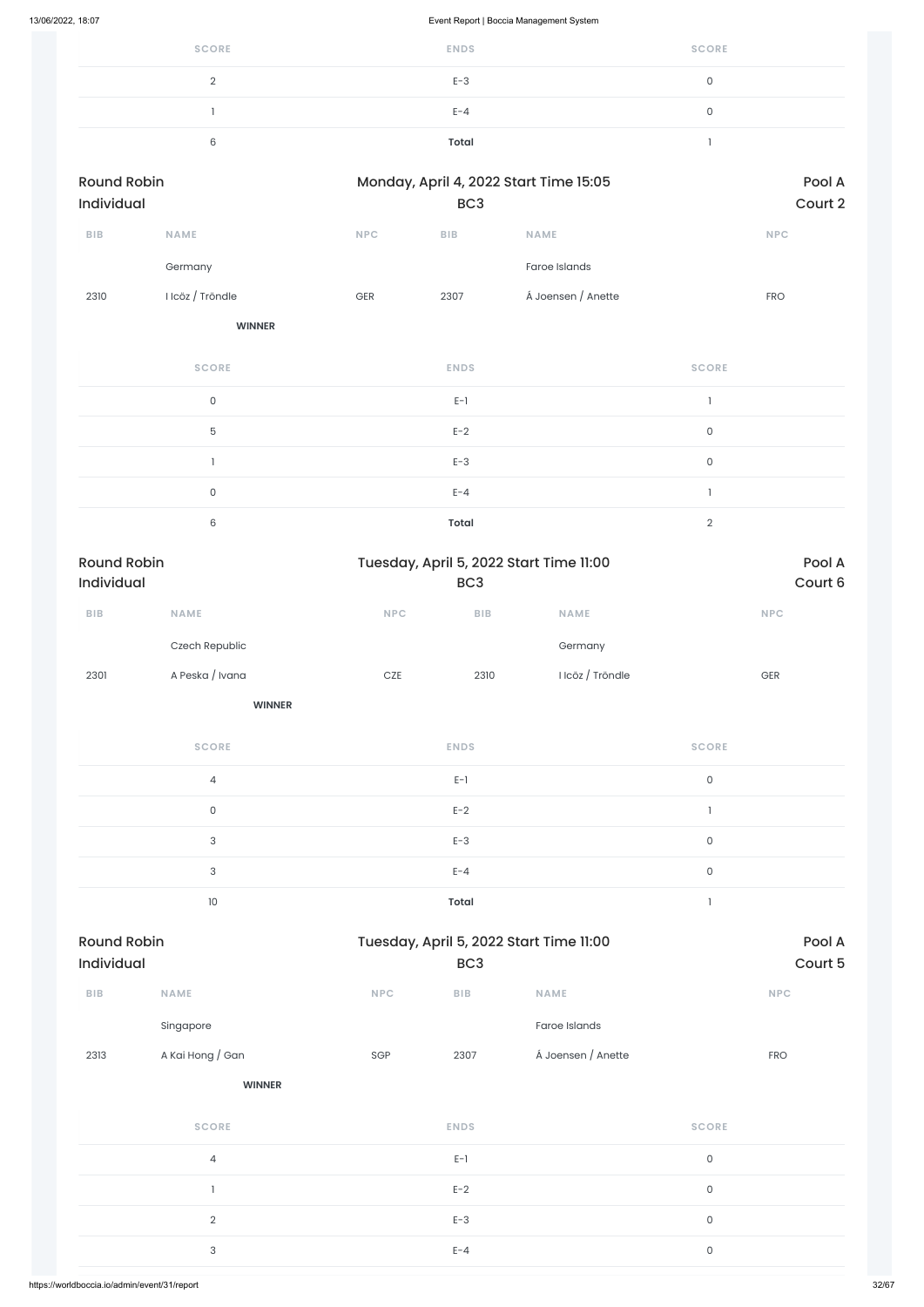| <b>SCORE</b> | <b>ENDS</b>  | <b>SCORE</b> |
|--------------|--------------|--------------|
|              | $E-3$        |              |
|              | $E - 4$      |              |
|              | <b>Total</b> |              |

| <b>Round Robin</b><br>Individual |                  |            | BC <sub>3</sub> | Monday, April 4, 2022 Start Time 15:05 | Pool A<br>Court 2 |
|----------------------------------|------------------|------------|-----------------|----------------------------------------|-------------------|
| <b>BIB</b>                       | <b>NAME</b>      | <b>NPC</b> | <b>BIB</b>      | <b>NAME</b>                            | <b>NPC</b>        |
|                                  | Germany          |            |                 | Faroe Islands                          |                   |
| 2310                             | I Icöz / Tröndle | <b>GER</b> | 2307            | Á Joensen / Anette                     | <b>FRO</b>        |
|                                  | <b>WINNER</b>    |            |                 |                                        |                   |

| <b>SCORE</b> | <b>ENDS</b>  | <b>SCORE</b> |
|--------------|--------------|--------------|
| $\mathbf{0}$ | $E-1$        |              |
| 5            | $E-2$        | 0            |
|              | $E-3$        | ∩            |
| 0            | $E - 4$      |              |
| 6            | <b>Total</b> | $\sqrt{2}$   |

| <b>Round Robin</b><br><b>Individual</b> |                 | Tuesday, April 5, 2022 Start Time 11:00<br>BC <sub>3</sub> |            |                  | Pool A<br>Court 6 |  |
|-----------------------------------------|-----------------|------------------------------------------------------------|------------|------------------|-------------------|--|
| <b>BIB</b>                              | <b>NAME</b>     | <b>NPC</b>                                                 | <b>BIB</b> | <b>NAME</b>      | <b>NPC</b>        |  |
|                                         | Czech Republic  |                                                            |            | Germany          |                   |  |
| 2301                                    | A Peska / Ivana | <b>CZE</b>                                                 | 2310       | I Icöz / Tröndle | <b>GER</b>        |  |
|                                         | <b>WINNER</b>   |                                                            |            |                  |                   |  |

**SCORE ENDS SCORE** 4 E-1 0 0 between the contract  $E-2$  and  $E-2$  and  $E-2$  and  $E-2$  and  $E-2$  and  $E-2$  and  $E-2$  and  $E-2$  and  $E-2$  and  $E-2$  and  $E-2$  and  $E-2$  and  $E-2$  and  $E-2$  and  $E-2$  and  $E-2$  and  $E-2$  and  $E-2$  and  $E-2$  and  $E-2$  an  $E-3$  D  $D$  D  $D$  D  $D$  D  $D$  D  $D$  D  $D$  D  $D$  D  $D$  D  $D$  D  $D$  D  $D$  D  $D$  D  $D$  D  $D$  D  $D$  D  $D$  D  $D$  D  $D$  D  $D$  D  $D$  D  $D$  D  $D$  D  $D$  D  $D$  D  $D$  D  $D$  D  $D$  D  $D$  D  $D$  D  $D$  D  $D$  D  $D$  D  $D$  D  $D$  D  $D$  D  $D$  $E-4$  0 10 **Total** 1

| ${\sf B}{\sf I}{\sf B}$ | <b>NAME</b>      | <b>NPC</b> | ${\sf B}{\sf I}{\sf B}$ | <b>NAME</b>        |              | <b>NPC</b> |
|-------------------------|------------------|------------|-------------------------|--------------------|--------------|------------|
|                         | Singapore        |            |                         | Faroe Islands      |              |            |
| 2313                    | A Kai Hong / Gan | SGP        | 2307                    | Á Joensen / Anette |              | <b>FRO</b> |
|                         | <b>WINNER</b>    |            |                         |                    |              |            |
|                         | <b>SCORE</b>     |            | <b>ENDS</b>             |                    | <b>SCORE</b> |            |
|                         | 4                |            | $E-1$                   |                    | $\mathsf{O}$ |            |
|                         | $\mathbf{1}$     |            | $E-2$                   |                    | $\mathsf{O}$ |            |
|                         | $\overline{2}$   |            | $E-3$                   |                    | $\mathsf{O}$ |            |
|                         | 3                |            | $E - 4$                 |                    | $\mathsf{O}$ |            |
|                         |                  |            |                         |                    |              |            |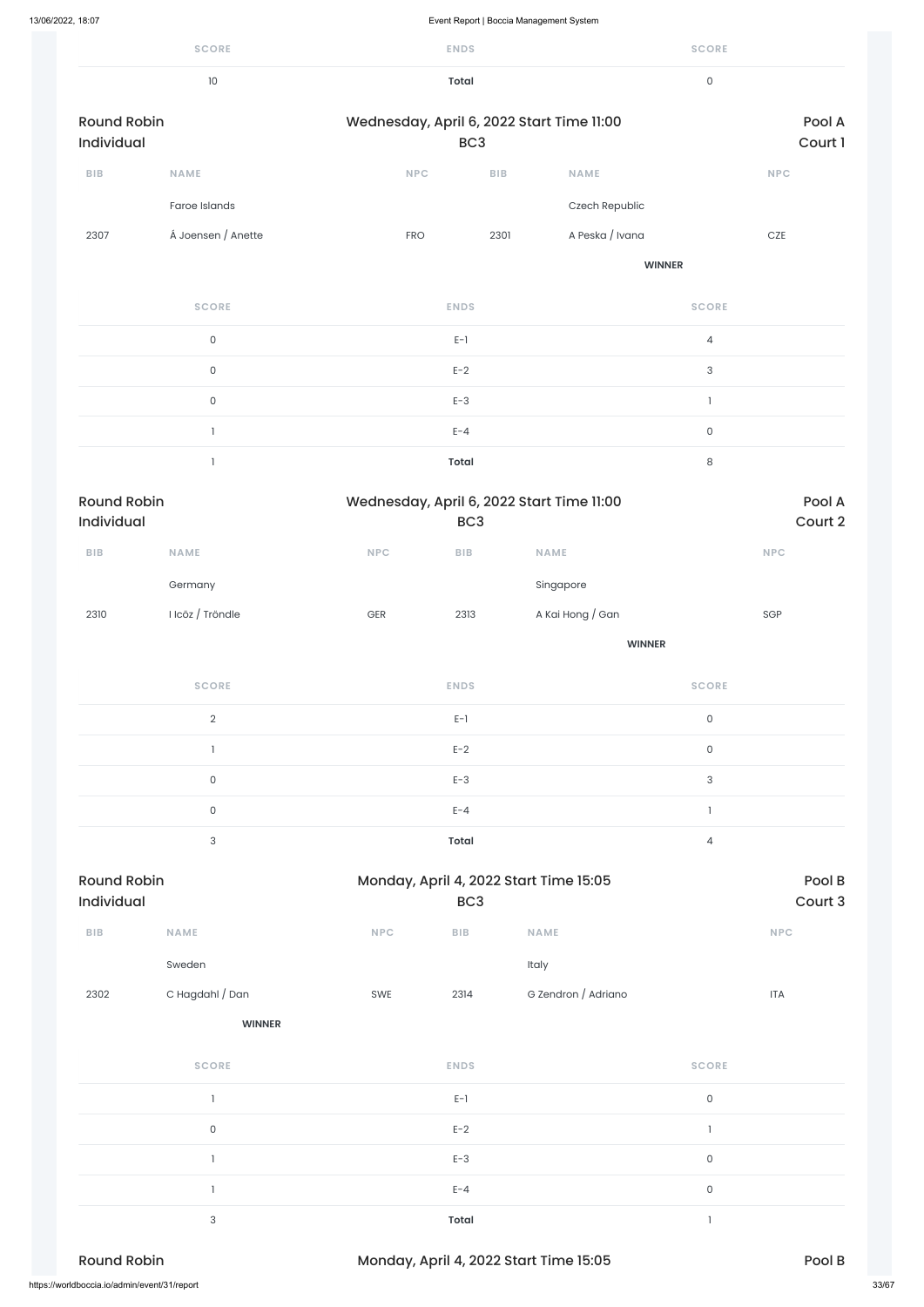|                                  | <b>SCORE</b>       |                  | <b>ENDS</b>             |                                           | <b>SCORE</b>        |                   |
|----------------------------------|--------------------|------------------|-------------------------|-------------------------------------------|---------------------|-------------------|
|                                  | $10\,$             |                  | <b>Total</b>            |                                           | $\mathsf{O}\xspace$ |                   |
| <b>Round Robin</b><br>Individual |                    |                  | BC <sub>3</sub>         | Wednesday, April 6, 2022 Start Time 11:00 |                     | Pool A<br>Court 1 |
| BIB                              | <b>NAME</b>        | <b>NPC</b>       | BIB                     | <b>NAME</b>                               |                     | <b>NPC</b>        |
|                                  | Faroe Islands      |                  |                         | Czech Republic                            |                     |                   |
| 2307                             | Á Joensen / Anette | <b>FRO</b>       | 2301                    | A Peska / Ivana                           |                     | $CZE$             |
|                                  |                    |                  |                         |                                           | <b>WINNER</b>       |                   |
|                                  | <b>SCORE</b>       |                  | <b>ENDS</b>             |                                           | <b>SCORE</b>        |                   |
|                                  | $\mathsf{O}$       |                  | $E-1$                   |                                           | $\overline{4}$      |                   |
|                                  | $\mathsf{O}$       |                  | $E-2$                   |                                           | $\sqrt{3}$          |                   |
|                                  | $\mathsf{O}$       |                  | $E-3$                   |                                           | $\mathbf{I}$        |                   |
|                                  | $\mathbf{I}$       |                  | $E - 4$                 |                                           | $\mathsf{O}\xspace$ |                   |
|                                  | $\mathbf{I}$       |                  | <b>Total</b>            |                                           | $\,8\,$             |                   |
| <b>Round Robin</b><br>Individual |                    |                  | BC <sub>3</sub>         | Wednesday, April 6, 2022 Start Time 11:00 |                     | Pool A<br>Court 2 |
| BIB                              | <b>NAME</b>        | NPC              | ${\sf B}{\sf I}{\sf B}$ | NAME                                      |                     | <b>NPC</b>        |
|                                  | Germany            |                  |                         | Singapore                                 |                     |                   |
| 2310                             | I Icöz / Tröndle   | $\mbox{\sf GER}$ | 2313                    | A Kai Hong / Gan                          |                     | SGP               |
|                                  |                    |                  |                         |                                           | <b>WINNER</b>       |                   |

| 2302               | C Hagdahl / Dan                              | SWE | 2314         | G Zendron / Adriano                    |              | <b>ITA</b> |       |
|--------------------|----------------------------------------------|-----|--------------|----------------------------------------|--------------|------------|-------|
|                    | <b>WINNER</b>                                |     |              |                                        |              |            |       |
|                    | <b>SCORE</b>                                 |     | <b>ENDS</b>  |                                        | <b>SCORE</b> |            |       |
|                    |                                              |     | $E-1$        |                                        | $\mathsf O$  |            |       |
|                    | $\mathsf O$                                  |     | $E-2$        |                                        |              |            |       |
|                    |                                              |     | $E-3$        |                                        | $\mathsf O$  |            |       |
|                    |                                              |     | $E - 4$      |                                        | $\mathsf O$  |            |       |
|                    | $\sqrt{3}$                                   |     | <b>Total</b> |                                        |              |            |       |
| <b>Round Robin</b> |                                              |     |              | Monday, April 4, 2022 Start Time 15:05 |              | Pool B     |       |
|                    | https://worldboccia.io/admin/event/31/report |     |              |                                        |              |            | 33/67 |

| <b>SCORE</b>   | <b>ENDS</b> | <b>SCORE</b>   |
|----------------|-------------|----------------|
| $\mathfrak{D}$ | $E-1$       | 0              |
|                | $E-2$       | 0              |
| $\mathbf 0$    | $E-3$       | 3              |
| 0              | $E - 4$     |                |
| 3              | Total       | $\overline{4}$ |
|                |             |                |

| <b>Round Robin</b>            |             |            |      | Monday, April 4, 2022 Start Time 15:05 | Pool B     |
|-------------------------------|-------------|------------|------|----------------------------------------|------------|
| Individual<br>BC <sub>3</sub> |             |            |      | Court 3                                |            |
| <b>BIB</b>                    | <b>NAME</b> | <b>NPC</b> | BIB. | <b>NAME</b>                            | <b>NPC</b> |

Sweden Italy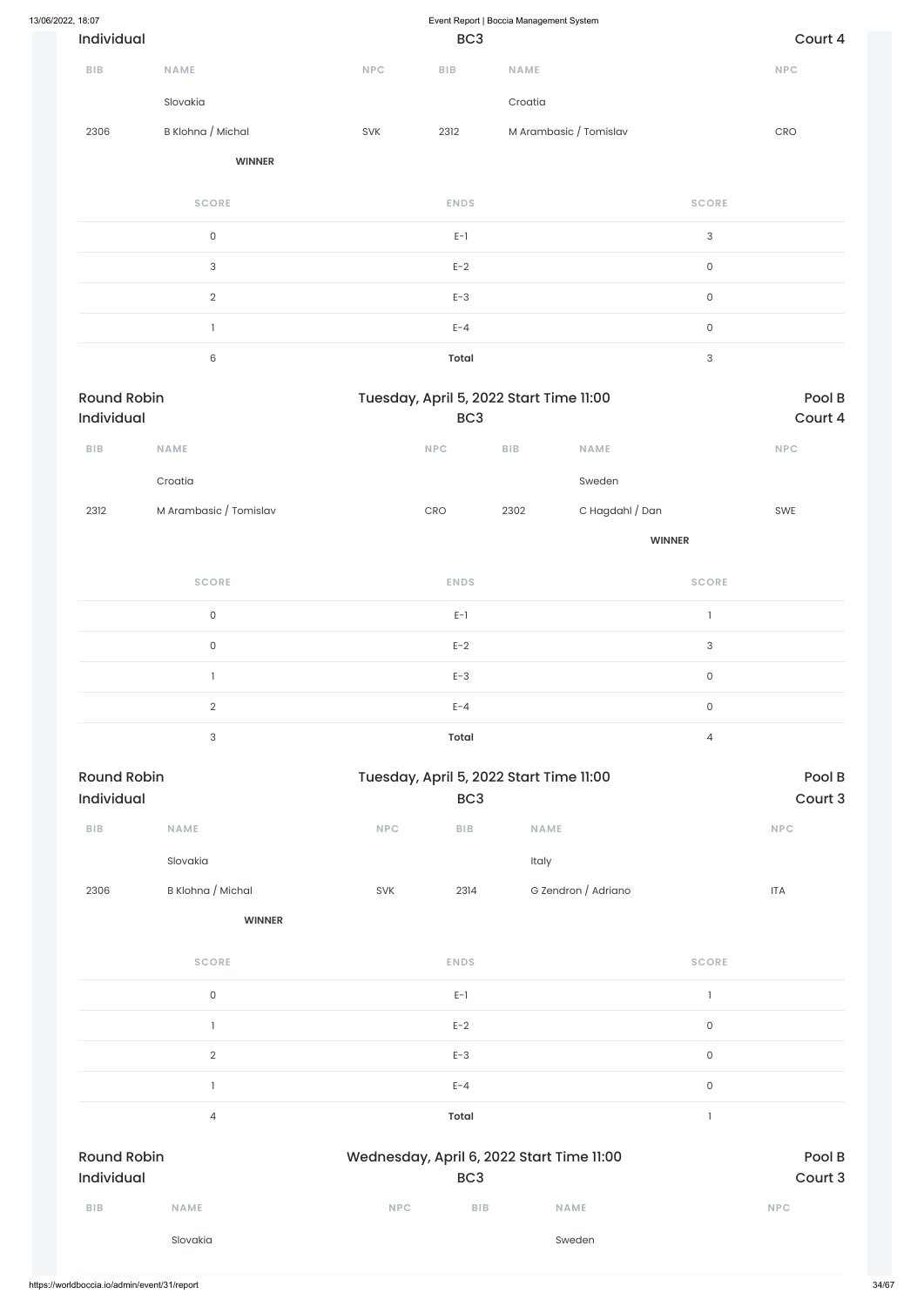| 13/06/2022, 18:07                |                        |                             |                                                            | Event Report   Boccia Management System |                        |                           |                   |
|----------------------------------|------------------------|-----------------------------|------------------------------------------------------------|-----------------------------------------|------------------------|---------------------------|-------------------|
| Individual                       |                        |                             | BC <sub>3</sub>                                            |                                         |                        |                           | Court 4           |
| BIB                              | <b>NAME</b>            | NPC                         | ${\sf B}{\sf I}{\sf B}$                                    | <b>NAME</b>                             |                        |                           | NPC               |
|                                  | Slovakia               |                             |                                                            | Croatia                                 |                        |                           |                   |
| 2306                             | B Klohna / Michal      | SVK                         | 2312                                                       |                                         | M Arambasic / Tomislav |                           | CRO               |
|                                  | <b>WINNER</b>          |                             |                                                            |                                         |                        |                           |                   |
|                                  | <b>SCORE</b>           |                             | <b>ENDS</b>                                                |                                         |                        | <b>SCORE</b>              |                   |
|                                  | $\mathsf{O}\xspace$    |                             | $E-1$                                                      |                                         |                        | $\sqrt{3}$                |                   |
|                                  | $\sqrt{3}$             |                             | $E-2$                                                      |                                         |                        | $\mathsf{O}\xspace$       |                   |
|                                  | $\sqrt{2}$             |                             | $E-3$                                                      |                                         |                        | $\mathsf{O}\xspace$       |                   |
|                                  | $\mathbf{I}$           |                             | $E - 4$                                                    |                                         |                        | $\mathsf{O}\xspace$       |                   |
|                                  | $\,6\,$                |                             | <b>Total</b>                                               |                                         |                        | $\ensuremath{\mathsf{3}}$ |                   |
| <b>Round Robin</b><br>Individual |                        |                             | Tuesday, April 5, 2022 Start Time 11:00<br>BC <sub>3</sub> |                                         |                        |                           | Pool B<br>Court 4 |
| <b>BIB</b>                       | <b>NAME</b>            |                             | <b>NPC</b>                                                 | ${\sf B}{\sf I}{\sf B}$                 | <b>NAME</b>            |                           | NPC               |
|                                  | Croatia                |                             |                                                            |                                         | Sweden                 |                           |                   |
| 2312                             | M Arambasic / Tomislav |                             | CRO                                                        | 2302                                    | C Hagdahl / Dan        |                           | SWE               |
|                                  |                        |                             |                                                            |                                         |                        | <b>WINNER</b>             |                   |
|                                  | <b>SCORE</b>           |                             | <b>ENDS</b>                                                |                                         |                        | <b>SCORE</b>              |                   |
|                                  | $\mathsf{O}\xspace$    |                             | $E-1$                                                      |                                         |                        | $\mathbf{I}$              |                   |
|                                  | $\mathsf{O}\xspace$    |                             | $E-2$                                                      |                                         |                        | $\sqrt{3}$                |                   |
|                                  | $\mathbf{I}$           |                             | $E-3$                                                      |                                         |                        | $\mathsf{O}\xspace$       |                   |
|                                  | $\sqrt{2}$             |                             | $E - 4$                                                    |                                         |                        | $\mathsf{O}\xspace$       |                   |
|                                  | $\sqrt{3}$             |                             | <b>Total</b>                                               |                                         |                        | $\overline{4}$            |                   |
| <b>Round Robin</b>               |                        |                             | Tuesday, April 5, 2022 Start Time 11:00                    |                                         |                        |                           | Pool B            |
| Individual                       |                        |                             | BC <sub>3</sub>                                            |                                         |                        |                           | Court 3           |
| BIB                              | NAME                   | $\ensuremath{\mathsf{NPC}}$ | ${\sf B}{\sf I}{\sf B}$                                    | NAME                                    |                        |                           | <b>NPC</b>        |
|                                  | Slovakia               |                             |                                                            | Italy                                   |                        |                           |                   |
| 2306                             | B Klohna / Michal      | SVK                         | 2314                                                       |                                         | G Zendron / Adriano    |                           | <b>ITA</b>        |

**WINNER**

**SCORE ENDS SCORE**

|                                  | Slovakia            |            |                 | Sweden                                    |                     |                   |
|----------------------------------|---------------------|------------|-----------------|-------------------------------------------|---------------------|-------------------|
| BIB                              | <b>NAME</b>         | <b>NPC</b> | <b>BIB</b>      | <b>NAME</b>                               |                     | <b>NPC</b>        |
| <b>Round Robin</b><br>Individual |                     |            | BC <sub>3</sub> | Wednesday, April 6, 2022 Start Time 11:00 |                     | Pool B<br>Court 3 |
|                                  | 4                   |            | Total           |                                           |                     |                   |
|                                  |                     |            | $E - 4$         |                                           | $\mathsf{O}$        |                   |
|                                  | $\overline{2}$      |            | $E-3$           |                                           | $\mathsf{O}\xspace$ |                   |
|                                  |                     |            | $E-2$           |                                           | $\mathsf{O}\xspace$ |                   |
|                                  | $\mathsf{O}\xspace$ |            | $E-1$           |                                           |                     |                   |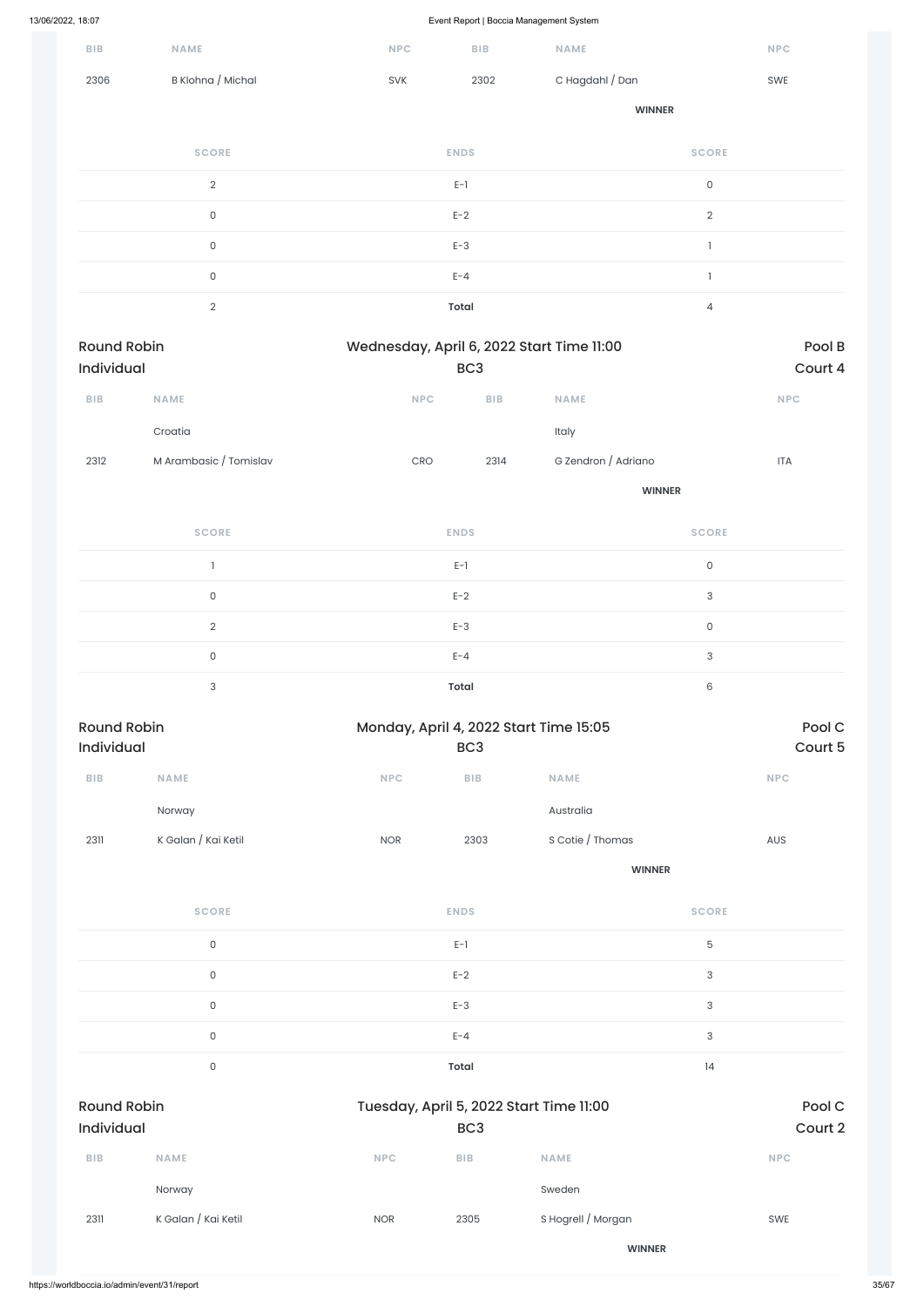| $B$   $B$                        | <b>NAME</b>            | NPC                                       | <b>BIB</b>              | NAME                |                                       | <b>NPC</b>        |
|----------------------------------|------------------------|-------------------------------------------|-------------------------|---------------------|---------------------------------------|-------------------|
| 2306                             | B Klohna / Michal      | SVK                                       | 2302                    | C Hagdahl / Dan     |                                       | SWE               |
|                                  |                        |                                           |                         | <b>WINNER</b>       |                                       |                   |
|                                  | <b>SCORE</b>           |                                           | <b>ENDS</b>             |                     | <b>SCORE</b>                          |                   |
|                                  | $\overline{2}$         |                                           | $E-1$                   |                     | $\mathsf{O}\xspace$                   |                   |
|                                  | $\mathsf{O}\xspace$    |                                           | $E-2$                   |                     | $\overline{2}$                        |                   |
|                                  | $\mathsf{O}\xspace$    |                                           | $E-3$                   |                     | $\mathbf{1}$                          |                   |
|                                  | $\mathsf{O}\xspace$    |                                           | $E - 4$                 |                     | $\begin{array}{c} \hline \end{array}$ |                   |
|                                  | $\overline{2}$         |                                           | <b>Total</b>            |                     | $\overline{4}$                        |                   |
| <b>Round Robin</b><br>Individual |                        | Wednesday, April 6, 2022 Start Time 11:00 | BC <sub>3</sub>         |                     |                                       | Pool B<br>Court 4 |
| ${\sf B}{\sf I}{\sf B}$          | <b>NAME</b>            | NPC                                       | BIB                     | <b>NAME</b>         |                                       | NPC               |
|                                  | Croatia                |                                           |                         | Italy               |                                       |                   |
| 2312                             | M Arambasic / Tomislav | $\mathsf{C}\mathsf{R}\mathsf{O}$          | 2314                    | G Zendron / Adriano |                                       | <b>ITA</b>        |
|                                  |                        |                                           |                         |                     | <b>WINNER</b>                         |                   |
|                                  | <b>SCORE</b>           |                                           | <b>ENDS</b>             |                     | <b>SCORE</b>                          |                   |
|                                  | $\mathbf{I}$           |                                           | $E-1$                   |                     | $\mathsf{O}\xspace$                   |                   |
|                                  | $\mathsf{O}\xspace$    |                                           | $E-2$                   |                     | $\sqrt{3}$                            |                   |
|                                  | $\overline{2}$         |                                           | $E-3$                   |                     | $\mathsf{O}\xspace$                   |                   |
|                                  | $\mathsf O$            |                                           | $E - 4$                 |                     | 3                                     |                   |
|                                  | $\mathbf{3}$           |                                           | <b>Total</b>            |                     | $\,6$                                 |                   |
| <b>Round Robin</b><br>Individual |                        | Monday, April 4, 2022 Start Time 15:05    | BC <sub>3</sub>         |                     |                                       | Pool C<br>Court 5 |
| ${\sf B}{\sf I}{\sf B}$          | NAME                   | $\ensuremath{\mathsf{NPC}}$               | ${\sf B}{\sf I}{\sf B}$ | NAME                |                                       | <b>NPC</b>        |
|                                  | Norway                 |                                           |                         | Australia           |                                       |                   |
| 2311                             | K Galan / Kai Ketil    | <b>NOR</b>                                | 2303                    | S Cotie / Thomas    |                                       | AUS               |
|                                  |                        |                                           |                         | <b>WINNER</b>       |                                       |                   |
|                                  | <b>SCORE</b>           |                                           | <b>ENDS</b>             |                     | <b>SCORE</b>                          |                   |
|                                  | $\mathsf{O}$           |                                           | $E-1$                   |                     | 5                                     |                   |

0 and  $E-2$  and  $E-2$  and  $E-2$  and  $E-2$  and  $E-2$  and  $E-2$  and  $E-2$  and  $E-2$  and  $E-2$  and  $E-2$  and  $E-2$  and  $E-2$  and  $E-2$  and  $E-2$  and  $E-2$  and  $E-2$  and  $E-2$  and  $E-2$  and  $E-2$  and  $E-2$  and  $E-2$  and  $E-2$ 

|                                         | $\mathsf{O}$        |            | $E-3$           |                                         | $\ensuremath{\mathsf{3}}$ |                   |
|-----------------------------------------|---------------------|------------|-----------------|-----------------------------------------|---------------------------|-------------------|
|                                         | $\mathsf{O}\xspace$ |            | $E - 4$         |                                         | $\ensuremath{\mathsf{3}}$ |                   |
|                                         | $\mathsf{O}\xspace$ |            | Total           |                                         | 4                         |                   |
| <b>Round Robin</b><br><b>Individual</b> |                     |            | BC <sub>3</sub> | Tuesday, April 5, 2022 Start Time 11:00 |                           | Pool C<br>Court 2 |
| <b>BIB</b>                              | <b>NAME</b>         | <b>NPC</b> | BIB             | <b>NAME</b>                             |                           | <b>NPC</b>        |
|                                         | Norway              |            |                 | Sweden                                  |                           |                   |
| 2311                                    | K Galan / Kai Ketil | <b>NOR</b> | 2305            | S Hogrell / Morgan                      |                           | SWE               |
|                                         |                     |            |                 | <b>WINNER</b>                           |                           |                   |
|                                         |                     |            |                 |                                         |                           |                   |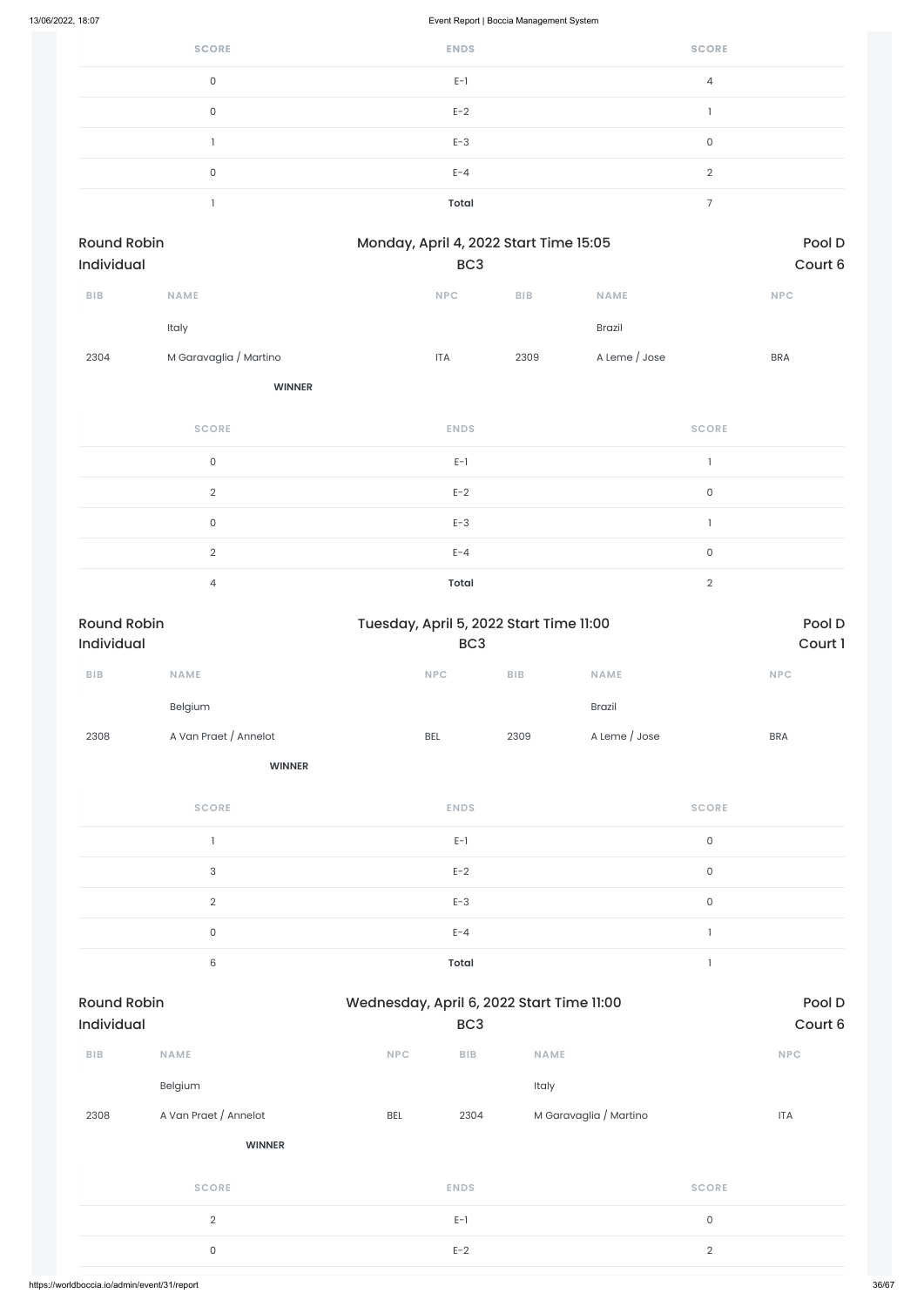| <b>SCORE</b> | <b>ENDS</b> | <b>SCORE</b>   |
|--------------|-------------|----------------|
| $\Omega$     | $E-1$       | 4              |
| 0            | $E-2$       |                |
|              | $E-3$       | 0              |
| 0            | $E - 4$     | $\mathcal{D}$  |
|              | Total       | $\overline{ }$ |

| <b>Round Robin</b><br><b>Individual</b> |                        | Monday, April 4, 2022 Start Time 15:05 |            | Pool D<br>Court 6 |            |
|-----------------------------------------|------------------------|----------------------------------------|------------|-------------------|------------|
|                                         |                        | BC <sub>3</sub>                        |            |                   |            |
| <b>BIB</b>                              | <b>NAME</b>            | <b>NPC</b>                             | <b>BIB</b> | <b>NAME</b>       | <b>NPC</b> |
|                                         | Italy                  |                                        |            | <b>Brazil</b>     |            |
| 2304                                    | M Garavaglia / Martino | <b>ITA</b>                             | 2309       | A Leme / Jose     | <b>BRA</b> |
|                                         |                        |                                        |            |                   |            |

**WINNER**

| <b>SCORE</b>  | <b>ENDS</b>  | <b>SCORE</b> |
|---------------|--------------|--------------|
| $\mathbf{0}$  | $E-1$        |              |
| $\Omega$      | $E-2$        | $\mathbf 0$  |
| 0             | $E-3$        |              |
| $\mathcal{D}$ | $E - 4$      | $\mathbf 0$  |
|               | <b>Total</b> | $\Omega$     |

| <b>Round Robin</b>      |                           | Tuesday, April 5, 2022 Start Time 11:00   |                         |                        |                     | Pool D     |  |
|-------------------------|---------------------------|-------------------------------------------|-------------------------|------------------------|---------------------|------------|--|
| Individual              |                           |                                           | BC <sub>3</sub>         |                        |                     | Court 1    |  |
| ${\sf B}{\sf I}{\sf B}$ | <b>NAME</b>               | <b>NPC</b>                                | BIB                     | <b>NAME</b>            |                     | <b>NPC</b> |  |
|                         | Belgium                   |                                           |                         | <b>Brazil</b>          |                     |            |  |
| 2308                    | A Van Praet / Annelot     | BEL                                       | 2309                    | A Leme / Jose          |                     | <b>BRA</b> |  |
|                         | <b>WINNER</b>             |                                           |                         |                        |                     |            |  |
|                         | <b>SCORE</b>              |                                           | <b>ENDS</b>             |                        | <b>SCORE</b>        |            |  |
|                         | $\mathbf{I}$              |                                           | $E-1$                   |                        | $\mathsf O$         |            |  |
|                         | $\ensuremath{\mathsf{3}}$ |                                           | $E-2$                   |                        | $\mathsf{O}\xspace$ |            |  |
|                         | $\overline{2}$            |                                           | $E-3$                   |                        | $\mathsf O$         |            |  |
|                         | $\mathsf{O}\xspace$       |                                           | $E - 4$                 |                        | $\mathbbm{1}$       |            |  |
|                         | $\,6\,$                   |                                           | <b>Total</b>            |                        | $\mathbbm{1}$       |            |  |
| <b>Round Robin</b>      |                           | Wednesday, April 6, 2022 Start Time 11:00 |                         |                        |                     | Pool D     |  |
| Individual              |                           |                                           | BC <sub>3</sub>         |                        |                     | Court 6    |  |
| ${\sf B}{\sf I}{\sf B}$ | NAME                      | NPC                                       | ${\sf B}{\sf I}{\sf B}$ | NAME                   |                     | NPC        |  |
|                         | Belgium                   |                                           | Italy                   |                        |                     |            |  |
| 2308                    | A Van Praet / Annelot     | BEL                                       | 2304                    | M Garavaglia / Martino |                     | <b>ITA</b> |  |
|                         | <b>WINNER</b>             |                                           |                         |                        |                     |            |  |
|                         | <b>SCORE</b>              |                                           | <b>ENDS</b>             |                        | <b>SCORE</b>        |            |  |
|                         | $\sqrt{2}$                |                                           | $E-1$                   |                        | $\mathsf{O}\xspace$ |            |  |
|                         | $\mathsf{O}\xspace$       |                                           | $E-2$                   |                        | $\sqrt{2}$          |            |  |
|                         |                           |                                           |                         |                        |                     |            |  |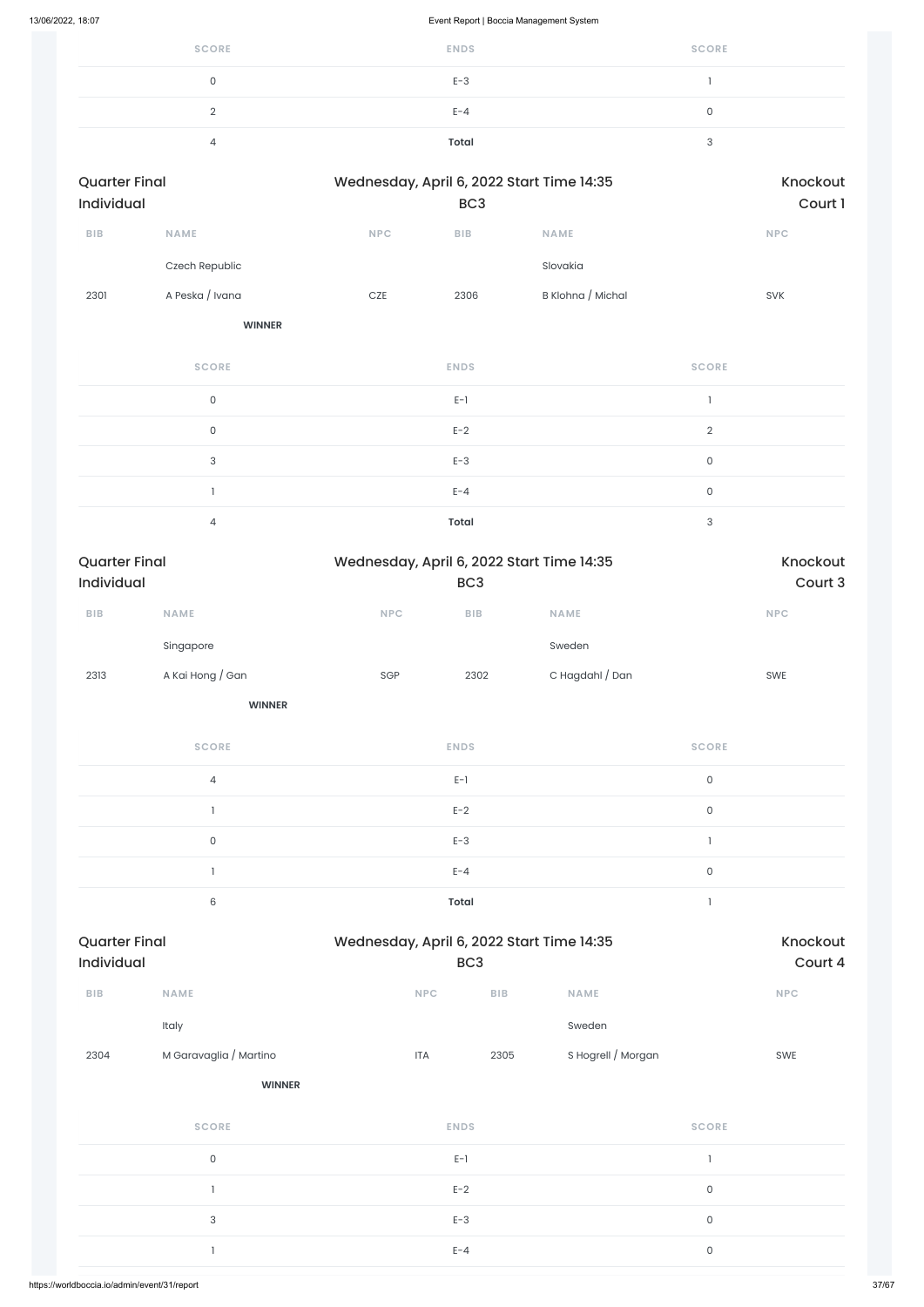| <b>SCORE</b> | <b>ENDS</b>  | <b>SCORE</b> |
|--------------|--------------|--------------|
|              | $E-3$        |              |
|              | $E - 4$      | ັ            |
|              | <b>Total</b> |              |

| <b>Quarter Final</b><br>Individual |                           |            | BC <sub>3</sub>         | Wednesday, April 6, 2022 Start Time 14:35 |                           | Knockout<br>Court 1 |
|------------------------------------|---------------------------|------------|-------------------------|-------------------------------------------|---------------------------|---------------------|
| BIB                                | NAME                      | NPC        | ${\sf B}{\sf I}{\sf B}$ | NAME                                      |                           | <b>NPC</b>          |
|                                    | Czech Republic            |            |                         | Slovakia                                  |                           |                     |
| 2301                               | A Peska / Ivana           | $CZE$      | 2306                    | B Klohna / Michal                         |                           | SVK                 |
|                                    | <b>WINNER</b>             |            |                         |                                           |                           |                     |
|                                    | <b>SCORE</b>              |            | <b>ENDS</b>             |                                           | <b>SCORE</b>              |                     |
|                                    | $\mathsf{O}$              |            | $E-1$                   |                                           | $\mathbf{I}$              |                     |
|                                    | $\mathsf{O}$              |            | $E-2$                   |                                           | $\sqrt{2}$                |                     |
|                                    | $\ensuremath{\mathsf{3}}$ |            | $E-3$                   |                                           | $\mathsf{O}\xspace$       |                     |
|                                    | $\mathbf{I}$              |            | $E - 4$                 |                                           | $\mathsf{O}$              |                     |
|                                    | $\overline{4}$            |            | <b>Total</b>            |                                           | $\ensuremath{\mathsf{3}}$ |                     |
|                                    |                           |            |                         |                                           |                           |                     |
| <b>Quarter Final</b><br>Individual |                           |            | BC <sub>3</sub>         | Wednesday, April 6, 2022 Start Time 14:35 |                           | Knockout<br>Court 3 |
| BIB                                | <b>NAME</b>               | <b>NPC</b> | ${\sf B}{\sf I}{\sf B}$ | <b>NAME</b>                               |                           | <b>NPC</b>          |
|                                    | Singapore                 |            |                         | Sweden                                    |                           |                     |
| 2313                               | A Kai Hong / Gan          | SGP        | 2302                    | C Hagdahl / Dan                           |                           | SWE                 |
|                                    | <b>WINNER</b>             |            |                         |                                           |                           |                     |
|                                    | <b>SCORE</b>              |            | <b>ENDS</b>             |                                           | <b>SCORE</b>              |                     |
|                                    | $\overline{4}$            |            | $E-1$                   |                                           | $\mathsf{O}$              |                     |
|                                    | $\mathbf{1}$              |            | $E-2$                   |                                           | $\mathsf{O}$              |                     |
|                                    | $\mathsf{O}$              |            | $E-3$                   |                                           | $\mathbbm{1}$             |                     |
|                                    | $\mathbf{1}$              |            | $E - 4$                 |                                           | $\mathsf{O}$              |                     |

| ${\sf B}{\sf I}{\sf B}$ | <b>NAME</b>            | <b>NPC</b>  | ${\sf B}{\sf I}{\sf B}$ | <b>NAME</b>        |              | <b>NPC</b> |
|-------------------------|------------------------|-------------|-------------------------|--------------------|--------------|------------|
|                         | Italy                  |             |                         | Sweden             |              |            |
| 2304                    | M Garavaglia / Martino | <b>ITA</b>  | 2305                    | S Hogrell / Morgan |              | SWE        |
|                         | <b>WINNER</b>          |             |                         |                    |              |            |
|                         | <b>SCORE</b>           | <b>ENDS</b> |                         |                    | <b>SCORE</b> |            |
|                         | $\mathsf O$            | $E-1$       |                         |                    | $\mathbf{I}$ |            |
|                         |                        | $E-2$       |                         |                    | $\mathsf{O}$ |            |
|                         | $\sqrt{3}$             | $E-3$       |                         |                    | $\mathsf{O}$ |            |
|                         |                        | $E - 4$     |                         |                    | $\mathsf{O}$ |            |
|                         |                        |             |                         |                    |              |            |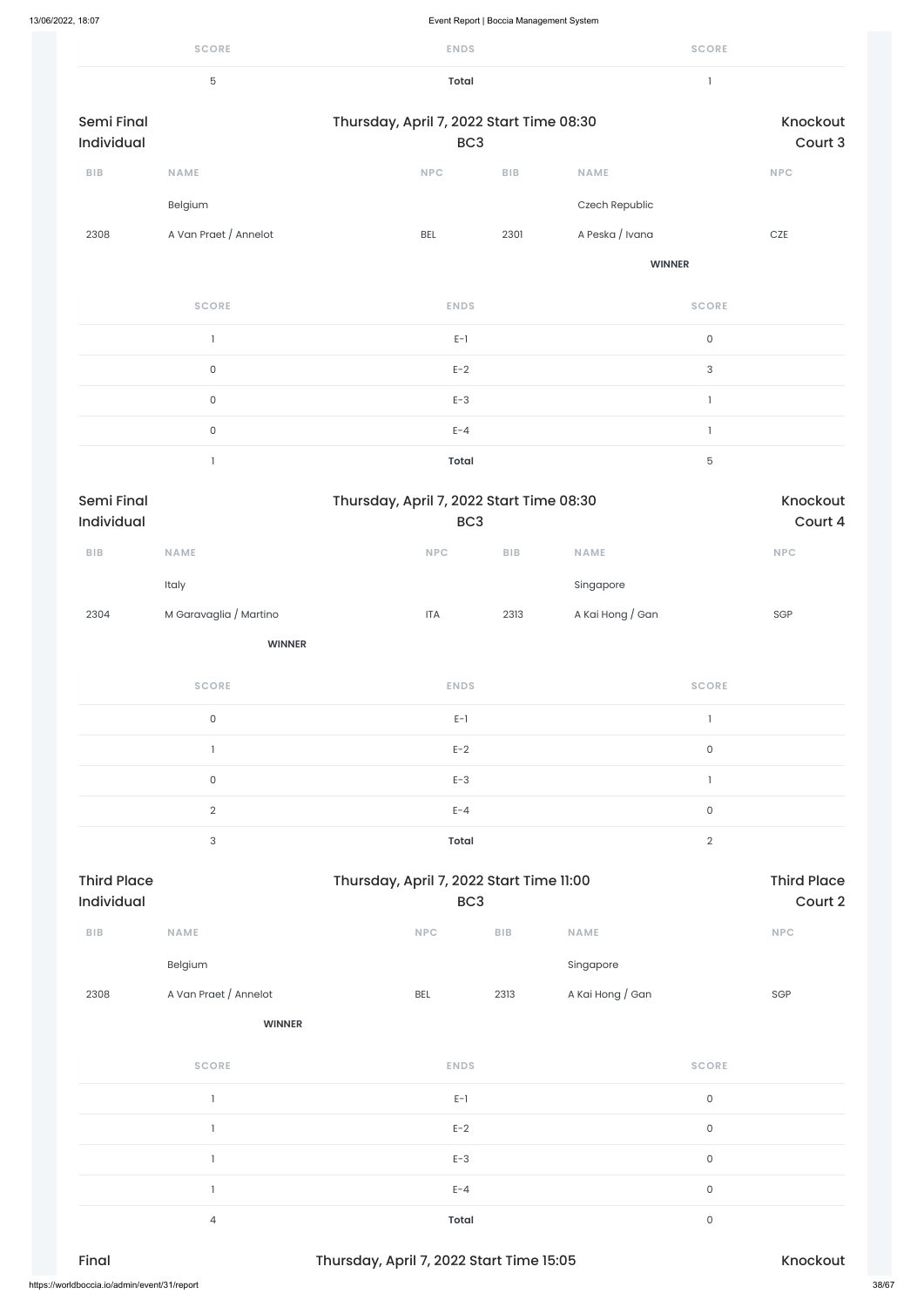|                                  | <b>SCORE</b>              | <b>ENDS</b>                                                 |                         |                  | <b>SCORE</b>              |                               |
|----------------------------------|---------------------------|-------------------------------------------------------------|-------------------------|------------------|---------------------------|-------------------------------|
|                                  | $\mathbf 5$               | <b>Total</b>                                                |                         |                  | $\mathbf{I}$              |                               |
| <b>Semi Final</b><br>Individual  |                           | Thursday, April 7, 2022 Start Time 08:30<br>BC <sub>3</sub> |                         |                  |                           | Knockout<br>Court 3           |
| ${\sf B}{\sf I}{\sf B}$          | <b>NAME</b>               | <b>NPC</b>                                                  | ${\sf B}{\sf I}{\sf B}$ | <b>NAME</b>      |                           | NPC                           |
|                                  | Belgium                   |                                                             |                         | Czech Republic   |                           |                               |
| 2308                             | A Van Praet / Annelot     | <b>BEL</b>                                                  | 2301                    | A Peska / Ivana  |                           | $CZE$                         |
|                                  |                           |                                                             |                         | <b>WINNER</b>    |                           |                               |
|                                  | <b>SCORE</b>              | <b>ENDS</b>                                                 |                         |                  | <b>SCORE</b>              |                               |
|                                  | $\mathbf{1}$              | $E-1$                                                       |                         |                  | $\mathsf{O}\xspace$       |                               |
|                                  | $\mathsf{O}\xspace$       | $E-2$                                                       |                         |                  | $\ensuremath{\mathsf{3}}$ |                               |
|                                  | $\mathsf{O}\xspace$       | $E-3$                                                       |                         |                  | $\mathbf{1}$              |                               |
|                                  | $\mathsf{O}\xspace$       | $E - 4$                                                     |                         |                  | 1                         |                               |
|                                  | $\mathbf{1}$              | <b>Total</b>                                                |                         |                  | $\mathbf 5$               |                               |
| Semi Final<br>Individual         |                           | Thursday, April 7, 2022 Start Time 08:30<br>BC <sub>3</sub> |                         |                  |                           | Knockout<br>Court 4           |
| BIB                              | NAME                      | $\ensuremath{\mathsf{NPC}}$                                 | <b>BIB</b>              | NAME             |                           | <b>NPC</b>                    |
|                                  | Italy                     |                                                             |                         | Singapore        |                           |                               |
| 2304                             | M Garavaglia / Martino    | <b>ITA</b>                                                  | 2313                    | A Kai Hong / Gan |                           | SGP                           |
|                                  | <b>WINNER</b>             |                                                             |                         |                  |                           |                               |
|                                  | <b>SCORE</b>              | <b>ENDS</b>                                                 |                         |                  | <b>SCORE</b>              |                               |
|                                  | $\mathsf{O}\xspace$       | $E-1$                                                       |                         |                  | $\mathbf{1}$              |                               |
|                                  | $\mathbb{I}$              | $E-2$                                                       |                         |                  | $\mathsf{O}\xspace$       |                               |
|                                  | $\mathsf{O}\xspace$       | $E-3$                                                       |                         |                  | $\mathbf{I}$              |                               |
|                                  | $\overline{2}$            | $E - 4$                                                     |                         |                  | $\mathsf{O}\xspace$       |                               |
|                                  | $\ensuremath{\mathsf{3}}$ | <b>Total</b>                                                |                         |                  | $\overline{2}$            |                               |
| <b>Third Place</b><br>Individual |                           | Thursday, April 7, 2022 Start Time 11:00<br>BC <sub>3</sub> |                         |                  |                           | <b>Third Place</b><br>Court 2 |
|                                  |                           |                                                             |                         |                  |                           |                               |

Belgium Singapore

| 2308                                         | A Van Praet / Annelot | <b>BEL</b>                               | 2313 | A Kai Hong / Gan | SGP      |       |
|----------------------------------------------|-----------------------|------------------------------------------|------|------------------|----------|-------|
|                                              | <b>WINNER</b>         |                                          |      |                  |          |       |
|                                              | <b>SCORE</b>          | <b>ENDS</b>                              |      | <b>SCORE</b>     |          |       |
|                                              |                       | $E-1$                                    |      | $\mathsf O$      |          |       |
|                                              |                       | $E-2$                                    |      | $\mathsf O$      |          |       |
|                                              |                       | $E-3$                                    |      | $\mathsf O$      |          |       |
|                                              |                       | $E - 4$                                  |      | $\mathsf O$      |          |       |
|                                              | 4                     | <b>Total</b>                             |      | $\mathsf O$      |          |       |
| Final                                        |                       | Thursday, April 7, 2022 Start Time 15:05 |      |                  | Knockout |       |
| https://worldboccia.io/admin/event/31/report |                       |                                          |      |                  |          | 38/67 |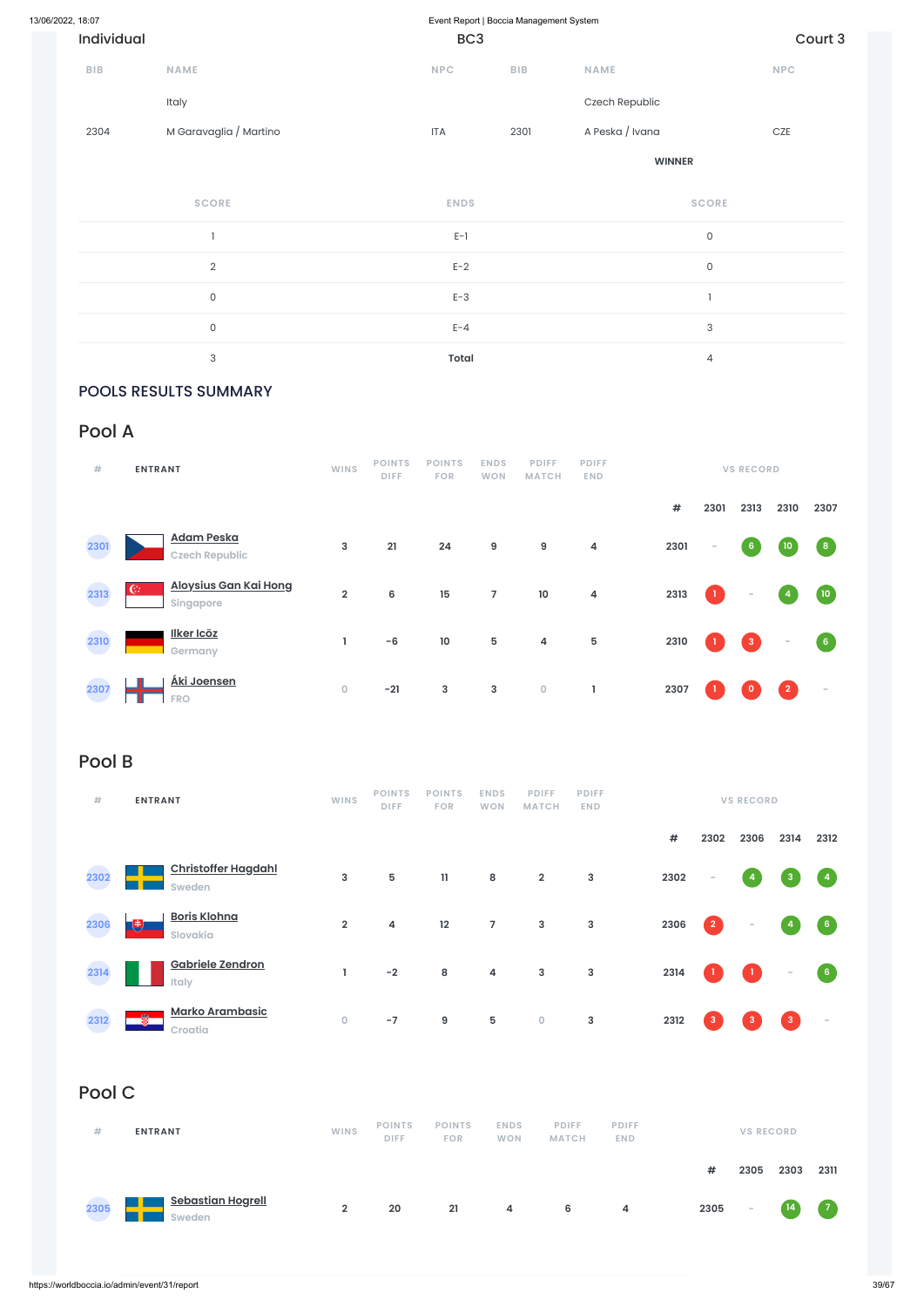| Individual |                        | BC <sub>3</sub> |            |                 |                     | Court 3    |
|------------|------------------------|-----------------|------------|-----------------|---------------------|------------|
| <b>BIB</b> | <b>NAME</b>            | <b>NPC</b>      | <b>BIB</b> | <b>NAME</b>     |                     | <b>NPC</b> |
|            | Italy                  |                 |            | Czech Republic  |                     |            |
| 2304       | M Garavaglia / Martino | <b>ITA</b>      | 2301       | A Peska / Ivana |                     | CZE        |
|            |                        |                 |            | <b>WINNER</b>   |                     |            |
|            | <b>SCORE</b>           | <b>ENDS</b>     |            |                 | <b>SCORE</b>        |            |
|            |                        | $E-1$           |            |                 | $\mathsf{O}\xspace$ |            |

2 and  $E-2$  and  $E-2$  and  $E-2$  and  $E-2$  and  $E-2$  and  $E-2$  and  $E-2$  and  $E-2$  and  $E-2$  and  $E-2$  and  $E-2$  and  $E-2$  and  $E-2$  and  $E-2$  and  $E-2$  and  $E-2$  and  $E-2$  and  $E-2$  and  $E-2$  and  $E-2$  and  $E-2$  and  $E-2$ 

 $E-3$  and  $E-3$  1

0 between the contract  $E-A$  and  $E-A$  and  $3$ 

3 **Total** 4

POOLS RESULTS SUMMARY

## Pool A

| #    | <b>ENTRANT</b>                             |                         | <b>POINTS</b><br><b>DIFF</b> | <b>POINTS</b><br><b>FOR</b> | <b>ENDS</b><br><b>WON</b> | <b>PDIFF</b><br><b>MATCH</b> | <b>PDIFF</b><br><b>END</b> |      |              | <b>VS RECORD</b> |                          |                          |
|------|--------------------------------------------|-------------------------|------------------------------|-----------------------------|---------------------------|------------------------------|----------------------------|------|--------------|------------------|--------------------------|--------------------------|
|      |                                            |                         |                              |                             |                           |                              |                            | $\#$ | 2301         | 2313             | 2310                     | 2307                     |
| 2301 | <b>Adam Peska</b><br><b>Czech Republic</b> | 3                       | 21                           | 24                          | 9                         | 9                            | $\pmb{4}$                  | 2301 | $\sim$       | $6\phantom{.}6$  | 10                       | $\vert 8 \vert$          |
| 2313 | Aloysius Gan Kai Hong<br>C.<br>Singapore   | $\overline{\mathbf{2}}$ | $\bf 6$                      | 15                          | $\overline{7}$            | $10$                         | $\pmb{4}$                  | 2313 | $\mathbf{1}$ | $\sim$           | $\overline{4}$           | (10)                     |
| 2310 | Ilker Icöz<br>Germany                      | L                       | $-6$                         | $10$                        | 5                         | $\overline{\mathbf{4}}$      | ${\bf 5}$                  | 2310 | -1.          | $\mathbf{3}$     | $\overline{\phantom{a}}$ | 6 <sub>o</sub>           |
| 2307 | Áki Joensen<br><b>FRO</b>                  | $\mathsf{O}\xspace$     | $-21$                        | $\mathbf{3}$                | $\mathsf 3$               | $\mathsf{O}\xspace$          |                            | 2307 | -1.          | $\mathbf{0}$     | $\overline{2}$           | $\overline{\phantom{a}}$ |

## Pool B

| #    | <b>ENTRANT</b>                       | <b>WINS</b>    | <b>POINTS</b><br><b>DIFF</b> | <b>POINTS</b><br><b>FOR</b> | <b>ENDS</b><br><b>WON</b> | <b>PDIFF</b><br><b>MATCH</b> | <b>PDIFF</b><br><b>END</b> |      |                 | <b>VS RECORD</b>         |                          |                                   |
|------|--------------------------------------|----------------|------------------------------|-----------------------------|---------------------------|------------------------------|----------------------------|------|-----------------|--------------------------|--------------------------|-----------------------------------|
|      |                                      |                |                              |                             |                           |                              |                            | #    | 2302            | 2306                     | 2314                     | 2312                              |
| 2302 | <b>Christoffer Hagdahl</b><br>Sweden | 3              | 5                            | $\mathbf{11}$               | 8                         | $\overline{2}$               | 3                          | 2302 | $\sim$          | $\overline{4}$           | $\mathbf{3}$             | $\begin{pmatrix} 4 \end{pmatrix}$ |
| 2306 | <b>Boris Klohna</b><br>Ø<br>Slovakia | $\overline{2}$ | 4                            | 12                          | $\overline{7}$            | $\mathbf{3}$                 | 3                          | 2306 | $\vert 2 \vert$ | $\overline{\phantom{a}}$ | $\overline{4}$           | $\begin{bmatrix} 6 \end{bmatrix}$ |
| 2314 | Gabriele Zendron<br>Italy            |                | $-2$                         | 8                           | 4                         | 3                            | 3                          | 2314 |                 |                          | $\overline{\phantom{a}}$ | $6\phantom{.}6$                   |



## Pool C

| #    | <b>ENTRANT</b>                     | <b>WINS</b>    | <b>POINTS</b><br><b>DIFF</b> | <b>POINTS</b><br><b>FOR</b> | <b>ENDS</b><br><b>WON</b> | <b>PDIFF</b><br><b>MATCH</b> | <b>PDIFF</b><br><b>END</b> |      | <b>VS RECORD</b> |                   |      |
|------|------------------------------------|----------------|------------------------------|-----------------------------|---------------------------|------------------------------|----------------------------|------|------------------|-------------------|------|
|      |                                    |                |                              |                             |                           |                              |                            | #    | 2305             | 2303              | 2311 |
| 2305 | <u>Sebastian Hogrell</u><br>Sweden | $\overline{2}$ | 20                           | 21                          | 4                         | 6                            | 4                          | 2305 | $\sim$           | $\left(14\right)$ |      |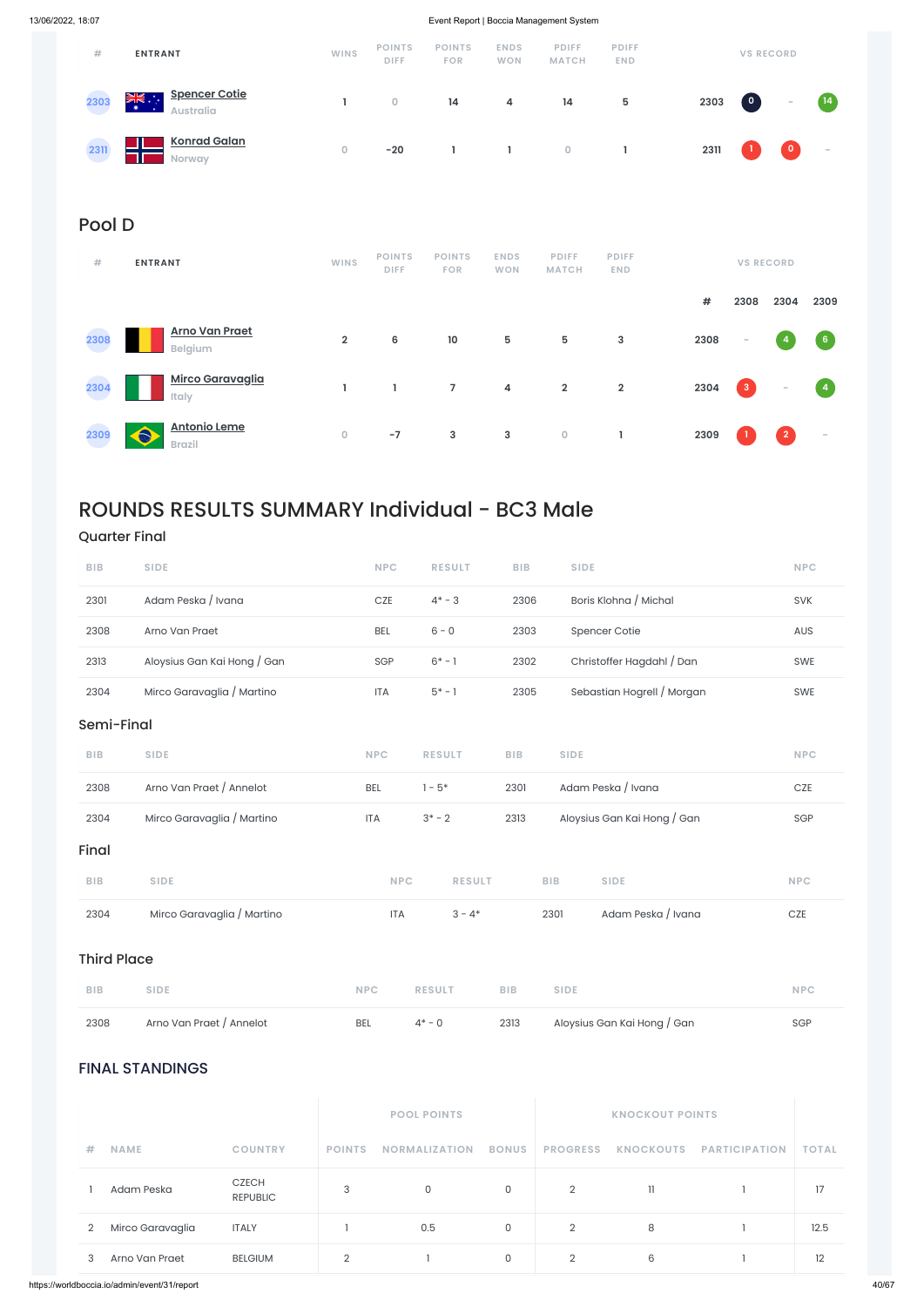| #    | <b>ENTRANT</b>                                      | <b>WINS</b> | <b>POINTS</b><br><b>DIFF</b> | <b>POINTS</b><br><b>FOR</b> | <b>ENDS</b><br><b>WON</b> | <b>PDIFF</b><br><b>MATCH</b> | <b>PDIFF</b><br><b>END</b> |      | <b>VS RECORD</b>     |           |                   |
|------|-----------------------------------------------------|-------------|------------------------------|-----------------------------|---------------------------|------------------------------|----------------------------|------|----------------------|-----------|-------------------|
| 2303 | <b>Spencer Cotie</b><br>≫⊯<br>۰<br><b>Australia</b> |             | $\overline{0}$               | 14                          | 4                         | 14                           | 5                          | 2303 | $\boxed{\mathbf{o}}$ | $\sim$    | $\left(14\right)$ |
| 2311 | <b>Konrad Galan</b><br><b>Norway</b>                | 0           | $-20$                        |                             |                           | $\circ$                      |                            | 2311 |                      | $\bullet$ | $\sim$            |

### Pool D

| #    | <b>ENTRANT</b>                            | <b>WINS</b>    | <b>POINTS</b><br><b>DIFF</b> | <b>POINTS</b><br><b>FOR</b> | <b>ENDS</b><br><b>WON</b> | <b>PDIFF</b><br><b>MATCH</b> | <b>PDIFF</b><br><b>END</b> |      |                          | <b>VS RECORD</b>         |                          |
|------|-------------------------------------------|----------------|------------------------------|-----------------------------|---------------------------|------------------------------|----------------------------|------|--------------------------|--------------------------|--------------------------|
|      |                                           |                |                              |                             |                           |                              |                            | #    | 2308                     | 2304                     | 2309                     |
| 2308 | <b>Arno Van Praet</b><br>Belgium          | $\overline{2}$ | 6                            | $10$                        | 5                         | $5\phantom{.0}$              | $\mathbf{3}$               | 2308 | $\overline{\phantom{a}}$ |                          | $6\phantom{.}6$          |
| 2304 | <b>Mirco Garavaglia</b><br>Italy          | т              |                              | 7                           | 4                         | $\overline{2}$               | $\overline{2}$             | 2304 | $\overline{\mathbf{3}}$  | $\overline{\phantom{a}}$ | $\overline{4}$           |
| 2309 | <b>Antonio Leme</b><br>A<br><b>Brazil</b> | $\overline{0}$ | $-7$                         | 3                           | 3                         | $\circ$                      |                            | 2309 |                          | $\overline{2}$           | $\overline{\phantom{a}}$ |

## ROUNDS RESULTS SUMMARY Individual - BC3 Male

| <b>BIB</b>       | <b>SIDE</b>              |                                 | <b>NPC</b>     | <b>RESULT</b>        | <b>BIB</b>   | <b>SIDE</b>     |                             |                      | <b>NPC</b>   |
|------------------|--------------------------|---------------------------------|----------------|----------------------|--------------|-----------------|-----------------------------|----------------------|--------------|
| 2308             | Arno Van Praet / Annelot |                                 | <b>BEL</b>     | $4^* - 0$            | 2313         |                 | Aloysius Gan Kai Hong / Gan |                      | SGP          |
|                  | <b>FINAL STANDINGS</b>   |                                 |                |                      |              |                 |                             |                      |              |
|                  |                          |                                 |                | <b>POOL POINTS</b>   |              |                 | <b>KNOCKOUT POINTS</b>      |                      |              |
| #<br><b>NAME</b> |                          | <b>COUNTRY</b>                  | <b>POINTS</b>  | <b>NORMALIZATION</b> | <b>BONUS</b> | <b>PROGRESS</b> | <b>KNOCKOUTS</b>            | <b>PARTICIPATION</b> | <b>TOTAL</b> |
|                  | Adam Peska               | <b>CZECH</b><br><b>REPUBLIC</b> | 3              | $\mathsf O$          | $\mathsf O$  | $\overline{2}$  | $\left\lceil \right\rceil$  |                      | 17           |
| $\overline{2}$   | Mirco Garavaglia         | <b>ITALY</b>                    |                | 0.5                  | $\mathsf O$  | $\overline{2}$  | 8                           |                      | 12.5         |
| 3                | Arno Van Praet           | <b>BELGIUM</b>                  | $\overline{2}$ |                      | $\mathsf{O}$ | $\overline{2}$  | 6                           |                      | 12           |
|                  |                          |                                 |                |                      |              |                 |                             |                      |              |

### Quarter Final

| 2304       | Mirco Garavaglia / Martino  | <b>ITA</b> | $3 - 4*$      |            | 2301        | Adam Peska / Ivana          | CZE        |
|------------|-----------------------------|------------|---------------|------------|-------------|-----------------------------|------------|
| <b>BIB</b> | <b>SIDE</b>                 | <b>NPC</b> | <b>RESULT</b> |            | <b>BIB</b>  | <b>SIDE</b>                 | <b>NPC</b> |
| Final      |                             |            |               |            |             |                             |            |
| 2304       | Mirco Garavaglia / Martino  | <b>ITA</b> | $3* - 2$      | 2313       |             | Aloysius Gan Kai Hong / Gan | SGP        |
| 2308       | Arno Van Praet / Annelot    | <b>BEL</b> | $1 - 5*$      | 2301       |             | Adam Peska / Ivana          | CZE        |
| <b>BIB</b> | <b>SIDE</b>                 | <b>NPC</b> | <b>RESULT</b> | <b>BIB</b> | <b>SIDE</b> |                             | <b>NPC</b> |
| Semi-Final |                             |            |               |            |             |                             |            |
| 2304       | Mirco Garavaglia / Martino  | <b>ITA</b> | $5* - 1$      | 2305       |             | Sebastian Hogrell / Morgan  | <b>SWE</b> |
| 2313       | Aloysius Gan Kai Hong / Gan | SGP        | $6* - 1$      | 2302       |             | Christoffer Hagdahl / Dan   | SWE        |
| 2308       | Arno Van Praet              | <b>BEL</b> | $6 - 0$       | 2303       |             | Spencer Cotie               | AUS        |
| 2301       | Adam Peska / Ivana          | CZE        | $4* - 3$      | 2306       |             | Boris Klohna / Michal       | <b>SVK</b> |
| <b>BIB</b> | <b>SIDE</b>                 | <b>NPC</b> | <b>RESULT</b> | <b>BIB</b> | <b>SIDE</b> |                             | <b>NPC</b> |

Third Place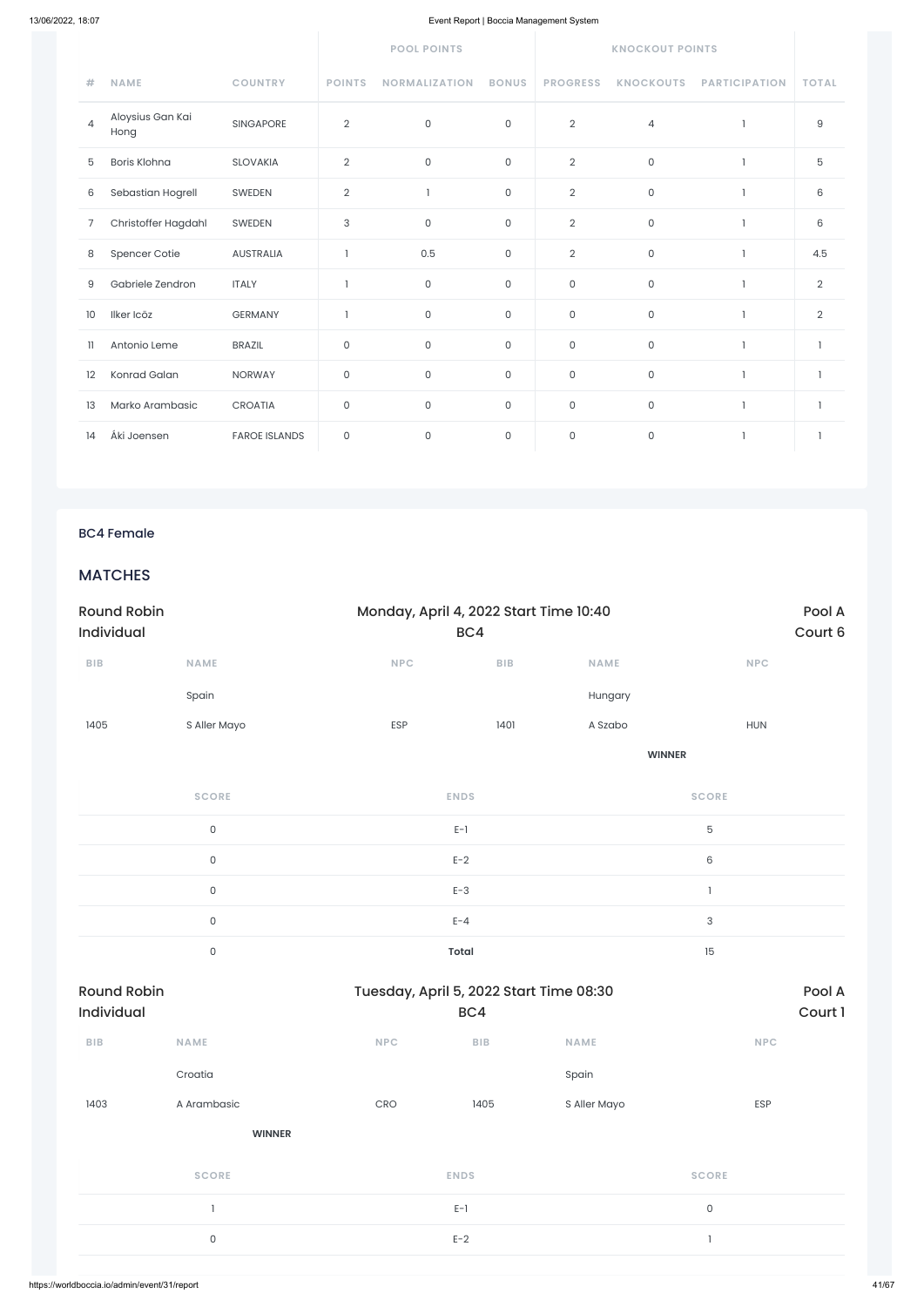|                |                          |                      |                     | <b>POOL POINTS</b>   |              | <b>KNOCKOUT POINTS</b> |                  |                      |                |  |
|----------------|--------------------------|----------------------|---------------------|----------------------|--------------|------------------------|------------------|----------------------|----------------|--|
| #              | <b>NAME</b>              | <b>COUNTRY</b>       | <b>POINTS</b>       | <b>NORMALIZATION</b> | <b>BONUS</b> | <b>PROGRESS</b>        | <b>KNOCKOUTS</b> | <b>PARTICIPATION</b> | <b>TOTAL</b>   |  |
| $\overline{4}$ | Aloysius Gan Kai<br>Hong | <b>SINGAPORE</b>     | $\sqrt{2}$          | $\mathsf{O}$         | $\mathsf{O}$ | $\mathbf{2}$           | $\overline{4}$   |                      | $\mathsf g$    |  |
| 5              | Boris Klohna             | <b>SLOVAKIA</b>      | $\overline{2}$      | $\mathsf{O}\xspace$  | $\mathsf{O}$ | $\overline{2}$         | $\mathsf O$      |                      | 5              |  |
| 6              | Sebastian Hogrell        | SWEDEN               | $\overline{2}$      | $\mathbf{1}$         | $\mathsf O$  | $\overline{2}$         | $\mathsf O$      | $\mathbf{1}$         | 6              |  |
| 7              | Christoffer Hagdahl      | SWEDEN               | 3                   | $\mathsf{O}$         | $\mathbf 0$  | $\overline{2}$         | $\mathsf{O}$     | -1                   | 6              |  |
| 8              | Spencer Cotie            | <b>AUSTRALIA</b>     | $\overline{1}$      | 0.5                  | $\mathsf{O}$ | $\overline{2}$         | $\mathsf{O}$     | $\overline{1}$       | 4.5            |  |
| 9              | Gabriele Zendron         | <b>ITALY</b>         | $\overline{1}$      | $\mathsf{O}$         | 0            | $\mathsf{O}\xspace$    | $\mathsf O$      |                      | $\overline{2}$ |  |
| 10             | Ilker Icöz               | <b>GERMANY</b>       | $\overline{1}$      | $\mathsf{O}$         | 0            | 0                      | $\mathsf{O}$     | $\overline{1}$       | $\overline{2}$ |  |
| $\mathbf{1}$   | Antonio Leme             | <b>BRAZIL</b>        | $\mathsf{O}\xspace$ | $\mathsf{O}\xspace$  | 0            | 0                      | $\mathsf{O}$     | $\mathbf{1}$         | $\mathbf{1}$   |  |
| 12             | Konrad Galan             | <b>NORWAY</b>        | $\mathsf{O}\xspace$ | 0                    | 0            | $\mathsf{O}$           | $\mathsf{O}$     | $\mathbf{1}$         | $\mathbf{1}$   |  |
| 13             | Marko Arambasic          | <b>CROATIA</b>       | $\mathsf{O}\xspace$ | $\mathsf{O}$         | $\mathsf{O}$ | $\mathsf{O}\xspace$    | $\mathsf{O}$     | $\mathbf{1}$         | $\mathbf{1}$   |  |
| 14             | Áki Joensen              | <b>FAROE ISLANDS</b> | $\mathsf{O}\xspace$ | $\mathsf{O}\xspace$  | $\mathsf{O}$ | $\mathsf{O}\xspace$    | $\mathsf{O}$     | $\overline{1}$       | 1              |  |

### BC4 Female

### **MATCHES**

| <b>Round Robin</b><br>Individual |                     | Monday, April 4, 2022 Start Time 10:40<br>BC4 |                         |               | Pool A<br>Court 6        |  |  |
|----------------------------------|---------------------|-----------------------------------------------|-------------------------|---------------|--------------------------|--|--|
| ${\sf B}{\sf I}{\sf B}$          | <b>NAME</b>         | NPC                                           | ${\sf B}{\sf I}{\sf B}$ | <b>NAME</b>   | <b>NPC</b>               |  |  |
|                                  | Spain               |                                               |                         | Hungary       |                          |  |  |
| 1405                             | S Aller Mayo        | ESP                                           | 1401                    | A Szabo       | <b>HUN</b>               |  |  |
|                                  |                     |                                               |                         | <b>WINNER</b> |                          |  |  |
|                                  | <b>SCORE</b>        | <b>ENDS</b>                                   |                         |               | <b>SCORE</b>             |  |  |
|                                  | $\mathsf{O}$        | $E-1$                                         |                         |               | $\mathbf 5$              |  |  |
|                                  | $\mathsf{O}$        | $E-2$                                         |                         |               | $\mathsf 6$              |  |  |
|                                  | $\mathsf{O}\xspace$ | $E-3$                                         |                         |               | $\overline{\phantom{a}}$ |  |  |
|                                  | $\mathsf{O}$        | $E - 4$                                       |                         |               | 3                        |  |  |
|                                  | $\mathsf{O}\xspace$ | <b>Total</b>                                  |                         |               | 15                       |  |  |

| <b>Round Robin</b><br>Individual |               | Tuesday, April 5, 2022 Start Time 08:30 | BC4         |              |              | Pool A<br>Court 1 |
|----------------------------------|---------------|-----------------------------------------|-------------|--------------|--------------|-------------------|
| BIB                              | <b>NAME</b>   | <b>NPC</b>                              | BIB         | <b>NAME</b>  | <b>NPC</b>   |                   |
|                                  | Croatia       |                                         |             | Spain        |              |                   |
| 1403                             | A Arambasic   | CRO                                     | 1405        | S Aller Mayo | ESP          |                   |
|                                  | <b>WINNER</b> |                                         |             |              |              |                   |
|                                  | <b>SCORE</b>  |                                         | <b>ENDS</b> |              | <b>SCORE</b> |                   |
|                                  |               |                                         | $E-1$       |              | $\mathsf{O}$ |                   |
|                                  | $\mathsf{O}$  |                                         | $E-2$       |              | $\mathbf{I}$ |                   |
|                                  |               |                                         |             |              |              |                   |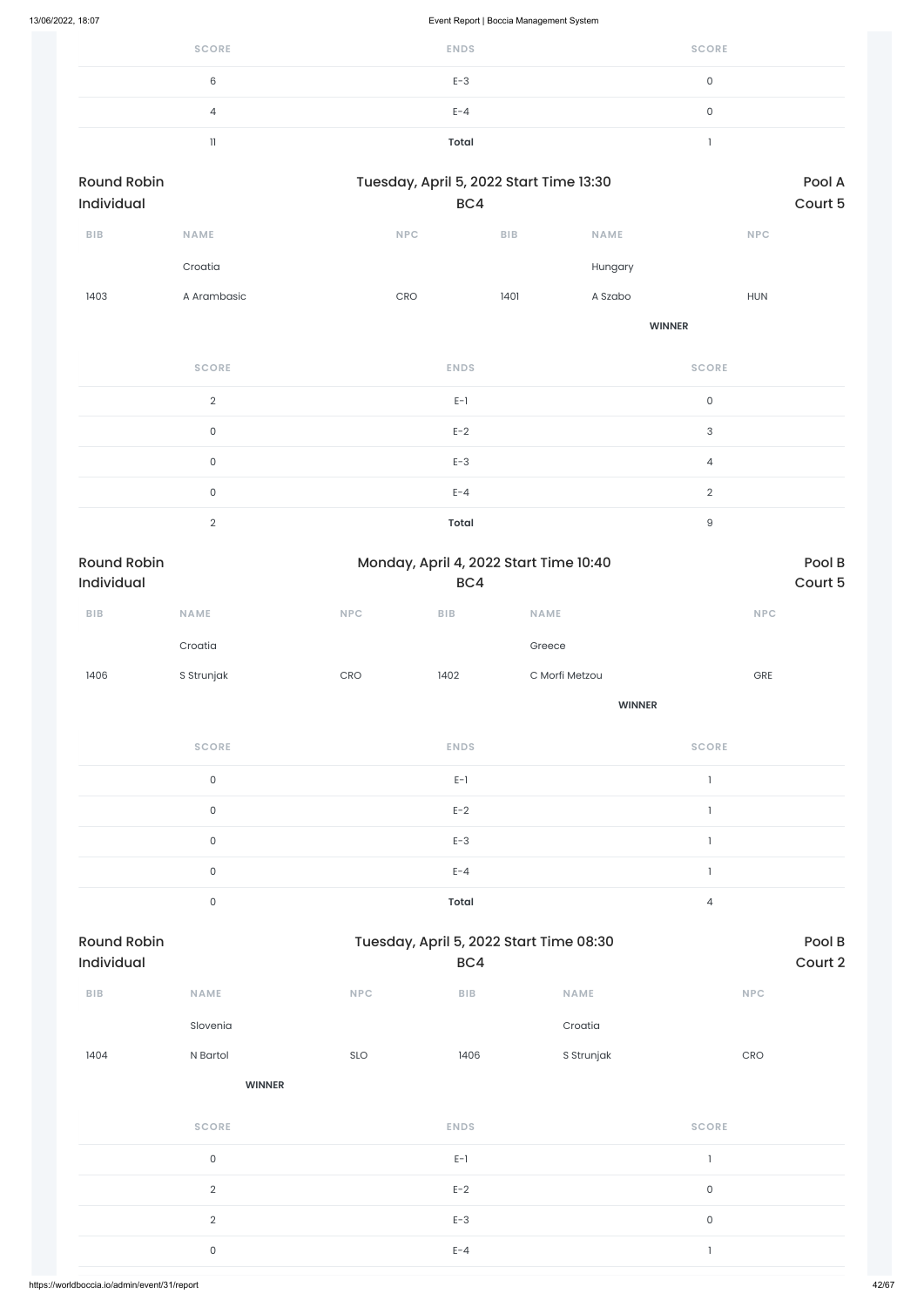| <b>SCORE</b>   | <b>ENDS</b> | <b>SCORE</b> |
|----------------|-------------|--------------|
| 6              | $E-3$       | ◡            |
| $\overline{4}$ | $E - 4$     |              |
|                | Total       |              |

| <b>Round Robin</b> |             |            | Tuesday, April 5, 2022 Start Time 13:30 |             |            |  |  |  |
|--------------------|-------------|------------|-----------------------------------------|-------------|------------|--|--|--|
| Individual         |             |            | BC4                                     |             |            |  |  |  |
| <b>BIB</b>         | <b>NAME</b> | <b>NPC</b> | <b>BIB</b>                              | <b>NAME</b> | <b>NPC</b> |  |  |  |
|                    | Croatia     |            |                                         | Hungary     |            |  |  |  |
| 1403               | A Arambasic | <b>CRO</b> | 1401                                    | A Szabo     | <b>HUN</b> |  |  |  |
|                    |             |            |                                         |             |            |  |  |  |

**WINNER**

| <b>SCORE</b>  | <b>ENDS</b>  | <b>SCORE</b> |
|---------------|--------------|--------------|
| $\mathcal{D}$ | $E-1$        | $\mathbf 0$  |
| 0             | $E-2$        | 3            |
| 0             | $E-3$        | 4            |
| 0             | $E - 4$      | $\Omega$     |
| $\Omega$      | <b>Total</b> | 9            |

| <b>Round Robin</b><br>Individual |              |            | Monday, April 4, 2022 Start Time 10:40<br>BC4 |                |              |  |  |
|----------------------------------|--------------|------------|-----------------------------------------------|----------------|--------------|--|--|
| <b>BIB</b>                       | <b>NAME</b>  | <b>NPC</b> | <b>BIB</b>                                    | <b>NAME</b>    | <b>NPC</b>   |  |  |
|                                  | Croatia      |            |                                               | Greece         |              |  |  |
| 1406                             | S Strunjak   | CRO        | 1402                                          | C Morfi Metzou | <b>GRE</b>   |  |  |
|                                  |              |            |                                               | <b>WINNER</b>  |              |  |  |
|                                  | <b>SCORE</b> |            | <b>ENDS</b>                                   |                | <b>SCORE</b> |  |  |

| $\cap$ | $E-1$        |  |
|--------|--------------|--|
| C      | $E-2$        |  |
|        | $E-3$        |  |
|        | $E - 4$      |  |
|        | <b>Total</b> |  |

| BIB            | <b>NAME</b>         | <b>NPC</b> | ${\sf B}{\sf I}{\sf B}$ | <b>NAME</b> | <b>NPC</b>   |  |
|----------------|---------------------|------------|-------------------------|-------------|--------------|--|
|                | Slovenia            |            |                         | Croatia     |              |  |
| 1404           | N Bartol            | SLO        | 1406                    | S Strunjak  | CRO          |  |
|                | <b>WINNER</b>       |            |                         |             |              |  |
|                | <b>SCORE</b>        |            | <b>ENDS</b>             |             | <b>SCORE</b> |  |
|                | $\mathsf{O}$        |            | $E-1$                   |             | 1            |  |
|                | $\sqrt{2}$          |            | $E-2$                   |             | $\mathsf{O}$ |  |
| $\overline{2}$ |                     |            | $E-3$                   |             | $\mathsf O$  |  |
|                | $\mathsf{O}\xspace$ |            | $E - 4$                 |             | ı            |  |
|                |                     |            |                         |             |              |  |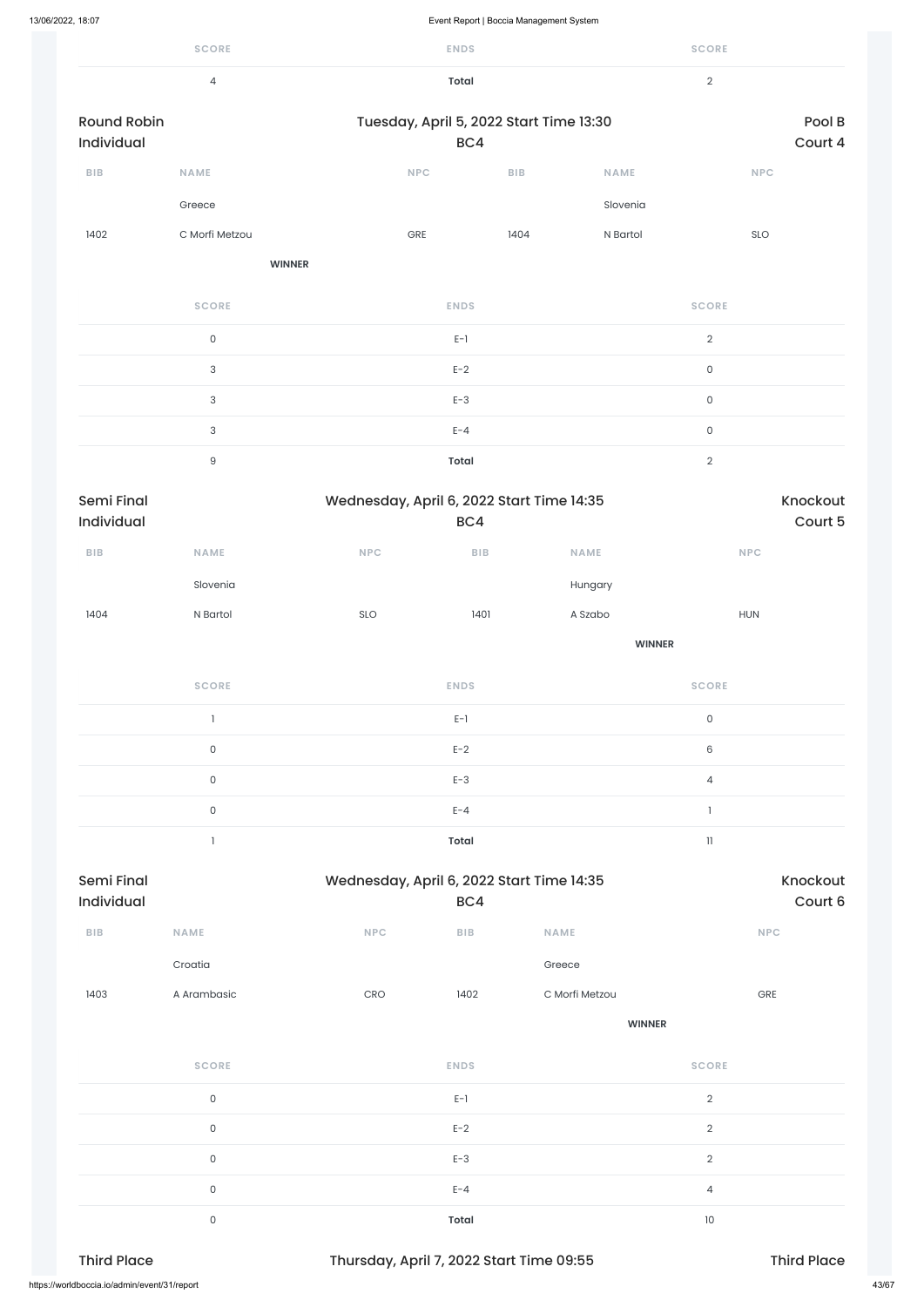|                                  | <b>SCORE</b>              |                                           | <b>ENDS</b>                                    |               | <b>SCORE</b>        |                     |
|----------------------------------|---------------------------|-------------------------------------------|------------------------------------------------|---------------|---------------------|---------------------|
|                                  | $\overline{4}$            |                                           | <b>Total</b>                                   |               |                     |                     |
| <b>Round Robin</b><br>Individual |                           |                                           | Tuesday, April 5, 2022 Start Time 13:30<br>BC4 |               |                     | Pool B<br>Court 4   |
| <b>BIB</b>                       | <b>NAME</b>               | NPC                                       | BIB                                            | <b>NAME</b>   |                     | <b>NPC</b>          |
|                                  | Greece                    |                                           |                                                | Slovenia      |                     |                     |
| 1402                             | C Morfi Metzou            | GRE                                       | 1404                                           | N Bartol      |                     | SLO                 |
|                                  |                           | <b>WINNER</b>                             |                                                |               |                     |                     |
|                                  | <b>SCORE</b>              |                                           | <b>ENDS</b>                                    |               | <b>SCORE</b>        |                     |
|                                  | $\mathsf{O}$              |                                           | $E-1$                                          |               | $\overline{2}$      |                     |
|                                  | $\sqrt{3}$                |                                           | $E-2$                                          |               | $\mathsf{O}\xspace$ |                     |
|                                  | $\ensuremath{\mathsf{3}}$ |                                           | $E-3$                                          |               | $\mathsf{O}\xspace$ |                     |
|                                  | $\ensuremath{\mathsf{3}}$ |                                           | $E - 4$                                        |               | $\mathsf{O}\xspace$ |                     |
|                                  | $\hbox{9}$                |                                           | <b>Total</b>                                   |               | $\overline{2}$      |                     |
| Semi Final<br>Individual         |                           | Wednesday, April 6, 2022 Start Time 14:35 | BC4                                            |               |                     | Knockout<br>Court 5 |
| BIB                              | NAME                      | NPC                                       | <b>BIB</b>                                     | NAME          |                     | <b>NPC</b>          |
|                                  | Slovenia                  |                                           |                                                | Hungary       |                     |                     |
| 1404                             | N Bartol                  | SLO                                       | 1401                                           | A Szabo       |                     | <b>HUN</b>          |
|                                  |                           |                                           |                                                | <b>WINNER</b> |                     |                     |
|                                  | <b>SCORE</b>              |                                           | <b>ENDS</b>                                    |               | <b>SCORE</b>        |                     |

| 1403                                         | A Arambasic  | CRO | 1402                                     | C Morfi Metzou |                | GRE                |       |
|----------------------------------------------|--------------|-----|------------------------------------------|----------------|----------------|--------------------|-------|
|                                              |              |     |                                          | <b>WINNER</b>  |                |                    |       |
|                                              | <b>SCORE</b> |     | <b>ENDS</b>                              |                | <b>SCORE</b>   |                    |       |
|                                              | $\mathsf O$  |     | $E-1$                                    |                | $\overline{2}$ |                    |       |
|                                              | $\mathsf O$  |     | $E-2$                                    |                | $\overline{2}$ |                    |       |
|                                              | $\mathsf O$  |     | $E-3$                                    |                | $\overline{2}$ |                    |       |
|                                              | $\mathsf O$  |     | $E - 4$                                  |                | 4              |                    |       |
|                                              | $\mathsf O$  |     | Total                                    |                | 10             |                    |       |
| <b>Third Place</b>                           |              |     | Thursday, April 7, 2022 Start Time 09:55 |                |                | <b>Third Place</b> |       |
| https://worldboccia.io/admin/event/31/report |              |     |                                          |                |                |                    | 43/67 |

|        | $E-1$        |   |
|--------|--------------|---|
| $\cap$ | $E-2$        | 6 |
|        | $E-3$        |   |
|        | $E - 4$      |   |
|        | <b>Total</b> |   |
|        |              |   |

| Semi Final        |             |            | Wednesday, April 6, 2022 Start Time 14:35 |             |            |  |  |  |
|-------------------|-------------|------------|-------------------------------------------|-------------|------------|--|--|--|
| <b>Individual</b> |             |            | BC4                                       |             | Court 6    |  |  |  |
| <b>BIB</b>        | <b>NAME</b> | <b>NPC</b> | <b>BIB</b>                                | <b>NAME</b> | <b>NPC</b> |  |  |  |

Croatia **Greece**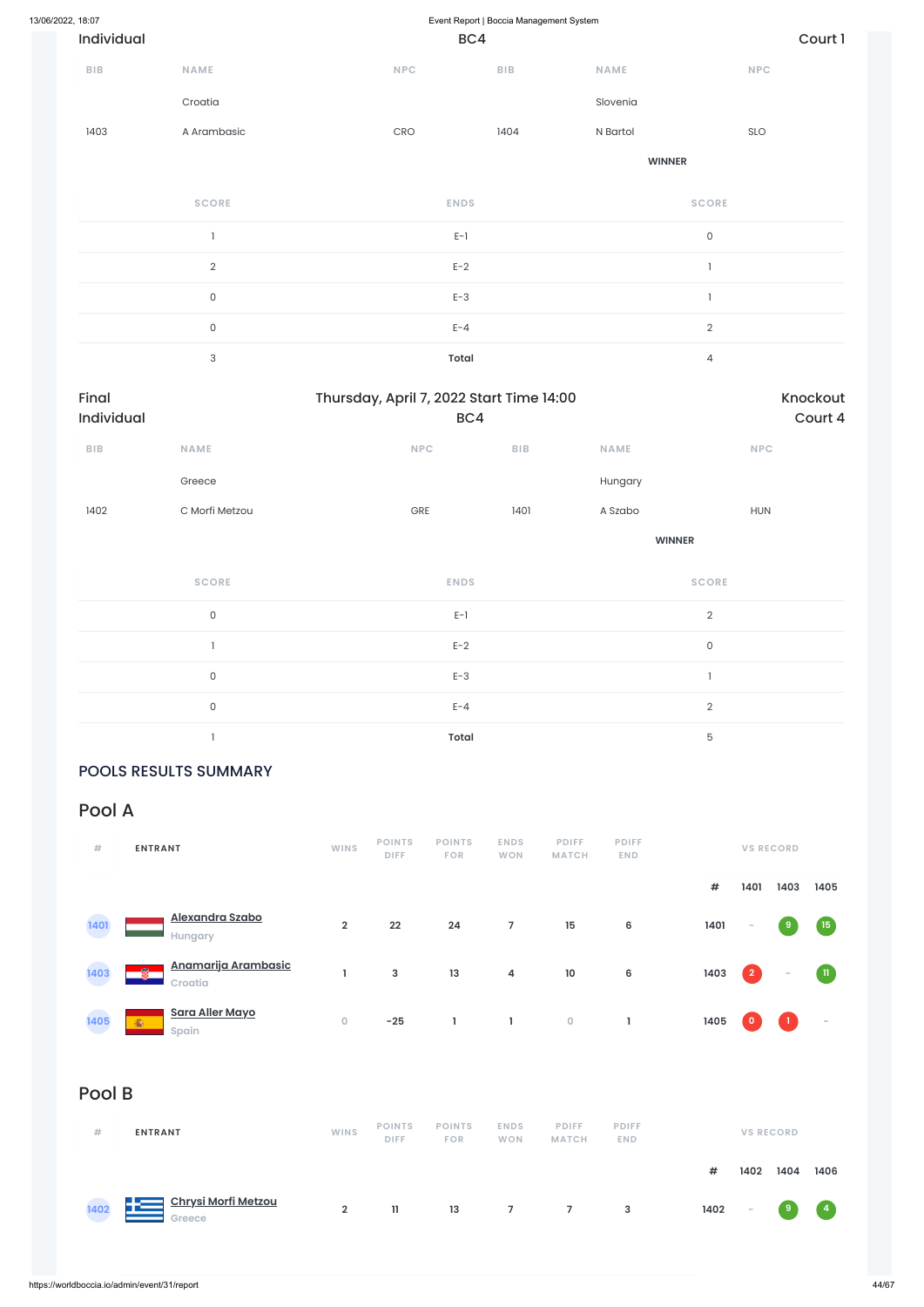| <b>SCORE</b>   | <b>ENDS</b>  | <b>SCORE</b> |
|----------------|--------------|--------------|
|                | $E-1$        | 0            |
| $\overline{2}$ | $E-2$        |              |
| 0              | $E-3$        |              |
| $\mathbf 0$    | $E - 4$      | $\Omega$     |
| 3              | <b>Total</b> | 4            |

| Final<br>Individual     |                     | Thursday, April 7, 2022 Start Time 14:00<br>BC4 |                | Knockout<br>Court 4 |  |  |
|-------------------------|---------------------|-------------------------------------------------|----------------|---------------------|--|--|
| ${\sf B}{\sf I}{\sf B}$ | <b>NAME</b>         | NPC<br><b>BIB</b>                               | NAME           | NPC                 |  |  |
|                         | Greece              |                                                 | Hungary        |                     |  |  |
| 1402                    | C Morfi Metzou      | GRE<br>1401                                     | A Szabo        | <b>HUN</b>          |  |  |
|                         |                     |                                                 | <b>WINNER</b>  |                     |  |  |
|                         | <b>SCORE</b>        | <b>ENDS</b>                                     | <b>SCORE</b>   |                     |  |  |
|                         | $\mathsf{O}\xspace$ | $\mathsf{E}\text{-}\mathsf{I}$                  | $\overline{2}$ |                     |  |  |
|                         | $\overline{1}$      | $E-2$                                           | $\mathsf O$    |                     |  |  |
|                         | $\mathsf{O}\xspace$ | $E-3$                                           | $\overline{1}$ |                     |  |  |
|                         | $\mathsf{O}\xspace$ | $E - 4$                                         | $\mathbf{2}$   |                     |  |  |
|                         |                     | <b>Total</b>                                    | $\mathbf 5$    |                     |  |  |

### POOLS RESULTS SUMMARY

### Pool A

| #             | <b>ENTRANT</b>                      | <b>WINS</b>    | <b>POINTS</b><br><b>DIFF</b> | <b>POINTS</b><br><b>FOR</b> | <b>ENDS</b><br><b>WON</b> | <b>PDIFF</b><br><b>MATCH</b> | <b>PDIFF</b><br><b>END</b> |      |                | <b>VS RECORD</b> |              |
|---------------|-------------------------------------|----------------|------------------------------|-----------------------------|---------------------------|------------------------------|----------------------------|------|----------------|------------------|--------------|
|               |                                     |                |                              |                             |                           |                              |                            | #    | 1401           | 1403             | 1405         |
| 1401<br>e e s | Alexandra Szabo<br>Hungary          | $\overline{2}$ | 22                           | 24                          | 7                         | 15                           | 6                          | 1401 | $\sim$         | ر و ا            | (15)         |
| 1403          | Anamarija Arambasic<br>圈<br>Croatia |                | 3                            | 13                          | 4                         | 10                           | 6                          | 1403 | $\overline{2}$ | $\sim$           | $\mathbf{u}$ |



### Pool B

| #    | <b>ENTRANT</b>                             | <b>WINS</b>    | <b>POINTS</b><br><b>DIFF</b> | <b>POINTS</b><br><b>FOR</b> | <b>ENDS</b><br><b>WON</b> | <b>PDIFF</b><br><b>MATCH</b> | <b>PDIFF</b><br><b>END</b> |      |                          | <b>VS RECORD</b> |      |
|------|--------------------------------------------|----------------|------------------------------|-----------------------------|---------------------------|------------------------------|----------------------------|------|--------------------------|------------------|------|
|      |                                            |                |                              |                             |                           |                              |                            | #    | 1402                     | 1404             | 1406 |
| 1402 | <u>Chrysi Morfi Metzou</u><br>52<br>Greece | $\overline{2}$ | 11.                          | 13                          | $\overline{7}$            | $7^{\circ}$                  | 3                          | 1402 | $\overline{\phantom{a}}$ | (9               | (4)  |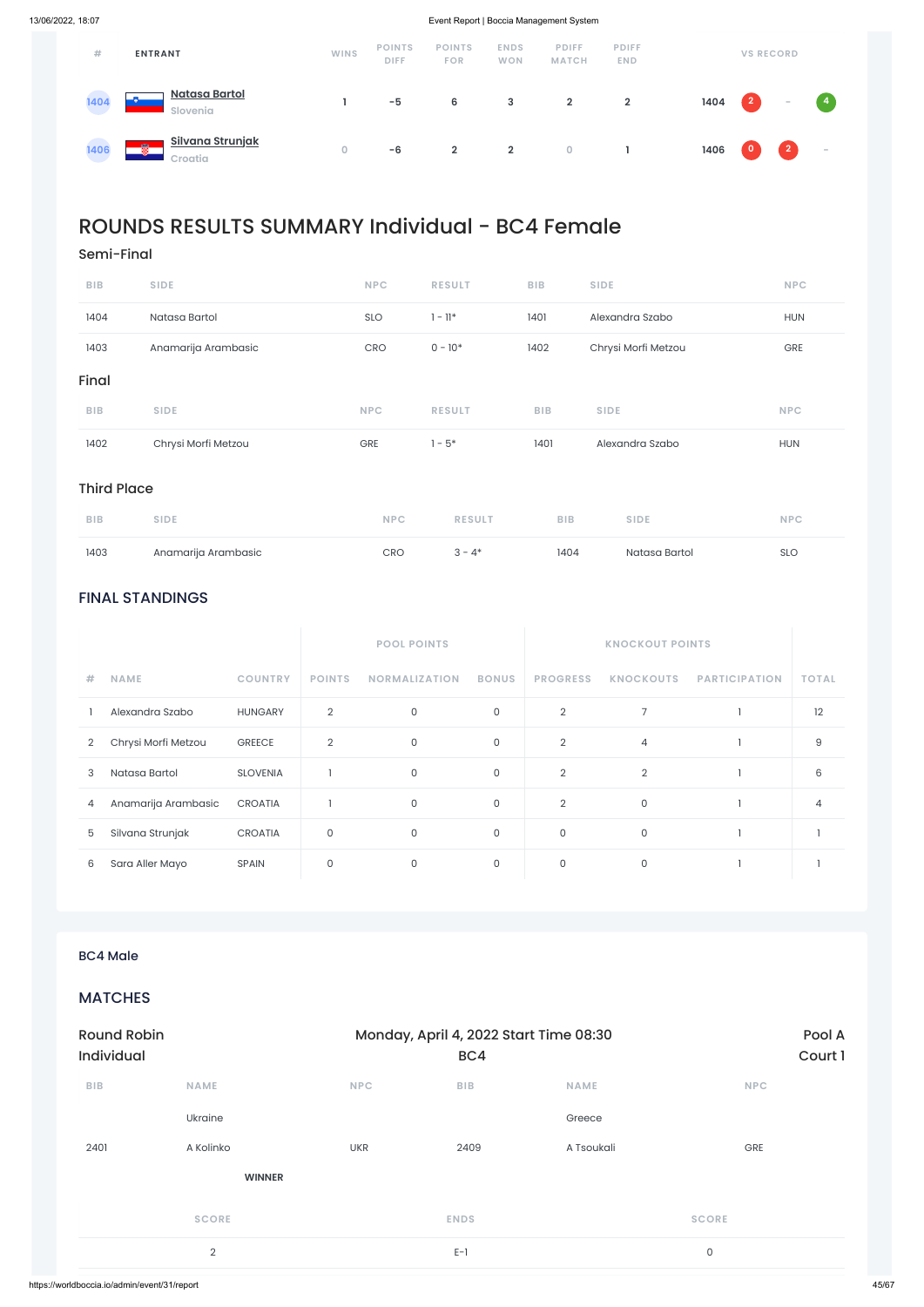### FINAL STANDINGS

|                |                     |                 |                | <b>POOL POINTS</b>   |              |                 | <b>KNOCKOUT POINTS</b> |                      |              |
|----------------|---------------------|-----------------|----------------|----------------------|--------------|-----------------|------------------------|----------------------|--------------|
| #              | <b>NAME</b>         | <b>COUNTRY</b>  | <b>POINTS</b>  | <b>NORMALIZATION</b> | <b>BONUS</b> | <b>PROGRESS</b> | <b>KNOCKOUTS</b>       | <b>PARTICIPATION</b> | <b>TOTAL</b> |
|                | Alexandra Szabo     | <b>HUNGARY</b>  | 2              | 0                    | $\mathsf{O}$ | $\overline{2}$  | 7                      |                      | 12           |
| $\overline{2}$ | Chrysi Morfi Metzou | <b>GREECE</b>   | $\overline{2}$ | $\mathsf{O}\xspace$  | $\mathsf O$  | $\overline{2}$  | $\overline{4}$         |                      | 9            |
| 3              | Natasa Bartol       | <b>SLOVENIA</b> |                | 0                    | $\mathsf O$  | $\overline{2}$  | $\overline{2}$         |                      | 6            |
| 4              | Anamarija Arambasic | <b>CROATIA</b>  |                | 0                    | $\mathsf{O}$ | $\overline{2}$  | 0                      |                      | 4            |
| 5              | Silvana Strunjak    | <b>CROATIA</b>  | 0              | 0                    | $\mathsf O$  | 0               | 0                      |                      |              |
| 6              | Sara Aller Mayo     | <b>SPAIN</b>    | 0              | 0                    | $\mathbf 0$  | 0               | 0                      |                      |              |

| #    | <b>ENTRANT</b>                                                      | <b>WINS</b> | <b>POINTS</b><br><b>DIFF</b> | <b>POINTS</b><br><b>FOR</b> | <b>ENDS</b><br><b>WON</b> | <b>PDIFF</b><br><b>MATCH</b> | <b>PDIFF</b><br><b>END</b> |      |            | <b>VS RECORD</b> |                |
|------|---------------------------------------------------------------------|-------------|------------------------------|-----------------------------|---------------------------|------------------------------|----------------------------|------|------------|------------------|----------------|
| 1404 | <b>Natasa Bartol</b><br>$\overline{\phantom{a}}$<br><b>Slovenia</b> |             | $-5$                         | 6                           | 3                         | $\overline{2}$               | $\overline{2}$             | 1404 | $\sqrt{2}$ | $\sim$           | $\overline{4}$ |
| 1406 | Silvana Strunjak<br>儩<br>Croatia                                    | $\circ$     | $-6$                         | $\overline{2}$              | $\overline{2}$            | $\overline{0}$               |                            | 1406 | l 0 j      | $\overline{2}$   | $\sim$         |

## ROUNDS RESULTS SUMMARY Individual - BC4 Female

Semi-Final

| 1402       | Chrysi Morfi Metzou | <b>GRE</b> | $1 - 5*$      | 1401       | Alexandra Szabo     | <b>HUN</b> |
|------------|---------------------|------------|---------------|------------|---------------------|------------|
| <b>BIB</b> | <b>SIDE</b>         | <b>NPC</b> | <b>RESULT</b> | <b>BIB</b> | <b>SIDE</b>         | <b>NPC</b> |
| Final      |                     |            |               |            |                     |            |
| 1403       | Anamarija Arambasic | CRO        | $0 - 10*$     | 1402       | Chrysi Morfi Metzou | GRE        |
| 1404       | Natasa Bartol       | <b>SLO</b> | 1 - 11*       | 1401       | Alexandra Szabo     | <b>HUN</b> |
| <b>BIB</b> | <b>SIDE</b>         | <b>NPC</b> | <b>RESULT</b> | <b>BIB</b> | <b>SIDE</b>         | <b>NPC</b> |

### Third Place

| <b>BIB</b> | <b>SIDE</b>         | NPC        | <b>RESULT</b> | <b>BIB</b> | <b>SIDE</b>   | <b>NPC</b> |
|------------|---------------------|------------|---------------|------------|---------------|------------|
| 1403       | Anamarija Arambasic | <b>CRO</b> | $3 - 4*$      | 1404       | Natasa Bartol | <b>SLO</b> |

### MATCHES

| <b>Round Robin</b><br><b>Individual</b> |               |            | Monday, April 4, 2022 Start Time 08:30<br>BC4 |             | Pool A<br>Court 1 |
|-----------------------------------------|---------------|------------|-----------------------------------------------|-------------|-------------------|
| <b>BIB</b>                              | <b>NAME</b>   | <b>NPC</b> | <b>BIB</b>                                    | <b>NAME</b> | <b>NPC</b>        |
|                                         | Ukraine       |            |                                               | Greece      |                   |
| 2401                                    | A Kolinko     | <b>UKR</b> | 2409                                          | A Tsoukali  | GRE               |
|                                         | <b>WINNER</b> |            |                                               |             |                   |
|                                         | <b>SCORE</b>  |            | <b>ENDS</b>                                   |             | <b>SCORE</b>      |
|                                         | 2             |            | $E-1$                                         |             | $\mathsf 0$       |
|                                         |               |            |                                               |             |                   |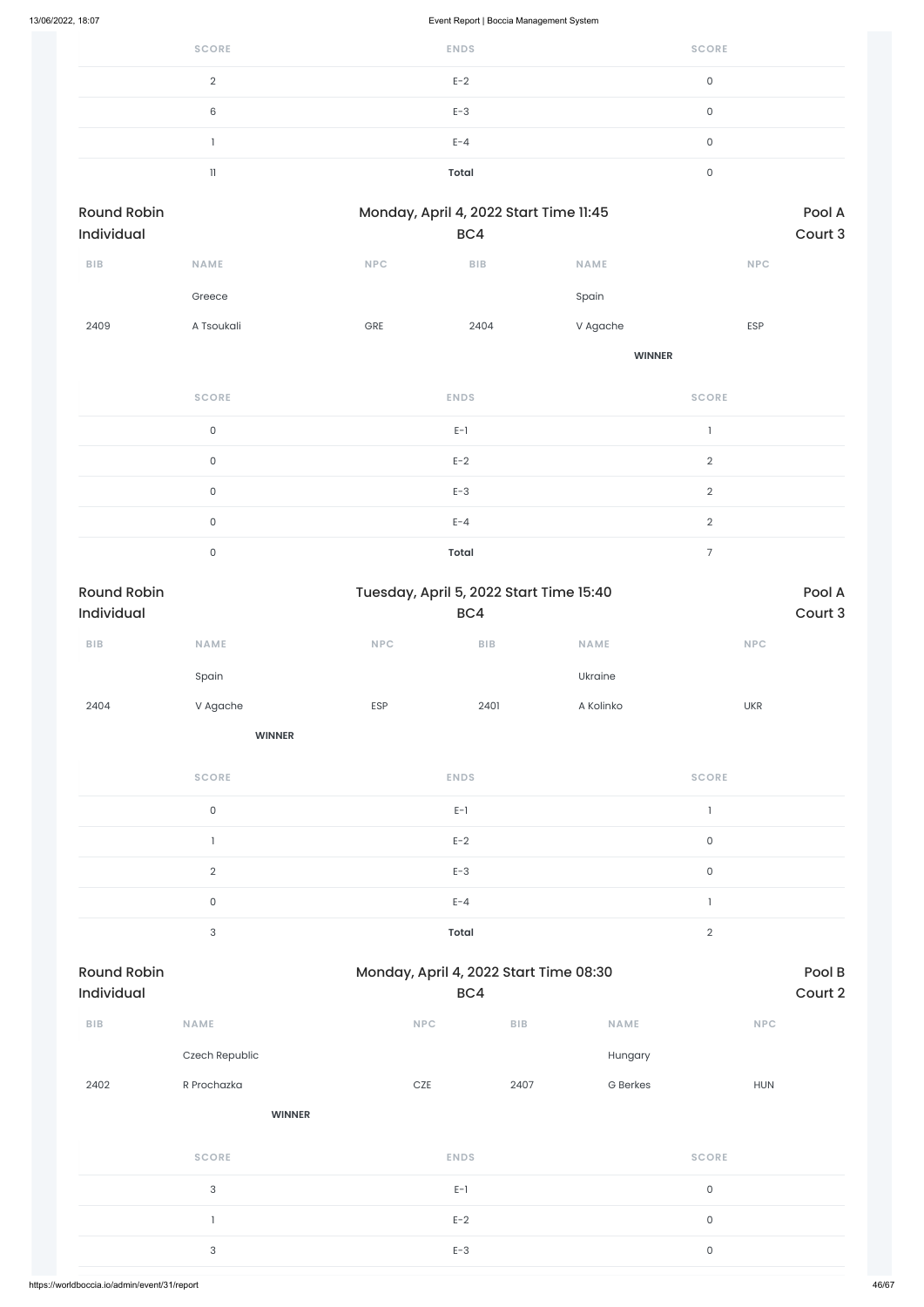| 13/06/2022, 18:07                |                     |            | Event Report   Boccia Management System        |               |                     |                   |
|----------------------------------|---------------------|------------|------------------------------------------------|---------------|---------------------|-------------------|
|                                  | <b>SCORE</b>        |            | <b>ENDS</b>                                    |               | <b>SCORE</b>        |                   |
|                                  | $\overline{2}$      |            | $E-2$                                          |               | $\mathsf O$         |                   |
|                                  | $\,6$               |            | $E-3$                                          |               | $\mathsf{O}\xspace$ |                   |
|                                  | $\mathbf{I}$        |            | $E - 4$                                        |               | $\mathsf{O}\xspace$ |                   |
|                                  | $11\,$              |            | <b>Total</b>                                   |               | $\mathsf{O}\xspace$ |                   |
| <b>Round Robin</b><br>Individual |                     |            | Monday, April 4, 2022 Start Time 11:45<br>BC4  |               |                     | Pool A<br>Court 3 |
| <b>BIB</b>                       | NAME                | <b>NPC</b> | <b>BIB</b>                                     | <b>NAME</b>   | <b>NPC</b>          |                   |
|                                  | Greece              |            |                                                | Spain         |                     |                   |
| 2409                             | A Tsoukali          | GRE        | 2404                                           | V Agache      | ESP                 |                   |
|                                  |                     |            |                                                | <b>WINNER</b> |                     |                   |
|                                  | <b>SCORE</b>        |            | <b>ENDS</b>                                    |               | <b>SCORE</b>        |                   |
|                                  | $\mathsf{O}\xspace$ |            | $E-1$                                          |               | $\mathbf{I}$        |                   |
|                                  | $\mathsf{O}$        |            | $E-2$                                          |               | $\overline{2}$      |                   |
|                                  | $\mathsf{O}$        |            | $E-3$                                          |               | $\overline{2}$      |                   |
|                                  | $\mathsf{O}\xspace$ |            | $E - 4$                                        |               | $\overline{2}$      |                   |
|                                  | $\mathsf{O}$        |            | <b>Total</b>                                   |               | $\overline{7}$      |                   |
| <b>Round Robin</b><br>Individual |                     |            | Tuesday, April 5, 2022 Start Time 15:40<br>BC4 |               |                     | Pool A<br>Court 3 |
| ${\bf B} {\sf I} {\bf B}$        | NAME                | <b>NPC</b> | BIB                                            | NAME          | <b>NPC</b>          |                   |
|                                  | Spain               |            |                                                | Ukraine       |                     |                   |
| 2404                             | V Agache            | ESP        | 2401                                           | A Kolinko     | <b>UKR</b>          |                   |
|                                  | <b>WINNER</b>       |            |                                                |               |                     |                   |
|                                  | <b>SCORE</b>        |            | <b>ENDS</b>                                    |               | <b>SCORE</b>        |                   |

| <b>SCORE</b>  | <b>ENDS</b>  | <b>SCORE</b> |
|---------------|--------------|--------------|
| 0             | $E-1$        |              |
|               | $E-2$        | 0            |
| $\mathcal{D}$ | $E-3$        | $\Omega$     |
| $\mathbf{0}$  | $E - 4$      |              |
| 3             | <b>Total</b> | c            |

### Round Robin **Robin Monday, April 4, 2022 Start Time 08:30** Pool B

| Individual              |                | BC4         |                         |                 | Court 2             |
|-------------------------|----------------|-------------|-------------------------|-----------------|---------------------|
| ${\sf B}{\sf I}{\sf B}$ | <b>NAME</b>    | NPC         | ${\sf B}{\sf I}{\sf B}$ | NAME            | NPC                 |
|                         | Czech Republic |             |                         | Hungary         |                     |
| 2402                    | R Prochazka    | $CZE$       | 2407                    | <b>G</b> Berkes | <b>HUN</b>          |
|                         | <b>WINNER</b>  |             |                         |                 |                     |
|                         | <b>SCORE</b>   | <b>ENDS</b> |                         |                 | <b>SCORE</b>        |
|                         | $\mathsf 3$    | $E-1$       |                         |                 | $\mathsf{O}\xspace$ |
|                         |                | $E-2$       |                         |                 | $\mathsf{O}\xspace$ |
|                         | 3              | $E-3$       |                         |                 | $\mathsf{O}\xspace$ |
|                         |                |             |                         |                 |                     |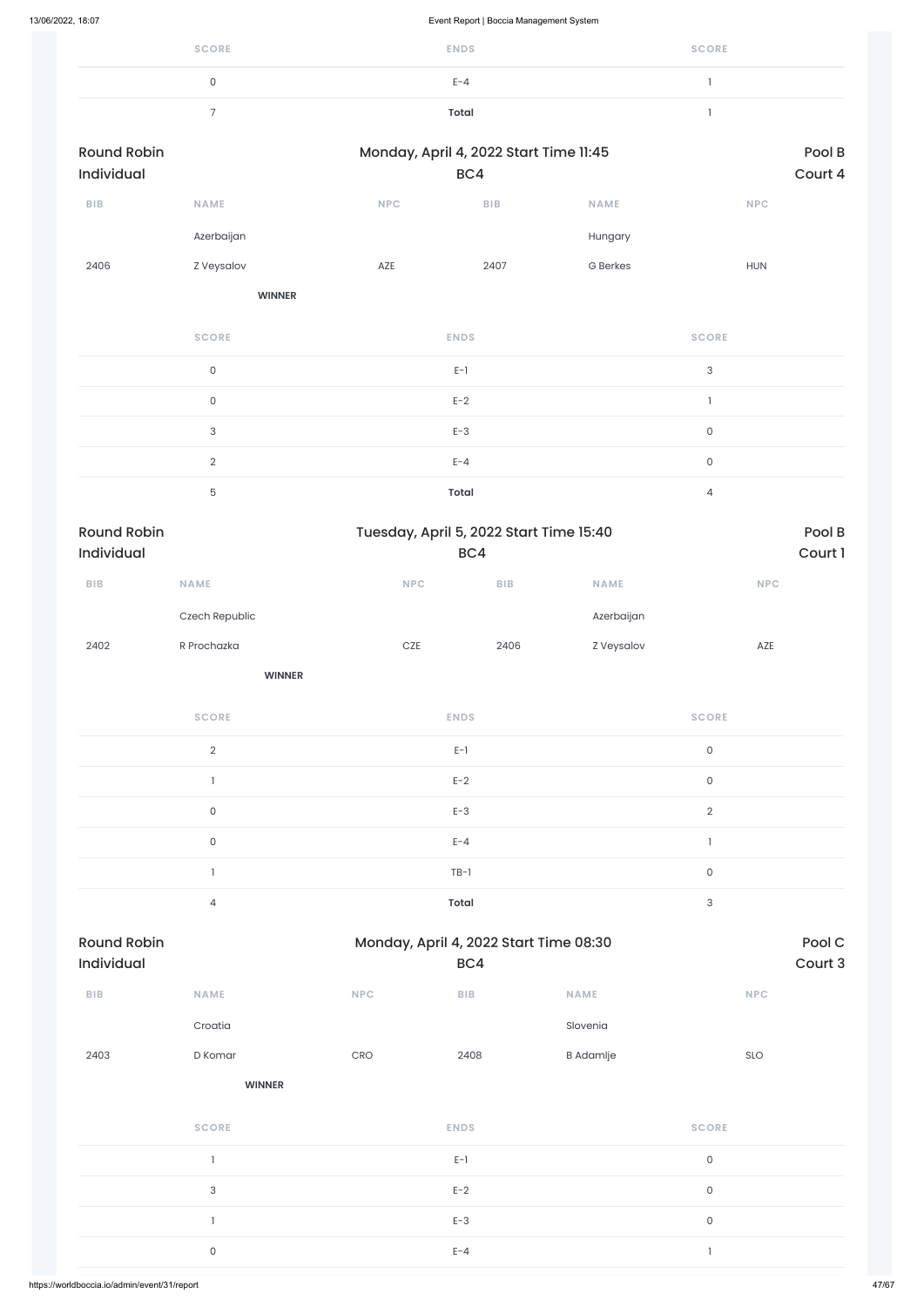| <b>SCORE</b> | <b>ENDS</b> | <b>SCORE</b> |
|--------------|-------------|--------------|
|              | $E - 4$     |              |
| -            | Total       |              |

| <b>Round Robin</b><br>Individual |                           |       | Monday, April 4, 2022 Start Time 11:45<br>BC4  |                 |                             | Pool B<br>Court 4 |
|----------------------------------|---------------------------|-------|------------------------------------------------|-----------------|-----------------------------|-------------------|
| <b>BIB</b>                       | NAME                      | NPC   | <b>BIB</b>                                     | <b>NAME</b>     | <b>NPC</b>                  |                   |
|                                  | Azerbaijan                |       |                                                | Hungary         |                             |                   |
| 2406                             | <b>Z</b> Veysalov         | AZE   | 2407                                           | <b>G</b> Berkes | <b>HUN</b>                  |                   |
|                                  | <b>WINNER</b>             |       |                                                |                 |                             |                   |
|                                  | <b>SCORE</b>              |       | <b>ENDS</b>                                    |                 | <b>SCORE</b>                |                   |
|                                  | $\mathsf{O}\xspace$       |       | $\mathsf{E}\text{-}\mathsf{I}$                 |                 | $\ensuremath{\mathsf{3}}$   |                   |
|                                  | $\mathsf{O}\xspace$       |       | $E-2$                                          |                 | $\mathbb{I}$                |                   |
|                                  | $\ensuremath{\mathsf{3}}$ |       | $E-3$                                          |                 | $\mathsf{O}$                |                   |
|                                  | $\sqrt{2}$                |       | $E - 4$                                        |                 | $\mathsf{O}\xspace$         |                   |
|                                  | $\mathbf 5$               |       | <b>Total</b>                                   |                 | $\overline{4}$              |                   |
| <b>Round Robin</b><br>Individual |                           |       | Tuesday, April 5, 2022 Start Time 15:40<br>BC4 |                 |                             | Pool B<br>Court 1 |
| <b>BIB</b>                       | NAME                      | NPC   | ${\sf B}{\sf I}{\sf B}$                        | <b>NAME</b>     | $\ensuremath{\mathsf{NPC}}$ |                   |
|                                  | Czech Republic            |       |                                                | Azerbaijan      |                             |                   |
| 2402                             | R Prochazka               | $CZE$ | 2406                                           | Z Veysalov      | AZE                         |                   |
|                                  | <b>WINNER</b>             |       |                                                |                 |                             |                   |
|                                  | <b>SCORE</b>              |       | <b>ENDS</b>                                    |                 | <b>SCORE</b>                |                   |
|                                  | $\sqrt{2}$                |       | $E-1$                                          |                 | $\mathsf{O}\xspace$         |                   |
|                                  | $\mathbbm{1}$             |       | $E-2$                                          |                 | $\mathsf{O}\xspace$         |                   |
|                                  | $\mathsf{O}\xspace$       |       | $E-3$                                          |                 | $\sqrt{2}$                  |                   |
|                                  | $\mathsf{O}\xspace$       |       | $E - 4$                                        |                 | $\mathbb{I}$                |                   |
|                                  | $\mathbbm{1}$             |       | $TB-1$                                         |                 | $\mathsf{O}\xspace$         |                   |
|                                  | $\overline{4}$            |       | Total                                          |                 | $\ensuremath{\mathsf{3}}$   |                   |

| BIB  | <b>NAME</b>   | <b>NPC</b> | <b>BIB</b>  | <b>NAME</b>      | <b>NPC</b>   |
|------|---------------|------------|-------------|------------------|--------------|
|      | Croatia       |            |             | Slovenia         |              |
| 2403 | D Komar       | CRO        | 2408        | <b>B</b> Adamlje | SLO          |
|      | <b>WINNER</b> |            |             |                  |              |
|      | <b>SCORE</b>  |            | <b>ENDS</b> |                  | <b>SCORE</b> |
|      |               |            | $E-1$       |                  | $\mathsf O$  |
|      | $\sqrt{3}$    |            | $E-2$       |                  | $\mathsf O$  |
|      |               |            | $E-3$       |                  | $\mathsf O$  |
|      | $\mathsf O$   |            | $E - 4$     |                  | -1           |
|      |               |            |             |                  |              |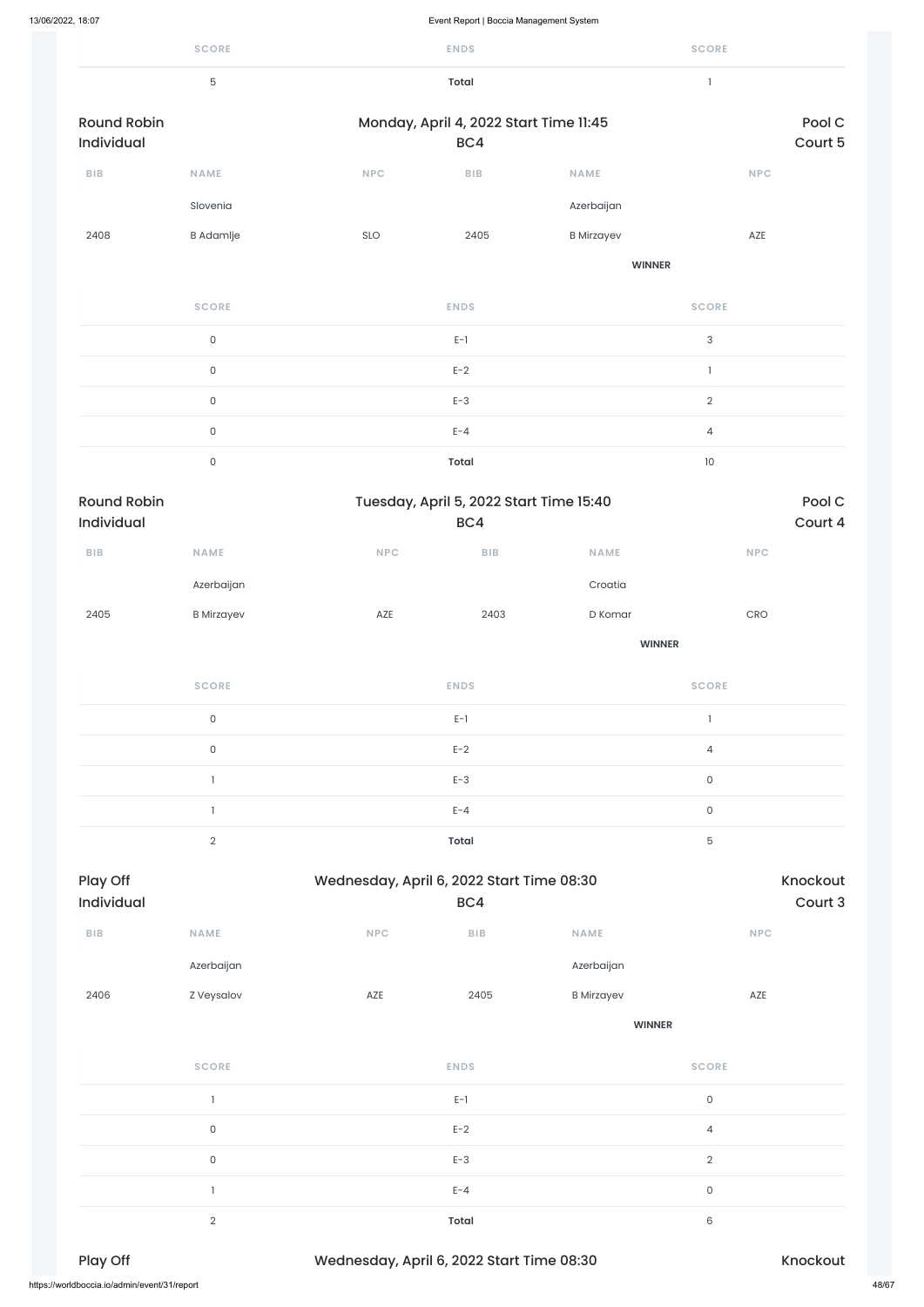| 13/06/2022, 18:07                |                     |                                           | Event Report   Boccia Management System        |                   |                             |                     |
|----------------------------------|---------------------|-------------------------------------------|------------------------------------------------|-------------------|-----------------------------|---------------------|
|                                  | <b>SCORE</b>        |                                           | <b>ENDS</b>                                    |                   | <b>SCORE</b>                |                     |
|                                  | $\mathbf 5$         |                                           | <b>Total</b>                                   |                   | $\mathbf{1}$                |                     |
| <b>Round Robin</b>               |                     |                                           | Monday, April 4, 2022 Start Time 11:45         |                   |                             | Pool C              |
| Individual                       |                     |                                           | BC4                                            |                   |                             | Court 5             |
| BIB                              | NAME                | NPC                                       | ${\sf B}{\sf I}{\sf B}$                        | <b>NAME</b>       |                             | <b>NPC</b>          |
|                                  | Slovenia            |                                           |                                                | Azerbaijan        |                             |                     |
| 2408                             | <b>B</b> Adamlje    | SLO                                       | 2405                                           | <b>B</b> Mirzayev | AZE                         |                     |
|                                  |                     |                                           |                                                | <b>WINNER</b>     |                             |                     |
|                                  | <b>SCORE</b>        |                                           | <b>ENDS</b>                                    |                   | <b>SCORE</b>                |                     |
|                                  | $\mathsf{O}\xspace$ |                                           | $E-1$                                          |                   | $\sqrt{3}$                  |                     |
|                                  | $\mathsf{O}\xspace$ |                                           | $E-2$                                          |                   | $\mathbf{I}$                |                     |
|                                  | $\mathsf O$         |                                           | $E-3$                                          |                   | $\overline{2}$              |                     |
|                                  | $\mathsf{O}\xspace$ |                                           | $E - 4$                                        |                   | $\overline{4}$              |                     |
|                                  | $\mathsf{O}$        |                                           | <b>Total</b>                                   |                   | $10\,$                      |                     |
| <b>Round Robin</b><br>Individual |                     |                                           | Tuesday, April 5, 2022 Start Time 15:40<br>BC4 |                   |                             | Pool C<br>Court 4   |
| ${\sf B}{\sf I}{\sf B}$          | NAME                | NPC                                       | BIB                                            | NAME              | $\ensuremath{\mathsf{NPC}}$ |                     |
|                                  | Azerbaijan          |                                           |                                                | Croatia           |                             |                     |
| 2405                             | <b>B</b> Mirzayev   | AZE                                       | 2403                                           | D Komar           | CRO                         |                     |
|                                  |                     |                                           |                                                | <b>WINNER</b>     |                             |                     |
|                                  | <b>SCORE</b>        |                                           | <b>ENDS</b>                                    |                   | <b>SCORE</b>                |                     |
|                                  | $\mathsf{O}\xspace$ |                                           | $E-1$                                          |                   | $\mathbf{I}$                |                     |
|                                  | $\mathsf O$         |                                           | $E-2$                                          |                   | $\overline{4}$              |                     |
|                                  | $\mathbf{I}$        |                                           | $E-3$                                          |                   | $\mathsf{O}\xspace$         |                     |
|                                  | $\mathbf{I}$        |                                           | $E - 4$                                        |                   | $\mathsf O$                 |                     |
|                                  | $\sqrt{2}$          |                                           | <b>Total</b>                                   |                   | $\mathbf 5$                 |                     |
| Play Off<br>Individual           |                     | Wednesday, April 6, 2022 Start Time 08:30 | BC4                                            |                   |                             | Knockout<br>Court 3 |
| BIB                              | NAME                | NPC                                       | ${\sf BIB}$                                    | <b>NAME</b>       |                             | NPC                 |

| 2406                                         | <b>Z</b> Veysalov | AZE | 2405                                      | <b>B</b> Mirzayev | AZE            |       |
|----------------------------------------------|-------------------|-----|-------------------------------------------|-------------------|----------------|-------|
|                                              |                   |     |                                           | <b>WINNER</b>     |                |       |
|                                              | <b>SCORE</b>      |     | <b>ENDS</b>                               |                   | <b>SCORE</b>   |       |
|                                              |                   |     | $E-1$                                     |                   | $\mathsf O$    |       |
|                                              | $\mathsf O$       |     | $E-2$                                     |                   | 4              |       |
|                                              | $\mathsf O$       |     | $E-3$                                     |                   | $\overline{2}$ |       |
|                                              |                   |     | $E - 4$                                   |                   | $\mathsf O$    |       |
|                                              | $\overline{2}$    |     | <b>Total</b>                              |                   | 6              |       |
| Play Off                                     |                   |     | Wednesday, April 6, 2022 Start Time 08:30 |                   | Knockout       |       |
| https://worldboccia.io/admin/event/31/report |                   |     |                                           |                   |                | 48/67 |

Azerbaijan Azerbaijan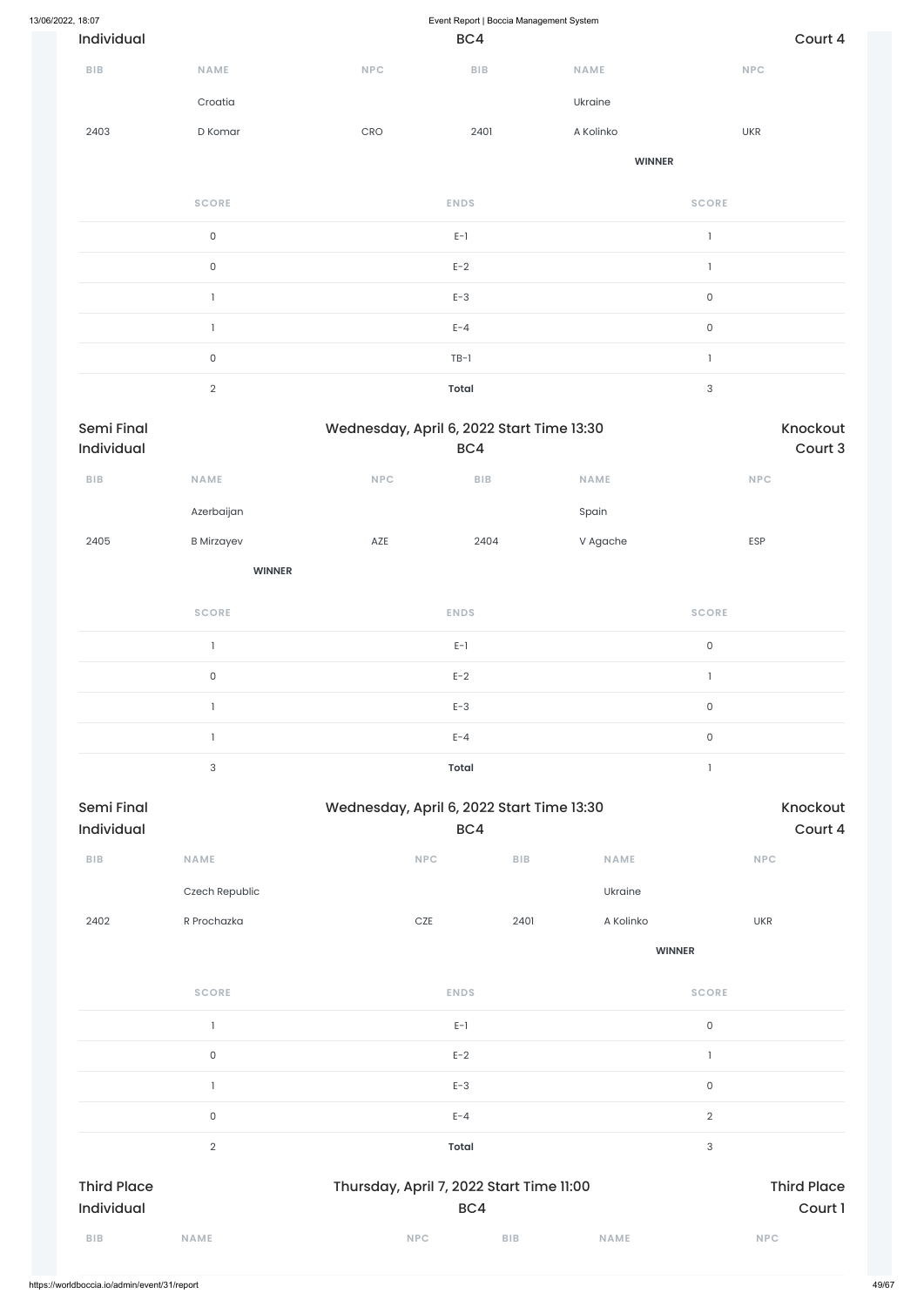| 13/06/2022, 18:07 |                                           |                     |             | Event Report   Boccia Management System |               |                                       |  |  |  |
|-------------------|-------------------------------------------|---------------------|-------------|-----------------------------------------|---------------|---------------------------------------|--|--|--|
|                   | Individual                                |                     |             | BC4                                     |               | Court 4                               |  |  |  |
|                   | NAME<br>BIB<br>Croatia<br>2403<br>D Komar |                     | <b>NPC</b>  | BIB                                     | <b>NAME</b>   | <b>NPC</b>                            |  |  |  |
|                   |                                           |                     |             |                                         | Ukraine       |                                       |  |  |  |
|                   |                                           |                     | 2401<br>CRO |                                         | A Kolinko     | <b>UKR</b>                            |  |  |  |
|                   |                                           |                     |             |                                         | <b>WINNER</b> |                                       |  |  |  |
|                   |                                           | <b>SCORE</b>        |             | <b>ENDS</b>                             |               | <b>SCORE</b>                          |  |  |  |
|                   |                                           | $\mathsf{O}\xspace$ |             | $E-1$                                   |               | $\begin{array}{c} \hline \end{array}$ |  |  |  |
|                   |                                           | $\mathsf{O}\xspace$ |             | $E-2$                                   |               |                                       |  |  |  |
|                   | ľ                                         |                     |             | $E-3$                                   |               | $\mathsf O$                           |  |  |  |
|                   | 1                                         |                     |             | $E - 4$                                 |               | $\mathsf{O}\xspace$                   |  |  |  |
|                   |                                           | $\mathsf{O}\xspace$ |             | $TB-1$                                  |               |                                       |  |  |  |

|            | <b>Total</b>                              |          |
|------------|-------------------------------------------|----------|
| Semi Final | Wednesday, April 6, 2022 Start Time 13:30 | Knockout |
| .          |                                           |          |

| Individual              |                     |            | BC4                     |          | Court 3             |
|-------------------------|---------------------|------------|-------------------------|----------|---------------------|
| ${\sf B}{\sf I}{\sf B}$ | NAME                | <b>NPC</b> | ${\sf B}{\sf I}{\sf B}$ | NAME     | NPC                 |
|                         | Azerbaijan          |            |                         | Spain    |                     |
| 2405                    | <b>B</b> Mirzayev   | AZE        | 2404                    | V Agache | ESP                 |
|                         | <b>WINNER</b>       |            |                         |          |                     |
|                         | <b>SCORE</b>        |            | <b>ENDS</b>             |          | <b>SCORE</b>        |
|                         | $\mathbf{1}$        |            | $E-1$                   |          | $\mathsf{O}\xspace$ |
|                         | $\mathsf{O}\xspace$ |            | $E-2$                   |          | $\mathbf{1}$        |
|                         | $\mathbf{I}$        |            | $E-3$                   |          | $\mathsf{O}\xspace$ |
|                         | $\mathbf{1}$        |            | $E - 4$                 |          | $\mathsf{O}\xspace$ |
|                         | 3                   |            | Total                   |          |                     |

| Semi Final |                |            | Wednesday, April 6, 2022 Start Time 13:30<br>BC4 |             |            |  |  |  |
|------------|----------------|------------|--------------------------------------------------|-------------|------------|--|--|--|
| Individual |                |            |                                                  |             |            |  |  |  |
| <b>BIB</b> | <b>NAME</b>    | <b>NPC</b> | <b>BIB</b>                                       | <b>NAME</b> | <b>NPC</b> |  |  |  |
|            | Czech Republic |            |                                                  | Ukraine     |            |  |  |  |
| 2402       | R Prochazka    | <b>CZE</b> | 2401                                             | A Kolinko   | <b>UKR</b> |  |  |  |

**WINNER**

| <b>SCORE</b>                     | <b>ENDS</b>                                     | <b>SCORE</b>                  |
|----------------------------------|-------------------------------------------------|-------------------------------|
|                                  | $E-1$                                           | $\mathsf O$                   |
| $\mathsf{O}$                     | $E-2$                                           |                               |
|                                  | $E-3$                                           | $\mathsf{O}\xspace$           |
| $\mathsf{O}$                     | $E - 4$                                         | $\overline{2}$                |
| $\overline{2}$                   | <b>Total</b>                                    | 3                             |
| <b>Third Place</b><br>Individual | Thursday, April 7, 2022 Start Time 11:00<br>BC4 | <b>Third Place</b><br>Court 1 |
| <b>BIB</b><br><b>NAME</b>        | <b>NPC</b><br><b>BIB</b>                        | <b>NAME</b><br><b>NPC</b>     |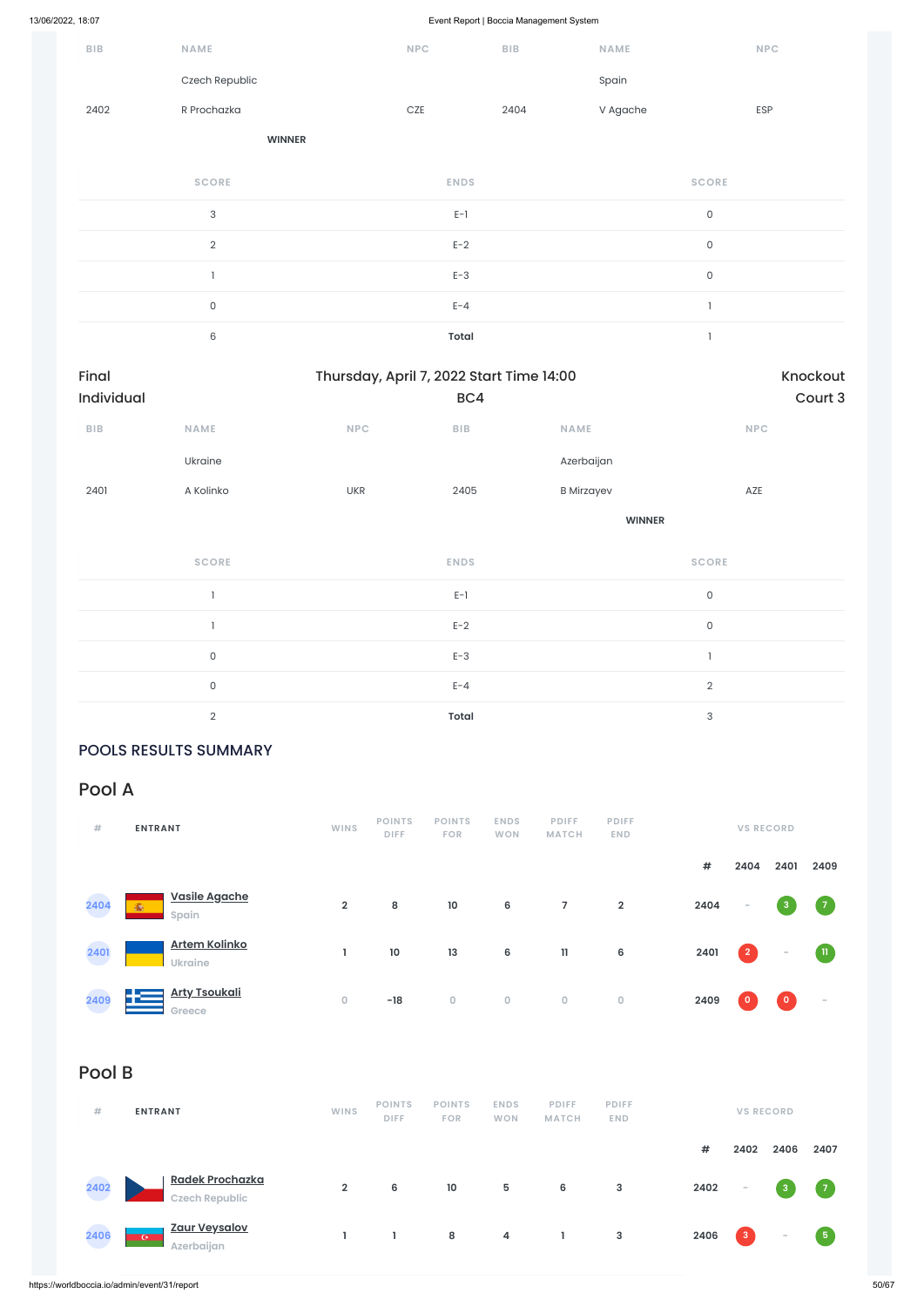| ${\sf B}{\sf I}{\sf B}$ | NAME                      |            | NPC                                      | <b>BIB</b> | <b>NAME</b>       |                     | NPC      |
|-------------------------|---------------------------|------------|------------------------------------------|------------|-------------------|---------------------|----------|
|                         | Czech Republic            |            |                                          |            | Spain             |                     |          |
| 2402                    | R Prochazka               |            | $CZE$                                    | 2404       | V Agache          |                     | ESP      |
|                         | <b>WINNER</b>             |            |                                          |            |                   |                     |          |
|                         | <b>SCORE</b>              |            | <b>ENDS</b>                              |            |                   | <b>SCORE</b>        |          |
|                         | $\ensuremath{\mathsf{3}}$ |            | $E-1$                                    |            |                   | $\mathsf{O}\xspace$ |          |
|                         | $\overline{2}$            |            | $E-2$                                    |            |                   | $\mathsf{O}\xspace$ |          |
|                         | $\mathbf{I}$              |            | $E-3$                                    |            |                   | $\mathsf{O}\xspace$ |          |
|                         | $\mathsf{O}\xspace$       |            | $E - 4$                                  |            |                   | $\,$ $\,$           |          |
|                         | $\,6$                     |            | <b>Total</b>                             |            |                   | $\mathbf{I}$        |          |
| Final                   |                           |            | Thursday, April 7, 2022 Start Time 14:00 |            |                   |                     | Knockout |
| Individual              |                           |            | BC4                                      |            |                   |                     | Court 3  |
| ${\sf BIB}$             | NAME                      | NPC        | ${\sf B}{\sf I}{\sf B}$                  |            | NAME              |                     | NPC      |
|                         | Ukraine                   |            |                                          |            | Azerbaijan        |                     |          |
| 2401                    | A Kolinko                 | <b>UKR</b> | 2405                                     |            | <b>B</b> Mirzayev |                     | AZE      |
|                         |                           |            |                                          |            | <b>WINNER</b>     |                     |          |
|                         | <b>SCORE</b>              |            | <b>ENDS</b>                              |            |                   | <b>SCORE</b>        |          |
|                         | $\mathbf{I}$              |            | $E-1$                                    |            |                   | $\mathsf{O}\xspace$ |          |
|                         | $\mathbf{1}$              |            | $E-2$                                    |            |                   | $\mathsf{O}\xspace$ |          |
|                         | $\mathsf{O}\xspace$       |            | $E-3$                                    |            |                   | $\mathbbm{1}$       |          |
|                         | $\mathsf{O}\xspace$       |            | $E - 4$                                  |            |                   | $\overline{2}$      |          |
|                         | $\overline{2}$            |            | Total                                    |            |                   | $\mathsf 3$         |          |

### POOLS RESULTS SUMMARY

## Pool A

| #    | <b>ENTRANT</b>                         | <b>WINS</b>    | <b>POINTS</b><br><b>DIFF</b> | <b>POINTS</b><br><b>FOR</b> | <b>ENDS</b><br><b>WON</b> | <b>PDIFF</b><br><b>MATCH</b> | <b>PDIFF</b><br><b>END</b> |      | <b>VS RECORD</b> |                          |                |
|------|----------------------------------------|----------------|------------------------------|-----------------------------|---------------------------|------------------------------|----------------------------|------|------------------|--------------------------|----------------|
|      |                                        |                |                              |                             |                           |                              |                            | #    | 2404             | 2401                     | 2409           |
| 2404 | Vasile Agache<br>渝<br>Spain            | $\overline{2}$ | 8                            | 10                          | 6                         | 7                            | $\overline{2}$             | 2404 | $\sim$           | 3 <sup>2</sup>           | $\sqrt{7}$     |
| 2401 | <b>Artem Kolinko</b><br><b>Ukraine</b> |                | 10                           | 13                          | 6                         | 11                           | 6                          | 2401 | $\overline{2}$   | $\overline{\phantom{a}}$ | $\blacksquare$ |

| 2409   | <b>Arty Tsoukali</b><br>Greece                        | $\mathbf 0$    | $-18$                        | $\mathsf O$                 | $\mathbf 0$               | $\mathsf{O}\xspace$          | $\mathbf 0$                | 2409       | $\boldsymbol{0}$         | $\bullet$                         | $\sim$     |
|--------|-------------------------------------------------------|----------------|------------------------------|-----------------------------|---------------------------|------------------------------|----------------------------|------------|--------------------------|-----------------------------------|------------|
| Pool B |                                                       |                |                              |                             |                           |                              |                            |            |                          |                                   |            |
| #      | <b>ENTRANT</b>                                        | <b>WINS</b>    | <b>POINTS</b><br><b>DIFF</b> | <b>POINTS</b><br><b>FOR</b> | <b>ENDS</b><br><b>WON</b> | <b>PDIFF</b><br><b>MATCH</b> | <b>PDIFF</b><br><b>END</b> |            |                          | <b>VS RECORD</b>                  |            |
|        |                                                       |                |                              |                             |                           |                              |                            | $\pmb{\#}$ | 2402                     | 2406                              | 2407       |
| 2402   | <b>Radek Prochazka</b><br><b>Czech Republic</b>       | $\overline{2}$ | 6                            | 10                          | $\sqrt{5}$                | 6                            | $\mathsf 3$                | 2402       | $\overline{\phantom{a}}$ | $\begin{bmatrix} 3 \end{bmatrix}$ | $\sqrt{7}$ |
| 2406   | <b>Zaur Veysalov</b><br><b>CONTRACT</b><br>Azerbaijan | ı              | L                            | ${\bf 8}$                   | 4                         | L                            | $\mathsf 3$                | 2406       | $\mathbf{3}$             | $\overline{\phantom{a}}$          | 5          |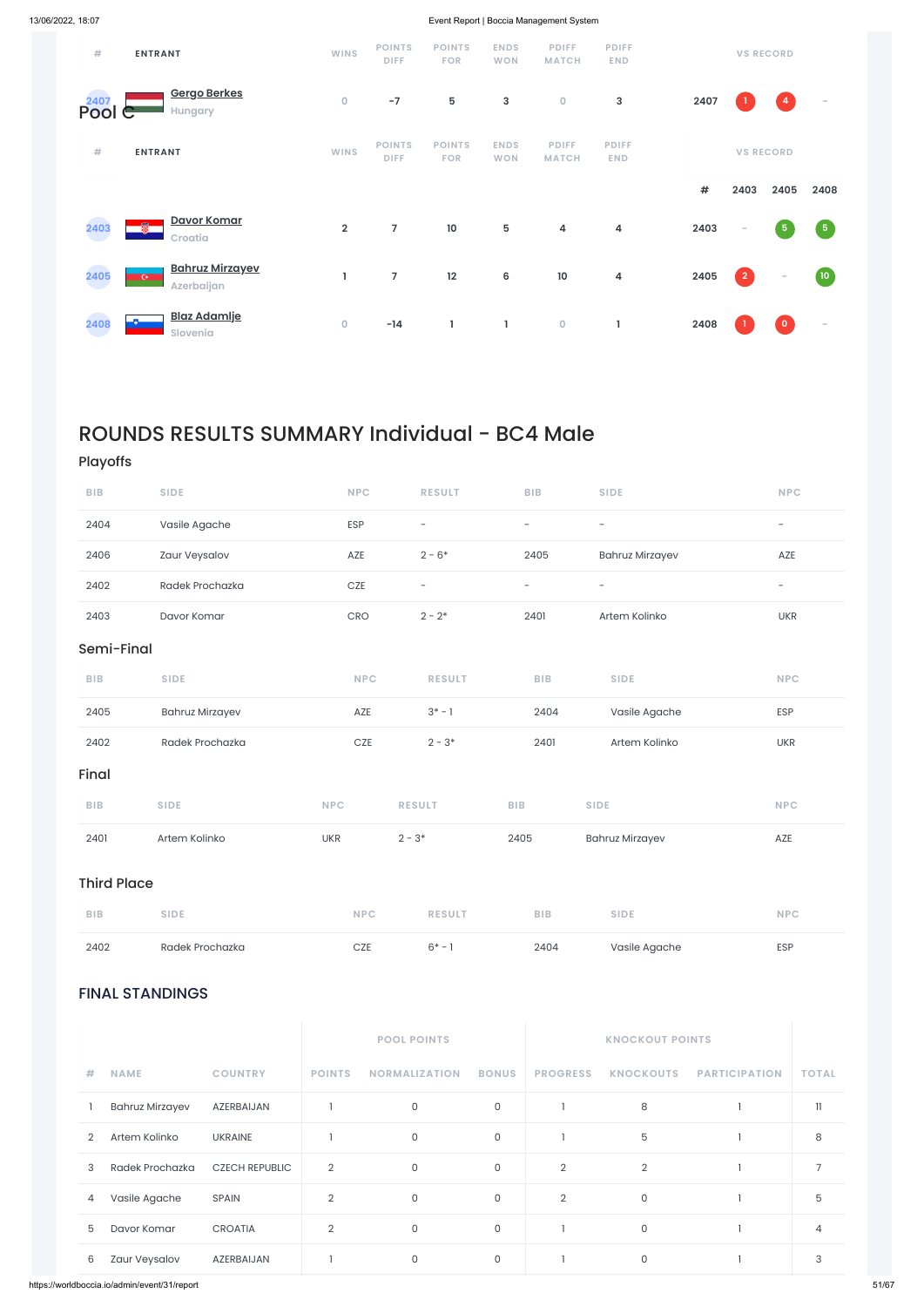### FINAL STANDINGS

|                |                        |                       |                | <b>POOL POINTS</b>   |                |                 | <b>KNOCKOUT POINTS</b> |                      |                |
|----------------|------------------------|-----------------------|----------------|----------------------|----------------|-----------------|------------------------|----------------------|----------------|
| #              | <b>NAME</b>            | <b>COUNTRY</b>        | <b>POINTS</b>  | <b>NORMALIZATION</b> | <b>BONUS</b>   | <b>PROGRESS</b> | <b>KNOCKOUTS</b>       | <b>PARTICIPATION</b> | <b>TOTAL</b>   |
|                | <b>Bahruz Mirzayev</b> | AZERBAIJAN            |                | $\circ$              | $\mathsf{O}$   |                 | 8                      |                      | $\mathbf{1}$   |
| $\overline{2}$ | Artem Kolinko          | <b>UKRAINE</b>        |                | $\mathsf{O}$         | $\mathsf{O}$   |                 | 5                      |                      | 8              |
| 3              | Radek Prochazka        | <b>CZECH REPUBLIC</b> | $\overline{2}$ | $\Omega$             | $\overline{0}$ | $\overline{2}$  | $\overline{2}$         |                      | $\overline{7}$ |
| 4              | Vasile Agache          | <b>SPAIN</b>          | $\overline{2}$ | $\mathsf{O}$         | $\overline{0}$ | $\overline{2}$  | 0                      |                      | 5              |
| 5              | Davor Komar            | <b>CROATIA</b>        | $\overline{2}$ | $\mathsf{O}$         | $\overline{0}$ |                 | 0                      |                      | 4              |
| 6              | Zaur Veysalov          | AZERBAIJAN            |                | $\mathsf{O}$         | $\mathsf{O}$   |                 | 0                      |                      | 3              |

| #              | <b>ENTRANT</b>                                         | <b>WINS</b>  | <b>POINTS</b><br><b>DIFF</b> | <b>POINTS</b><br><b>FOR</b> | <b>ENDS</b><br><b>WON</b> | <b>PDIFF</b><br><b>MATCH</b> | <b>PDIFF</b><br><b>END</b> |      |                          | <b>VS RECORD</b>         |                          |
|----------------|--------------------------------------------------------|--------------|------------------------------|-----------------------------|---------------------------|------------------------------|----------------------------|------|--------------------------|--------------------------|--------------------------|
| 2407<br>Pool C | Gergo Berkes<br>Hungary                                | $\mathbf 0$  | $-7$                         | $5\phantom{.0}$             | 3                         | $\mathsf O$                  | 3                          | 2407 |                          | $\overline{4}$           | $\overline{\phantom{a}}$ |
| #              | <b>ENTRANT</b>                                         | <b>WINS</b>  | <b>POINTS</b><br><b>DIFF</b> | <b>POINTS</b><br><b>FOR</b> | <b>ENDS</b><br><b>WON</b> | <b>PDIFF</b><br><b>MATCH</b> | <b>PDIFF</b><br><b>END</b> |      |                          | <b>VS RECORD</b>         |                          |
|                |                                                        |              |                              |                             |                           |                              |                            | $\#$ | 2403                     | 2405                     | 2408                     |
| 2403           | Davor Komar<br>Ø.<br>Croatia                           | $\mathbf{2}$ | $\overline{7}$               | 10                          | 5                         | $\overline{\mathbf{4}}$      | 4                          | 2403 | $\overline{\phantom{a}}$ | $\overline{\mathbf{5}}$  | $\sqrt{5}$               |
| 2405           | <b>Bahruz Mirzayev</b><br>$\overline{C}$<br>Azerbaijan | ı            | $\overline{7}$               | 12                          | 6                         | $10\,$                       | 4                          | 2405 | $\overline{2}$           | $\overline{\phantom{a}}$ | (10)                     |
| 2408           | <b>Blaz Adamlje</b><br>Slovenia                        | $\mathbf 0$  | $-14$                        | L                           | L                         | $\mathsf{O}\xspace$          |                            | 2408 |                          | $\overline{0}$           | $\sim$                   |

## ROUNDS RESULTS SUMMARY Individual - BC4 Male

## Playoffs

| 2402               | Radek Prochazka        | CZE        | $6* - 1$                 | 2404                     | Vasile Agache            | ESP                      |
|--------------------|------------------------|------------|--------------------------|--------------------------|--------------------------|--------------------------|
| <b>BIB</b>         | <b>SIDE</b>            | <b>NPC</b> | <b>RESULT</b>            | BIB                      | <b>SIDE</b>              | <b>NPC</b>               |
| <b>Third Place</b> |                        |            |                          |                          |                          |                          |
| 2401               | Artem Kolinko          | <b>UKR</b> | $2 - 3*$                 | 2405                     | <b>Bahruz Mirzayev</b>   | AZE                      |
| BIB                | <b>SIDE</b>            | <b>NPC</b> | <b>RESULT</b>            | BIB                      | <b>SIDE</b>              | <b>NPC</b>               |
| Final              |                        |            |                          |                          |                          |                          |
| 2402               | Radek Prochazka        | $CZE$      | $2 - 3*$                 | 2401                     | Artem Kolinko            | <b>UKR</b>               |
| 2405               | <b>Bahruz Mirzayev</b> | AZE        | $3^* - 1$                | 2404                     | Vasile Agache            | ESP                      |
| BIB                | <b>SIDE</b>            | <b>NPC</b> | <b>RESULT</b>            | BIB                      | <b>SIDE</b>              | <b>NPC</b>               |
| Semi-Final         |                        |            |                          |                          |                          |                          |
| 2403               | Davor Komar            | CRO        | $2 - 2*$                 | 2401                     | Artem Kolinko            | <b>UKR</b>               |
| 2402               | Radek Prochazka        | CZE        | $\overline{\phantom{a}}$ | $\overline{\phantom{a}}$ | $\overline{\phantom{a}}$ | $\overline{\phantom{a}}$ |
| 2406               | Zaur Veysalov          | AZE        | $2 - 6*$                 | 2405                     | <b>Bahruz Mirzayev</b>   | AZE                      |
| 2404               | Vasile Agache          | ESP        | $\overline{\phantom{a}}$ | $\overline{\phantom{a}}$ | $\overline{\phantom{a}}$ | $\overline{\phantom{a}}$ |
| <b>BIB</b>         | <b>SIDE</b>            | <b>NPC</b> | <b>RESULT</b>            | <b>BIB</b>               | <b>SIDE</b>              | <b>NPC</b>               |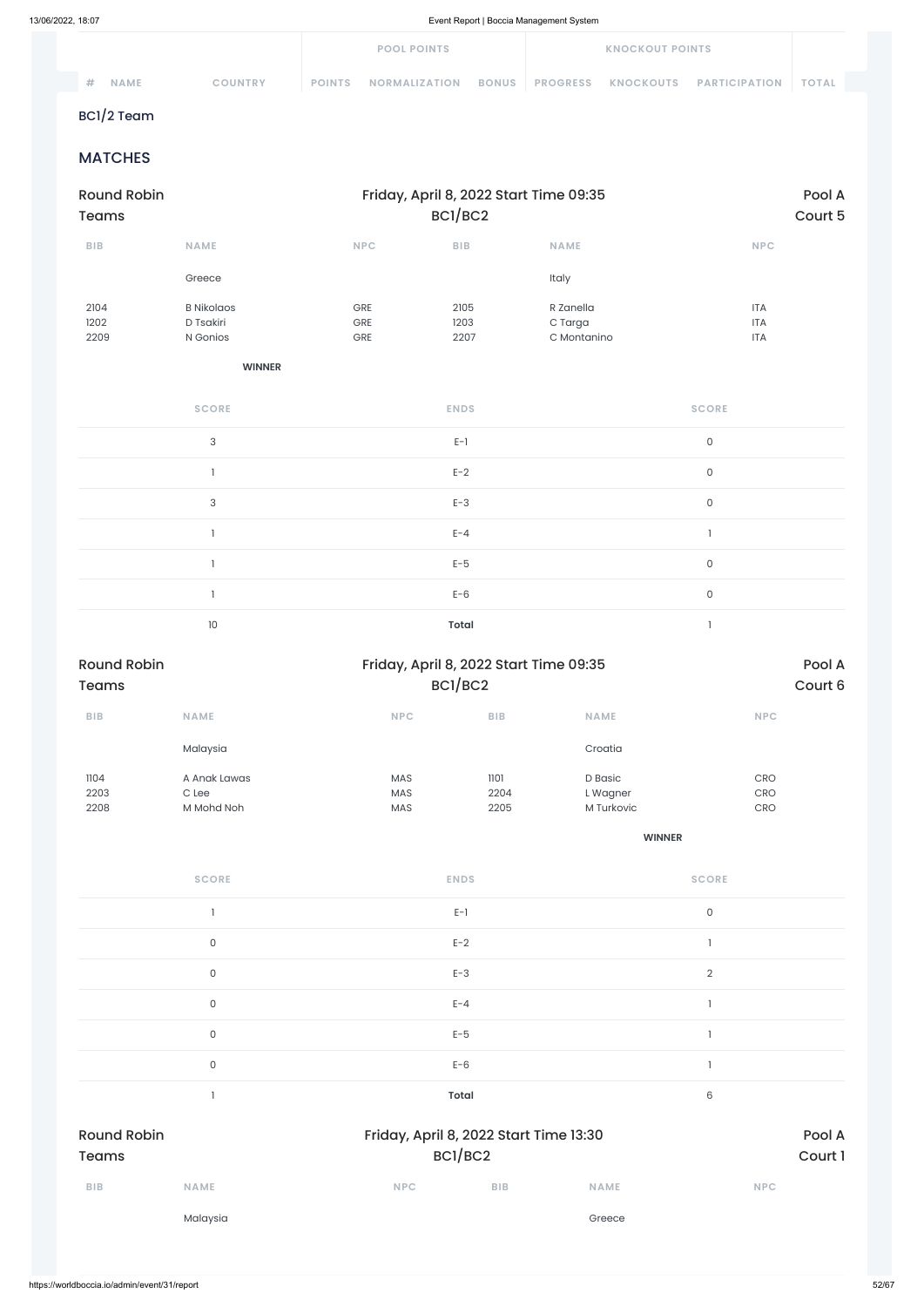| 13/06/2022, 18:07 |                        | Event Report   Boccia Management System |                                                   |                 |                        |                      |                   |
|-------------------|------------------------|-----------------------------------------|---------------------------------------------------|-----------------|------------------------|----------------------|-------------------|
|                   |                        |                                         | <b>POOL POINTS</b>                                |                 | <b>KNOCKOUT POINTS</b> |                      |                   |
| #                 | NAME<br><b>COUNTRY</b> | <b>POINTS</b>                           | <b>NORMALIZATION</b><br><b>BONUS</b>              | <b>PROGRESS</b> | KNOCKOUTS              | <b>PARTICIPATION</b> | <b>TOTAL</b>      |
|                   | BC1/2 Team             |                                         |                                                   |                 |                        |                      |                   |
|                   | <b>MATCHES</b>         |                                         |                                                   |                 |                        |                      |                   |
| <b>Teams</b>      | <b>Round Robin</b>     |                                         | Friday, April 8, 2022 Start Time 09:35<br>BC1/BC2 |                 |                        |                      | Pool A<br>Court 5 |
| BIB               | <b>NAME</b>            | <b>NPC</b>                              | BIB                                               | <b>NAME</b>     |                        | <b>NPC</b>           |                   |
|                   | Greece                 |                                         |                                                   | Italy           |                        |                      |                   |
| 2104              | <b>B</b> Nikolaos      | GRE                                     | 2105                                              | R Zanella       |                        | <b>ITA</b>           |                   |
| 1202              | D Tsakiri              | GRE                                     | 1203                                              | C Targa         |                        | <b>ITA</b>           |                   |
| 2209              | N Gonios               | GRE                                     | 2207                                              | C Montanino     |                        | <b>ITA</b>           |                   |
|                   | <b>WINNER</b>          |                                         |                                                   |                 |                        |                      |                   |
|                   | <b>SCORE</b>           |                                         | <b>ENDS</b>                                       |                 |                        | <b>SCORE</b>         |                   |
|                   | $\sqrt{3}$             |                                         | $E-1$                                             |                 |                        | $\mathsf{O}\xspace$  |                   |
|                   | $\mathbf{1}$           |                                         | $E-2$                                             |                 |                        | $\mathsf{O}\xspace$  |                   |
|                   | 3                      |                                         | $E-3$                                             |                 |                        | $\mathsf{O}$         |                   |
|                   | $\mathbf{I}$           |                                         | $E - 4$                                           |                 |                        | $\mathbb{I}$         |                   |
|                   | $\mathbf{1}$           |                                         | $E-5$                                             |                 |                        | $\mathsf{O}\xspace$  |                   |
|                   | $\mathbf{1}$           |                                         | $E-6$                                             |                 |                        | $\mathsf{O}\xspace$  |                   |
|                   | $10$                   |                                         | <b>Total</b>                                      |                 |                        | $\mathbf{1}$         |                   |

| <b>Round Robin</b><br><b>Teams</b> |                                     |                                        | Friday, April 8, 2022 Start Time 09:35<br>BC1/BC2 |                                   |                                        |
|------------------------------------|-------------------------------------|----------------------------------------|---------------------------------------------------|-----------------------------------|----------------------------------------|
| <b>BIB</b>                         | <b>NAME</b>                         | <b>NPC</b>                             | <b>BIB</b>                                        | <b>NAME</b>                       | <b>NPC</b>                             |
|                                    | Malaysia                            |                                        |                                                   | Croatia                           |                                        |
| 1104<br>2203<br>2208               | A Anak Lawas<br>C Lee<br>M Mohd Noh | <b>MAS</b><br><b>MAS</b><br><b>MAS</b> | 1101<br>2204<br>2205                              | D Basic<br>L Wagner<br>M Turkovic | <b>CRO</b><br><b>CRO</b><br><b>CRO</b> |

**WINNER**

| <b>SCORE</b> | <b>ENDS</b> | <b>SCORE</b> |
|--------------|-------------|--------------|
|              | $E-1$       |              |
|              | $E-2$       |              |
|              | $E-3$       |              |

|                                    | $\mathsf{O}\xspace$                               | $E - 4$      |     |             |                   |
|------------------------------------|---------------------------------------------------|--------------|-----|-------------|-------------------|
|                                    | $\mathsf{O}\xspace$                               | $E-5$        |     |             |                   |
|                                    | $\mathsf O$                                       | $E-6$        |     |             |                   |
|                                    |                                                   | <b>Total</b> |     | 6           |                   |
| <b>Round Robin</b><br><b>Teams</b> | Friday, April 8, 2022 Start Time 13:30<br>BC1/BC2 |              |     |             | Pool A<br>Court 1 |
| BIB                                | <b>NAME</b>                                       | <b>NPC</b>   | BIB | <b>NAME</b> | <b>NPC</b>        |
|                                    | Malaysia                                          |              |     | Greece      |                   |
|                                    |                                                   |              |     |             |                   |
|                                    |                                                   |              |     |             |                   |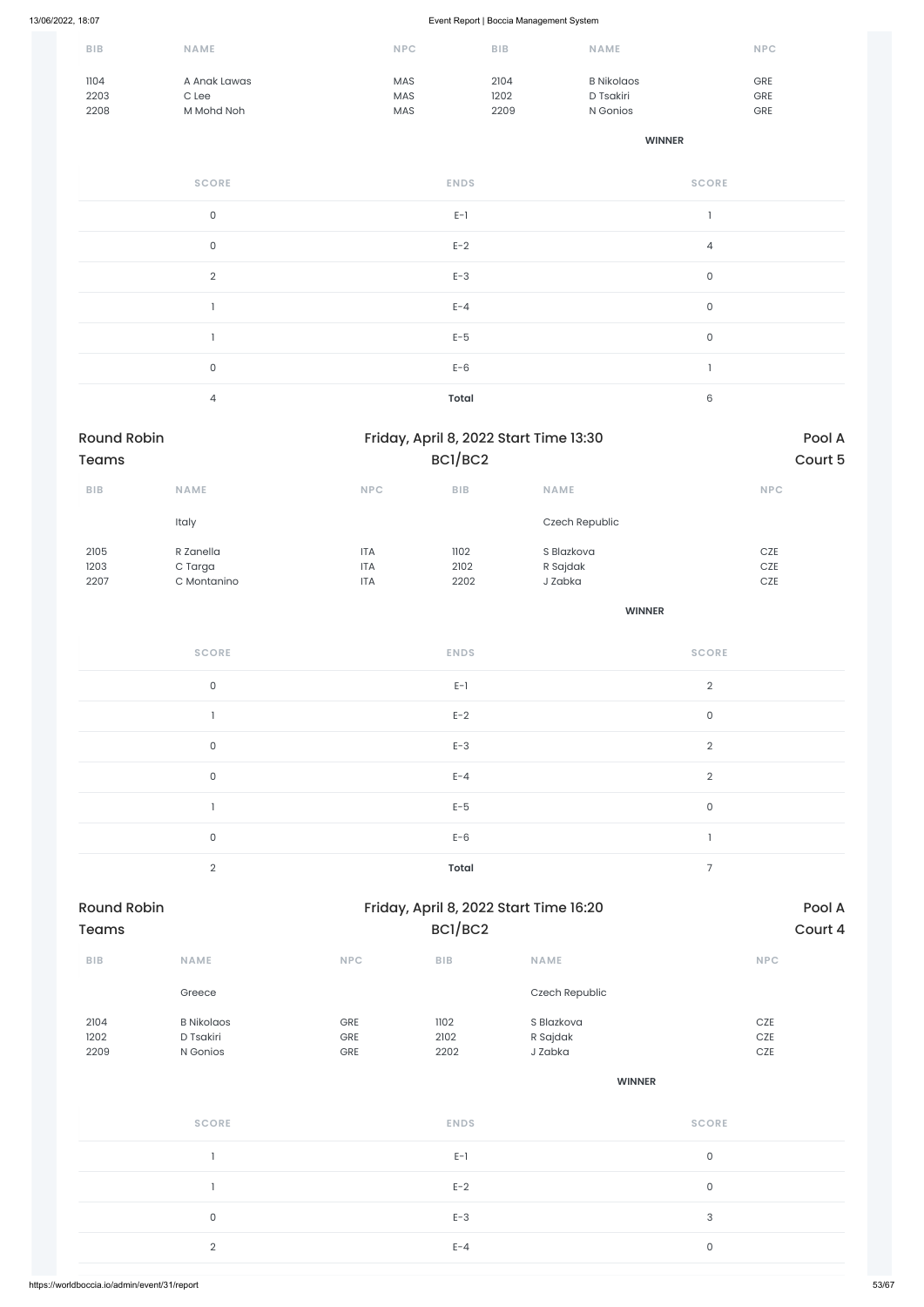| <b>BIB</b> | <b>NAME</b>  | <b>NPC</b> | <b>BIB</b> | <b>NAME</b>       | <b>NPC</b> |
|------------|--------------|------------|------------|-------------------|------------|
| 1104       | A Anak Lawas | <b>MAS</b> | 2104       | <b>B</b> Nikolaos | <b>GRE</b> |
| 2203       | C Lee        | <b>MAS</b> | 1202       | D Tsakiri         | GRE        |
| 2208       | M Mohd Noh   | <b>MAS</b> | 2209       | N Gonios          | <b>GRE</b> |

#### **WINNER**

| <b>SCORE</b>   | <b>ENDS</b>  | <b>SCORE</b> |
|----------------|--------------|--------------|
| $\mathsf O$    | $E-1$        |              |
| $\mathsf O$    | $E-2$        | 4            |
| $\overline{2}$ | $E-3$        | $\mathsf O$  |
|                | $E - 4$      | $\mathsf O$  |
|                | $E-5$        | $\mathsf{O}$ |
| $\mathsf O$    | $E-6$        | л            |
| $\overline{4}$ | <b>Total</b> | 6            |

| Round Robin<br><b>Teams</b> |                                     |                                        | Friday, April 8, 2022 Start Time 13:30<br>BC1/BC2 |                                        |                     | Pool A<br>Court 5     |
|-----------------------------|-------------------------------------|----------------------------------------|---------------------------------------------------|----------------------------------------|---------------------|-----------------------|
| BIB                         | NAME                                | <b>NPC</b>                             | BIB                                               | <b>NAME</b>                            |                     | NPC                   |
|                             | Italy                               |                                        |                                                   | Czech Republic                         |                     |                       |
| 2105<br>1203<br>2207        | R Zanella<br>C Targa<br>C Montanino | <b>ITA</b><br><b>ITA</b><br><b>ITA</b> | 1102<br>2102<br>2202                              | S Blazkova<br>R Sajdak<br>J Zabka      |                     | CZE<br>$CZE$<br>$CZE$ |
|                             |                                     |                                        |                                                   | <b>WINNER</b>                          |                     |                       |
|                             | <b>SCORE</b>                        |                                        | <b>ENDS</b>                                       |                                        | <b>SCORE</b>        |                       |
|                             | $\mathsf{O}\xspace$                 |                                        | $E-1$                                             |                                        | $\overline{2}$      |                       |
|                             | $\mathbb{I}$                        |                                        | $E-2$                                             |                                        | $\mathsf{O}$        |                       |
|                             | $\mathsf{O}\xspace$                 |                                        | $E-3$                                             |                                        | $\overline{2}$      |                       |
|                             | $\mathsf{O}\xspace$                 |                                        | $E - 4$                                           |                                        | $\overline{2}$      |                       |
|                             | $\mathbf{I}$                        |                                        | $E-5$                                             |                                        | $\mathsf{O}\xspace$ |                       |
|                             | $\mathsf{O}\xspace$                 |                                        | $E-6$                                             |                                        | $\mathbb{I}$        |                       |
|                             | $\overline{2}$                      |                                        | <b>Total</b>                                      |                                        | $\overline{7}$      |                       |
| Round Robin                 |                                     |                                        |                                                   | Friday, April 8, 2022 Start Time 16:20 |                     | Pool A                |

| Round Robin<br><b>Teams</b> |             |            | Friday, April 8, 2022 Start Time 16:20 | Pool A<br>Court 4 |            |
|-----------------------------|-------------|------------|----------------------------------------|-------------------|------------|
|                             |             |            | BC1/BC2                                |                   |            |
| <b>BIB</b>                  | <b>NAME</b> | <b>NPC</b> | <b>BIB</b>                             | <b>NAME</b>       | <b>NPC</b> |

|                      | Greece                                     |                   |                      | Czech Republic                    |                     |
|----------------------|--------------------------------------------|-------------------|----------------------|-----------------------------------|---------------------|
| 2104<br>1202<br>2209 | <b>B</b> Nikolaos<br>D Tsakiri<br>N Gonios | GRE<br>GRE<br>GRE | 1102<br>2102<br>2202 | S Blazkova<br>R Sajdak<br>J Zabka | CZE<br>CZE<br>$CZE$ |
|                      |                                            |                   |                      |                                   | <b>WINNER</b>       |
|                      | <b>SCORE</b>                               |                   | <b>ENDS</b>          |                                   | <b>SCORE</b>        |
|                      |                                            |                   | $E-1$                |                                   | $\mathsf{O}$        |
|                      |                                            |                   | $E-2$                |                                   | $\mathsf{O}$        |
|                      | $\mathsf{O}$                               |                   | $E-3$                |                                   | $\mathsf 3$         |
|                      | $\overline{2}$                             |                   | $E - 4$              |                                   | $\mathsf{O}$        |
|                      |                                            |                   |                      |                                   |                     |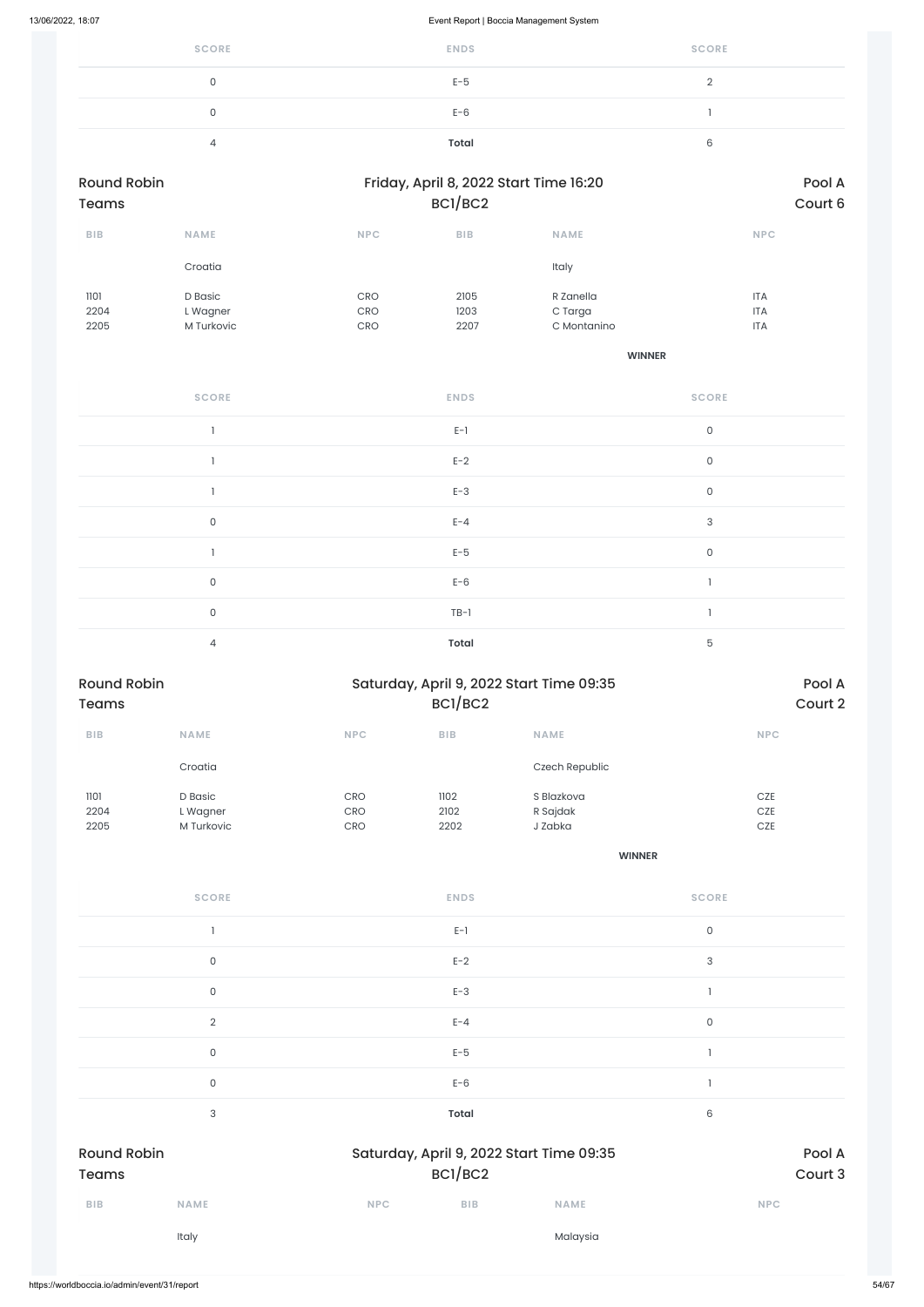| <b>SCORE</b> | <b>ENDS</b> | <b>SCORE</b> |
|--------------|-------------|--------------|
| 0            | $E-5$       |              |
| 0            | $E-6$       |              |
| 4            | Total       |              |

| <b>Round Robin</b><br><b>Teams</b> |             |            | Friday, April 8, 2022 Start Time 16:20<br>BCI/BC2 | Pool A<br>Court 6 |            |
|------------------------------------|-------------|------------|---------------------------------------------------|-------------------|------------|
| <b>BIB</b>                         | <b>NAME</b> | <b>NPC</b> | <b>BIB</b>                                        | <b>NAME</b>       | <b>NPC</b> |
|                                    | Croatia     |            |                                                   | Italy             |            |
| 1101                               | D Basic     | <b>CRO</b> | 2105                                              | R Zanella         | <b>ITA</b> |
| 2204                               | L Wagner    | <b>CRO</b> | 1203                                              | C Targa           | <b>ITA</b> |
| 2205                               | M Turkovic  | <b>CRO</b> | 2207                                              | C Montanino       | <b>ITA</b> |

**WINNER**

| <b>SCORE</b> | <b>ENDS</b>  | <b>SCORE</b> |
|--------------|--------------|--------------|
|              | $E-1$        | $\mathsf O$  |
|              | $E-2$        | $\mathsf O$  |
|              | $E-3$        | $\mathsf O$  |
| $\mathsf{O}$ | $E - 4$      | $\sqrt{3}$   |
|              | $E-5$        | $\mathsf O$  |
| $\mathsf O$  | $E-6$        |              |
| $\mathsf{O}$ | $TB-1$       | ı            |
| 4            | <b>Total</b> | $\mathbf 5$  |

| <b>Round Robin</b><br><b>Teams</b> |                                   |                          | Saturday, April 9, 2022 Start Time 09:35<br>BCI/BC2 |                                   |                   |
|------------------------------------|-----------------------------------|--------------------------|-----------------------------------------------------|-----------------------------------|-------------------|
| <b>BIB</b>                         | <b>NAME</b>                       | <b>NPC</b>               | <b>BIB</b>                                          | <b>NAME</b>                       | <b>NPC</b>        |
|                                    | Croatia                           |                          |                                                     | Czech Republic                    |                   |
| 1101<br>2204<br>2205               | D Basic<br>L Wagner<br>M Turkovic | CRO<br><b>CRO</b><br>CRO | 1102<br>2102<br>2202                                | S Blazkova<br>R Sajdak<br>J Zabka | CZE<br>CZE<br>CZE |
|                                    |                                   |                          |                                                     | <b>WINNER</b>                     |                   |
|                                    | <b>SCORE</b>                      |                          | <b>ENDS</b>                                         |                                   | <b>SCORE</b>      |
|                                    |                                   |                          | $E-1$                                               |                                   | $\mathsf 0$       |

0 and  $E-2$  and  $E-2$  and  $E-2$  and  $E-2$  and  $E-2$  and  $E-2$  and  $E-2$  and  $E-2$  and  $E-2$  and  $E-2$  and  $E-2$  and  $E-2$  and  $E-2$  and  $E-2$  and  $E-2$  and  $E-2$  and  $E-2$  and  $E-2$  and  $E-2$  and  $E-2$  and  $E-2$  and  $E-2$ 

|                                    | 0              |            | $E-3$        |                                          |                |                   |
|------------------------------------|----------------|------------|--------------|------------------------------------------|----------------|-------------------|
|                                    | $\overline{2}$ |            | $E - 4$      |                                          | $\mathsf O$    |                   |
|                                    | $\mathsf O$    |            | $E-5$        |                                          |                |                   |
|                                    | $\mathsf O$    |            | $E-6$        |                                          | $\overline{1}$ |                   |
|                                    | 3              |            | <b>Total</b> |                                          | $\,$ 6 $\,$    |                   |
| <b>Round Robin</b><br><b>Teams</b> |                |            | BC1/BC2      | Saturday, April 9, 2022 Start Time 09:35 |                | Pool A<br>Court 3 |
| BIB                                | <b>NAME</b>    | <b>NPC</b> | BIB          | <b>NAME</b>                              |                | <b>NPC</b>        |
|                                    |                |            |              |                                          |                |                   |
|                                    | Italy          |            |              | Malaysia                                 |                |                   |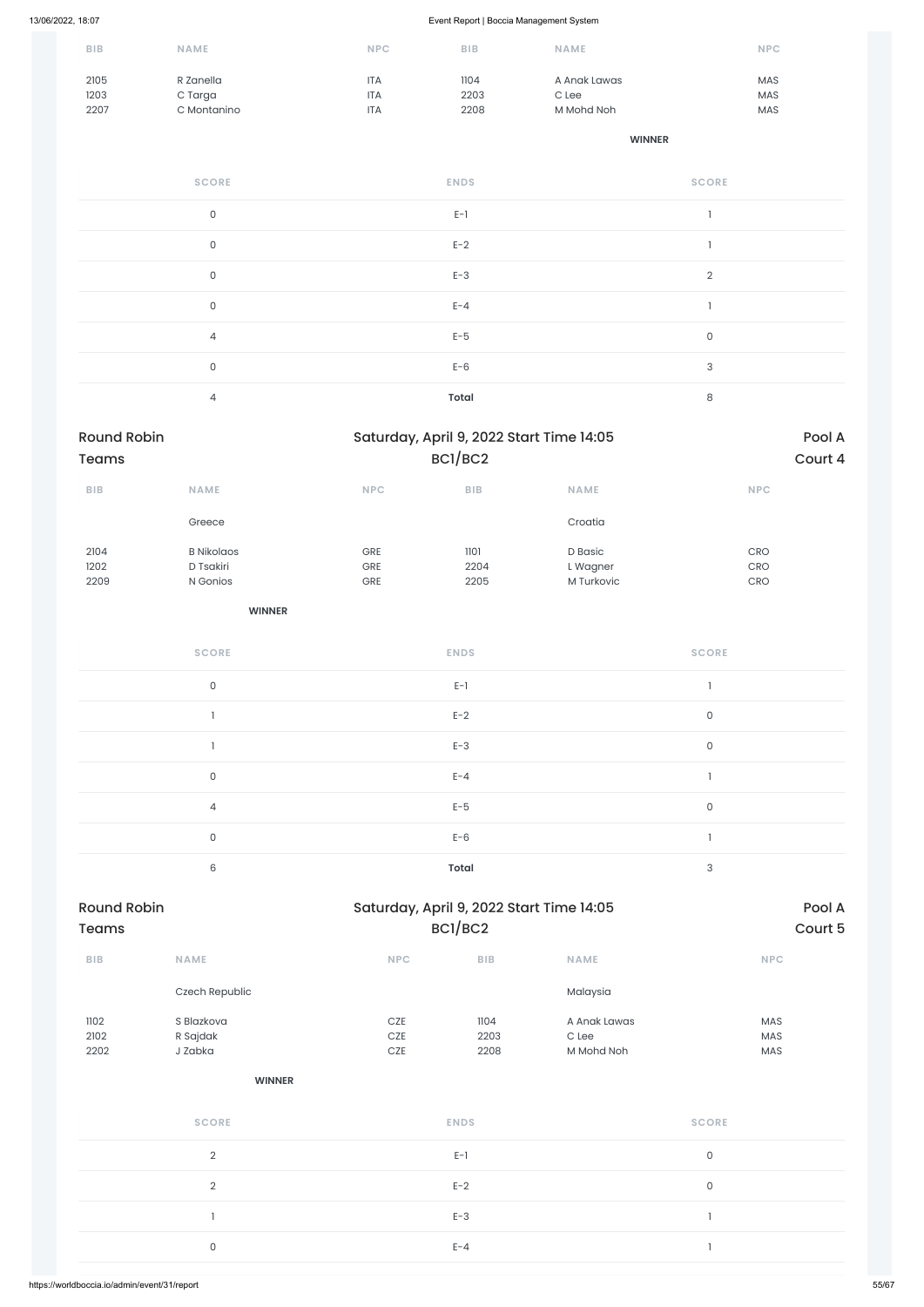| <b>BIB</b> | <b>NAME</b> | <b>NPC</b> | <b>BIB</b> | <b>NAME</b>  | <b>NPC</b> |
|------------|-------------|------------|------------|--------------|------------|
| 2105       | R Zanella   | <b>ITA</b> | 1104       | A Anak Lawas | <b>MAS</b> |
| 1203       | C Targa     | <b>ITA</b> | 2203       | C Lee        | <b>MAS</b> |
| 2207       | C Montanino | <b>ITA</b> | 2208       | M Mohd Noh   | <b>MAS</b> |

### **WINNER**

| <b>SCORE</b>   | <b>ENDS</b>  | <b>SCORE</b>   |
|----------------|--------------|----------------|
| $\mathsf O$    | $E-1$        |                |
| $\mathsf{O}$   | $E-2$        |                |
| $\mathsf O$    | $E-3$        | $\overline{2}$ |
| $\mathsf{O}$   | $E - 4$      |                |
| $\overline{4}$ | $E-5$        | $\mathsf O$    |
| $\mathsf O$    | $E-6$        | 3              |
| $\overline{4}$ | <b>Total</b> | 8              |

| Round Robin  |                                |                             | Saturday, April 9, 2022 Start Time 14:05 | Pool A              |                                  |         |
|--------------|--------------------------------|-----------------------------|------------------------------------------|---------------------|----------------------------------|---------|
| <b>Teams</b> |                                |                             | BC1/BC2                                  |                     |                                  | Court 4 |
| BIB          | NAME                           | $\ensuremath{\mathsf{NPC}}$ | ${\sf B}{\sf I}{\sf B}$                  | NAME                | NPC                              |         |
|              | Greece                         |                             |                                          | Croatia             |                                  |         |
| 2104<br>1202 | <b>B</b> Nikolaos<br>D Tsakiri | GRE<br>GRE                  | 1101<br>2204                             | D Basic<br>L Wagner | CRO<br>CRO                       |         |
| 2209         | N Gonios<br><b>WINNER</b>      | GRE                         | 2205                                     | M Turkovic          | $\mathsf{C}\mathsf{R}\mathsf{O}$ |         |
|              |                                |                             |                                          |                     |                                  |         |
|              | <b>SCORE</b>                   |                             | <b>ENDS</b>                              |                     | <b>SCORE</b>                     |         |
|              | $\mathsf{O}\xspace$            |                             | $E-1$                                    |                     | $\mathbbm{1}$                    |         |
|              | $\mathbf{I}$                   |                             | $E-2$                                    |                     | $\mathsf O$                      |         |
|              | $\mathbf{I}$                   |                             | $E-3$                                    |                     | $\mathsf{O}$                     |         |
|              | $\mathsf{O}\xspace$            |                             | $E - 4$                                  |                     | $\mathbf{I}$                     |         |
|              | $\overline{4}$                 |                             | $E-5$                                    |                     | $\mathsf O$                      |         |
|              | $\mathsf{O}\xspace$            |                             | $E-6$                                    |                     | $\mathbf{I}$                     |         |
|              | $\,6\,$                        |                             | <b>Total</b>                             |                     | $\ensuremath{\mathsf{3}}$        |         |
|              |                                |                             |                                          |                     |                                  |         |

| Round Robin |      |            | Saturday, April 9, 2022 Start Time 14:05 |             |            |  |  |
|-------------|------|------------|------------------------------------------|-------------|------------|--|--|
| Teams       |      |            | BC1/BC2                                  |             | Court 5    |  |  |
| <b>BIB</b>  | NAME | <b>NPC</b> | <b>BIB</b>                               | <b>NAME</b> | <b>NPC</b> |  |  |

|                      | Czech Republic                    |                       |                      | Malaysia                              |                     |  |
|----------------------|-----------------------------------|-----------------------|----------------------|---------------------------------------|---------------------|--|
| 1102<br>2102<br>2202 | S Blazkova<br>R Sajdak<br>J Zabka | CZE<br>$CZE$<br>$CZE$ | 1104<br>2203<br>2208 | A Anak Lawas<br>$C$ Lee<br>M Mohd Noh | MAS<br>MAS<br>MAS   |  |
|                      | <b>WINNER</b>                     |                       |                      |                                       |                     |  |
|                      | <b>SCORE</b>                      |                       | <b>ENDS</b>          |                                       | <b>SCORE</b>        |  |
|                      | $\overline{2}$                    |                       | $E-1$                |                                       | $\mathsf O$         |  |
|                      | $\mathbf{2}$                      |                       | $E-2$                |                                       | $\mathsf{O}\xspace$ |  |
|                      |                                   |                       | $E-3$                |                                       |                     |  |
|                      | $\mathsf O$                       |                       | $E - 4$              |                                       |                     |  |
|                      |                                   |                       |                      |                                       |                     |  |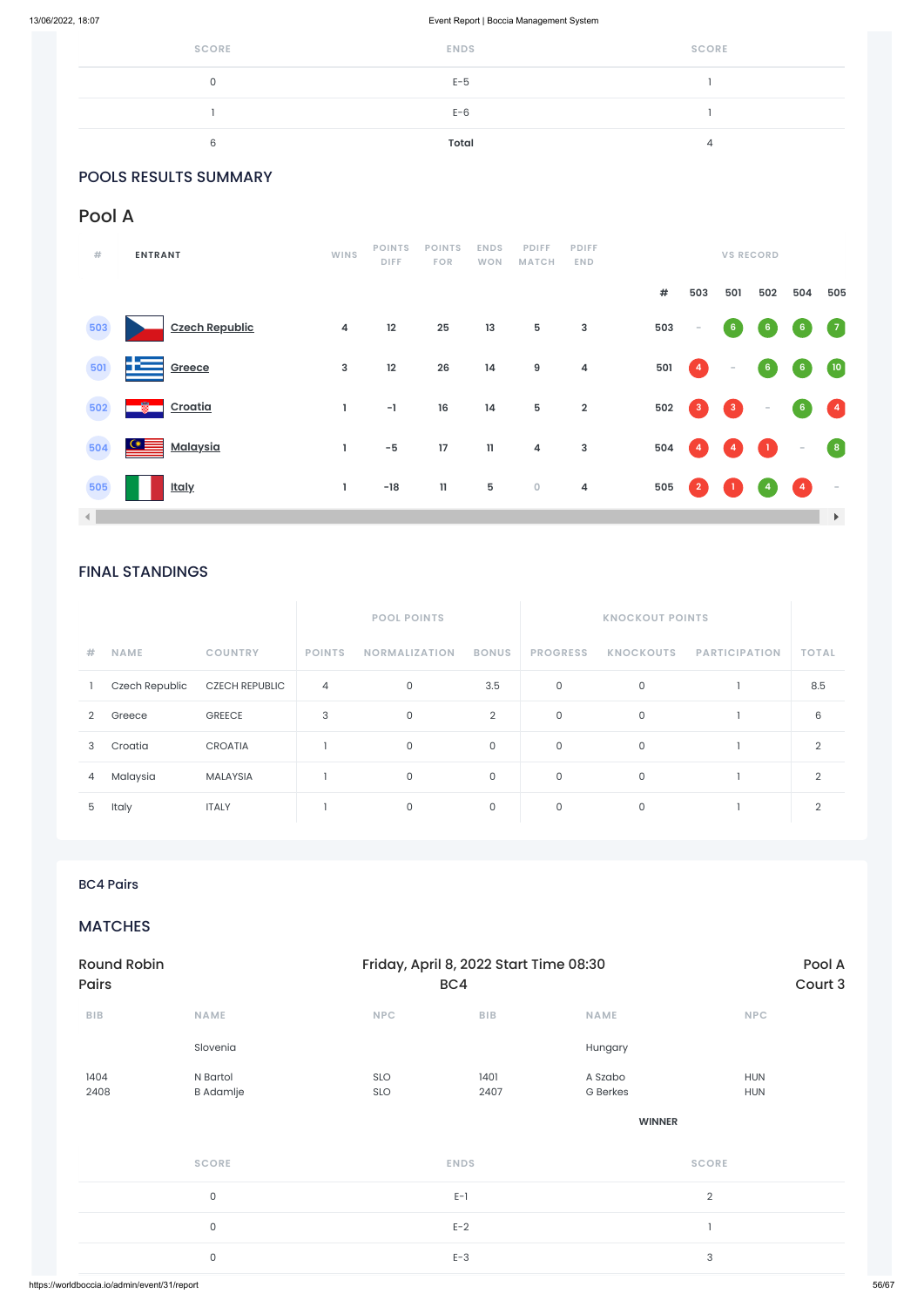| <b>SCORE</b> | <b>ENDS</b>  | <b>SCORE</b> |
|--------------|--------------|--------------|
|              | $E-5$        |              |
|              | $E-6$        |              |
| R            | <b>Total</b> |              |

### POOLS RESULTS SUMMARY

### FINAL STANDINGS

|                |                |                       |                | <b>POOL POINTS</b>   |                |                 | <b>KNOCKOUT POINTS</b> |                      |              |
|----------------|----------------|-----------------------|----------------|----------------------|----------------|-----------------|------------------------|----------------------|--------------|
| #              | <b>NAME</b>    | <b>COUNTRY</b>        | <b>POINTS</b>  | <b>NORMALIZATION</b> | <b>BONUS</b>   | <b>PROGRESS</b> | <b>KNOCKOUTS</b>       | <b>PARTICIPATION</b> | <b>TOTAL</b> |
|                | Czech Republic | <b>CZECH REPUBLIC</b> | $\overline{4}$ | 0                    | 3.5            | $\mathsf{O}$    | 0                      |                      | 8.5          |
| $\overline{2}$ | Greece         | <b>GREECE</b>         | 3              | 0                    | $\overline{2}$ | $\mathsf{O}$    | $\mathsf{O}$           |                      | 6            |
| 3              | Croatia        | <b>CROATIA</b>        |                | 0                    | 0              | $\mathsf{O}$    | $\mathbf 0$            |                      | 2            |
| 4              | Malaysia       | <b>MALAYSIA</b>       |                | 0                    | $\mathsf{O}$   | $\mathsf{O}$    | $\mathsf{O}$           |                      | 2            |
| 5              | Italy          | <b>ITALY</b>          |                | 0                    | $\mathsf{O}$   | $\mathsf{O}$    | 0                      |                      |              |

### Pool A

| #              | <b>ENTRANT</b>             | <b>WINS</b>             | <b>POINTS</b><br><b>DIFF</b> | <b>POINTS</b><br><b>FOR</b> | <b>ENDS</b><br><b>WON</b> | <b>PDIFF</b><br><b>MATCH</b> | <b>PDIFF</b><br><b>END</b> |      |                      | <b>VS RECORD</b>         |                 |                                   |                                                 |
|----------------|----------------------------|-------------------------|------------------------------|-----------------------------|---------------------------|------------------------------|----------------------------|------|----------------------|--------------------------|-----------------|-----------------------------------|-------------------------------------------------|
|                |                            |                         |                              |                             |                           |                              |                            | $\#$ | 503                  | 501                      | 502             | 504                               | 505                                             |
| 503            | <b>Czech Republic</b>      | $\overline{\mathbf{4}}$ | 12                           | 25                          | 13                        | ${\bf 5}$                    | $\mathsf 3$                | 503  | $\sim$               | 6 <sub>o</sub>           | $6\phantom{.}6$ | 6 <sub>1</sub>                    | $\begin{pmatrix} 7 \end{pmatrix}$               |
| 501            | 士三<br>Greece               | 3                       | 12                           | 26                          | 14                        | $\boldsymbol{9}$             | $\overline{\mathbf{4}}$    | 501  | $\left  \right $     | $\overline{\phantom{a}}$ | $6\phantom{.}6$ | 6 <sub>1</sub>                    | $\left( 10 \right)$                             |
| 502            | ∙<br>Croatia               | L                       | $-1$                         | $16\,$                      | 14                        | ${\bf 5}$                    | $\overline{\mathbf{2}}$    | 502  | $\mathbf{3}$         | $\mathbf{3}$             | $\sim$          | 6 <sup>7</sup>                    | $\begin{pmatrix} 4 \end{pmatrix}$               |
| 504            | $\circ \equiv$<br>Malaysia | L                       | $-5$                         | 17                          | $\mathbf{H}$              | $\overline{\mathbf{4}}$      | $\mathsf 3$                | 504  | $\blacktriangleleft$ | 4                        | $\mathbf{1}$    | $\sim$                            | $\left( \begin{array}{c} 8 \end{array} \right)$ |
| 505            | <u>Italy</u>               | 1.                      | $-18$                        | $\mathbf{11}$               | 5                         | $\pmb{0}$                    | $\overline{\mathbf{4}}$    | 505  | $\overline{2}$       |                          | 4               | $\begin{pmatrix} 4 \end{pmatrix}$ | $\sim$                                          |
| $\blacksquare$ |                            |                         |                              |                             |                           |                              |                            |      |                      |                          |                 |                                   | $\blacktriangleright$                           |

### BC4 Pairs

### **MATCHES**

| Pairs       |                     |            | BC4                     |                 | Court 3      |
|-------------|---------------------|------------|-------------------------|-----------------|--------------|
| ${\sf BIB}$ | NAME                | <b>NPC</b> | ${\sf B}{\sf I}{\sf B}$ | NAME            | <b>NPC</b>   |
|             | Slovenia            |            |                         | Hungary         |              |
| 1404        | N Bartol            | SLO        | 1401                    | A Szabo         | <b>HUN</b>   |
| 2408        | <b>B</b> Adamlje    | SLO        | 2407                    | <b>G</b> Berkes | <b>HUN</b>   |
|             |                     |            |                         | <b>WINNER</b>   |              |
|             | <b>SCORE</b>        |            | <b>ENDS</b>             |                 | <b>SCORE</b> |
|             | $\mathsf{O}$        |            | $E-1$                   |                 | $\sqrt{2}$   |
|             | $\mathsf{O}\xspace$ |            | $E-2$                   |                 | п.           |
|             | $\mathsf{O}\xspace$ |            | $E-3$                   |                 | 3            |
|             |                     |            |                         |                 |              |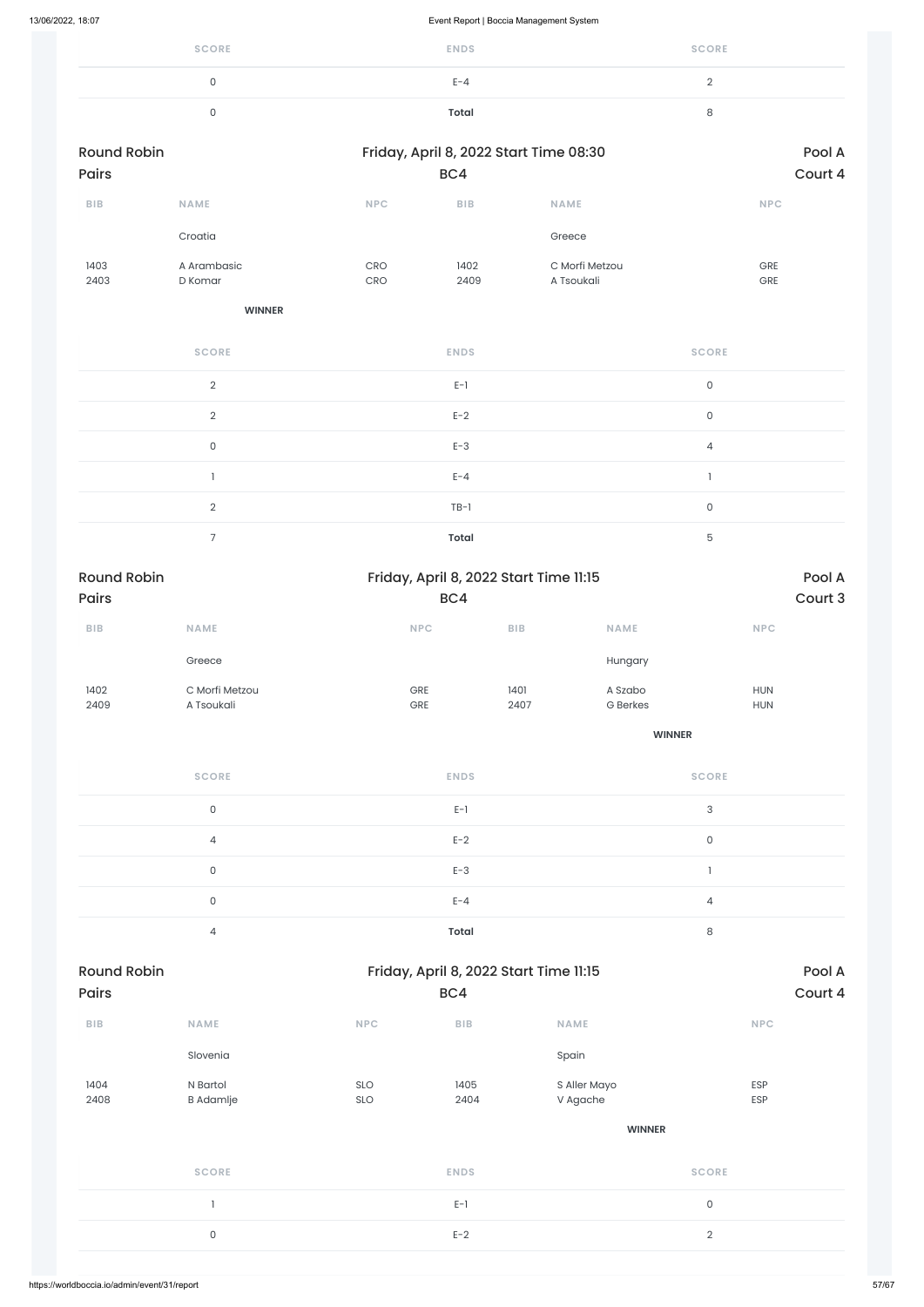| <b>SCORE</b> | <b>ENDS</b> | <b>SCORE</b> |
|--------------|-------------|--------------|
| ◡            | $E - 4$     |              |
|              | Total       | ັ            |

| <b>Round Robin</b><br><b>Pairs</b> |                        |                          | BC4          | Friday, April 8, 2022 Start Time 08:30 | Pool A<br>Court 4        |
|------------------------------------|------------------------|--------------------------|--------------|----------------------------------------|--------------------------|
| <b>BIB</b>                         | <b>NAME</b>            | <b>NPC</b>               | <b>BIB</b>   | <b>NAME</b>                            | <b>NPC</b>               |
|                                    | Croatia                |                          |              | Greece                                 |                          |
| 1403<br>2403                       | A Arambasic<br>D Komar | <b>CRO</b><br><b>CRO</b> | 1402<br>2409 | C Morfi Metzou<br>A Tsoukali           | <b>GRE</b><br><b>GRE</b> |

**WINNER**

| <b>SCORE</b>             | <b>ENDS</b>  | <b>SCORE</b>   |
|--------------------------|--------------|----------------|
| 2                        | $E-1$        | $\mathsf{O}$   |
| $\overline{2}$           | $E-2$        | $\mathsf{O}$   |
| 0                        | $E-3$        | $\overline{4}$ |
|                          | $E - 4$      |                |
| $\mathcal{D}$            | $TB-1$       | $\mathbf 0$    |
| $\overline{\phantom{1}}$ | <b>Total</b> | 5              |

| <b>Round Robin</b><br><b>Pairs</b> |                |            | Friday, April 8, 2022 Start Time 11:15 |                         |            |  |
|------------------------------------|----------------|------------|----------------------------------------|-------------------------|------------|--|
|                                    |                | BC4        |                                        |                         | Court 3    |  |
| <b>BIB</b>                         | <b>NAME</b>    | <b>NPC</b> | <b>BIB</b>                             | <b>NAME</b>             | <b>NPC</b> |  |
|                                    | Greece         |            |                                        | Hungary                 |            |  |
| 1402                               | C Morfi Metzou | <b>GRE</b> | 1401                                   | A Szabo                 | <b>HUN</b> |  |
| 2409                               | A Tsoukali     | <b>GRE</b> | 2407                                   | <b>G</b> Berkes         | <b>HUN</b> |  |
|                                    |                |            |                                        | <b><i>ALLAMATER</i></b> |            |  |

**WINNER**

| <b>SCORE</b>   | <b>ENDS</b>  | <b>SCORE</b>   |
|----------------|--------------|----------------|
| 0              | $E-1$        | 3              |
| $\overline{4}$ | $E-2$        | $\Omega$       |
| $\mathbf{0}$   | $E-3$        |                |
| 0              | $E - 4$      | $\overline{4}$ |
| 4              | <b>Total</b> | 8              |

### Round Robin **Round Robin** Friday, April 8, 2022 Start Time 11:15

| Pairs                   |                              |            | BC4                     |                          | Court 4      |
|-------------------------|------------------------------|------------|-------------------------|--------------------------|--------------|
| ${\sf B}{\sf I}{\sf B}$ | <b>NAME</b>                  | <b>NPC</b> | ${\sf B}{\sf I}{\sf B}$ | <b>NAME</b>              | <b>NPC</b>   |
|                         | Slovenia                     |            |                         | Spain                    |              |
| 1404<br>2408            | N Bartol<br><b>B</b> Adamlje | SLO<br>SLO | 1405<br>2404            | S Aller Mayo<br>V Agache | ESP<br>ESP   |
|                         |                              |            |                         | <b>WINNER</b>            |              |
|                         | <b>SCORE</b>                 |            | <b>ENDS</b>             |                          | <b>SCORE</b> |
|                         |                              |            | $E-1$                   |                          | $\mathsf 0$  |
|                         | $\mathsf{O}$                 |            | $E-2$                   |                          | $\sqrt{2}$   |
|                         |                              |            |                         |                          |              |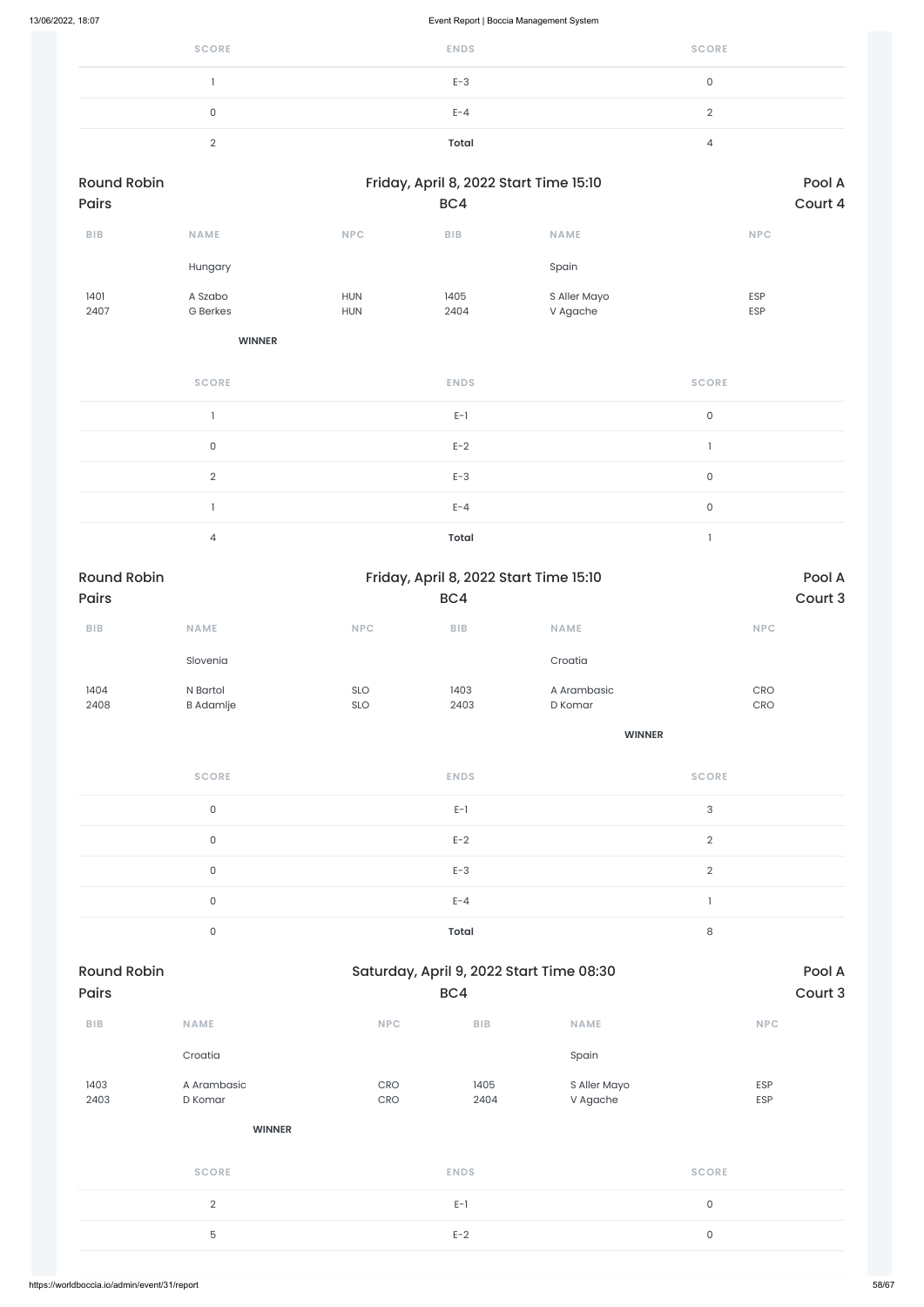| <b>SCORE</b> | <b>ENDS</b>  | <b>SCORE</b> |
|--------------|--------------|--------------|
|              | $E-3$        |              |
|              | $E - 4$      |              |
|              | <b>Total</b> |              |

| <b>Round Robin</b> |                 | Friday, April 8, 2022 Start Time 15:10 |            |              | Pool A     |  |
|--------------------|-----------------|----------------------------------------|------------|--------------|------------|--|
| <b>Pairs</b>       |                 | BC4                                    |            |              | Court 4    |  |
| <b>BIB</b>         | <b>NAME</b>     | <b>NPC</b>                             | <b>BIB</b> | <b>NAME</b>  | <b>NPC</b> |  |
|                    | Hungary         |                                        |            | Spain        |            |  |
| 1401               | A Szabo         | <b>HUN</b>                             | 1405       | S Aller Mayo | <b>ESP</b> |  |
| 2407               | <b>G</b> Berkes | <b>HUN</b>                             | 2404       | V Agache     | ESP        |  |

**WINNER**

| <b>SCORE</b> | <b>ENDS</b>  | <b>SCORE</b> |
|--------------|--------------|--------------|
|              | $E-1$        | $\mathbf{0}$ |
| $\Omega$     | $E-2$        |              |
| $\Omega$     | $E-3$        | $\mathbf{0}$ |
|              | $E - 4$      | $\mathbf{0}$ |
| 4            | <b>Total</b> |              |

| <b>Round Robin</b> |                     |     | Friday, April 8, 2022 Start Time 15:10 |               |                                       |  |
|--------------------|---------------------|-----|----------------------------------------|---------------|---------------------------------------|--|
| <b>Pairs</b>       |                     |     | BC4                                    |               | Court 3                               |  |
| ${\sf BIB}$        | <b>NAME</b>         | NPC | $B$   $B$                              | <b>NAME</b>   | <b>NPC</b>                            |  |
|                    | Slovenia            |     |                                        | Croatia       |                                       |  |
| 1404               | N Bartol            | SLO | 1403                                   | A Arambasic   | CRO                                   |  |
| 2408               | <b>B</b> Adamlje    | SLO | 2403                                   | D Komar       | CRO                                   |  |
|                    |                     |     |                                        | <b>WINNER</b> |                                       |  |
|                    | <b>SCORE</b>        |     | <b>ENDS</b>                            |               | <b>SCORE</b>                          |  |
|                    | $\mathsf{O}\xspace$ |     | $E-1$                                  |               | $\sqrt{3}$                            |  |
|                    | $\mathsf{O}\xspace$ |     | $E-2$                                  |               | $\overline{2}$                        |  |
|                    | $\mathsf{O}\xspace$ |     | $E-3$                                  |               | $\overline{2}$                        |  |
|                    | $\mathsf{O}\xspace$ |     | $E - 4$                                |               | $\begin{array}{c} \hline \end{array}$ |  |

0 **Total** 8

| Pairs                   |                        |            | BC4          |                          | Court 3      |
|-------------------------|------------------------|------------|--------------|--------------------------|--------------|
| ${\sf B}{\sf I}{\sf B}$ | <b>NAME</b>            | <b>NPC</b> | BIB          | <b>NAME</b>              | NPC          |
|                         | Croatia                |            |              | Spain                    |              |
| 1403<br>2403            | A Arambasic<br>D Komar | CRO<br>CRO | 1405<br>2404 | S Aller Mayo<br>V Agache | ESP<br>ESP   |
|                         | <b>WINNER</b>          |            |              |                          |              |
|                         | <b>SCORE</b>           |            | <b>ENDS</b>  |                          | <b>SCORE</b> |
|                         | $\mathbf{2}$           |            | $E-1$        |                          | $\mathsf{O}$ |
|                         | 5                      |            | $E-2$        |                          | $\mathsf O$  |
|                         |                        |            |              |                          |              |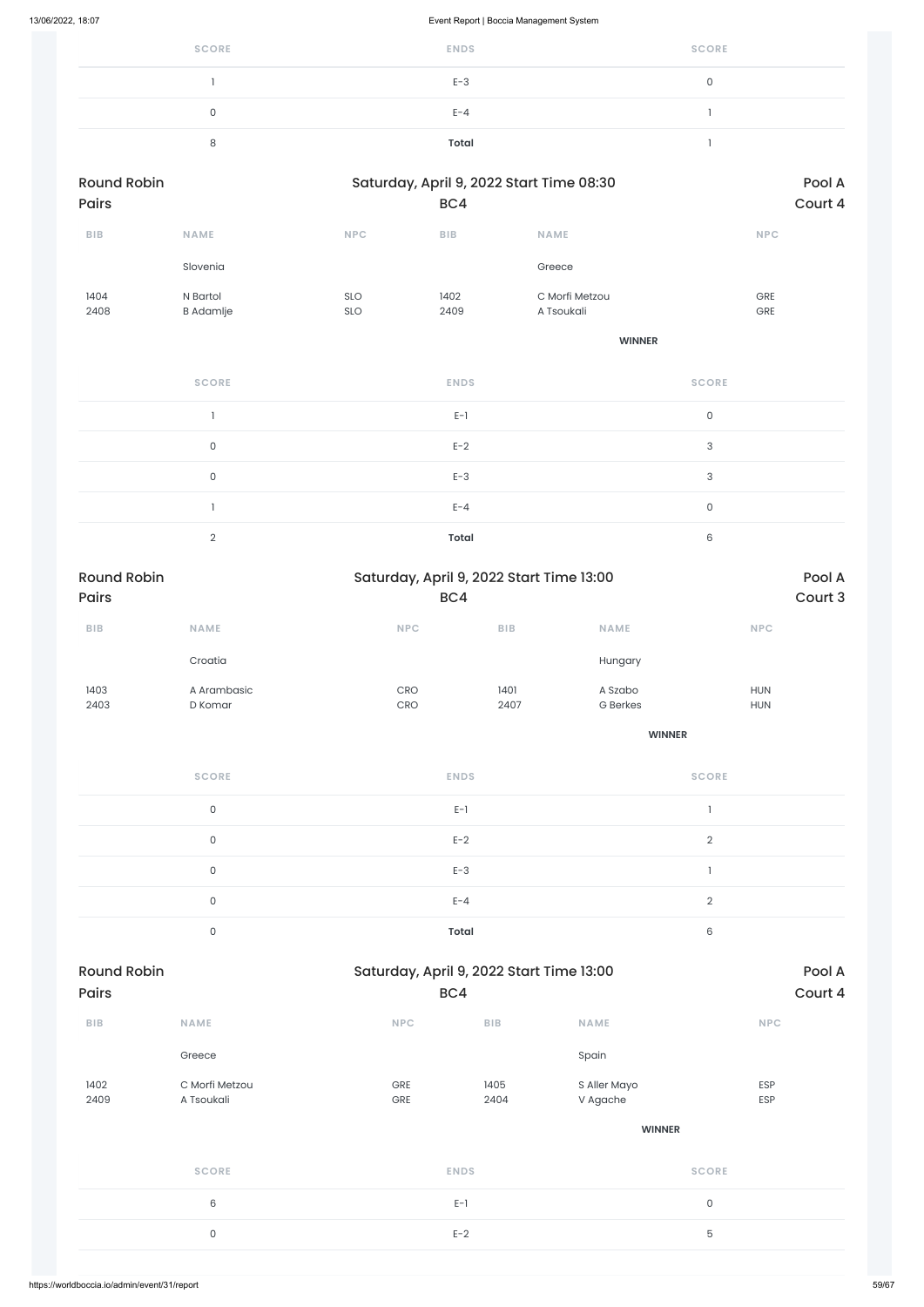| <b>SCORE</b> | <b>ENDS</b> | <b>SCORE</b> |
|--------------|-------------|--------------|
|              | $E-3$       |              |
|              | $E - 4$     |              |
|              | Total       |              |

| <b>Round Robin</b> |                  |            | Saturday, April 9, 2022 Start Time 08:30 | Pool A         |            |
|--------------------|------------------|------------|------------------------------------------|----------------|------------|
| <b>Pairs</b>       |                  |            | BC4                                      | Court 4        |            |
| <b>BIB</b>         | <b>NAME</b>      | <b>NPC</b> | <b>BIB</b>                               | <b>NAME</b>    | <b>NPC</b> |
|                    | Slovenia         |            |                                          | Greece         |            |
| 1404               | N Bartol         | <b>SLO</b> | 1402                                     | C Morfi Metzou | <b>GRE</b> |
| 2408               | <b>B</b> Adamlje | <b>SLO</b> | 2409                                     | A Tsoukali     | <b>GRE</b> |

**WINNER**

| <b>SCORE</b> | <b>ENDS</b>  | <b>SCORE</b> |
|--------------|--------------|--------------|
|              | $E-1$        | $\Omega$     |
| $\mathbf 0$  | $E-2$        | 3            |
| 0            | $E-3$        | 3            |
|              | $E - 4$      | $\Omega$     |
| $\Omega$     | <b>Total</b> | 6            |

| <b>Round Robin</b><br><b>Pairs</b> |                        | Saturday, April 9, 2022 Start Time 13:00<br>BC4 | Pool A<br>Court 3 |                            |                          |
|------------------------------------|------------------------|-------------------------------------------------|-------------------|----------------------------|--------------------------|
| <b>BIB</b>                         | <b>NAME</b>            | <b>NPC</b>                                      | <b>BIB</b>        | <b>NAME</b>                | <b>NPC</b>               |
|                                    | Croatia                |                                                 |                   | Hungary                    |                          |
| 1403<br>2403                       | A Arambasic<br>D Komar | <b>CRO</b><br><b>CRO</b>                        | 1401<br>2407      | A Szabo<br><b>G</b> Berkes | <b>HUN</b><br><b>HUN</b> |
|                                    |                        |                                                 |                   | <b>WINNER</b>              |                          |
|                                    |                        |                                                 |                   |                            |                          |

| <b>SCORE</b> | <b>ENDS</b>  | <b>SCORE</b> |
|--------------|--------------|--------------|
| $\Omega$     | $E-1$        |              |
| $\cap$       | $E-2$        | $\sim$       |
| 0            | $E-3$        |              |
| ∩            | $E - 4$      | $\Omega$     |
|              | <b>Total</b> | 6            |

| Pairs                   |                              | BC4                   |              |                          | Court 4        |
|-------------------------|------------------------------|-----------------------|--------------|--------------------------|----------------|
| ${\sf B}{\sf I}{\sf B}$ | NAME                         | <b>NPC</b>            | BIB          | <b>NAME</b>              | <b>NPC</b>     |
|                         | Greece                       |                       |              | Spain                    |                |
| 1402<br>2409            | C Morfi Metzou<br>A Tsoukali | GRE<br>GRE            | 1405<br>2404 | S Aller Mayo<br>V Agache | ESP<br>ESP     |
|                         |                              |                       |              | <b>WINNER</b>            |                |
|                         | <b>SCORE</b>                 |                       | <b>ENDS</b>  |                          | <b>SCORE</b>   |
|                         | 6                            | $\mathsf{O}$<br>$E-1$ |              |                          |                |
|                         | $\mathsf O$                  |                       | $E-2$        |                          | $\overline{5}$ |
|                         |                              |                       |              |                          |                |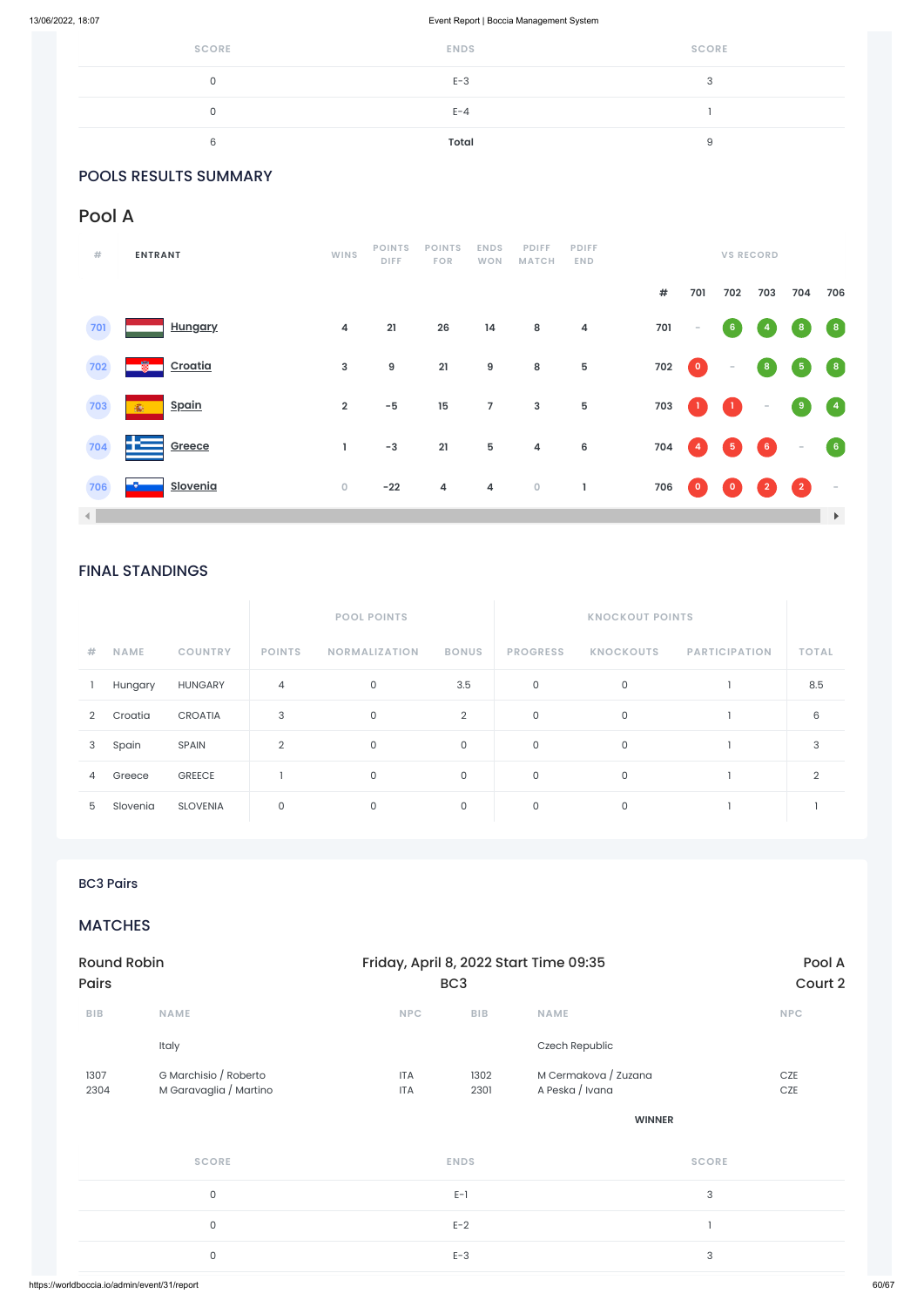| <b>SCORE</b> | <b>ENDS</b> | <b>SCORE</b> |
|--------------|-------------|--------------|
|              | $E-3$       |              |
|              | $E - 4$     |              |
|              | Total       |              |

### POOLS RESULTS SUMMARY

### FINAL STANDINGS

|   |             |                 | <b>POOL POINTS</b> |                      |                |                 |                  |                      |              |
|---|-------------|-----------------|--------------------|----------------------|----------------|-----------------|------------------|----------------------|--------------|
| # | <b>NAME</b> | <b>COUNTRY</b>  | <b>POINTS</b>      | <b>NORMALIZATION</b> | <b>BONUS</b>   | <b>PROGRESS</b> | <b>KNOCKOUTS</b> | <b>PARTICIPATION</b> | <b>TOTAL</b> |
|   | Hungary     | <b>HUNGARY</b>  | $\overline{4}$     | $\mathsf{O}$         | 3.5            | 0               | 0                |                      | 8.5          |
| 2 | Croatia     | <b>CROATIA</b>  | 3                  | $\mathbf 0$          | $\overline{2}$ | $\mathbf 0$     | 0                |                      | 6            |
| 3 | Spain       | SPAIN           | $\overline{2}$     | $\mathbf 0$          | $\mathsf O$    | $\mathsf{O}$    | $\mathbf 0$      |                      | 3            |
| 4 | Greece      | <b>GREECE</b>   |                    | $\mathbf 0$          | $\mathsf{O}$   | 0               | 0                |                      | 2            |
| 5 | Slovenia    | <b>SLOVENIA</b> | 0                  | 0                    | $\mathsf{O}$   | $\mathbf 0$     | 0                |                      |              |

### Pool A

| #              | <b>ENTRANT</b>          | WINS                    | <b>POINTS</b><br>DIFF. | <b>POINTS</b><br><b>FOR</b> | <b>ENDS</b><br><b>WON</b> | <b>PDIFF</b><br><b>MATCH</b> | <b>PDIFF</b><br><b>END</b> |      |                          |                | <b>VS RECORD</b>                  |                                   |                                                 |
|----------------|-------------------------|-------------------------|------------------------|-----------------------------|---------------------------|------------------------------|----------------------------|------|--------------------------|----------------|-----------------------------------|-----------------------------------|-------------------------------------------------|
|                |                         |                         |                        |                             |                           |                              |                            | $\#$ | 701                      | 702            | 703                               | 704                               | 706                                             |
| 701            | <b>Hungary</b>          | $\overline{\mathbf{4}}$ | 21                     | 26                          | 14                        | ${\bf 8}$                    | $\overline{\mathbf{4}}$    | 701  | $\overline{\phantom{a}}$ | 6 <sub>o</sub> | 4                                 | $\boldsymbol{8}$                  | $\left( \begin{array}{c} 8 \end{array} \right)$ |
| 702            | $\mathbf{T}$<br>Croatia | $\mathbf{3}$            | 9                      | 21                          | $\boldsymbol{9}$          | $\bf 8$                      | ${\bf 5}$                  | 702  | $\bullet$                | $\sim$         | $\boldsymbol{8}$                  | $\sqrt{5}$                        | $\left( \begin{array}{c} 8 \end{array} \right)$ |
| 703            | <u>Spain</u><br>癫       | $\overline{2}$          | $-5$                   | 15                          | $\overline{7}$            | $\mathsf 3$                  | $\sqrt{5}$                 | 703  |                          | $\mathbf{1}$   | $\sim$                            | $\overline{\mathbf{9}}$           | $\begin{pmatrix} 4 \end{pmatrix}$               |
| 704            | æ<br>Greece             | L                       | $-3$                   | 21                          | 5                         | $\overline{\mathbf{4}}$      | $6\phantom{1}6$            | 704  | $\sqrt{4}$               | $\sqrt{5}$     | $\begin{pmatrix} 6 \end{pmatrix}$ | $\sim$                            | $\left( 6\right)$                               |
| 706            | <b>Slovenia</b>         | $\mathsf O$             | $-22$                  | 4                           | 4                         | $\mathbf 0$                  | 1                          | 706  | $\overline{\mathbf{0}}$  | $\circ$        | $\overline{2}$                    | $\begin{pmatrix} 2 \end{pmatrix}$ | $\sim$                                          |
| $\blacksquare$ |                         |                         |                        |                             |                           |                              |                            |      |                          |                |                                   |                                   | $\blacktriangleright$                           |

### BC3 Pairs

### MATCHES

| <b>UND</b>   |                                                 |                          | ◡◡           |                                         | COULLZ     |
|--------------|-------------------------------------------------|--------------------------|--------------|-----------------------------------------|------------|
| BIB          | <b>NAME</b>                                     | <b>NPC</b>               | BIB          | <b>NAME</b>                             | <b>NPC</b> |
|              | Italy                                           |                          |              | Czech Republic                          |            |
| 1307<br>2304 | G Marchisio / Roberto<br>M Garavaglia / Martino | <b>ITA</b><br><b>ITA</b> | 1302<br>2301 | M Cermakova / Zuzana<br>A Peska / Ivana | CZE<br>CZE |
|              |                                                 |                          |              | <b>WINNER</b>                           |            |
|              | <b>SCORE</b>                                    |                          | <b>ENDS</b>  | <b>SCORE</b>                            |            |
|              | $\mathsf{O}\xspace$                             |                          | $E-1$        | $\ensuremath{\mathsf{3}}$               |            |
|              | $\mathsf{O}\xspace$                             |                          | $E-2$        |                                         |            |
|              | $\mathsf{O}\xspace$                             |                          | $E-3$        | $\ensuremath{\mathsf{3}}$               |            |
|              |                                                 |                          |              |                                         |            |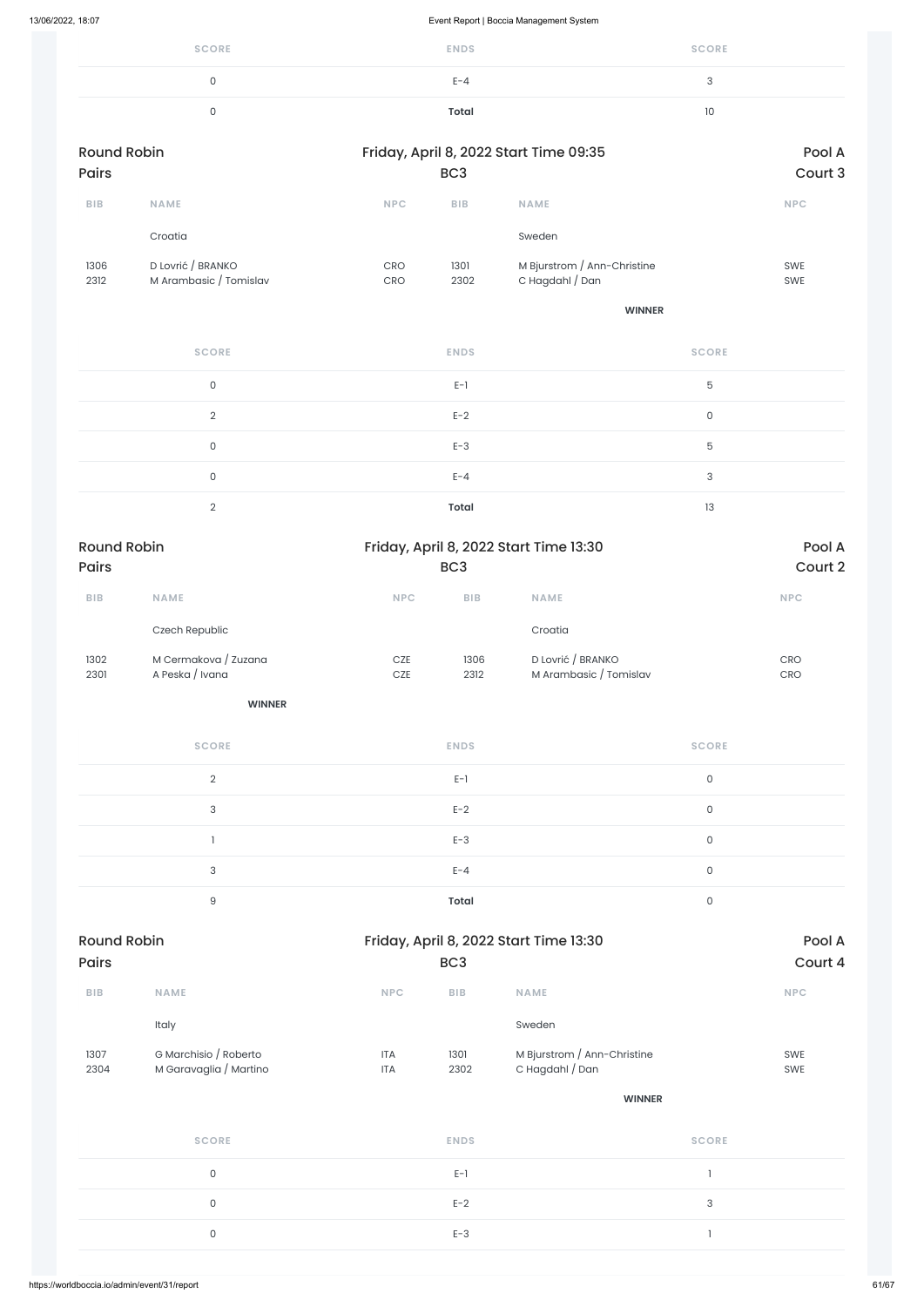| <b>SCORE</b> | <b>ENDS</b> | <b>SCORE</b> |
|--------------|-------------|--------------|
|              | $E - 4$     | ⌒            |
|              | Total       | 10           |

| <b>Round Robin</b>          |                                             |                |                 | Friday, April 8, 2022 Start Time 09:35         |                     | Pool A                                                               |
|-----------------------------|---------------------------------------------|----------------|-----------------|------------------------------------------------|---------------------|----------------------------------------------------------------------|
| Pairs                       |                                             |                | BC <sub>3</sub> |                                                |                     | Court 3                                                              |
| ${\sf B}{\sf I}{\sf B}$     | <b>NAME</b>                                 | NPC            | BIB             | <b>NAME</b>                                    |                     | $\ensuremath{\mathsf{NPC}}$                                          |
|                             | Croatia                                     |                |                 | Sweden                                         |                     |                                                                      |
| 1306<br>2312                | D Lovrić / BRANKO<br>M Arambasic / Tomislav | CRO<br>CRO     | 1301<br>2302    | M Bjurstrom / Ann-Christine<br>C Hagdahl / Dan |                     | SWE<br>SWE                                                           |
|                             |                                             |                |                 | <b>WINNER</b>                                  |                     |                                                                      |
|                             | <b>SCORE</b>                                |                | <b>ENDS</b>     |                                                | <b>SCORE</b>        |                                                                      |
|                             | $\mathsf{O}$                                |                | $E-1$           |                                                | 5                   |                                                                      |
|                             | $\overline{2}$                              |                | $E-2$           |                                                | $\mathsf{O}\xspace$ |                                                                      |
|                             | $\mathsf{O}\xspace$                         |                | $E-3$           |                                                | 5                   |                                                                      |
|                             | $\mathsf{O}$                                |                | $E - 4$         |                                                | 3                   |                                                                      |
|                             | $\sqrt{2}$                                  |                | <b>Total</b>    |                                                | 13                  |                                                                      |
| <b>Round Robin</b><br>Pairs |                                             |                | BC <sub>3</sub> | Friday, April 8, 2022 Start Time 13:30         |                     | Pool A<br>Court 2                                                    |
| ${\sf B}{\sf I}{\sf B}$     | <b>NAME</b>                                 | NPC            | BIB             | <b>NAME</b>                                    |                     | NPC                                                                  |
|                             | Czech Republic                              |                |                 | Croatia                                        |                     |                                                                      |
| 1302<br>2301                | M Cermakova / Zuzana<br>A Peska / Ivana     | $CZE$<br>$CZE$ | 1306<br>2312    | D Lovrić / BRANKO<br>M Arambasic / Tomislav    |                     | $\mathsf{C}\mathsf{R}\mathsf{O}$<br>$\mathsf{C}\mathsf{R}\mathsf{O}$ |
|                             | <b>WINNER</b>                               |                |                 |                                                |                     |                                                                      |
|                             |                                             |                |                 |                                                |                     |                                                                      |
|                             | <b>SCORE</b>                                |                | <b>ENDS</b>     |                                                | <b>SCORE</b>        |                                                                      |
|                             | $\overline{2}$                              |                | $E-1$           |                                                | $\mathsf{O}\xspace$ |                                                                      |
|                             | $\sqrt{3}$                                  |                | $E-2$           |                                                | $\mathsf{O}\xspace$ |                                                                      |
|                             | $\mathbf{I}$                                |                | $E-3$           |                                                | $\mathsf{O}$        |                                                                      |
|                             | $\sqrt{3}$                                  |                | $E - 4$         |                                                | $\mathsf{O}$        |                                                                      |
|                             | $\hbox{9}$                                  |                | <b>Total</b>    |                                                | $\mathsf{O}$        |                                                                      |

| <b>BIB</b>   | <b>NAME</b>                                     | <b>NPC</b>               | <b>BIB</b>   | <b>NAME</b>                                    | <b>NPC</b> |
|--------------|-------------------------------------------------|--------------------------|--------------|------------------------------------------------|------------|
|              | Italy                                           |                          |              | Sweden                                         |            |
| 1307<br>2304 | G Marchisio / Roberto<br>M Garavaglia / Martino | <b>ITA</b><br><b>ITA</b> | 1301<br>2302 | M Bjurstrom / Ann-Christine<br>C Hagdahl / Dan | SWE<br>SWE |
|              |                                                 |                          |              | <b>WINNER</b>                                  |            |
|              | <b>SCORE</b>                                    |                          | <b>ENDS</b>  | <b>SCORE</b>                                   |            |
|              | $\mathsf{O}$                                    |                          | $E-1$        |                                                |            |
|              | $\mathsf{O}\xspace$                             |                          | $E-2$        | $\sqrt{3}$                                     |            |
| $\mathsf O$  |                                                 |                          | $E-3$        |                                                |            |
|              |                                                 |                          |              |                                                |            |
|              | https://worldboccia.io/admin/event/31/report    |                          |              |                                                |            |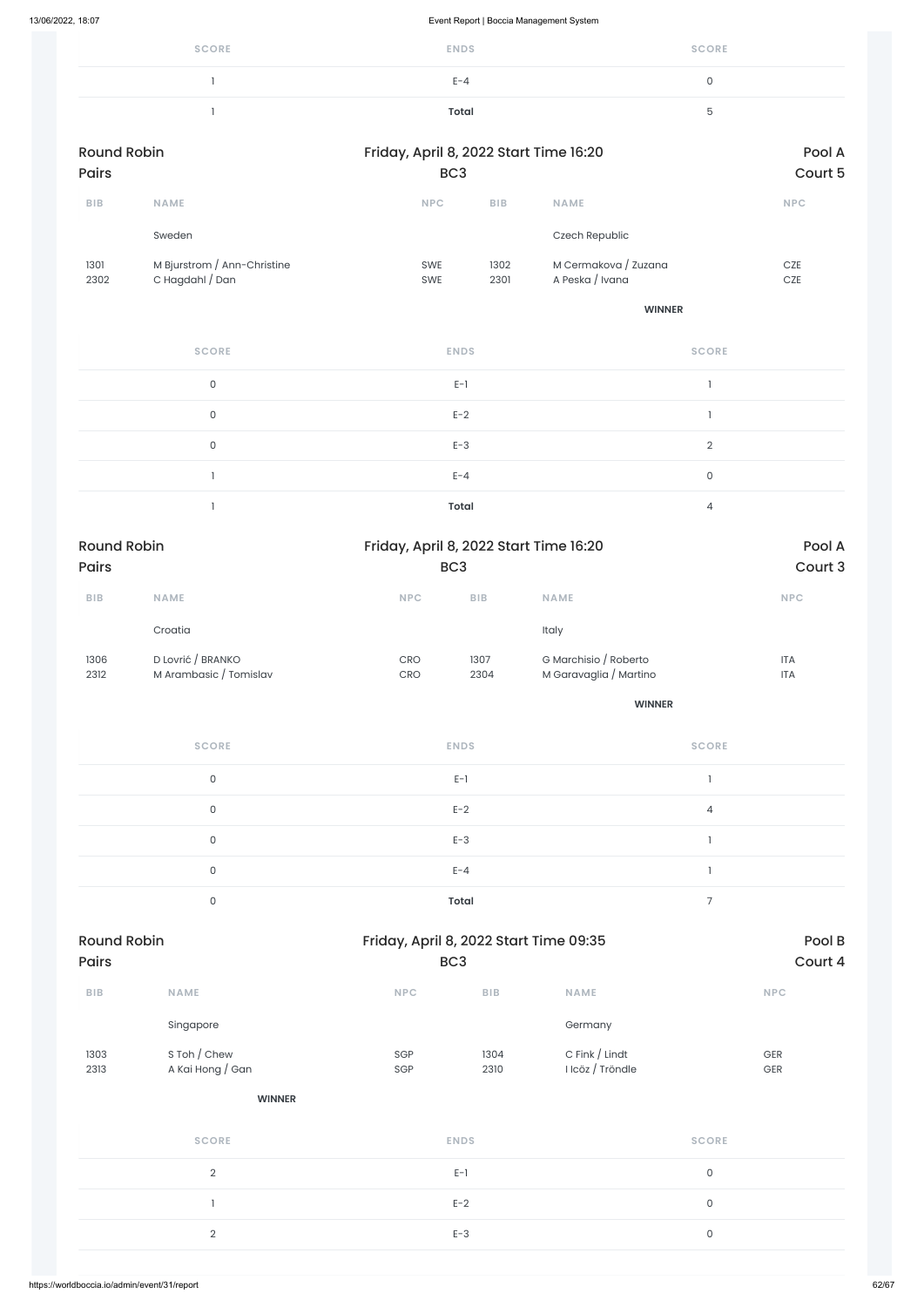| <b>SCORE</b> | <b>ENDS</b> | <b>SCORE</b> |
|--------------|-------------|--------------|
|              | $E - 4$     |              |
|              | Total       | h            |

| <b>Round Robin</b>          |                                                | Friday, April 8, 2022 Start Time 16:20                               |                         |                                                 |                     | Pool A                   |
|-----------------------------|------------------------------------------------|----------------------------------------------------------------------|-------------------------|-------------------------------------------------|---------------------|--------------------------|
| Pairs                       |                                                | BC <sub>3</sub>                                                      |                         |                                                 |                     | Court 5                  |
| ${\sf B}{\sf I}{\sf B}$     | NAME                                           | NPC                                                                  | BIB                     | NAME                                            |                     | NPC                      |
|                             | Sweden                                         |                                                                      |                         | Czech Republic                                  |                     |                          |
| 1301<br>2302                | M Bjurstrom / Ann-Christine<br>C Hagdahl / Dan | SWE<br>SWE                                                           | 1302<br>2301            | M Cermakova / Zuzana<br>A Peska / Ivana         |                     | $CZE$<br>$CZE$           |
|                             |                                                |                                                                      |                         | <b>WINNER</b>                                   |                     |                          |
|                             | <b>SCORE</b>                                   | <b>ENDS</b>                                                          |                         |                                                 | <b>SCORE</b>        |                          |
|                             | $\mathsf{O}\xspace$                            | $E-1$                                                                |                         |                                                 | 1                   |                          |
|                             | $\mathsf{O}\xspace$                            | $E-2$                                                                |                         |                                                 | $\mathbf{I}$        |                          |
|                             | $\mathsf{O}\xspace$                            | $E-3$                                                                |                         |                                                 | $\sqrt{2}$          |                          |
|                             | $\mathbf{I}$                                   | $E - 4$                                                              |                         |                                                 | $\mathsf{O}\xspace$ |                          |
|                             | $\mathbbm{1}$                                  | <b>Total</b>                                                         |                         |                                                 | $\overline{4}$      |                          |
| <b>Round Robin</b><br>Pairs |                                                | Friday, April 8, 2022 Start Time 16:20<br>BC <sub>3</sub>            |                         |                                                 | Pool A<br>Court 3   |                          |
| ${\sf B}{\sf I}{\sf B}$     | NAME                                           | NPC                                                                  | ${\sf B}{\sf I}{\sf B}$ | NAME                                            |                     | NPC                      |
|                             | Croatia                                        |                                                                      |                         | Italy                                           |                     |                          |
| 1306<br>2312                | D Lovrić / BRANKO<br>M Arambasic / Tomislav    | $\mathsf{C}\mathsf{R}\mathsf{O}$<br>$\mathsf{C}\mathsf{R}\mathsf{O}$ | 1307<br>2304            | G Marchisio / Roberto<br>M Garavaglia / Martino |                     | <b>ITA</b><br><b>ITA</b> |
|                             |                                                |                                                                      | <b>WINNER</b>           |                                                 |                     |                          |
|                             | <b>SCORE</b>                                   | <b>ENDS</b>                                                          |                         |                                                 | <b>SCORE</b>        |                          |
|                             | $\mathsf{O}\xspace$                            | $E-1$                                                                |                         |                                                 | $\mathbf{1}$        |                          |
|                             | $\mathsf{O}\xspace$                            | $E-2$                                                                |                         |                                                 | $\overline{4}$      |                          |
|                             | $\mathsf{O}\xspace$                            | $E-3$                                                                |                         |                                                 | $\mathbf{I}$        |                          |
|                             | $\mathsf{O}\xspace$                            | $E - 4$                                                              |                         |                                                 | $\mathbf{1}$        |                          |
|                             | $\mathsf{O}\xspace$                            | <b>Total</b>                                                         |                         |                                                 | $\overline{7}$      |                          |
|                             |                                                |                                                                      |                         |                                                 |                     |                          |

| BIB                                          | <b>NAME</b>                      | <b>NPC</b>  | BIB          | <b>NAME</b>                        | NPC          |       |
|----------------------------------------------|----------------------------------|-------------|--------------|------------------------------------|--------------|-------|
|                                              | Singapore                        |             |              | Germany                            |              |       |
| 1303<br>2313                                 | S Toh / Chew<br>A Kai Hong / Gan | SGP<br>SGP  | 1304<br>2310 | C Fink / Lindt<br>I Icöz / Tröndle | GER<br>GER   |       |
|                                              | <b>WINNER</b>                    |             |              |                                    |              |       |
|                                              | <b>SCORE</b>                     | <b>ENDS</b> |              |                                    | <b>SCORE</b> |       |
| $\overline{2}$                               |                                  | $E-1$       |              |                                    | $\mathsf O$  |       |
|                                              |                                  | $E-2$       |              |                                    | $\mathsf O$  |       |
|                                              | $\overline{2}$                   | $E-3$       |              |                                    | $\mathsf O$  |       |
|                                              |                                  |             |              |                                    |              |       |
| https://worldboccia.io/admin/event/31/report |                                  |             |              |                                    |              | 62/67 |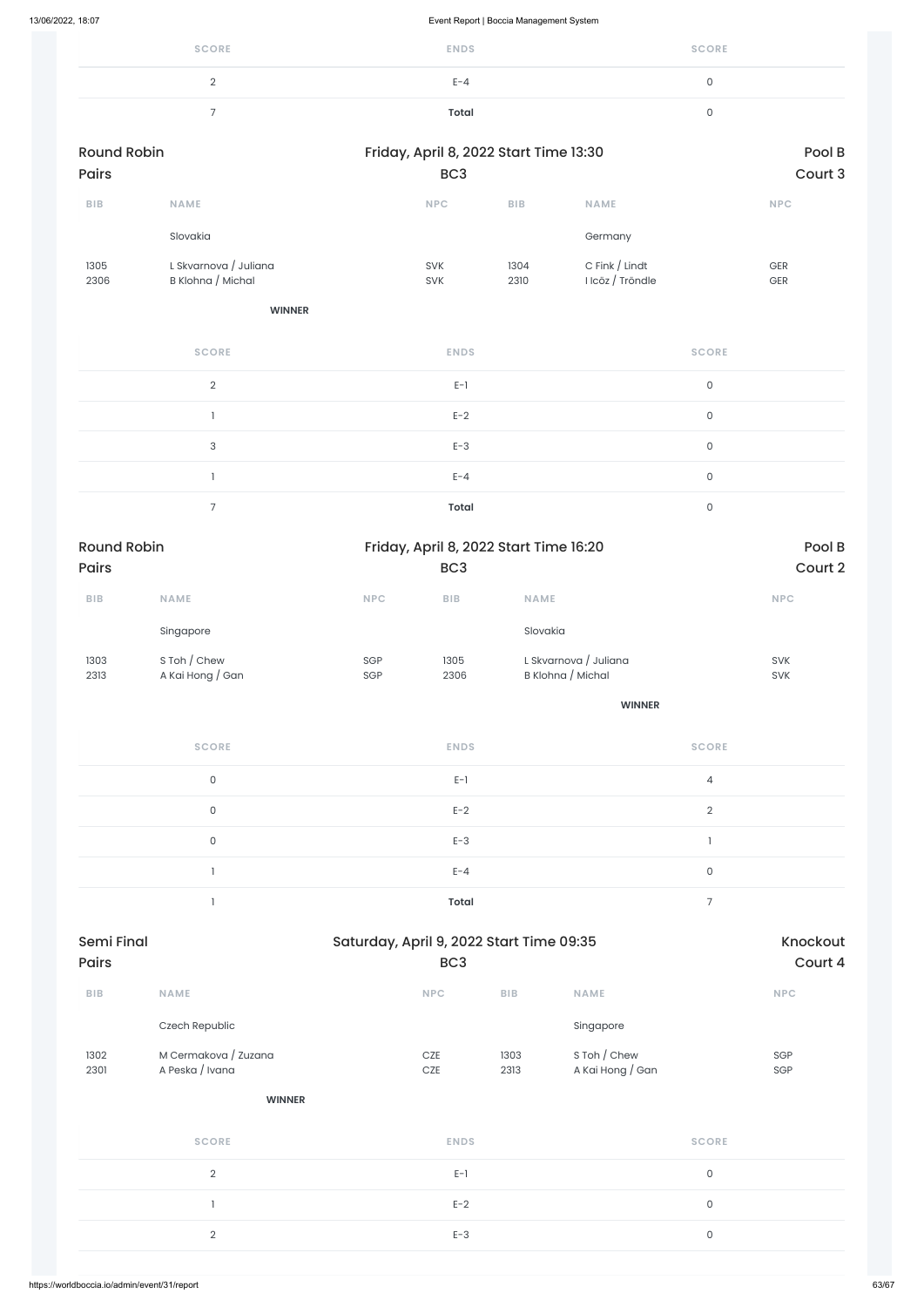| <b>SCORE</b> | <b>ENDS</b> | <b>SCORE</b> |
|--------------|-------------|--------------|
| ∸            | $E - 4$     |              |
| -            | Total       |              |

| <b>Round Robin</b><br><b>Pairs</b> |                                            |                          | Friday, April 8, 2022 Start Time 13:30<br>BC <sub>3</sub> |                                      |                          |
|------------------------------------|--------------------------------------------|--------------------------|-----------------------------------------------------------|--------------------------------------|--------------------------|
| <b>BIB</b>                         | <b>NAME</b>                                | <b>NPC</b>               | <b>BIB</b>                                                | <b>NAME</b>                          | <b>NPC</b>               |
|                                    | Slovakia                                   |                          |                                                           | Germany                              |                          |
| 1305<br>2306                       | L Skvarnova / Juliana<br>B Klohna / Michal | <b>SVK</b><br><b>SVK</b> | 1304<br>2310                                              | C Fink $/$ Lindt<br>I Icöz / Tröndle | <b>GER</b><br><b>GER</b> |

#### **WINNER**

| <b>SCORE</b> | <b>ENDS</b>  | <b>SCORE</b> |
|--------------|--------------|--------------|
| $\Omega$     | $E-1$        | 0            |
|              | $E-2$        | 0            |
| 3            | $E-3$        | 0            |
|              | $E - 4$      | $\mathbf{0}$ |
|              | <b>Total</b> | ∩            |

| <b>BIB</b>                                   | <b>NAME</b>                             | <b>NPC</b>          | <b>BIB</b>   | <b>NAME</b>                      | <b>NPC</b>   |       |
|----------------------------------------------|-----------------------------------------|---------------------|--------------|----------------------------------|--------------|-------|
|                                              | Czech Republic                          |                     |              | Singapore                        |              |       |
| 1302<br>2301                                 | M Cermakova / Zuzana<br>A Peska / Ivana | <b>CZE</b><br>$CZE$ | 1303<br>2313 | S Toh / Chew<br>A Kai Hong / Gan | SGP<br>SGP   |       |
|                                              | <b>WINNER</b>                           |                     |              |                                  |              |       |
|                                              | <b>SCORE</b>                            | <b>ENDS</b>         |              |                                  | <b>SCORE</b> |       |
|                                              | $\sqrt{2}$                              | $E-1$               |              |                                  | $\mathsf O$  |       |
|                                              |                                         | $E-2$               |              |                                  | $\mathsf O$  |       |
|                                              | $\overline{2}$                          | $E-3$               |              |                                  | $\mathsf O$  |       |
|                                              |                                         |                     |              |                                  |              |       |
| https://worldboccia.io/admin/event/31/report |                                         |                     |              |                                  |              | 63/67 |

| <b>Round Robin</b> |                  |            | Friday, April 8, 2022 Start Time 16:20 | Pool B                |            |
|--------------------|------------------|------------|----------------------------------------|-----------------------|------------|
| <b>Pairs</b>       |                  |            | BC <sub>3</sub>                        |                       | Court 2    |
| <b>BIB</b>         | <b>NAME</b>      | <b>NPC</b> | <b>BIB</b>                             | <b>NAME</b>           | <b>NPC</b> |
|                    | Singapore        |            |                                        | Slovakia              |            |
| 1303               | S Toh / Chew     | SGP        | 1305                                   | L Skvarnova / Juliana | <b>SVK</b> |
| 2313               | A Kai Hong / Gan | SGP        | 2306                                   | B Klohna / Michal     | <b>SVK</b> |
|                    |                  |            |                                        | <b>WINNER</b>         |            |

| <b>SCORE</b> | <b>ENDS</b>  | <b>SCORE</b> |
|--------------|--------------|--------------|
| 0            | $E-1$        | 4            |
| 0            | $E-2$        | $\Omega$     |
| 0            | $E-3$        |              |
|              | $E - 4$      | 0            |
|              | <b>Total</b> | -            |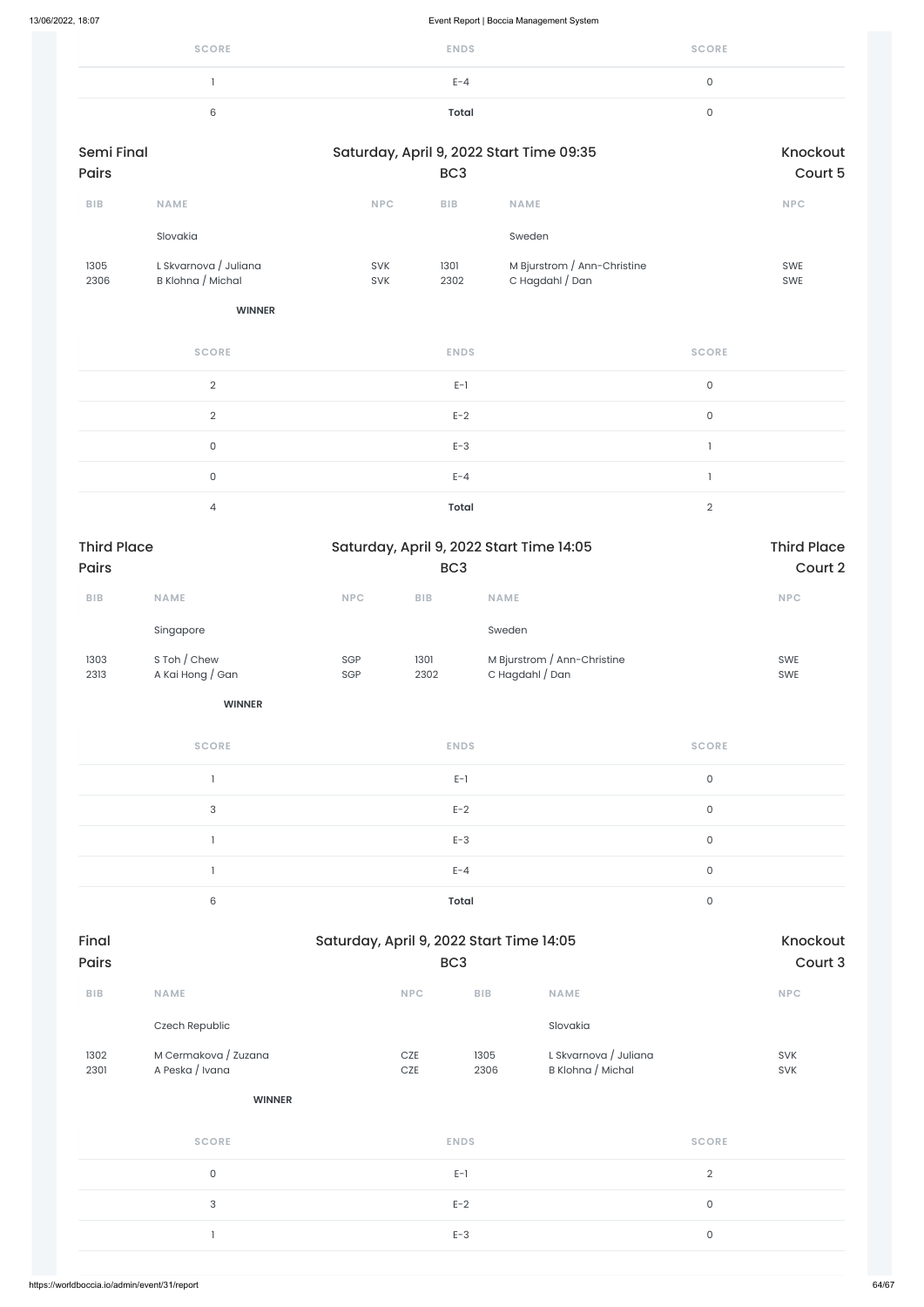| <b>SCORE</b> | <b>ENDS</b> | <b>SCORE</b> |
|--------------|-------------|--------------|
|              | $E - 4$     |              |
| $\sim$       | Total       |              |

| <b>Semi Final</b><br>Pairs |                                            |            | BC <sub>3</sub>         | Saturday, April 9, 2022 Start Time 09:35       |                     | Knockout<br>Court 5 |
|----------------------------|--------------------------------------------|------------|-------------------------|------------------------------------------------|---------------------|---------------------|
| ${\sf B}{\sf I}{\sf B}$    | <b>NAME</b>                                | NPC        | ${\sf B}{\sf I}{\sf B}$ | <b>NAME</b>                                    |                     | NPC                 |
|                            | Slovakia                                   |            |                         | Sweden                                         |                     |                     |
| 1305<br>2306               | L Skvarnova / Juliana<br>B Klohna / Michal | SVK<br>SVK | 1301<br>2302            | M Bjurstrom / Ann-Christine<br>C Hagdahl / Dan |                     | SWE<br>SWE          |
|                            | <b>WINNER</b>                              |            |                         |                                                |                     |                     |
|                            | <b>SCORE</b>                               |            | <b>ENDS</b>             |                                                | <b>SCORE</b>        |                     |
|                            | $\overline{2}$                             |            | $E-1$                   |                                                | 0                   |                     |
|                            | $\overline{2}$                             |            | $E-2$                   |                                                | $\mathsf{O}\xspace$ |                     |
|                            | $\mathsf{O}\xspace$                        |            | $E-3$                   |                                                | $\mathbf{I}$        |                     |
|                            | $\mathsf{O}\xspace$                        |            | $E - 4$                 |                                                | $\mathbf{1}$        |                     |
|                            | $\overline{4}$                             |            | <b>Total</b>            |                                                | $\overline{2}$      |                     |
| <b>Third Place</b>         |                                            |            |                         | Saturday, April 9, 2022 Start Time 14:05       |                     | <b>Third Place</b>  |
| Pairs                      |                                            |            | BC <sub>3</sub>         |                                                |                     | Court 2             |
| ${\sf B}{\sf I}{\sf B}$    | <b>NAME</b>                                | <b>NPC</b> | ${\sf B}{\sf I}{\sf B}$ | <b>NAME</b>                                    |                     | NPC                 |
|                            | Singapore                                  |            |                         | Sweden                                         |                     |                     |
| 1303<br>2313               | S Toh / Chew<br>A Kai Hong / Gan           | SGP<br>SGP | 1301<br>2302            | M Bjurstrom / Ann-Christine<br>C Hagdahl / Dan |                     | SWE<br>SWE          |
|                            | <b>WINNER</b>                              |            |                         |                                                |                     |                     |
|                            | <b>SCORE</b>                               |            | <b>ENDS</b>             |                                                | <b>SCORE</b>        |                     |
|                            | $\mathbf{1}$                               |            | $E-1$                   |                                                | $\mathsf{O}\xspace$ |                     |
|                            | $\mathsf 3$                                |            | $E-2$                   |                                                | $\mathsf{O}\xspace$ |                     |
|                            | 1                                          |            | $E-3$                   |                                                | $\mathsf{O}\xspace$ |                     |

| Final |  |
|-------|--|
| Pairs |  |

 $E-A$  0

6 **Total** 0

| <b>BIB</b>   | <b>NAME</b>                             | <b>NPC</b> | BIB          | <b>NAME</b>                                |                     | <b>NPC</b>               |
|--------------|-----------------------------------------|------------|--------------|--------------------------------------------|---------------------|--------------------------|
|              | Czech Republic                          |            |              | Slovakia                                   |                     |                          |
| 1302<br>2301 | M Cermakova / Zuzana<br>A Peska / Ivana | CZE<br>CZE | 1305<br>2306 | L Skvarnova / Juliana<br>B Klohna / Michal |                     | <b>SVK</b><br><b>SVK</b> |
|              | <b>WINNER</b>                           |            |              |                                            |                     |                          |
|              | <b>SCORE</b>                            |            | <b>ENDS</b>  |                                            | <b>SCORE</b>        |                          |
|              | $\mathsf{O}\xspace$                     |            | $E-1$        |                                            | $\sqrt{2}$          |                          |
|              | 3                                       |            | $E-2$        |                                            | $\mathsf{O}\xspace$ |                          |
|              |                                         |            | $E-3$        |                                            | $\mathsf{O}\xspace$ |                          |
|              |                                         |            |              |                                            |                     |                          |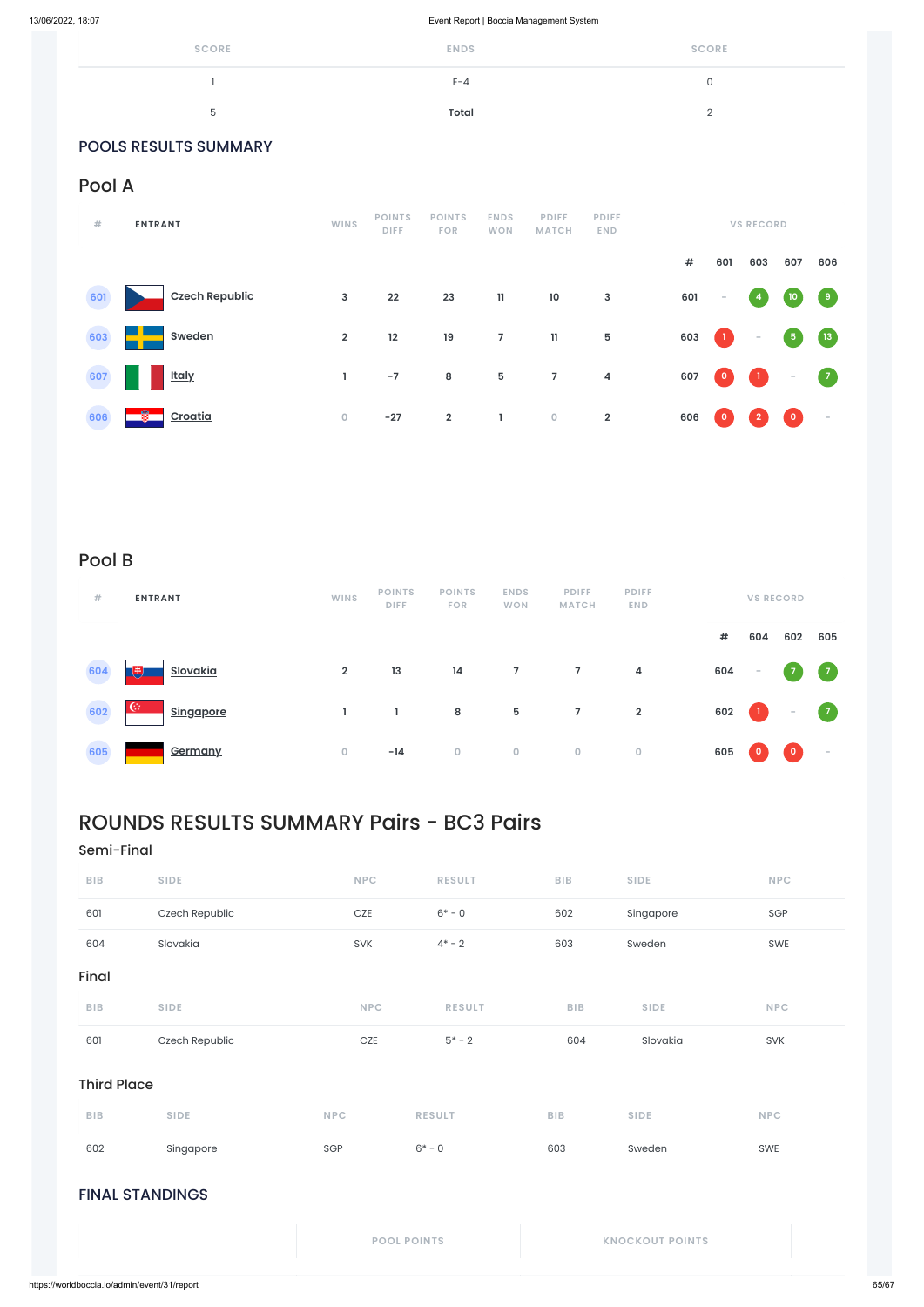| <b>SCORE</b> | <b>ENDS</b> | <b>SCORE</b> |
|--------------|-------------|--------------|
|              | $E - 4$     |              |
| 5            | Total       | $\sim$       |

### POOLS RESULTS SUMMARY

### Pool A

| #   | <b>ENTRANT</b>        | <b>WINS</b>    | <b>POINTS</b><br><b>DIFF</b> | <b>POINTS</b><br><b>FOR</b> | <b>ENDS</b><br><b>WON</b> | <b>PDIFF</b><br><b>MATCH</b> | <b>PDIFF</b><br><b>END</b> | <b>VS RECORD</b> |                          |                |                                         |                                   |
|-----|-----------------------|----------------|------------------------------|-----------------------------|---------------------------|------------------------------|----------------------------|------------------|--------------------------|----------------|-----------------------------------------|-----------------------------------|
|     |                       |                |                              |                             |                           |                              |                            | $\#$             | 601                      | 603            | 607                                     | 606                               |
| 601 | <b>Czech Republic</b> | 3              | 22                           | 23                          | $\mathbf{11}$             | 10                           | $\mathbf{3}$               | 601              | $\overline{\phantom{a}}$ | $\overline{4}$ | $\begin{array}{ c } \hline \end{array}$ | $\begin{pmatrix} 9 \end{pmatrix}$ |
| 603 | <b>Sweden</b>         | $\overline{2}$ | 12                           | 19                          | $\overline{7}$            | $\mathbf{11}$                | $\overline{5}$             | 603              | $\bf{1}$                 | $\sim$         | $\sqrt{5}$                              | $\left(13\right)$                 |
| 607 | <b>Italy</b>          |                | $-7$                         | 8                           | 5                         | $\overline{7}$               | 4                          | 607              | 이                        | $\blacksquare$ | $\overline{\phantom{a}}$                | $\begin{pmatrix} 7 \end{pmatrix}$ |
| 606 | 瓥<br>Croatia          | $\mathbf 0$    | $-27$                        | $\overline{2}$              | L                         | $\mathsf{O}\xspace$          | $\overline{2}$             | 606              | $\circ$                  | $\overline{2}$ | $\begin{bmatrix} 0 \end{bmatrix}$       | $\sim$                            |

### Pool B

| #   | <b>ENTRANT</b>                   | <b>WINS</b>    | <b>POINTS</b><br><b>DIFF</b> | <b>POINTS</b><br><b>FOR</b> | <b>ENDS</b><br><b>WON</b> | <b>PDIFF</b><br><b>MATCH</b> | <b>PDIFF</b><br><b>END</b> |      |                                                                              | <b>VS RECORD</b>         |            |
|-----|----------------------------------|----------------|------------------------------|-----------------------------|---------------------------|------------------------------|----------------------------|------|------------------------------------------------------------------------------|--------------------------|------------|
|     |                                  |                |                              |                             |                           |                              |                            | $\#$ | 604                                                                          | 602                      | 605        |
| 604 | <u>Slovakia</u><br>JŦ.           | $\overline{2}$ | 13                           | 14                          | 7 <sup>7</sup>            | $7\overline{ }$              | $\overline{4}$             | 604  | $\overline{\phantom{a}}$                                                     | $\overline{7}$           | $\sqrt{7}$ |
| 602 | $\mathbb{G}$<br><b>Singapore</b> |                |                              | 8                           | 5                         | $7\overline{ }$              | $\overline{2}$             | 602  | $\begin{array}{c} \begin{array}{c} \begin{array}{c} \end{array} \end{array}$ | $\overline{\phantom{a}}$ | $\sqrt{7}$ |
| 605 | Germany                          | $\mathbf 0$    | $-14$                        | $\overline{0}$              | $\overline{0}$            | $\overline{0}$               | $\overline{0}$             | 605  | $\circ$                                                                      | $\mathbf 0$              | $\sim$     |

| <b>BIB</b>             | <b>SIDE</b>    | <b>NPC</b>         | <b>RESULT</b> | <b>BIB</b> | <b>SIDE</b>            | <b>NPC</b> |  |  |  |  |
|------------------------|----------------|--------------------|---------------|------------|------------------------|------------|--|--|--|--|
| 601                    | Czech Republic | CZE                | $5* - 2$      | 604        | Slovakia               | <b>SVK</b> |  |  |  |  |
| <b>Third Place</b>     |                |                    |               |            |                        |            |  |  |  |  |
| <b>BIB</b>             | <b>SIDE</b>    | <b>NPC</b>         | <b>RESULT</b> | <b>BIB</b> | <b>SIDE</b>            | <b>NPC</b> |  |  |  |  |
| 602                    | Singapore      | SGP                | $6* - 0$      | 603        | Sweden                 | SWE        |  |  |  |  |
| <b>FINAL STANDINGS</b> |                |                    |               |            |                        |            |  |  |  |  |
|                        |                | <b>POOL POINTS</b> |               |            | <b>KNOCKOUT POINTS</b> |            |  |  |  |  |

## ROUNDS RESULTS SUMMARY Pairs - BC3 Pairs

### Semi-Final

| <b>BIB</b> | <b>SIDE</b>    | <b>NPC</b> | <b>RESULT</b> | <b>BIB</b> | <b>SIDE</b> | <b>NPC</b> |
|------------|----------------|------------|---------------|------------|-------------|------------|
| 601        | Czech Republic | <b>CZE</b> | $6* - 0$      | 602        | Singapore   | SGP        |
| 604        | Slovakia       | <b>SVK</b> | $4^* - 2$     | 603        | Sweden      | SWE        |

### Final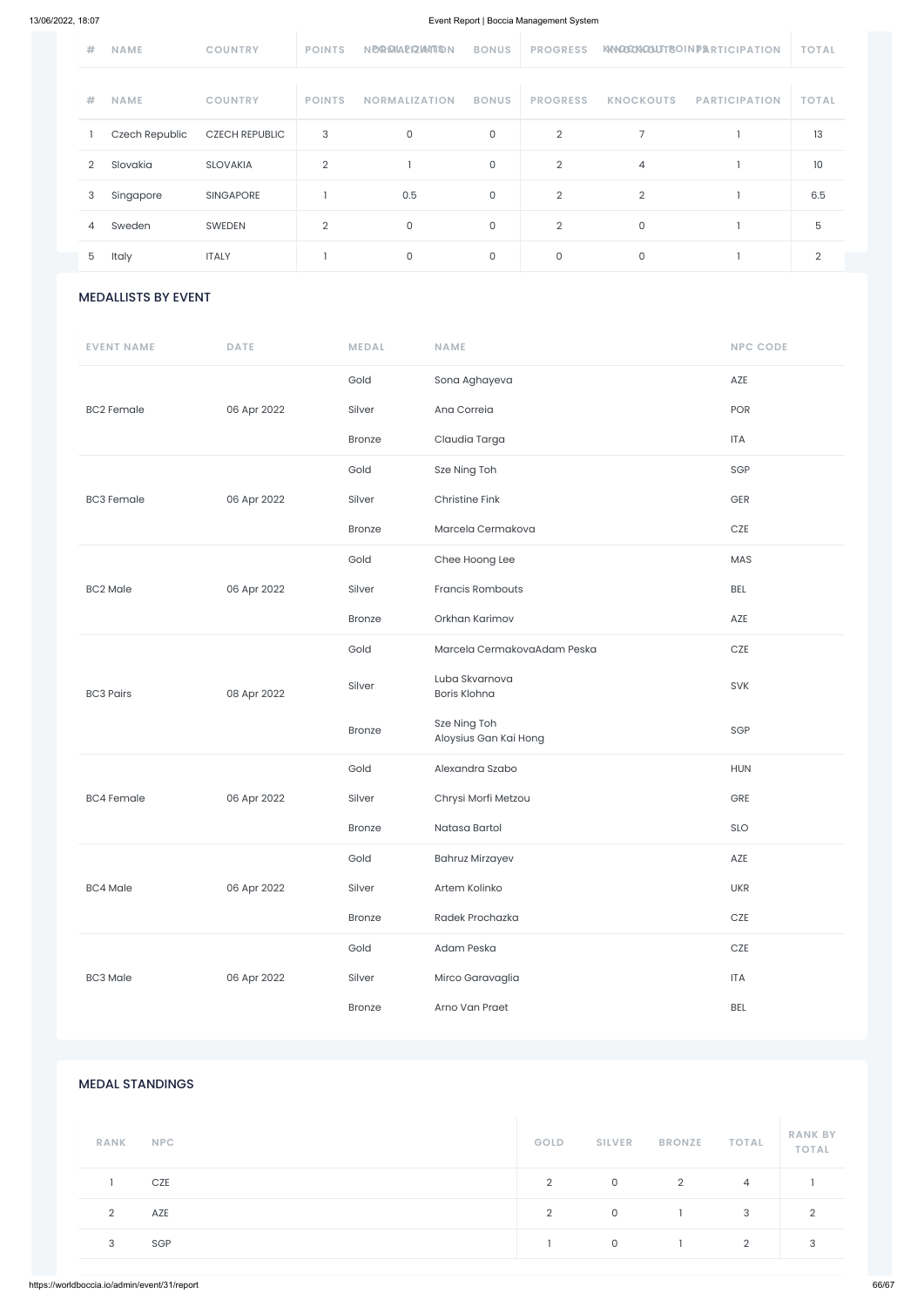#### $\mathcal{G}_\mathcal{G}$  Germany Germany Germany Germany Germany Germany Germany Germany Germany Germany Germany Germany Germany Germany Germany Germany Germany Germany Germany Germany Germany Germany Germany Germany Germany German MEDALLISTS BY EVENT

| #              | <b>NAME</b>    | <b>COUNTRY</b>        | <b>POINTS</b> | <b>NBQ MAPIZIAMTION</b> | <b>BONUS</b> | <b>PROGRESS</b> |                  | KNOOXOUTBOINPARTICIPATION | <b>TOTAL</b> |
|----------------|----------------|-----------------------|---------------|-------------------------|--------------|-----------------|------------------|---------------------------|--------------|
| #              | <b>NAME</b>    | <b>COUNTRY</b>        | <b>POINTS</b> | <b>NORMALIZATION</b>    | <b>BONUS</b> | <b>PROGRESS</b> | <b>KNOCKOUTS</b> | <b>PARTICIPATION</b>      | <b>TOTAL</b> |
|                | Czech Republic | <b>CZECH REPUBLIC</b> | 3             | 0                       | 0            | 2               | 7                |                           | 13           |
| $\overline{2}$ | Slovakia       | <b>SLOVAKIA</b>       | 2             |                         | 0            | $\overline{2}$  | 4                |                           | 10           |
| 3              | Singapore      | <b>SINGAPORE</b>      |               | 0.5                     | 0            | $\overline{2}$  | $\overline{2}$   |                           | 6.5          |
| 4              | Sweden         | <b>SWEDEN</b>         | 2             | $\mathsf O$             | $\mathbf 0$  | $\overline{2}$  | 0                |                           | 5            |
| 5              | Italy          | <b>ITALY</b>          |               | $\mathbf 0$             | 0            | 0               | 0                |                           | 2            |

| <b>EVENT NAME</b> | <b>DATE</b> | <b>MEDAL</b>  | <b>NAME</b>                           | <b>NPC CODE</b> |
|-------------------|-------------|---------------|---------------------------------------|-----------------|
|                   |             | Gold          | Sona Aghayeva                         | AZE             |
| <b>BC2 Female</b> | 06 Apr 2022 | Silver        | Ana Correia                           | POR             |
|                   |             | <b>Bronze</b> | Claudia Targa                         | ITA             |
|                   |             | Gold          | Sze Ning Toh                          | SGP             |
| <b>BC3 Female</b> | 06 Apr 2022 | Silver        | <b>Christine Fink</b>                 | GER             |
|                   |             | <b>Bronze</b> | Marcela Cermakova                     | $CZE$           |
|                   |             | Gold          | Chee Hoong Lee                        | MAS             |
| <b>BC2 Male</b>   | 06 Apr 2022 | Silver        | Francis Rombouts                      | <b>BEL</b>      |
|                   |             | <b>Bronze</b> | Orkhan Karimov                        | AZE             |
|                   |             | Gold          | Marcela CermakovaAdam Peska           | $CZE$           |
| <b>BC3 Pairs</b>  | 08 Apr 2022 | Silver        | Luba Skvarnova<br>Boris Klohna        | SVK             |
|                   |             | <b>Bronze</b> | Sze Ning Toh<br>Aloysius Gan Kai Hong | SGP             |
|                   |             | Gold          | Alexandra Szabo                       | <b>HUN</b>      |
| <b>BC4 Female</b> | 06 Apr 2022 | Silver        | Chrysi Morfi Metzou                   | GRE             |
|                   |             | <b>Bronze</b> | Natasa Bartol                         | SLO             |
|                   |             | Gold          | <b>Bahruz Mirzayev</b>                | AZE             |
| <b>BC4 Male</b>   | 06 Apr 2022 | Silver        | Artem Kolinko                         | <b>UKR</b>      |
|                   |             | <b>Bronze</b> | Radek Prochazka                       | $CZE$           |
|                   |             | Gold          | Adam Peska                            | $CZE$           |
| <b>BC3 Male</b>   | 06 Apr 2022 | Silver        | Mirco Garavaglia                      | <b>ITA</b>      |

|                           | <b>Bronze</b> | Arno Van Praet |                |               |                | <b>BEL</b>     |                                |
|---------------------------|---------------|----------------|----------------|---------------|----------------|----------------|--------------------------------|
|                           |               |                |                |               |                |                |                                |
| <b>MEDAL STANDINGS</b>    |               |                |                |               |                |                |                                |
| <b>RANK</b><br><b>NPC</b> |               |                | GOLD           | <b>SILVER</b> | <b>BRONZE</b>  | <b>TOTAL</b>   | <b>RANK BY</b><br><b>TOTAL</b> |
| CZE<br>$\mathbf{I}$       |               |                | $\overline{2}$ | $\mathsf{O}$  | $\overline{2}$ | $\overline{4}$ |                                |
| $\overline{2}$<br>AZE     |               |                | $\overline{2}$ | $\mathsf O$   | $\mathbf{1}$   | $\mathbf{3}$   | $\overline{2}$                 |
| SGP<br>3                  |               |                | $\mathbf{I}$   | $\mathsf{O}$  | $\mathbf{1}$   | $\overline{2}$ | $\sqrt{3}$                     |
|                           |               |                |                |               |                |                |                                |